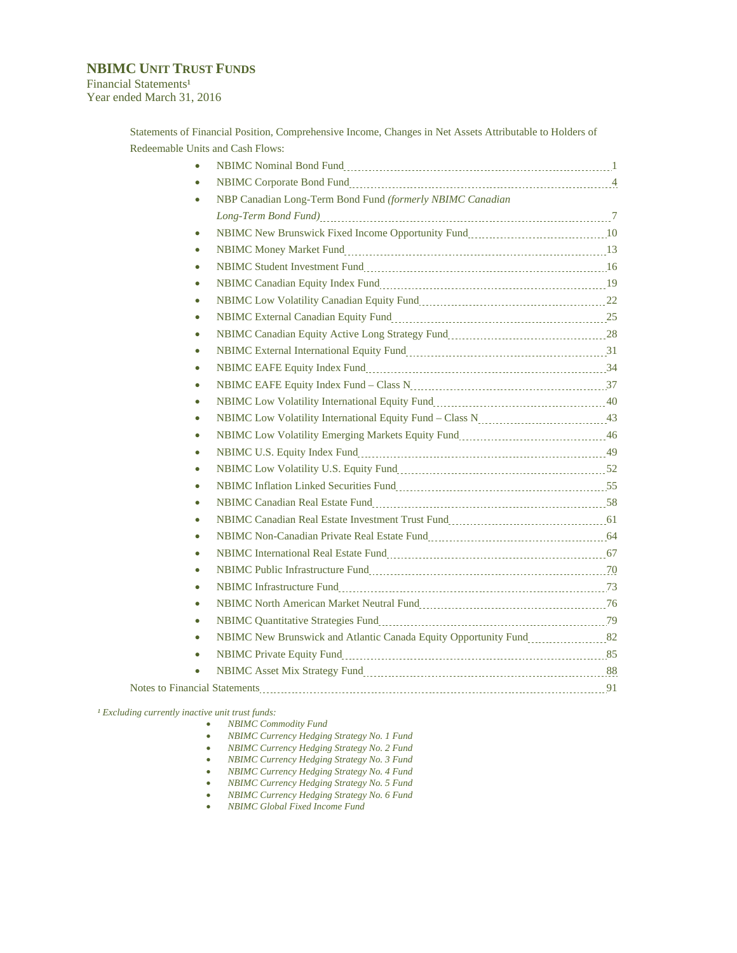### **NBIMC UNIT TRUST FUNDS**

Financial Statements<sup>1</sup> Year ended March 31, 2016

| Statements of Financial Position, Comprehensive Income, Changes in Net Assets Attributable to Holders of |  |
|----------------------------------------------------------------------------------------------------------|--|
| Redeemable Units and Cash Flows:                                                                         |  |
|                                                                                                          |  |
| $\bullet$                                                                                                |  |
| NBP Canadian Long-Term Bond Fund (formerly NBIMC Canadian<br>$\bullet$                                   |  |
|                                                                                                          |  |
| $\bullet$                                                                                                |  |
| $\bullet$                                                                                                |  |
| $\bullet$                                                                                                |  |
| $\bullet$                                                                                                |  |
| $\bullet$                                                                                                |  |
| NBIMC External Canadian Equity Fund Material Communications and 25<br>$\bullet$                          |  |
| NBIMC Canadian Equity Active Long Strategy Fund Mathematics 28 28<br>$\bullet$                           |  |
| $\bullet$                                                                                                |  |
| $\bullet$                                                                                                |  |
| $\bullet$                                                                                                |  |
| NBIMC Low Volatility International Equity Fund<br>10<br>$\bullet$                                        |  |
| $\bullet$                                                                                                |  |
| NBIMC Low Volatility Emerging Markets Equity Fund______________________________46<br>$\bullet$           |  |
| $\bullet$                                                                                                |  |
| NBIMC Low Volatility U.S. Equity Fund Mathematic Mathematic State 52<br>$\bullet$                        |  |
| NBIMC Inflation Linked Securities Fund Material According to the SSS 55<br>$\bullet$                     |  |
| $\bullet$                                                                                                |  |
| $\bullet$                                                                                                |  |
| NBIMC Non-Canadian Private Real Estate Fund<br>164<br>$\bullet$                                          |  |
| NBIMC International Real Estate Fund<br>167<br>$\bullet$                                                 |  |
| $\bullet$                                                                                                |  |
| $\bullet$                                                                                                |  |
| NBIMC North American Market Neutral Fund<br>16<br>$\bullet$                                              |  |
| NBIMC Quantitative Strategies Fund<br>19<br>$\bullet$                                                    |  |
| NBIMC New Brunswick and Atlantic Canada Equity Opportunity Fund<br>$\bullet$                             |  |
| $\bullet$                                                                                                |  |
|                                                                                                          |  |
|                                                                                                          |  |

*¹ Excluding currently inactive unit trust funds:* 

- *NBIMC Commodity Fund*
- *NBIMC Currency Hedging Strategy No. 1 Fund*
- *NBIMC Currency Hedging Strategy No. 2 Fund*
- *NBIMC Currency Hedging Strategy No. 3 Fund*
- *NBIMC Currency Hedging Strategy No. 4 Fund*
- *NBIMC Currency Hedging Strategy No. 5 Fund*
- *NBIMC Currency Hedging Strategy No. 6 Fund*
- *NBIMC Global Fixed Income Fund*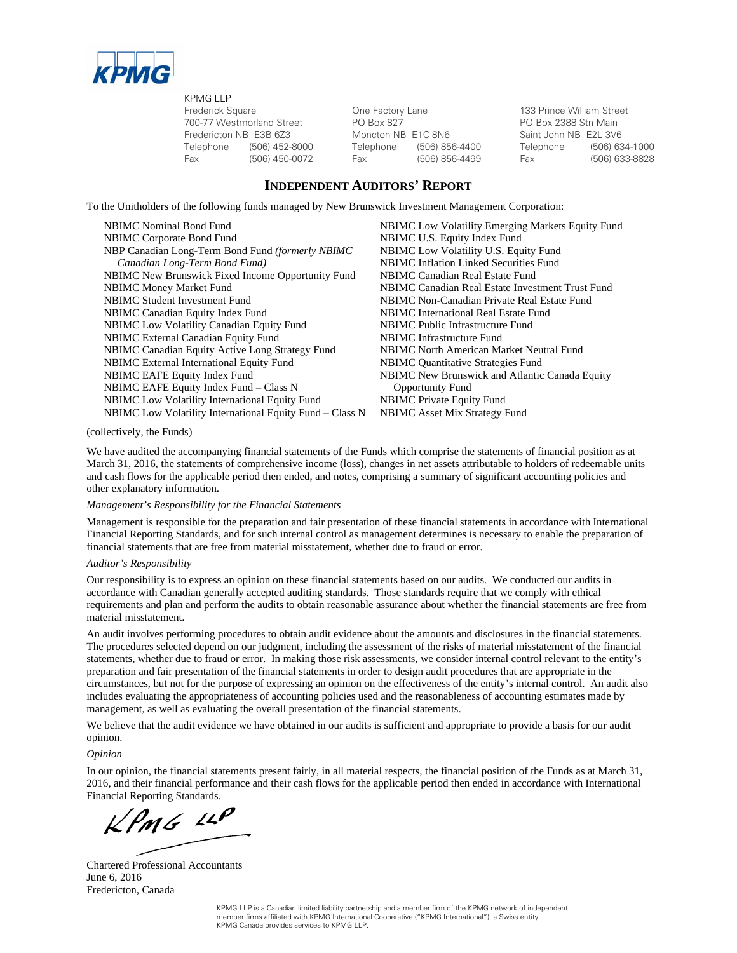

KPMG LLP Frederick Square **Cone Factory Lane** 133 Prince William Street 700-77 Westmorland Street PO Box 827 PO Box 2388 Stn Main Fredericton NB E3B 6Z3 Moncton NB E1C 8N6 Saint John NB E2L 3V6

Telephone (506) 452-8000 Telephone (506) 856-4400 Telephone (506) 634-1000 Fax (506) 450-0072 Fax (506) 856-4499 Fax (506) 633-8828

#### **INDEPENDENT AUDITORS' REPORT**

To the Unitholders of the following funds managed by New Brunswick Investment Management Corporation:

| <b>NBIMC</b> Nominal Bond Fund                           | <b>NBIMC</b> Low Volatility Emerging Markets Equity Fund |
|----------------------------------------------------------|----------------------------------------------------------|
| NBIMC Corporate Bond Fund                                | NBIMC U.S. Equity Index Fund                             |
| NBP Canadian Long-Term Bond Fund (formerly NBIMC         | NBIMC Low Volatility U.S. Equity Fund                    |
| Canadian Long-Term Bond Fund)                            | <b>NBIMC</b> Inflation Linked Securities Fund            |
| NBIMC New Brunswick Fixed Income Opportunity Fund        | NBIMC Canadian Real Estate Fund                          |
| <b>NBIMC Money Market Fund</b>                           | NBIMC Canadian Real Estate Investment Trust Fund         |
| <b>NBIMC</b> Student Investment Fund                     | NBIMC Non-Canadian Private Real Estate Fund              |
| NBIMC Canadian Equity Index Fund                         | NBIMC International Real Estate Fund                     |
| <b>NBIMC</b> Low Volatility Canadian Equity Fund         | NBIMC Public Infrastructure Fund                         |
| NBIMC External Canadian Equity Fund                      | NBIMC Infrastructure Fund                                |
| NBIMC Canadian Equity Active Long Strategy Fund          | NBIMC North American Market Neutral Fund                 |
| NBIMC External International Equity Fund                 | <b>NBIMC</b> Quantitative Strategies Fund                |
| NBIMC EAFE Equity Index Fund                             | <b>NBIMC</b> New Brunswick and Atlantic Canada Equity    |
| NBIMC EAFE Equity Index Fund – Class N                   | <b>Opportunity Fund</b>                                  |
| <b>NBIMC</b> Low Volatility International Equity Fund    | <b>NBIMC</b> Private Equity Fund                         |
| NBIMC Low Volatility International Equity Fund – Class N | NBIMC Asset Mix Strategy Fund                            |

(collectively, the Funds)

We have audited the accompanying financial statements of the Funds which comprise the statements of financial position as at March 31, 2016, the statements of comprehensive income (loss), changes in net assets attributable to holders of redeemable units and cash flows for the applicable period then ended, and notes, comprising a summary of significant accounting policies and other explanatory information.

#### *Management's Responsibility for the Financial Statements*

Management is responsible for the preparation and fair presentation of these financial statements in accordance with International Financial Reporting Standards, and for such internal control as management determines is necessary to enable the preparation of financial statements that are free from material misstatement, whether due to fraud or error.

#### *Auditor's Responsibility*

Our responsibility is to express an opinion on these financial statements based on our audits. We conducted our audits in accordance with Canadian generally accepted auditing standards. Those standards require that we comply with ethical requirements and plan and perform the audits to obtain reasonable assurance about whether the financial statements are free from material misstatement.

An audit involves performing procedures to obtain audit evidence about the amounts and disclosures in the financial statements. The procedures selected depend on our judgment, including the assessment of the risks of material misstatement of the financial statements, whether due to fraud or error. In making those risk assessments, we consider internal control relevant to the entity's preparation and fair presentation of the financial statements in order to design audit procedures that are appropriate in the circumstances, but not for the purpose of expressing an opinion on the effectiveness of the entity's internal control. An audit also includes evaluating the appropriateness of accounting policies used and the reasonableness of accounting estimates made by management, as well as evaluating the overall presentation of the financial statements.

We believe that the audit evidence we have obtained in our audits is sufficient and appropriate to provide a basis for our audit opinion.

#### *Opinion*

In our opinion, the financial statements present fairly, in all material respects, the financial position of the Funds as at March 31, 2016, and their financial performance and their cash flows for the applicable period then ended in accordance with International Financial Reporting Standards.

 $kPMS$   $\mu P$ 

Chartered Professional Accountants June 6, 2016 Fredericton, Canada

KPMG LLP is a Canadian limited liability partnership and a member firm of the KPMG network of independent member firms affiliated with KPMG International Cooperative ("KPMG International"), a Swiss entity. KPMG Canada provides services to KPMG LLP.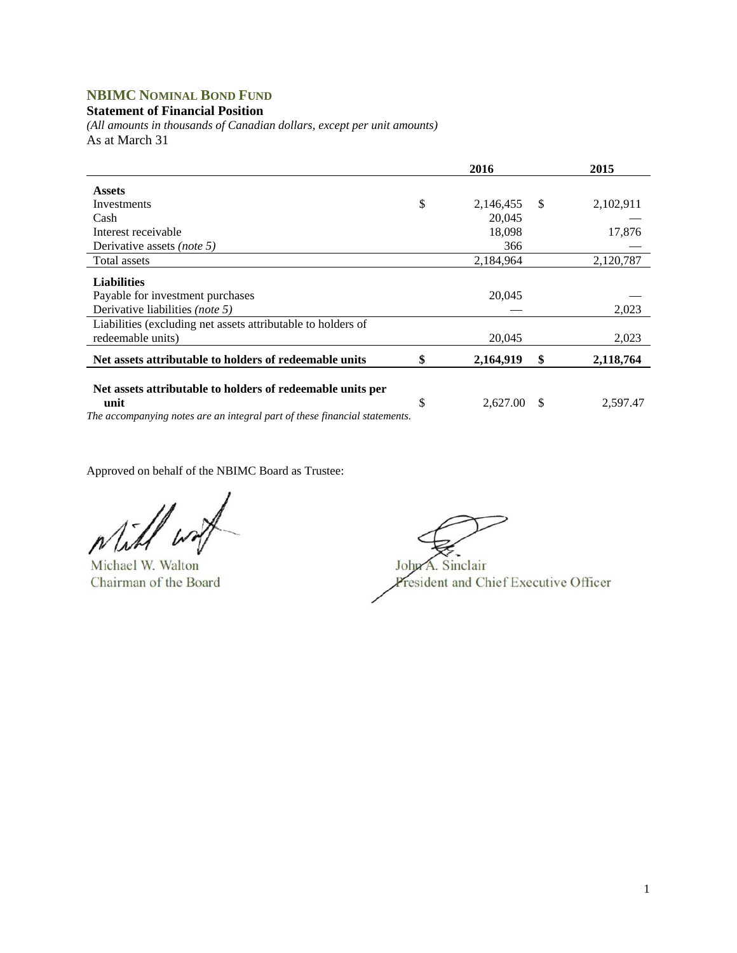# **NBIMC NOMINAL BOND FUND**

#### **Statement of Financial Position**

*(All amounts in thousands of Canadian dollars, except per unit amounts)*  As at March 31

|                                                                    | 2016            | 2015 |           |
|--------------------------------------------------------------------|-----------------|------|-----------|
| <b>Assets</b>                                                      |                 |      |           |
| Investments                                                        | \$<br>2,146,455 | -S   | 2,102,911 |
| Cash                                                               | 20,045          |      |           |
| Interest receivable                                                | 18,098          |      | 17,876    |
| Derivative assets <i>(note 5)</i>                                  | 366             |      |           |
| Total assets                                                       | 2,184,964       |      | 2,120,787 |
| <b>Liabilities</b>                                                 |                 |      |           |
| Payable for investment purchases                                   | 20,045          |      |           |
| Derivative liabilities (note 5)                                    |                 |      | 2,023     |
| Liabilities (excluding net assets attributable to holders of       |                 |      |           |
| redeemable units)                                                  | 20,045          |      | 2,023     |
| Net assets attributable to holders of redeemable units             | \$<br>2,164,919 | \$   | 2,118,764 |
| Net assets attributable to holders of redeemable units per<br>unit | \$<br>2.627.00  | \$.  | 2.597.47  |

*The accompanying notes are an integral part of these financial statements.* 

Nih

Michael W. Walton Chairman of the Board

John A. Sinclair President and Chief Executive Officer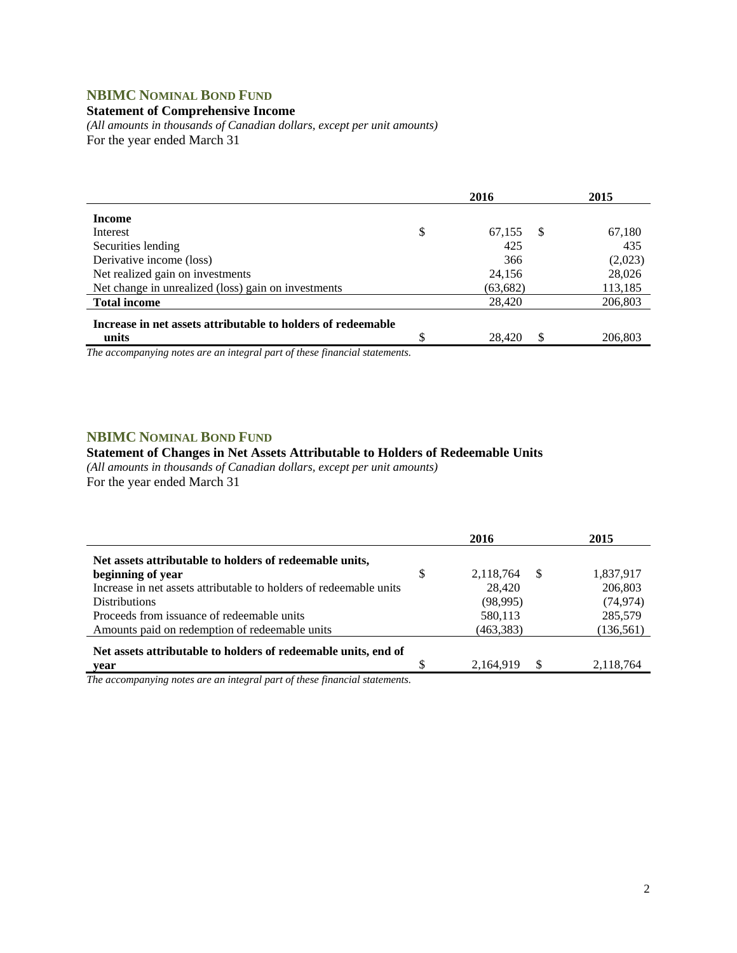# **NBIMC NOMINAL BOND FUND**

#### **Statement of Comprehensive Income**

*(All amounts in thousands of Canadian dollars, except per unit amounts)*  For the year ended March 31

|                                                                                                            | 2015    |  |
|------------------------------------------------------------------------------------------------------------|---------|--|
|                                                                                                            |         |  |
| \$<br>67,155<br>- \$                                                                                       | 67,180  |  |
| 425                                                                                                        | 435     |  |
| 366                                                                                                        | (2,023) |  |
| 24,156                                                                                                     | 28,026  |  |
| (63, 682)                                                                                                  | 113,185 |  |
| 28,420                                                                                                     | 206,803 |  |
|                                                                                                            |         |  |
| S<br>28,420                                                                                                | 206,803 |  |
| $\bm{T}^{t}$ , and consider the contraction of the contraction of the contract of the contract of $\bm{z}$ |         |  |

*The accompanying notes are an integral part of these financial statements.* 

# **NBIMC NOMINAL BOND FUND**

### **Statement of Changes in Net Assets Attributable to Holders of Redeemable Units**

*(All amounts in thousands of Canadian dollars, except per unit amounts)*  For the year ended March 31

|                                                                    | 2016                   | 2015       |
|--------------------------------------------------------------------|------------------------|------------|
| Net assets attributable to holders of redeemable units,            |                        |            |
| beginning of year                                                  | \$<br>2,118,764<br>- S | 1,837,917  |
| Increase in net assets attributable to holders of redeemable units | 28,420                 | 206.803    |
| <b>Distributions</b>                                               | (98,995)               | (74, 974)  |
| Proceeds from issuance of redeemable units                         | 580,113                | 285,579    |
| Amounts paid on redemption of redeemable units                     | (463,383)              | (136, 561) |
| Net assets attributable to holders of redeemable units, end of     |                        |            |
| year                                                               | 2,164,919              | 2,118,764  |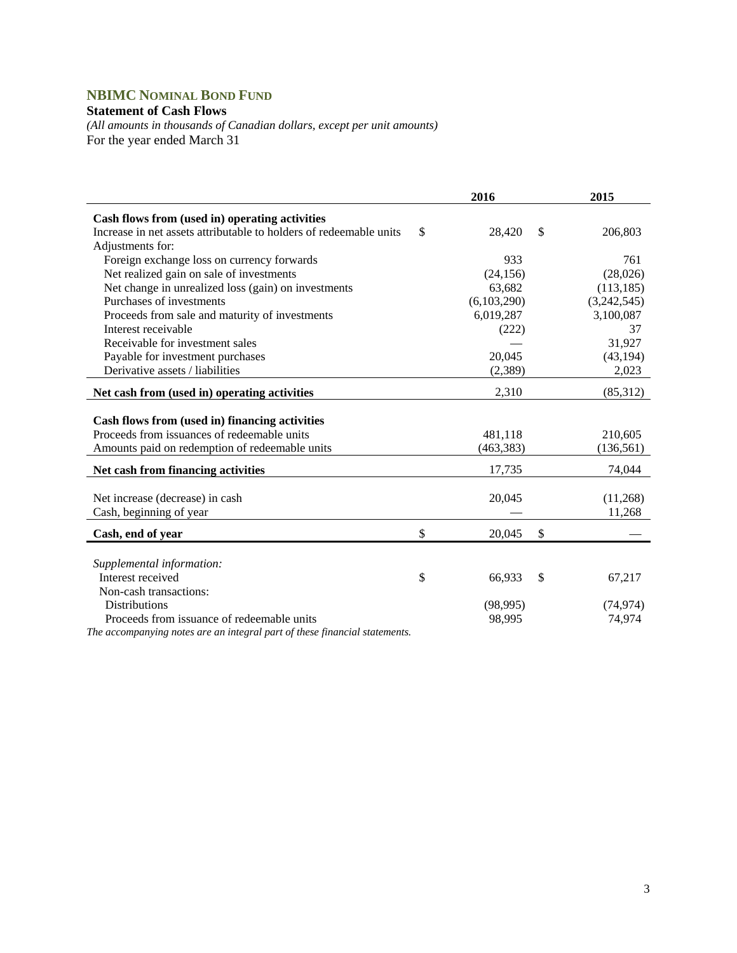# **NBIMC NOMINAL BOND FUND**

### **Statement of Cash Flows**

*(All amounts in thousands of Canadian dollars, except per unit amounts)*  For the year ended March 31

|                                                                    | 2016         | 2015          |
|--------------------------------------------------------------------|--------------|---------------|
| Cash flows from (used in) operating activities                     |              |               |
| Increase in net assets attributable to holders of redeemable units | \$<br>28,420 | \$<br>206,803 |
| Adjustments for:                                                   |              |               |
| Foreign exchange loss on currency forwards                         | 933          | 761           |
| Net realized gain on sale of investments                           | (24, 156)    | (28,026)      |
| Net change in unrealized loss (gain) on investments                | 63,682       | (113, 185)    |
| Purchases of investments                                           | (6,103,290)  | (3,242,545)   |
| Proceeds from sale and maturity of investments                     | 6,019,287    | 3,100,087     |
| Interest receivable                                                | (222)        | 37            |
| Receivable for investment sales                                    |              | 31,927        |
| Payable for investment purchases                                   | 20,045       | (43, 194)     |
| Derivative assets / liabilities                                    | (2,389)      | 2,023         |
| Net cash from (used in) operating activities                       | 2,310        | (85,312)      |
|                                                                    |              |               |
| Cash flows from (used in) financing activities                     |              |               |
| Proceeds from issuances of redeemable units                        | 481,118      | 210,605       |
| Amounts paid on redemption of redeemable units                     | (463, 383)   | (136, 561)    |
| Net cash from financing activities                                 | 17,735       | 74,044        |
|                                                                    |              |               |
| Net increase (decrease) in cash                                    | 20,045       | (11,268)      |
| Cash, beginning of year                                            |              | 11,268        |
| Cash, end of year                                                  | \$<br>20,045 | \$            |
|                                                                    |              |               |
| Supplemental information:                                          |              |               |
| Interest received                                                  | \$<br>66,933 | \$<br>67,217  |
| Non-cash transactions:                                             |              |               |
| <b>Distributions</b>                                               | (98,995)     | (74, 974)     |
| Proceeds from issuance of redeemable units                         | 98,995       | 74,974        |
|                                                                    |              |               |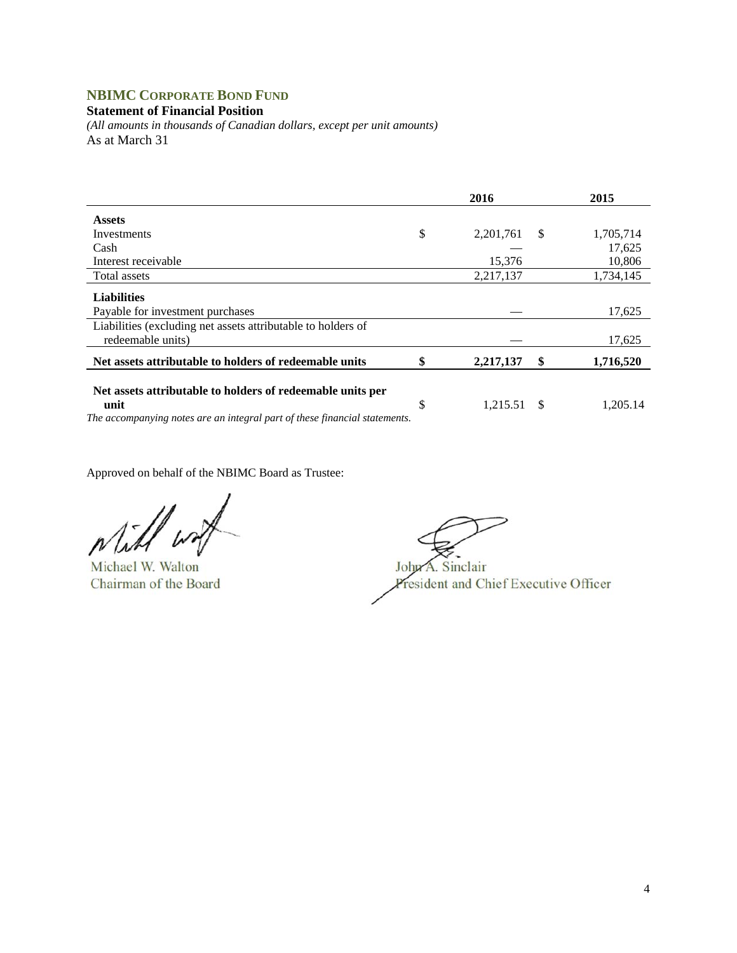# **NBIMC CORPORATE BOND FUND**

#### **Statement of Financial Position**

*(All amounts in thousands of Canadian dollars, except per unit amounts)*  As at March 31

|                                                                                                                                                  | 2016            | 2015 |           |
|--------------------------------------------------------------------------------------------------------------------------------------------------|-----------------|------|-----------|
| <b>Assets</b>                                                                                                                                    |                 |      |           |
| Investments                                                                                                                                      | \$<br>2,201,761 | -S   | 1,705,714 |
| Cash                                                                                                                                             |                 |      | 17,625    |
| Interest receivable                                                                                                                              | 15,376          |      | 10,806    |
| Total assets                                                                                                                                     | 2,217,137       |      | 1,734,145 |
| <b>Liabilities</b><br>Payable for investment purchases                                                                                           |                 |      | 17,625    |
| Liabilities (excluding net assets attributable to holders of<br>redeemable units)                                                                |                 |      | 17,625    |
| Net assets attributable to holders of redeemable units                                                                                           | \$<br>2,217,137 | \$   | 1,716,520 |
| Net assets attributable to holders of redeemable units per<br>unit<br>The accompanying notes are an integral part of these financial statements. | \$<br>1,215.51  | - \$ | 1,205.14  |

 $\mu$ 

Michael W. Walton Chairman of the Board

John A. Sinclair

President and Chief Executive Officer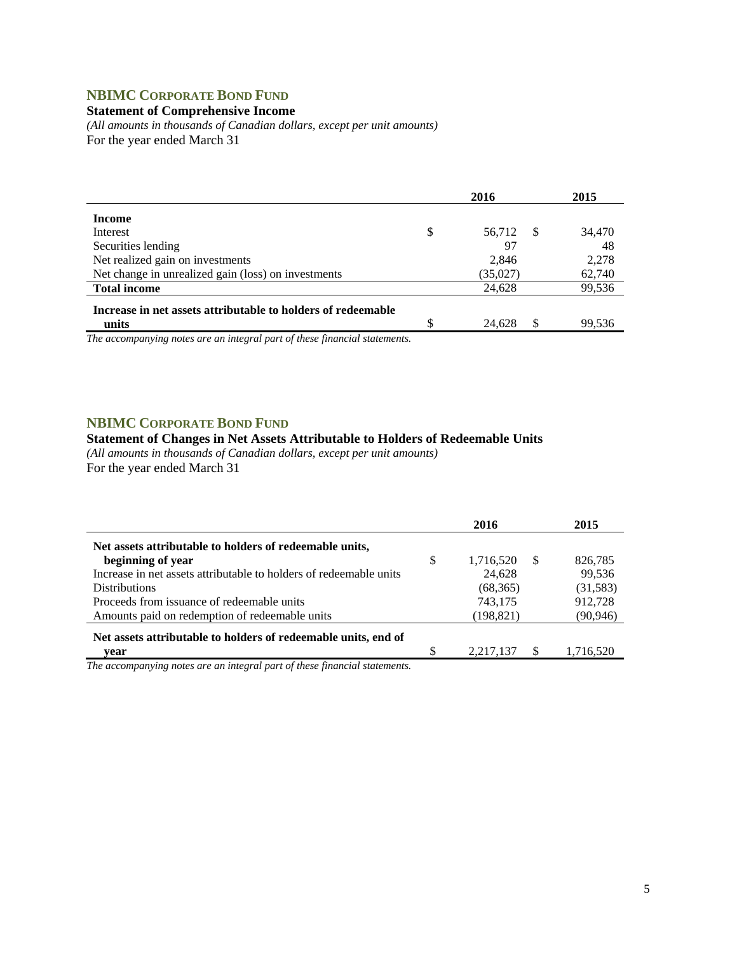# **NBIMC CORPORATE BOND FUND**

#### **Statement of Comprehensive Income**

*(All amounts in thousands of Canadian dollars, except per unit amounts)*  For the year ended March 31

|                                                              | 2016                 | 2015   |
|--------------------------------------------------------------|----------------------|--------|
| <b>Income</b>                                                |                      |        |
| Interest                                                     | \$<br>56,712<br>- \$ | 34,470 |
| Securities lending                                           | 97                   | 48     |
| Net realized gain on investments                             | 2,846                | 2,278  |
| Net change in unrealized gain (loss) on investments          | (35,027)             | 62,740 |
| <b>Total income</b>                                          | 24,628               | 99,536 |
| Increase in net assets attributable to holders of redeemable |                      |        |
| units                                                        | \$<br>24.628         | 99,536 |

*The accompanying notes are an integral part of these financial statements.*

#### **NBIMC CORPORATE BOND FUND**

#### **Statement of Changes in Net Assets Attributable to Holders of Redeemable Units**

*(All amounts in thousands of Canadian dollars, except per unit amounts)*  For the year ended March 31

|                                                                    | 2016                  | 2015      |
|--------------------------------------------------------------------|-----------------------|-----------|
| Net assets attributable to holders of redeemable units,            |                       |           |
| beginning of year                                                  | \$<br>1,716,520<br>-S | 826,785   |
| Increase in net assets attributable to holders of redeemable units | 24,628                | 99.536    |
| <b>Distributions</b>                                               | (68, 365)             | (31,583)  |
| Proceeds from issuance of redeemable units                         | 743.175               | 912.728   |
| Amounts paid on redemption of redeemable units                     | (198, 821)            | (90,946)  |
| Net assets attributable to holders of redeemable units, end of     |                       |           |
| vear                                                               | \$<br>2,217,137       | 1,716,520 |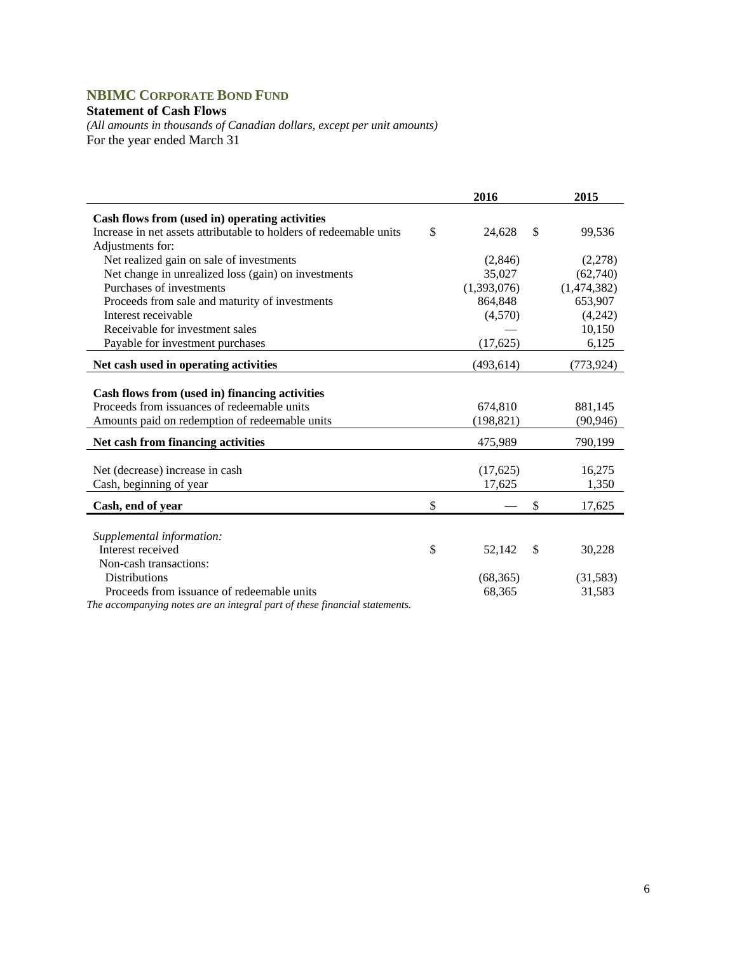# **NBIMC CORPORATE BOND FUND**

### **Statement of Cash Flows**

*(All amounts in thousands of Canadian dollars, except per unit amounts)*  For the year ended March 31

|                                                                         | 2016         | 2015         |
|-------------------------------------------------------------------------|--------------|--------------|
| Cash flows from (used in) operating activities                          |              |              |
| Increase in net assets attributable to holders of redeemable units      | \$<br>24,628 | \$<br>99,536 |
| Adjustments for:                                                        |              |              |
| Net realized gain on sale of investments                                | (2,846)      | (2,278)      |
| Net change in unrealized loss (gain) on investments                     | 35,027       | (62,740)     |
| Purchases of investments                                                | (1,393,076)  | (1,474,382)  |
| Proceeds from sale and maturity of investments                          | 864.848      | 653,907      |
| Interest receivable                                                     | (4,570)      | (4,242)      |
| Receivable for investment sales                                         |              | 10,150       |
| Payable for investment purchases                                        | (17, 625)    | 6,125        |
| Net cash used in operating activities                                   | (493, 614)   | (773, 924)   |
|                                                                         |              |              |
| Cash flows from (used in) financing activities                          |              |              |
| Proceeds from issuances of redeemable units                             | 674,810      | 881,145      |
| Amounts paid on redemption of redeemable units                          | (198, 821)   | (90, 946)    |
| Net cash from financing activities                                      | 475,989      | 790,199      |
|                                                                         |              |              |
| Net (decrease) increase in cash                                         | (17,625)     | 16,275       |
| Cash, beginning of year                                                 | 17,625       | 1,350        |
| Cash, end of year                                                       | \$           | \$<br>17,625 |
|                                                                         |              |              |
| Supplemental information:                                               |              |              |
| Interest received                                                       | \$<br>52,142 | \$<br>30,228 |
| Non-cash transactions:                                                  |              |              |
| <b>Distributions</b>                                                    | (68, 365)    | (31, 583)    |
| Proceeds from issuance of redeemable units                              | 68,365       | 31,583       |
| The generative notes are an integral part of these financial statements |              |              |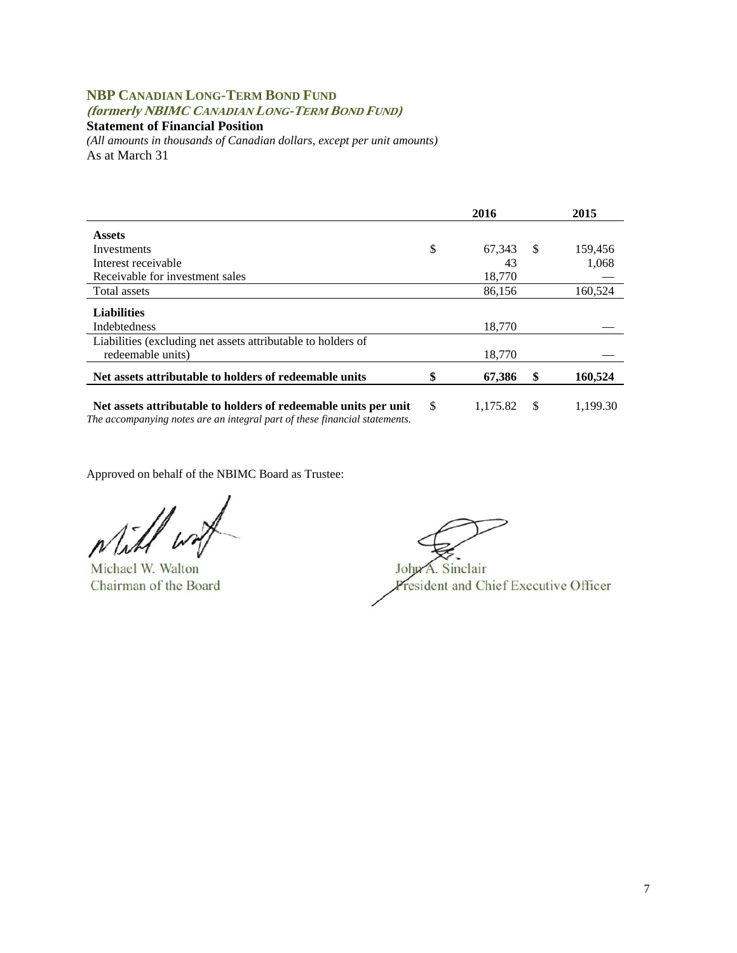### **NBP CANADIAN LONG-TERM BOND FUND (formerly NBIMC CANADIAN LONG-TERM BOND FUND)**

### **Statement of Financial Position**

*(All amounts in thousands of Canadian dollars, except per unit amounts)*  As at March 31

|                                                                 | 2016           | 2015           |
|-----------------------------------------------------------------|----------------|----------------|
| <b>Assets</b>                                                   |                |                |
| Investments                                                     | \$<br>67,343   | \$<br>159,456  |
| Interest receivable                                             | 43             | 1,068          |
| Receivable for investment sales                                 | 18,770         |                |
| Total assets                                                    | 86,156         | 160,524        |
| <b>Liabilities</b><br>Indebtedness                              | 18,770         |                |
| Liabilities (excluding net assets attributable to holders of    |                |                |
| redeemable units)                                               | 18,770         |                |
| Net assets attributable to holders of redeemable units          | \$<br>67,386   | \$<br>160,524  |
| Net assets attributable to holders of redeemable units per unit | \$<br>1,175.82 | \$<br>1.199.30 |

*The accompanying notes are an integral part of these financial statements.* 

 $\mu$ 

Michael W. Walton Chairman of the Board

John A. Sinclair President and Chief Executive Officer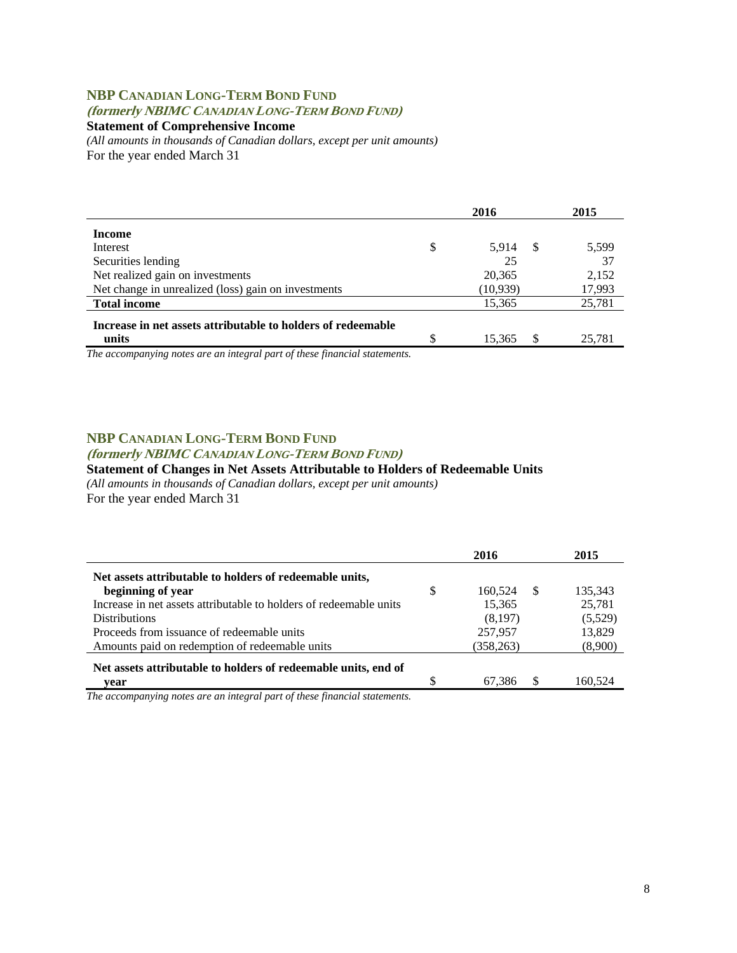# **NBP CANADIAN LONG-TERM BOND FUND**

# **(formerly NBIMC CANADIAN LONG-TERM BOND FUND)**

**Statement of Comprehensive Income** 

*(All amounts in thousands of Canadian dollars, except per unit amounts)*  For the year ended March 31

|   | 2016      |    | 2015   |
|---|-----------|----|--------|
|   |           |    |        |
| S | 5,914     | -S | 5,599  |
|   | 25        |    | 37     |
|   | 20,365    |    | 2,152  |
|   | (10, 939) |    | 17,993 |
|   | 15,365    |    | 25,781 |
|   |           |    |        |
|   | 15,365    | S. | 25,781 |
|   |           |    |        |

*The accompanying notes are an integral part of these financial statements.*

# **NBP CANADIAN LONG-TERM BOND FUND**

**(formerly NBIMC CANADIAN LONG-TERM BOND FUND)** 

#### **Statement of Changes in Net Assets Attributable to Holders of Redeemable Units**

*(All amounts in thousands of Canadian dollars, except per unit amounts)*  For the year ended March 31

|                                                                    | 2016                | 2015    |
|--------------------------------------------------------------------|---------------------|---------|
| Net assets attributable to holders of redeemable units,            |                     |         |
| beginning of year                                                  | \$<br>160.524<br>-S | 135,343 |
| Increase in net assets attributable to holders of redeemable units | 15,365              | 25,781  |
| <b>Distributions</b>                                               | (8,197)             | (5,529) |
| Proceeds from issuance of redeemable units                         | 257,957             | 13,829  |
| Amounts paid on redemption of redeemable units                     | (358, 263)          | (8,900) |
| Net assets attributable to holders of redeemable units, end of     |                     |         |
| vear                                                               | 67,386              | 160.524 |
|                                                                    |                     |         |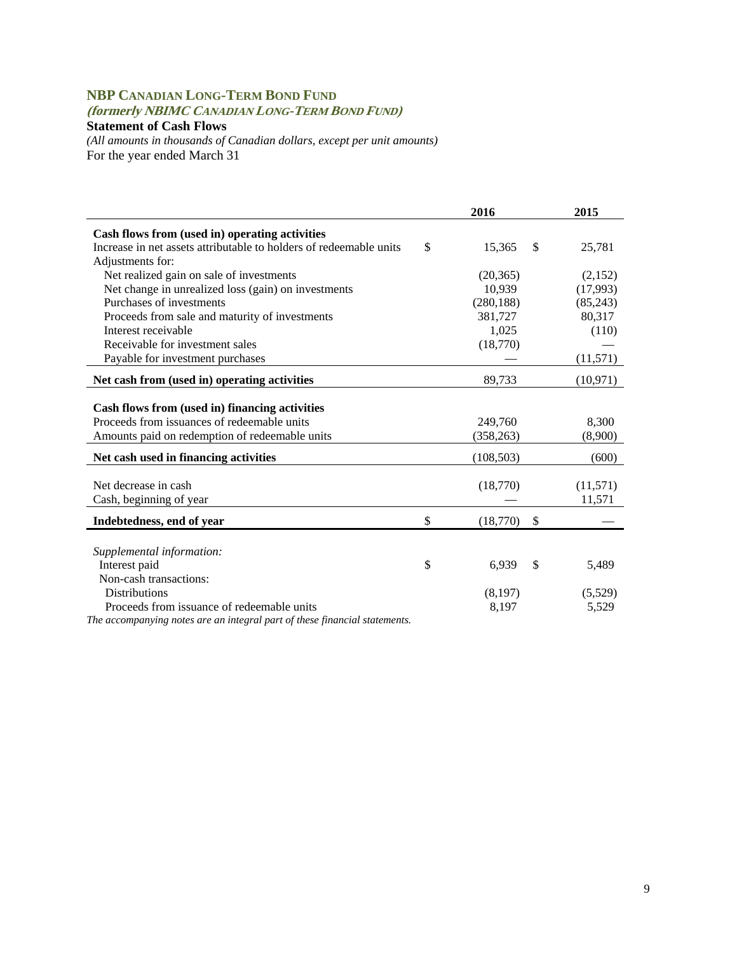# **NBP CANADIAN LONG-TERM BOND FUND**

# **(formerly NBIMC CANADIAN LONG-TERM BOND FUND)**

### **Statement of Cash Flows**

*(All amounts in thousands of Canadian dollars, except per unit amounts)*  For the year ended March 31

|                                                                    | 2016           |               | 2015      |
|--------------------------------------------------------------------|----------------|---------------|-----------|
| Cash flows from (used in) operating activities                     |                |               |           |
| Increase in net assets attributable to holders of redeemable units | \$<br>15,365   | <sup>\$</sup> | 25,781    |
| Adjustments for:                                                   |                |               |           |
| Net realized gain on sale of investments                           | (20, 365)      |               | (2,152)   |
| Net change in unrealized loss (gain) on investments                | 10,939         |               | (17,993)  |
| Purchases of investments                                           | (280, 188)     |               | (85,243)  |
| Proceeds from sale and maturity of investments                     | 381,727        |               | 80,317    |
| Interest receivable                                                | 1,025          |               | (110)     |
| Receivable for investment sales                                    | (18,770)       |               |           |
| Payable for investment purchases                                   |                |               | (11,571)  |
| Net cash from (used in) operating activities                       | 89,733         |               | (10, 971) |
|                                                                    |                |               |           |
| Cash flows from (used in) financing activities                     |                |               |           |
| Proceeds from issuances of redeemable units                        | 249,760        |               | 8,300     |
| Amounts paid on redemption of redeemable units                     | (358, 263)     |               | (8,900)   |
| Net cash used in financing activities                              | (108, 503)     |               | (600)     |
|                                                                    |                |               |           |
| Net decrease in cash                                               | (18,770)       |               | (11,571)  |
| Cash, beginning of year                                            |                |               | 11,571    |
| Indebtedness, end of year                                          | \$<br>(18,770) | \$            |           |
|                                                                    |                |               |           |
| Supplemental information:                                          |                |               |           |
| Interest paid                                                      | \$<br>6,939    | <sup>\$</sup> | 5,489     |
| Non-cash transactions:                                             |                |               |           |
| <b>Distributions</b>                                               | (8,197)        |               | (5,529)   |
| Proceeds from issuance of redeemable units                         | 8,197          |               | 5,529     |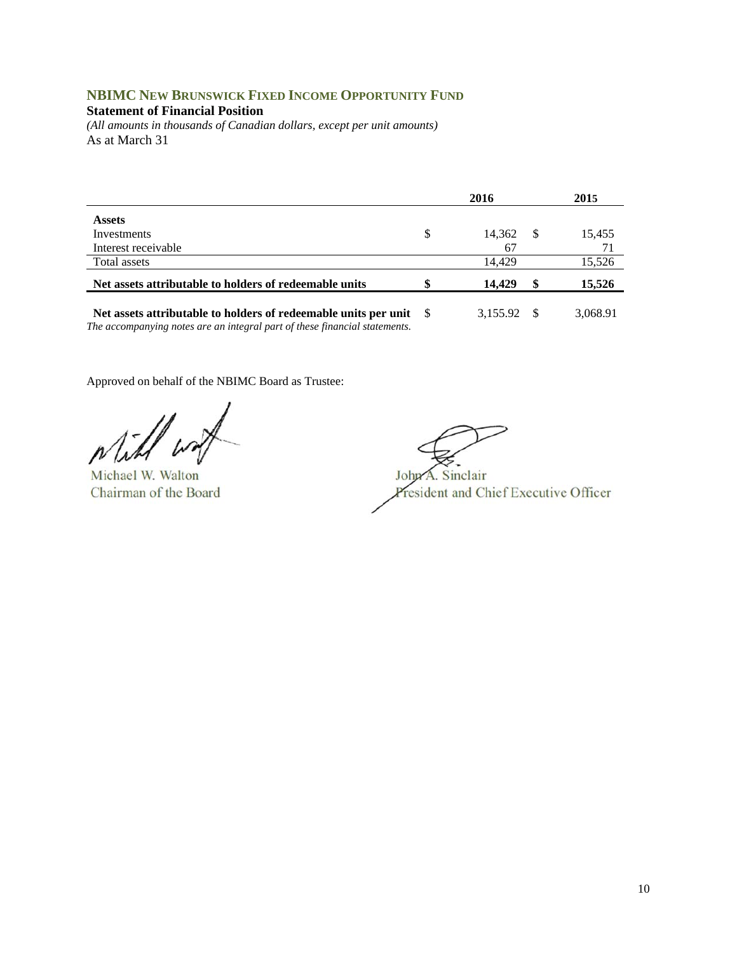# **NBIMC NEW BRUNSWICK FIXED INCOME OPPORTUNITY FUND**

**Statement of Financial Position** 

*(All amounts in thousands of Canadian dollars, except per unit amounts)*  As at March 31

|                                                                 | 2016 |        |   | 2015     |  |
|-----------------------------------------------------------------|------|--------|---|----------|--|
| <b>Assets</b>                                                   |      |        |   |          |  |
| Investments                                                     | S    | 14.362 |   | 15,455   |  |
| Interest receivable                                             |      | 67     |   | 71       |  |
| Total assets                                                    |      | 14.429 |   | 15,526   |  |
| Net assets attributable to holders of redeemable units          | Я    | 14.429 | S | 15.526   |  |
| Net assets attributable to holders of redeemable units per unit |      |        |   | 3 068 91 |  |

**Net assets attributable to holders of redeemable units per unit** \$ 3,155.92 \$ 3,068.91 *The accompanying notes are an integral part of these financial statements.* 

Michael W. Walton Chairman of the Board

A. Sinclair John President and Chief Executive Officer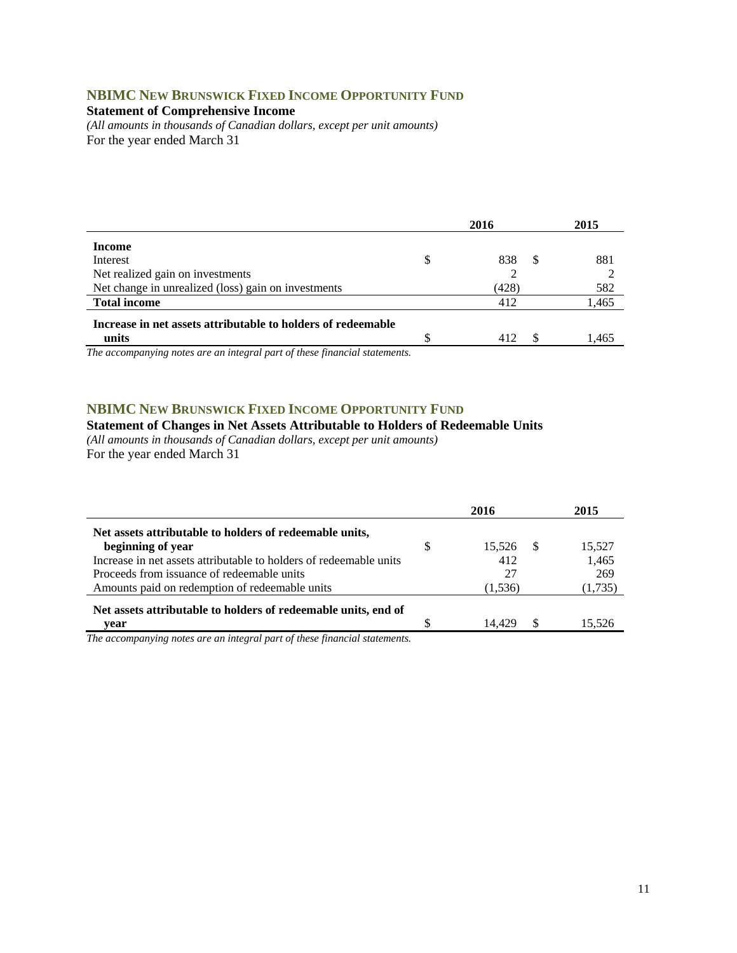### **NBIMC NEW BRUNSWICK FIXED INCOME OPPORTUNITY FUND**

**Statement of Comprehensive Income** 

*(All amounts in thousands of Canadian dollars, except per unit amounts)*  For the year ended March 31

|                                                              | 2016  | 2015      |
|--------------------------------------------------------------|-------|-----------|
| Income                                                       |       |           |
| Interest                                                     | 838   | 881<br>-S |
| Net realized gain on investments                             |       |           |
| Net change in unrealized (loss) gain on investments          | (428) | 582       |
| <b>Total income</b>                                          | 412   | 1,465     |
| Increase in net assets attributable to holders of redeemable |       |           |
| units                                                        | 412   | 1.465     |

*The accompanying notes are an integral part of these financial statements.*

#### **NBIMC NEW BRUNSWICK FIXED INCOME OPPORTUNITY FUND**

### **Statement of Changes in Net Assets Attributable to Holders of Redeemable Units**

*(All amounts in thousands of Canadian dollars, except per unit amounts)*  For the year ended March 31

|                                                                    |   | 2016    | 2015    |
|--------------------------------------------------------------------|---|---------|---------|
| Net assets attributable to holders of redeemable units,            |   |         |         |
| beginning of year                                                  | S | 15.526  | 15,527  |
| Increase in net assets attributable to holders of redeemable units |   | 412     | 1,465   |
| Proceeds from issuance of redeemable units                         |   | 27      | 269     |
| Amounts paid on redemption of redeemable units                     |   | (1,536) | (1,735) |
| Net assets attributable to holders of redeemable units, end of     |   |         |         |
| vear                                                               |   | 14.429  | 15.526  |
| $\sim$<br>$\cdots$<br>$\sim$                                       |   |         |         |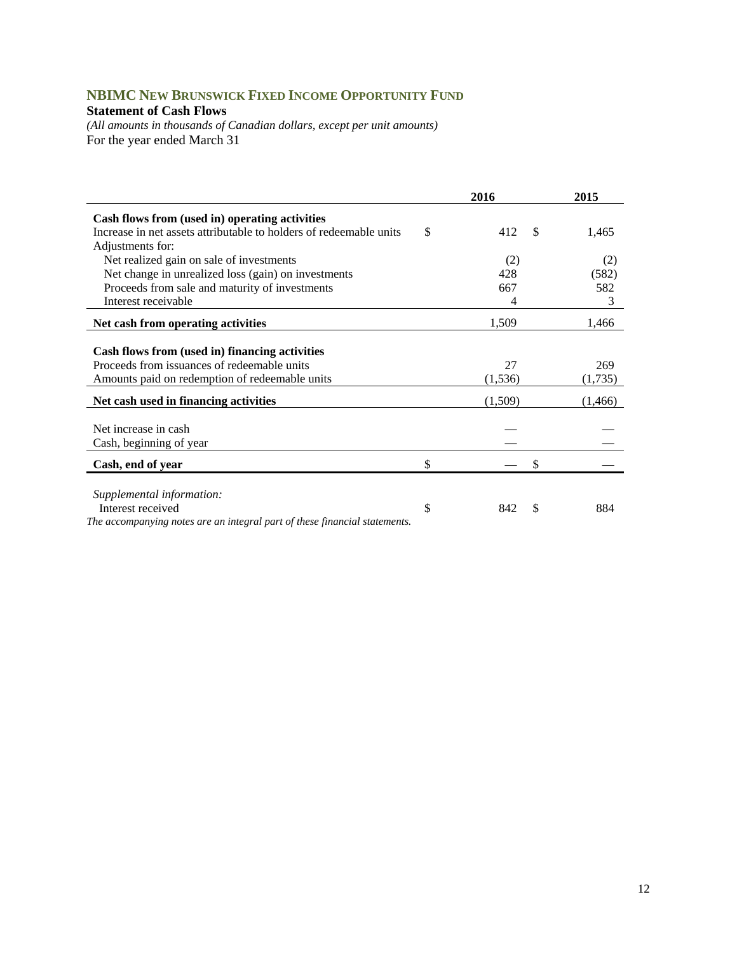# **NBIMC NEW BRUNSWICK FIXED INCOME OPPORTUNITY FUND**

### **Statement of Cash Flows**

*(All amounts in thousands of Canadian dollars, except per unit amounts)*  For the year ended March 31

|                                                                           | 2016             | 2015     |
|---------------------------------------------------------------------------|------------------|----------|
| Cash flows from (used in) operating activities                            |                  |          |
| Increase in net assets attributable to holders of redeemable units        | \$<br>412<br>\$. | 1,465    |
| Adjustments for:                                                          |                  |          |
| Net realized gain on sale of investments                                  | (2)              | (2)      |
| Net change in unrealized loss (gain) on investments                       | 428              | (582)    |
| Proceeds from sale and maturity of investments                            | 667              | 582      |
| Interest receivable                                                       | 4                | 3        |
| Net cash from operating activities                                        | 1,509            | 1,466    |
| Cash flows from (used in) financing activities                            |                  |          |
| Proceeds from issuances of redeemable units                               | 27               | 269      |
| Amounts paid on redemption of redeemable units                            | (1, 536)         | (1,735)  |
| Net cash used in financing activities                                     | (1,509)          | (1, 466) |
| Net increase in cash                                                      |                  |          |
| Cash, beginning of year                                                   |                  |          |
| Cash, end of year                                                         | \$<br>\$         |          |
| Supplemental information:                                                 |                  |          |
| Interest received                                                         | \$<br>S<br>842   | 884      |
| The accompanying notes are an integral part of these financial statements |                  |          |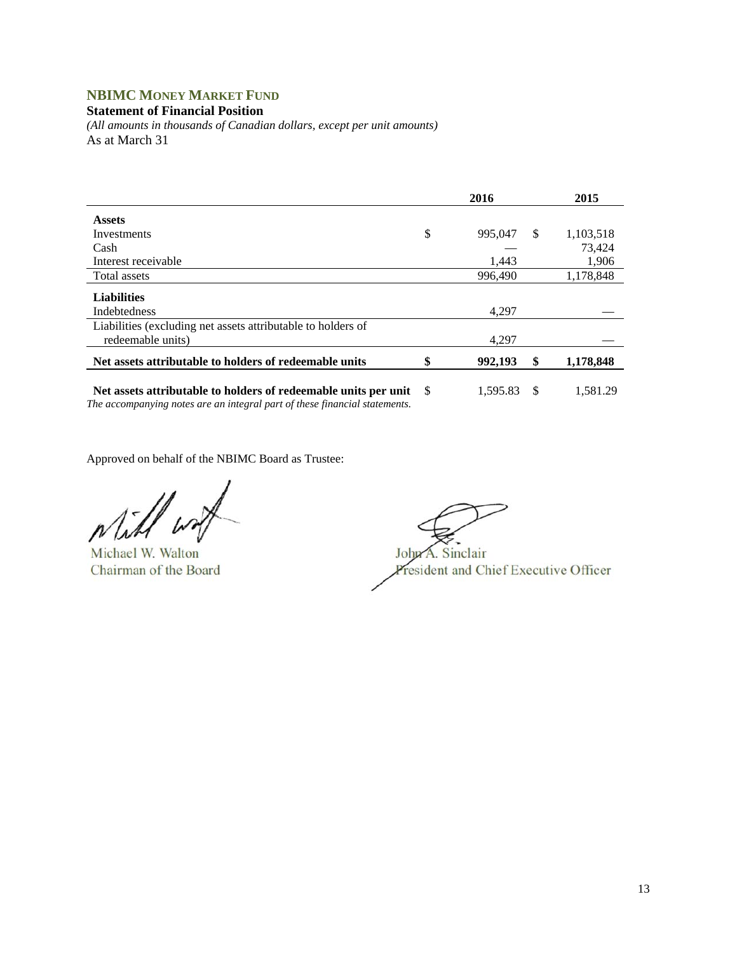# **NBIMC MONEY MARKET FUND**

**Statement of Financial Position** 

*(All amounts in thousands of Canadian dollars, except per unit amounts)*  As at March 31

|                                                                 |    | 2016     |    | 2015      |
|-----------------------------------------------------------------|----|----------|----|-----------|
| <b>Assets</b>                                                   |    |          |    |           |
| Investments                                                     | \$ | 995,047  | S  | 1,103,518 |
| Cash                                                            |    |          |    | 73,424    |
| Interest receivable                                             |    | 1,443    |    | 1,906     |
| Total assets                                                    |    | 996,490  |    | 1,178,848 |
| <b>Liabilities</b>                                              |    |          |    |           |
| <b>Indebtedness</b>                                             |    | 4.297    |    |           |
| Liabilities (excluding net assets attributable to holders of    |    |          |    |           |
| redeemable units)                                               |    | 4.297    |    |           |
| Net assets attributable to holders of redeemable units          | \$ | 992,193  | \$ | 1,178,848 |
| Net assets attributable to holders of redeemable units per unit | S  | 1.595.83 | S  | 1.581.29  |
|                                                                 |    |          |    |           |

*The accompanying notes are an integral part of these financial statements.* 

till wort

Michael W. Walton Chairman of the Board

John A. Sinclair

President and Chief Executive Officer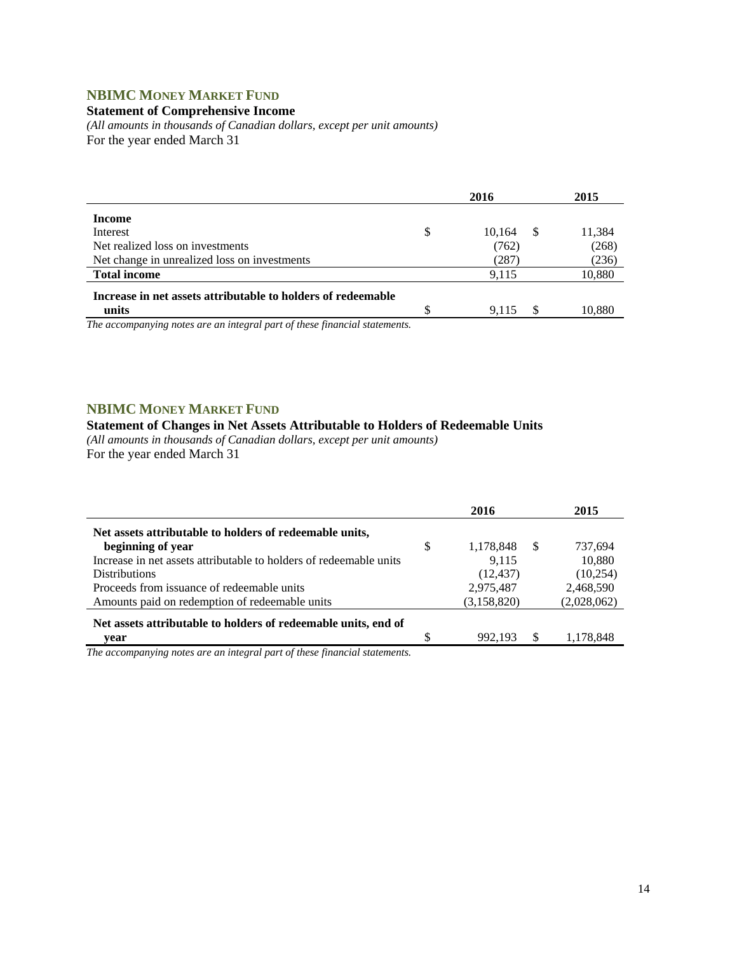# **NBIMC MONEY MARKET FUND**

#### **Statement of Comprehensive Income**

*(All amounts in thousands of Canadian dollars, except per unit amounts)*  For the year ended March 31

|                                                              | 2016               | 2015   |
|--------------------------------------------------------------|--------------------|--------|
| Income                                                       |                    |        |
| Interest                                                     | \$<br>10.164<br>-S | 11,384 |
| Net realized loss on investments                             | (762)              | (268)  |
| Net change in unrealized loss on investments                 | (287)              | (236)  |
| <b>Total income</b>                                          | 9,115              | 10,880 |
| Increase in net assets attributable to holders of redeemable |                    |        |
| units                                                        | 9.115              | 10.880 |

*The accompanying notes are an integral part of these financial statements.*

#### **NBIMC MONEY MARKET FUND**

## **Statement of Changes in Net Assets Attributable to Holders of Redeemable Units**

*(All amounts in thousands of Canadian dollars, except per unit amounts)*  For the year ended March 31

|                                                                    |   | 2016            | 2015        |
|--------------------------------------------------------------------|---|-----------------|-------------|
| Net assets attributable to holders of redeemable units,            |   |                 |             |
| beginning of year                                                  | S | 1,178,848<br>-S | 737,694     |
| Increase in net assets attributable to holders of redeemable units |   | 9.115           | 10.880      |
| <b>Distributions</b>                                               |   | (12, 437)       | (10, 254)   |
| Proceeds from issuance of redeemable units                         |   | 2,975,487       | 2,468,590   |
| Amounts paid on redemption of redeemable units                     |   | (3, 158, 820)   | (2,028,062) |
| Net assets attributable to holders of redeemable units, end of     |   |                 |             |
| vear                                                               | ¢ | S<br>992,193    | 1,178,848   |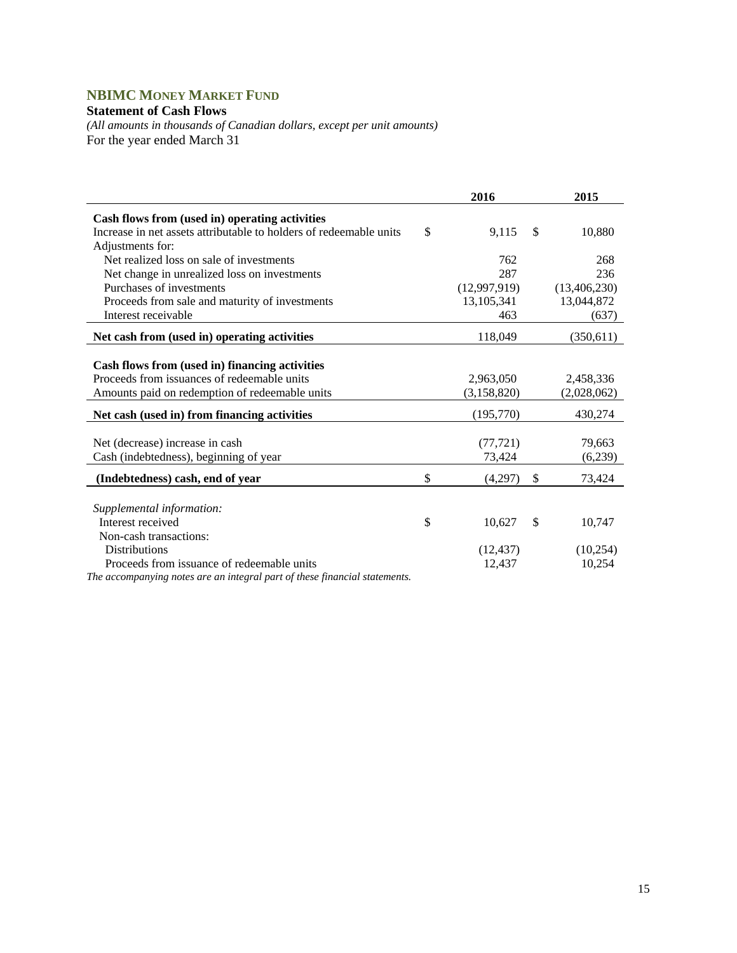# **NBIMC MONEY MARKET FUND**

### **Statement of Cash Flows**

*(All amounts in thousands of Canadian dollars, except per unit amounts)*  For the year ended March 31

|                                                                            | 2016          | 2015         |
|----------------------------------------------------------------------------|---------------|--------------|
| Cash flows from (used in) operating activities                             |               |              |
| Increase in net assets attributable to holders of redeemable units         | \$<br>9,115   | \$<br>10,880 |
| Adjustments for:                                                           |               |              |
| Net realized loss on sale of investments                                   | 762           | 268          |
| Net change in unrealized loss on investments                               | 287           | 236          |
| Purchases of investments                                                   | (12,997,919)  | (13,406,230) |
| Proceeds from sale and maturity of investments                             | 13, 105, 341  | 13,044,872   |
| Interest receivable                                                        | 463           | (637)        |
| Net cash from (used in) operating activities                               | 118,049       | (350,611)    |
|                                                                            |               |              |
| Cash flows from (used in) financing activities                             |               |              |
| Proceeds from issuances of redeemable units                                | 2,963,050     | 2,458,336    |
| Amounts paid on redemption of redeemable units                             | (3, 158, 820) | (2,028,062)  |
| Net cash (used in) from financing activities                               | (195,770)     | 430,274      |
|                                                                            |               |              |
| Net (decrease) increase in cash                                            | (77, 721)     | 79,663       |
| Cash (indebtedness), beginning of year                                     | 73,424        | (6,239)      |
| (Indebtedness) cash, end of year                                           | \$<br>(4,297) | \$<br>73,424 |
|                                                                            |               |              |
| Supplemental information:                                                  |               |              |
| Interest received                                                          | \$<br>10,627  | \$<br>10,747 |
| Non-cash transactions:                                                     |               |              |
| <b>Distributions</b>                                                       | (12, 437)     | (10,254)     |
| Proceeds from issuance of redeemable units                                 | 12,437        | 10,254       |
| The accompanying notes are an integral part of these financial statements. |               |              |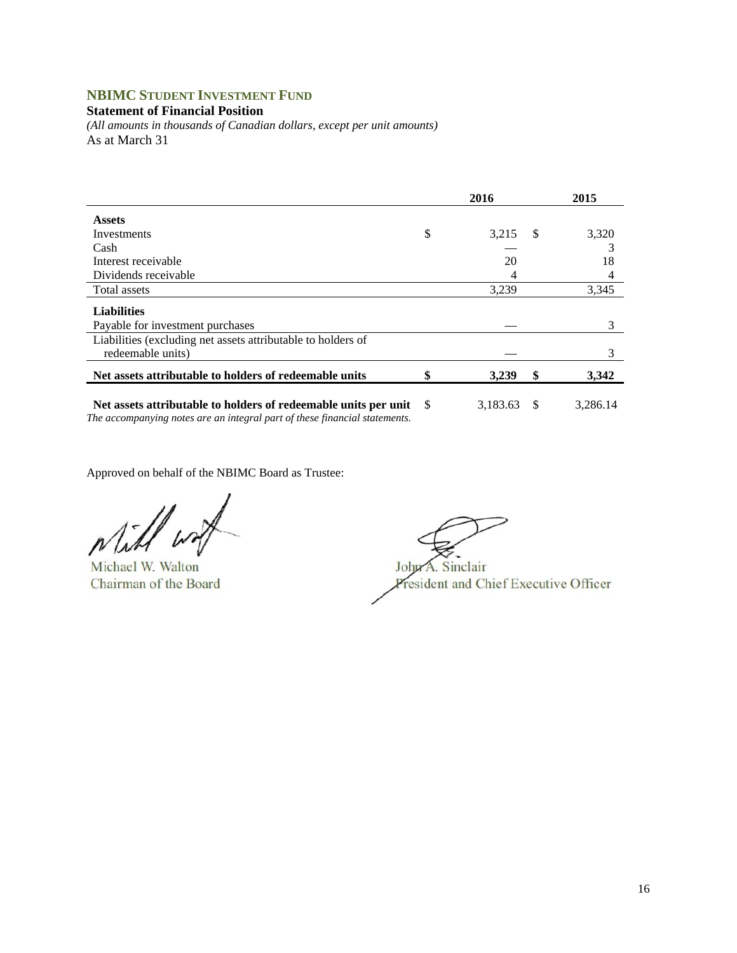# **NBIMC STUDENT INVESTMENT FUND**

#### **Statement of Financial Position**

*(All amounts in thousands of Canadian dollars, except per unit amounts)*  As at March 31

|                                                                                                                                               |      | 2016     |    | 2015     |
|-----------------------------------------------------------------------------------------------------------------------------------------------|------|----------|----|----------|
| <b>Assets</b>                                                                                                                                 |      |          |    |          |
| Investments                                                                                                                                   | \$   | 3,215    | S  | 3,320    |
| Cash                                                                                                                                          |      |          |    |          |
| Interest receivable                                                                                                                           |      | 20       |    | 18       |
| Dividends receivable                                                                                                                          |      |          |    | 4        |
| Total assets                                                                                                                                  |      | 3,239    |    | 3,345    |
| <b>Liabilities</b><br>Payable for investment purchases                                                                                        |      |          |    | 3        |
|                                                                                                                                               |      |          |    |          |
| Liabilities (excluding net assets attributable to holders of<br>redeemable units)                                                             |      |          |    | 3        |
| Net assets attributable to holders of redeemable units                                                                                        |      | 3,239    | \$ | 3,342    |
| Net assets attributable to holders of redeemable units per unit<br>The accompanying notes are an integral part of these financial statements. | - \$ | 3,183.63 | -S | 3,286.14 |

Nill

Michael W. Walton Chairman of the Board

John A. Sinclair

President and Chief Executive Officer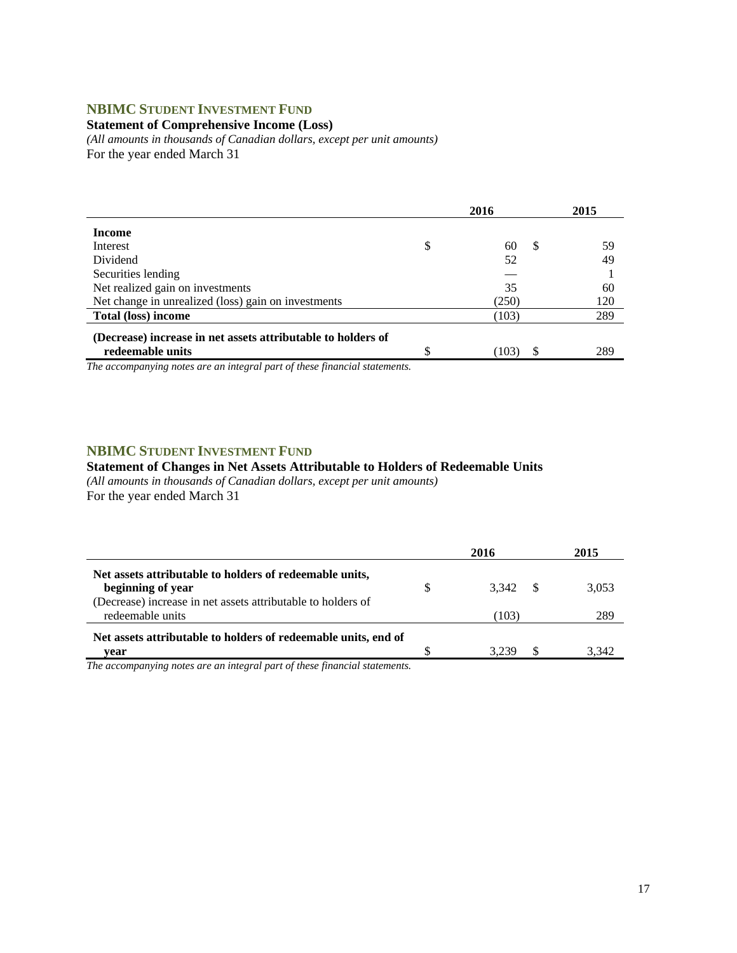### **NBIMC STUDENT INVESTMENT FUND**

#### **Statement of Comprehensive Income (Loss)**

*(All amounts in thousands of Canadian dollars, except per unit amounts)*  For the year ended March 31

|                                                              | 2016           | 2015 |
|--------------------------------------------------------------|----------------|------|
| Income                                                       |                |      |
| Interest                                                     | \$<br>-S<br>60 | 59   |
| Dividend                                                     | 52             | 49   |
| Securities lending                                           |                |      |
| Net realized gain on investments                             | 35             | 60   |
| Net change in unrealized (loss) gain on investments          | (250)          | 120  |
| <b>Total (loss) income</b>                                   | (103)          | 289  |
| (Decrease) increase in net assets attributable to holders of |                |      |
| redeemable units                                             | (103           | 289  |

*The accompanying notes are an integral part of these financial statements.*

#### **NBIMC STUDENT INVESTMENT FUND**

#### **Statement of Changes in Net Assets Attributable to Holders of Redeemable Units**

*(All amounts in thousands of Canadian dollars, except per unit amounts)*  For the year ended March 31

|                                                                | 2016  | 2015  |
|----------------------------------------------------------------|-------|-------|
| Net assets attributable to holders of redeemable units,        |       |       |
| beginning of year                                              | 3.342 | 3.053 |
| (Decrease) increase in net assets attributable to holders of   |       |       |
| redeemable units                                               | (103) | 289   |
| Net assets attributable to holders of redeemable units, end of |       |       |
| vear                                                           | 3.239 | 3.342 |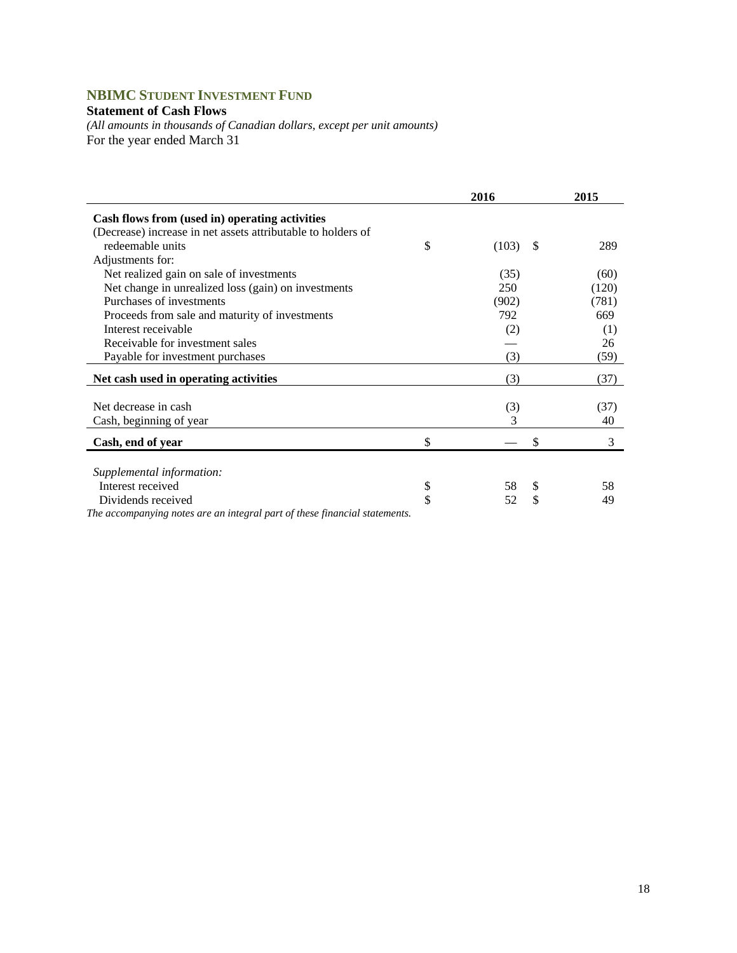# **NBIMC STUDENT INVESTMENT FUND**

### **Statement of Cash Flows**

*(All amounts in thousands of Canadian dollars, except per unit amounts)*  For the year ended March 31

|                                                                             | 2016 |       |    | 2015  |  |
|-----------------------------------------------------------------------------|------|-------|----|-------|--|
| Cash flows from (used in) operating activities                              |      |       |    |       |  |
| (Decrease) increase in net assets attributable to holders of                |      |       |    |       |  |
| redeemable units                                                            | \$   | (103) | -S | 289   |  |
| Adjustments for:                                                            |      |       |    |       |  |
| Net realized gain on sale of investments                                    |      | (35)  |    | (60)  |  |
| Net change in unrealized loss (gain) on investments                         |      | 250   |    | (120) |  |
| Purchases of investments                                                    |      | (902) |    | (781) |  |
| Proceeds from sale and maturity of investments                              |      | 792   |    | 669   |  |
| Interest receivable                                                         |      | (2)   |    | (1)   |  |
| Receivable for investment sales                                             |      |       |    | 26    |  |
| Payable for investment purchases                                            |      | (3)   |    | (59)  |  |
| Net cash used in operating activities                                       |      | (3)   |    | (37)  |  |
|                                                                             |      |       |    |       |  |
| Net decrease in cash                                                        |      | (3)   |    | (37)  |  |
| Cash, beginning of year                                                     |      | 3     |    | 40    |  |
| Cash, end of year                                                           | \$   |       | \$ | 3     |  |
|                                                                             |      |       |    |       |  |
| Supplemental information:                                                   |      |       |    |       |  |
| Interest received                                                           |      | 58    | \$ | 58    |  |
| Dividends received                                                          |      | 52    | \$ | 49    |  |
| The goodma contage words and an integral word of these financial statements |      |       |    |       |  |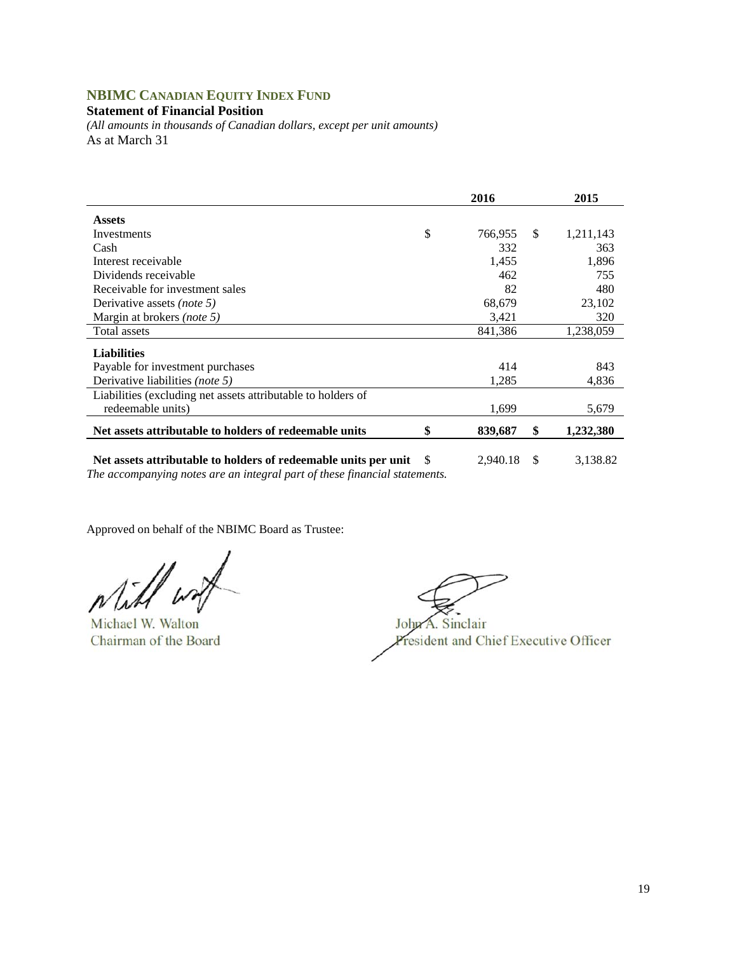# **NBIMC CANADIAN EQUITY INDEX FUND**

#### **Statement of Financial Position**

*(All amounts in thousands of Canadian dollars, except per unit amounts)*  As at March 31

|                                                                                                                                               |    | 2016     |    | 2015      |
|-----------------------------------------------------------------------------------------------------------------------------------------------|----|----------|----|-----------|
| <b>Assets</b>                                                                                                                                 |    |          |    |           |
| Investments                                                                                                                                   | \$ | 766,955  | S  | 1,211,143 |
| Cash                                                                                                                                          |    | 332      |    | 363       |
| Interest receivable                                                                                                                           |    | 1,455    |    | 1,896     |
| Dividends receivable                                                                                                                          |    | 462      |    | 755       |
| Receivable for investment sales                                                                                                               |    | 82       |    | 480       |
| Derivative assets <i>(note 5)</i>                                                                                                             |    | 68,679   |    | 23,102    |
| Margin at brokers (note 5)                                                                                                                    |    | 3,421    |    | 320       |
| Total assets                                                                                                                                  |    | 841,386  |    | 1,238,059 |
| <b>Liabilities</b>                                                                                                                            |    |          |    |           |
| Payable for investment purchases                                                                                                              |    | 414      |    | 843       |
| Derivative liabilities (note 5)                                                                                                               |    | 1,285    |    | 4,836     |
| Liabilities (excluding net assets attributable to holders of                                                                                  |    |          |    |           |
| redeemable units)                                                                                                                             |    | 1,699    |    | 5,679     |
| Net assets attributable to holders of redeemable units                                                                                        | \$ | 839,687  | \$ | 1,232,380 |
| Net assets attributable to holders of redeemable units per unit<br>The accompanying notes are an integral part of these financial statements. | S  | 2,940.18 | -S | 3,138.82  |

Michael W. Walton Chairman of the Board

. Sinclair John President and Chief Executive Officer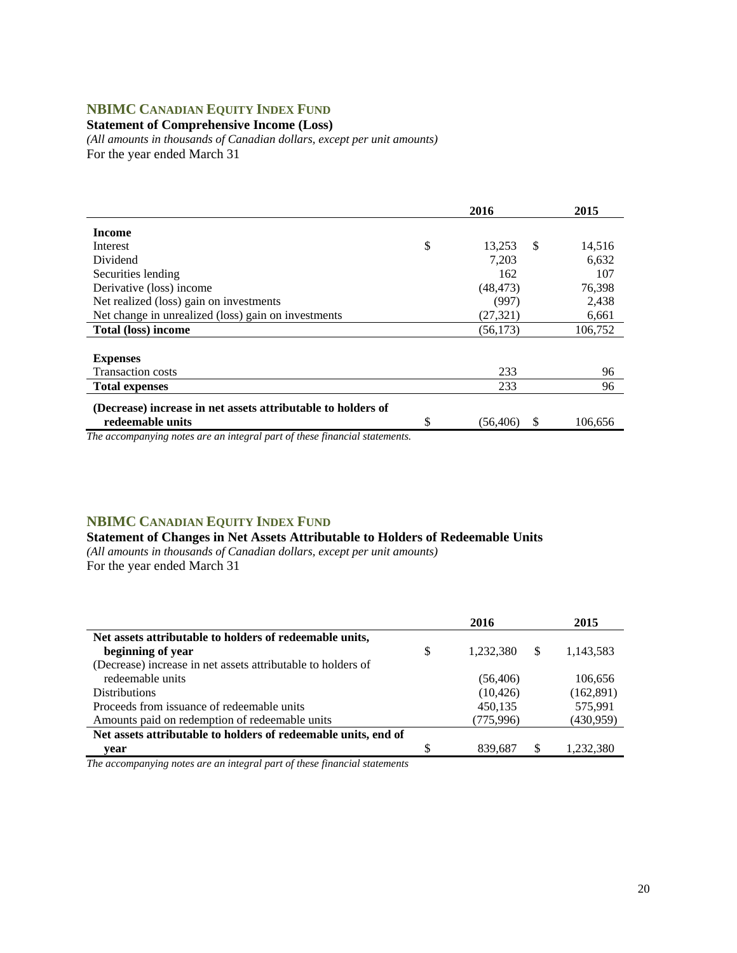### **NBIMC CANADIAN EQUITY INDEX FUND**

#### **Statement of Comprehensive Income (Loss)**

*(All amounts in thousands of Canadian dollars, except per unit amounts)*  For the year ended March 31

|                                                              | 2016                | 2015    |
|--------------------------------------------------------------|---------------------|---------|
| Income                                                       |                     |         |
| Interest                                                     | \$<br>-S<br>13,253  | 14,516  |
| Dividend                                                     | 7.203               | 6,632   |
| Securities lending                                           | 162                 | 107     |
| Derivative (loss) income                                     | (48, 473)           | 76,398  |
| Net realized (loss) gain on investments                      | (997)               | 2,438   |
| Net change in unrealized (loss) gain on investments          | (27, 321)           | 6,661   |
| <b>Total (loss) income</b>                                   | (56, 173)           | 106.752 |
| <b>Expenses</b>                                              |                     |         |
| <b>Transaction costs</b>                                     | 233                 | 96      |
| <b>Total expenses</b>                                        | 233                 | 96      |
| (Decrease) increase in net assets attributable to holders of |                     |         |
| redeemable units                                             | \$<br>S<br>(56.406) | 106,656 |

*The accompanying notes are an integral part of these financial statements.*

### **NBIMC CANADIAN EQUITY INDEX FUND**

**Statement of Changes in Net Assets Attributable to Holders of Redeemable Units** 

*(All amounts in thousands of Canadian dollars, except per unit amounts)*  For the year ended March 31

|                                                                |    | 2016                     | 2015       |
|----------------------------------------------------------------|----|--------------------------|------------|
| Net assets attributable to holders of redeemable units,        |    |                          |            |
| beginning of year                                              | \$ | 1,232,380<br>-S          | 1,143,583  |
| (Decrease) increase in net assets attributable to holders of   |    |                          |            |
| redeemable units                                               |    | (56, 406)                | 106,656    |
| <b>Distributions</b>                                           |    | (10, 426)                | (162,891)  |
| Proceeds from issuance of redeemable units                     |    | 450,135                  | 575,991    |
| Amounts paid on redemption of redeemable units                 |    | (775,996)                | (430, 959) |
| Net assets attributable to holders of redeemable units, end of |    |                          |            |
| vear                                                           | S. | <sup>\$</sup><br>839.687 | 1,232,380  |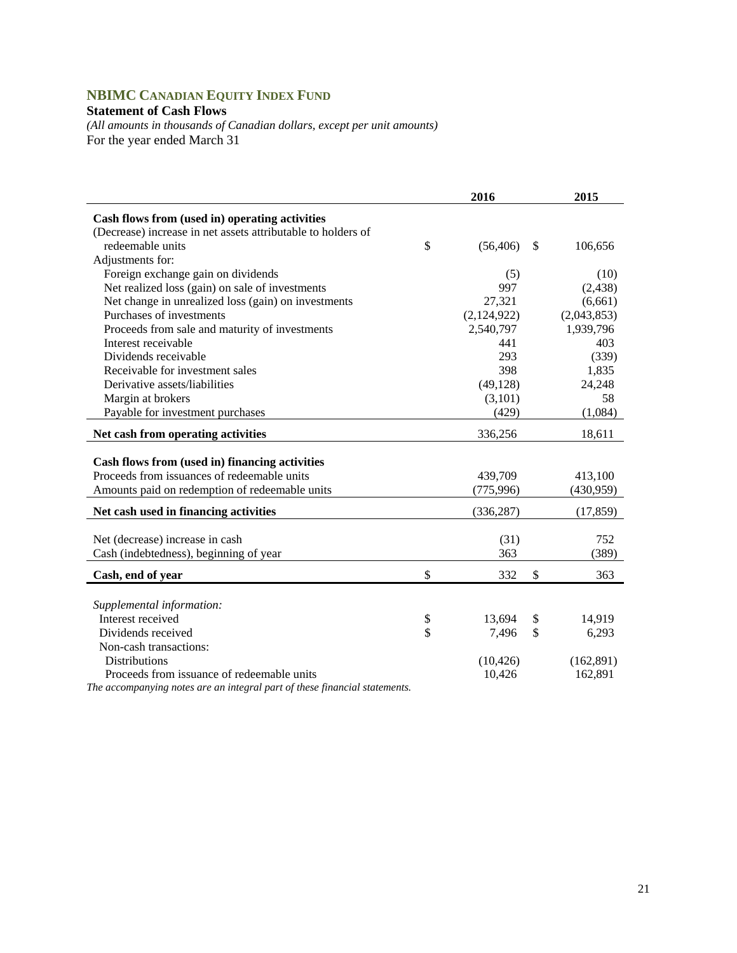# **NBIMC CANADIAN EQUITY INDEX FUND**

### **Statement of Cash Flows**

*(All amounts in thousands of Canadian dollars, except per unit amounts)*  For the year ended March 31

|                                                              | 2016            |               | 2015        |
|--------------------------------------------------------------|-----------------|---------------|-------------|
| Cash flows from (used in) operating activities               |                 |               |             |
| (Decrease) increase in net assets attributable to holders of |                 |               |             |
| redeemable units                                             | \$<br>(56, 406) | <sup>\$</sup> | 106,656     |
| Adjustments for:                                             |                 |               |             |
| Foreign exchange gain on dividends                           | (5)             |               | (10)        |
| Net realized loss (gain) on sale of investments              | 997             |               | (2, 438)    |
| Net change in unrealized loss (gain) on investments          | 27,321          |               | (6, 661)    |
| Purchases of investments                                     | (2,124,922)     |               | (2,043,853) |
| Proceeds from sale and maturity of investments               | 2,540,797       |               | 1,939,796   |
| Interest receivable                                          | 441             |               | 403         |
| Dividends receivable                                         | 293             |               | (339)       |
| Receivable for investment sales                              | 398             |               | 1,835       |
| Derivative assets/liabilities                                | (49, 128)       |               | 24,248      |
| Margin at brokers                                            | (3,101)         |               | 58          |
| Payable for investment purchases                             | (429)           |               | (1,084)     |
| Net cash from operating activities                           | 336,256         |               | 18,611      |
|                                                              |                 |               |             |
| Cash flows from (used in) financing activities               |                 |               |             |
| Proceeds from issuances of redeemable units                  | 439,709         |               | 413,100     |
| Amounts paid on redemption of redeemable units               | (775, 996)      |               | (430, 959)  |
| Net cash used in financing activities                        | (336, 287)      |               | (17, 859)   |
|                                                              |                 |               |             |
| Net (decrease) increase in cash                              | (31)            |               | 752         |
| Cash (indebtedness), beginning of year                       | 363             |               | (389)       |
|                                                              |                 |               |             |
| Cash, end of year                                            | \$<br>332       | \$            | 363         |
|                                                              |                 |               |             |
| Supplemental information:                                    |                 |               |             |
| Interest received                                            | \$<br>13,694    | \$            | 14,919      |
| Dividends received                                           | \$<br>7,496     | \$            | 6,293       |
| Non-cash transactions:                                       |                 |               |             |
| <b>Distributions</b>                                         | (10, 426)       |               | (162, 891)  |
| Proceeds from issuance of redeemable units                   | 10,426          |               | 162,891     |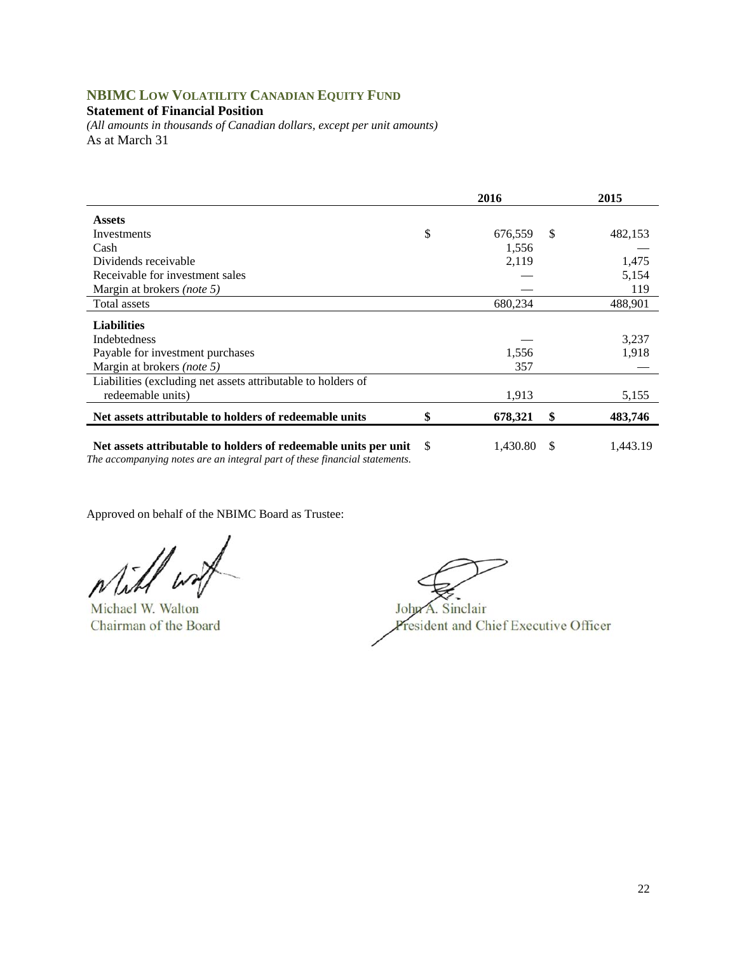# **NBIMC LOW VOLATILITY CANADIAN EQUITY FUND**

#### **Statement of Financial Position**

*(All amounts in thousands of Canadian dollars, except per unit amounts)*  As at March 31

|                                                                 | 2016 |          |    | 2015     |  |
|-----------------------------------------------------------------|------|----------|----|----------|--|
| <b>Assets</b>                                                   |      |          |    |          |  |
| Investments                                                     | \$   | 676,559  | -S | 482,153  |  |
| Cash                                                            |      | 1,556    |    |          |  |
| Dividends receivable                                            |      | 2,119    |    | 1,475    |  |
| Receivable for investment sales                                 |      |          |    | 5,154    |  |
| Margin at brokers <i>(note 5)</i>                               |      |          |    | 119      |  |
| Total assets                                                    |      | 680,234  |    | 488.901  |  |
| <b>Liabilities</b>                                              |      |          |    |          |  |
| <b>Indebtedness</b>                                             |      |          |    | 3,237    |  |
| Payable for investment purchases                                |      | 1,556    |    | 1,918    |  |
| Margin at brokers (note 5)                                      |      | 357      |    |          |  |
| Liabilities (excluding net assets attributable to holders of    |      |          |    |          |  |
| redeemable units)                                               |      | 1,913    |    | 5,155    |  |
| Net assets attributable to holders of redeemable units          | \$   | 678,321  | \$ | 483,746  |  |
| Net assets attributable to holders of redeemable units per unit | S    | 1,430.80 | \$ | 1,443.19 |  |

*The accompanying notes are an integral part of these financial statements.* 

Michael W. Walton Chairman of the Board

A. Sinclair John President and Chief Executive Officer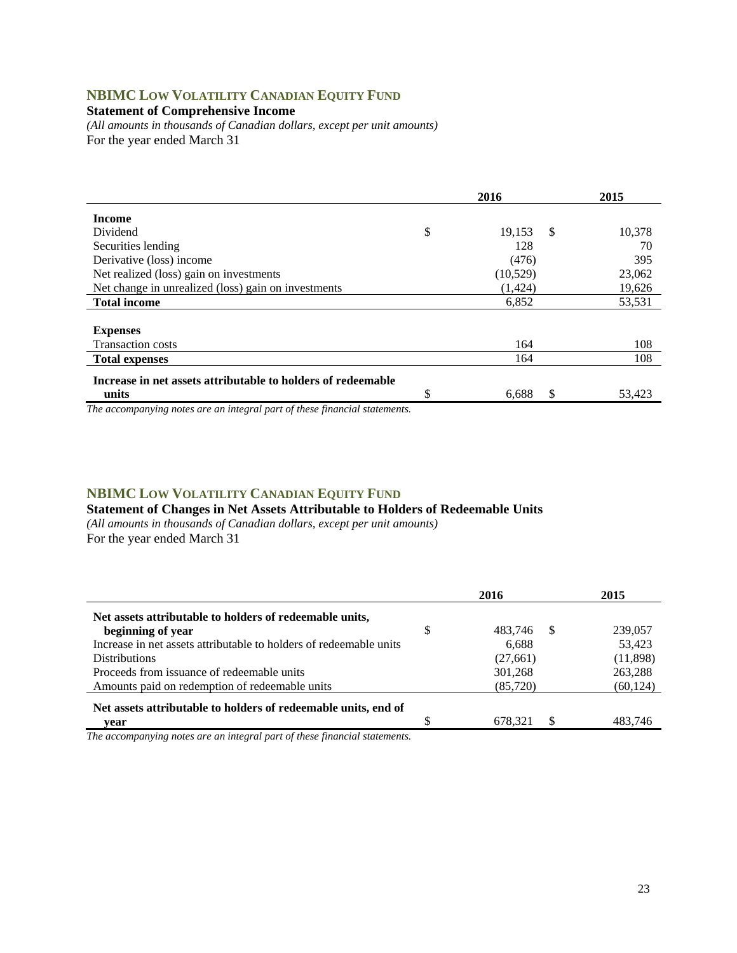# **NBIMC LOW VOLATILITY CANADIAN EQUITY FUND**

#### **Statement of Comprehensive Income**

*(All amounts in thousands of Canadian dollars, except per unit amounts)*  For the year ended March 31

|                                                              | 2016               | 2015   |
|--------------------------------------------------------------|--------------------|--------|
| <b>Income</b>                                                |                    |        |
| Dividend                                                     | \$<br>-S<br>19,153 | 10,378 |
| Securities lending                                           | 128                | 70     |
| Derivative (loss) income                                     | (476)              | 395    |
| Net realized (loss) gain on investments                      | (10,529)           | 23,062 |
| Net change in unrealized (loss) gain on investments          | (1,424)            | 19,626 |
| <b>Total income</b>                                          | 6,852              | 53,531 |
|                                                              |                    |        |
| <b>Expenses</b>                                              |                    |        |
| <b>Transaction costs</b>                                     | 164                | 108    |
| <b>Total expenses</b>                                        | 164                | 108    |
| Increase in net assets attributable to holders of redeemable |                    |        |
| units                                                        | \$<br>\$<br>6,688  | 53,423 |

*The accompanying notes are an integral part of these financial statements.*

#### **NBIMC LOW VOLATILITY CANADIAN EQUITY FUND**

**Statement of Changes in Net Assets Attributable to Holders of Redeemable Units** 

*(All amounts in thousands of Canadian dollars, except per unit amounts)*  For the year ended March 31

|                                                                    | 2016 |          |    | 2015      |
|--------------------------------------------------------------------|------|----------|----|-----------|
| Net assets attributable to holders of redeemable units,            |      |          |    |           |
| beginning of year                                                  | \$   | 483.746  | -S | 239,057   |
| Increase in net assets attributable to holders of redeemable units |      | 6,688    |    | 53,423    |
| <b>Distributions</b>                                               |      | (27,661) |    | (11, 898) |
| Proceeds from issuance of redeemable units                         |      | 301,268  |    | 263,288   |
| Amounts paid on redemption of redeemable units                     |      | (85,720) |    | (60, 124) |
| Net assets attributable to holders of redeemable units, end of     |      |          |    |           |
| year                                                               |      | 678.321  | -S | 483,746   |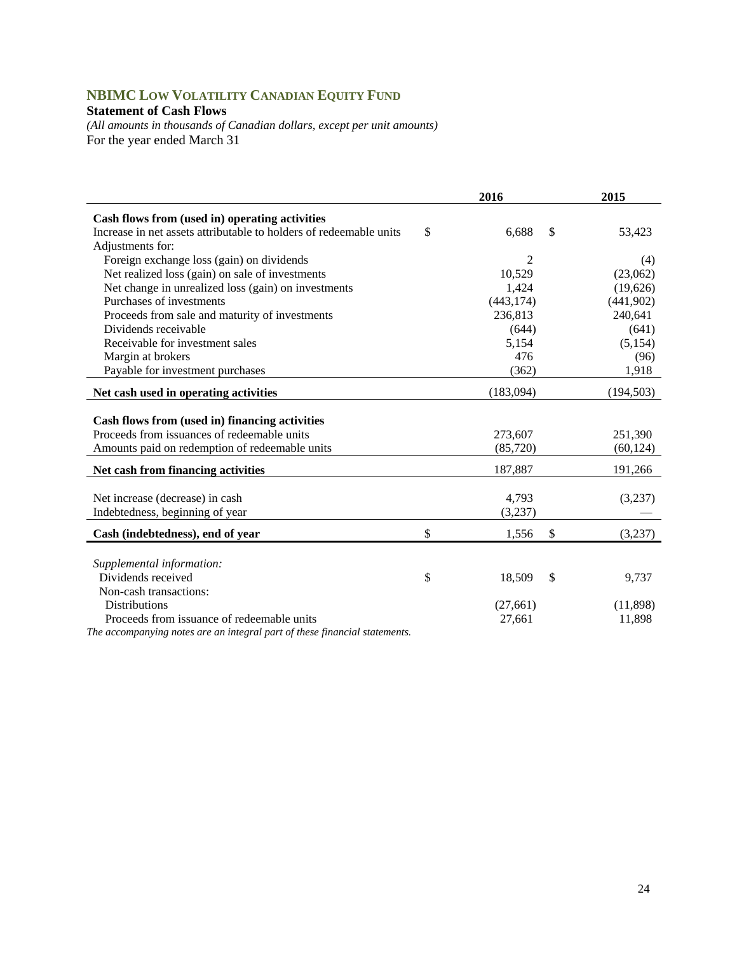# **NBIMC LOW VOLATILITY CANADIAN EQUITY FUND**

#### **Statement of Cash Flows**

*(All amounts in thousands of Canadian dollars, except per unit amounts)*  For the year ended March 31

|                                                                    | 2016               | 2015       |
|--------------------------------------------------------------------|--------------------|------------|
| Cash flows from (used in) operating activities                     |                    |            |
| Increase in net assets attributable to holders of redeemable units | \$<br>6,688<br>\$  | 53,423     |
| Adjustments for:                                                   |                    |            |
| Foreign exchange loss (gain) on dividends                          | $\overline{c}$     | (4)        |
| Net realized loss (gain) on sale of investments                    | 10,529             | (23,062)   |
| Net change in unrealized loss (gain) on investments                | 1,424              | (19,626)   |
| Purchases of investments                                           | (443, 174)         | (441,902)  |
| Proceeds from sale and maturity of investments                     | 236,813            | 240,641    |
| Dividends receivable                                               | (644)              | (641)      |
| Receivable for investment sales                                    | 5,154              | (5, 154)   |
| Margin at brokers                                                  | 476                | (96)       |
| Payable for investment purchases                                   | (362)              | 1,918      |
| Net cash used in operating activities                              | (183,094)          | (194, 503) |
| Cash flows from (used in) financing activities                     |                    |            |
| Proceeds from issuances of redeemable units                        | 273,607            | 251,390    |
| Amounts paid on redemption of redeemable units                     | (85, 720)          | (60, 124)  |
| Net cash from financing activities                                 | 187,887            | 191,266    |
| Net increase (decrease) in cash                                    | 4,793              | (3,237)    |
| Indebtedness, beginning of year                                    | (3,237)            |            |
| Cash (indebtedness), end of year                                   | \$<br>\$<br>1,556  | (3,237)    |
|                                                                    |                    |            |
| Supplemental information:                                          |                    |            |
| Dividends received                                                 | \$<br>\$<br>18,509 | 9,737      |
| Non-cash transactions:                                             |                    |            |
| <b>Distributions</b>                                               | (27,661)           | (11,898)   |
| Proceeds from issuance of redeemable units                         | 27,661             | 11,898     |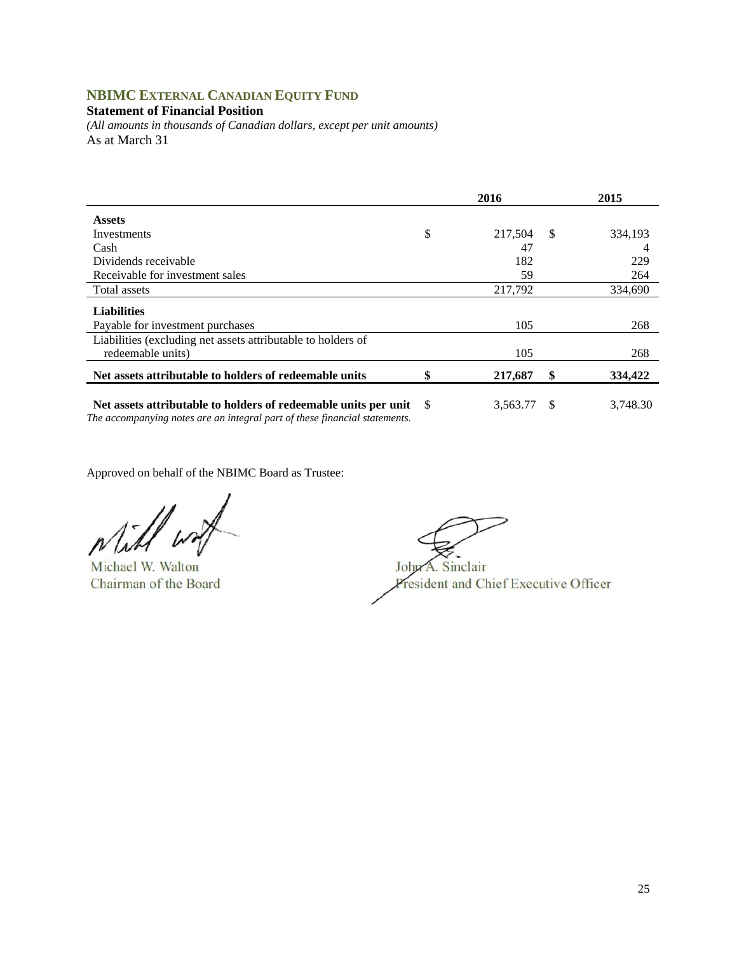# **NBIMC EXTERNAL CANADIAN EQUITY FUND**

#### **Statement of Financial Position**

*(All amounts in thousands of Canadian dollars, except per unit amounts)*  As at March 31

|                                                                                   | 2016 |          |          | 2015     |
|-----------------------------------------------------------------------------------|------|----------|----------|----------|
| <b>Assets</b>                                                                     |      |          |          |          |
| Investments                                                                       | \$   | 217,504  | -S       | 334,193  |
| Cash                                                                              |      | 47       |          | 4        |
| Dividends receivable                                                              |      | 182      |          | 229      |
| Receivable for investment sales                                                   |      | 59       |          | 264      |
| Total assets                                                                      |      | 217,792  |          | 334,690  |
| <b>Liabilities</b>                                                                |      |          |          |          |
| Payable for investment purchases                                                  |      | 105      |          | 268      |
| Liabilities (excluding net assets attributable to holders of<br>redeemable units) |      | 105      |          | 268      |
| Net assets attributable to holders of redeemable units                            | \$   | 217,687  | \$       | 334,422  |
|                                                                                   |      | 3.563.77 | <b>S</b> | 3,748.30 |

*The accompanying notes are an integral part of these financial statements.* 

Nih

Michael W. Walton Chairman of the Board

John A. Sinclair President and Chief Executive Officer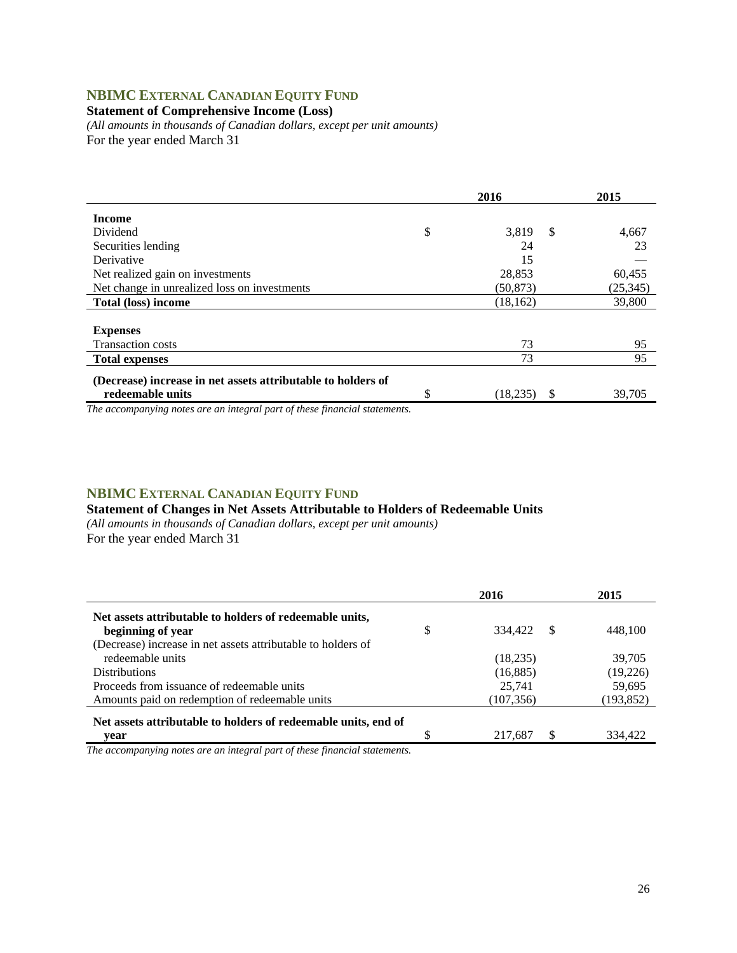# **NBIMC EXTERNAL CANADIAN EQUITY FUND**

**Statement of Comprehensive Income (Loss)** 

*(All amounts in thousands of Canadian dollars, except per unit amounts)*  For the year ended March 31

|                                                              |    | 2015          |           |
|--------------------------------------------------------------|----|---------------|-----------|
| <b>Income</b>                                                |    |               |           |
| Dividend                                                     | \$ | 3,819<br>- \$ | 4,667     |
| Securities lending                                           |    | 24            | 23        |
| Derivative                                                   |    | 15            |           |
| Net realized gain on investments                             |    | 28,853        | 60,455    |
| Net change in unrealized loss on investments                 |    | (50, 873)     | (25, 345) |
| <b>Total (loss) income</b>                                   |    | (18, 162)     | 39,800    |
|                                                              |    |               |           |
| <b>Expenses</b>                                              |    |               |           |
| <b>Transaction costs</b>                                     |    | 73            | 95        |
| <b>Total expenses</b>                                        |    | 73            | 95        |
| (Decrease) increase in net assets attributable to holders of |    |               |           |
| redeemable units                                             | \$ | (18, 235)     | 39,705    |

*The accompanying notes are an integral part of these financial statements.*

### **NBIMC EXTERNAL CANADIAN EQUITY FUND**

**Statement of Changes in Net Assets Attributable to Holders of Redeemable Units** 

*(All amounts in thousands of Canadian dollars, except per unit amounts)*  For the year ended March 31

|                                                                |    | 2016          | 2015      |
|----------------------------------------------------------------|----|---------------|-----------|
| Net assets attributable to holders of redeemable units,        |    |               |           |
| beginning of year                                              | \$ | 334,422<br>-8 | 448,100   |
| (Decrease) increase in net assets attributable to holders of   |    |               |           |
| redeemable units                                               |    | (18,235)      | 39,705    |
| <b>Distributions</b>                                           |    | (16, 885)     | (19,226)  |
| Proceeds from issuance of redeemable units                     |    | 25,741        | 59.695    |
| Amounts paid on redemption of redeemable units                 |    | (107, 356)    | (193,852) |
| Net assets attributable to holders of redeemable units, end of |    |               |           |
| vear                                                           | S. | 217,687       | 334.422   |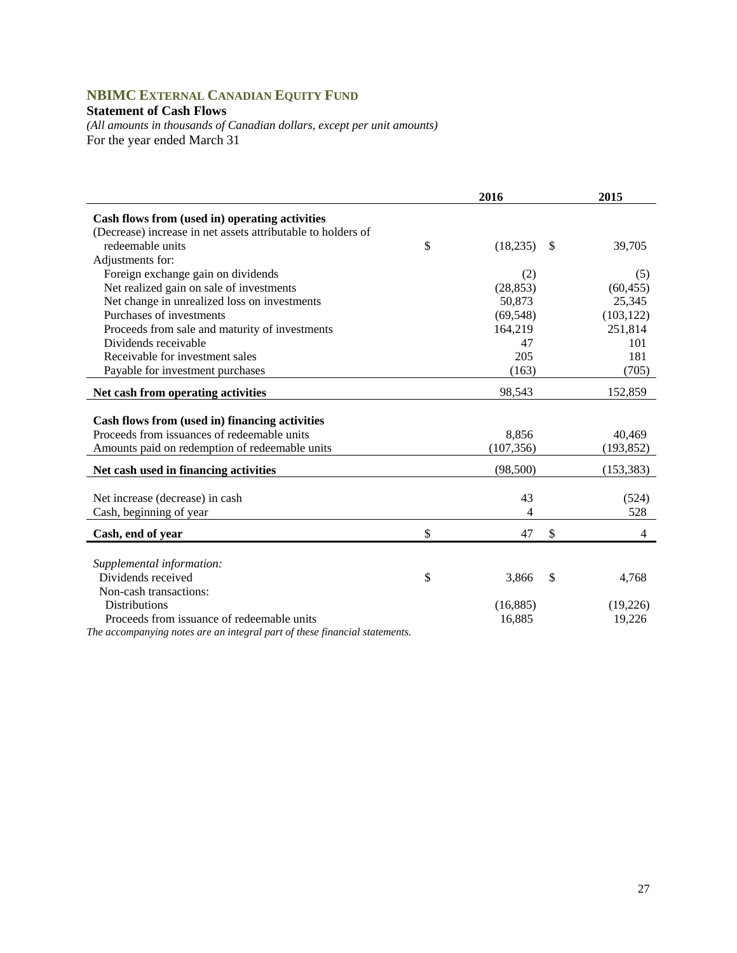# **NBIMC EXTERNAL CANADIAN EQUITY FUND**

### **Statement of Cash Flows**

*(All amounts in thousands of Canadian dollars, except per unit amounts)*  For the year ended March 31

|                                                              | 2016            | 2015                 |
|--------------------------------------------------------------|-----------------|----------------------|
| Cash flows from (used in) operating activities               |                 |                      |
| (Decrease) increase in net assets attributable to holders of |                 |                      |
| redeemable units                                             | \$<br>(18, 235) | \$<br>39,705         |
| Adjustments for:                                             |                 |                      |
| Foreign exchange gain on dividends                           | (2)             | (5)                  |
| Net realized gain on sale of investments                     | (28, 853)       | (60, 455)            |
| Net change in unrealized loss on investments                 | 50,873          | 25,345               |
| Purchases of investments                                     | (69, 548)       | (103, 122)           |
| Proceeds from sale and maturity of investments               | 164,219         | 251,814              |
| Dividends receivable                                         | 47              | 101                  |
| Receivable for investment sales                              | 205             | 181                  |
| Payable for investment purchases                             | (163)           | (705)                |
|                                                              |                 |                      |
| Net cash from operating activities                           | 98,543          | 152,859              |
| Cash flows from (used in) financing activities               |                 |                      |
| Proceeds from issuances of redeemable units                  | 8,856           | 40,469               |
| Amounts paid on redemption of redeemable units               | (107, 356)      | (193, 852)           |
|                                                              |                 |                      |
| Net cash used in financing activities                        | (98, 500)       | (153, 383)           |
|                                                              |                 |                      |
| Net increase (decrease) in cash                              | 43              | (524)                |
| Cash, beginning of year                                      | 4               | 528                  |
| Cash, end of year                                            | \$<br>47        | \$<br>$\overline{4}$ |
|                                                              |                 |                      |
| Supplemental information:                                    |                 |                      |
| Dividends received                                           | \$<br>3,866     | \$<br>4,768          |
| Non-cash transactions:                                       |                 |                      |
| <b>Distributions</b>                                         | (16, 885)       | (19,226)             |
| Proceeds from issuance of redeemable units                   | 16,885          | 19,226               |
|                                                              |                 |                      |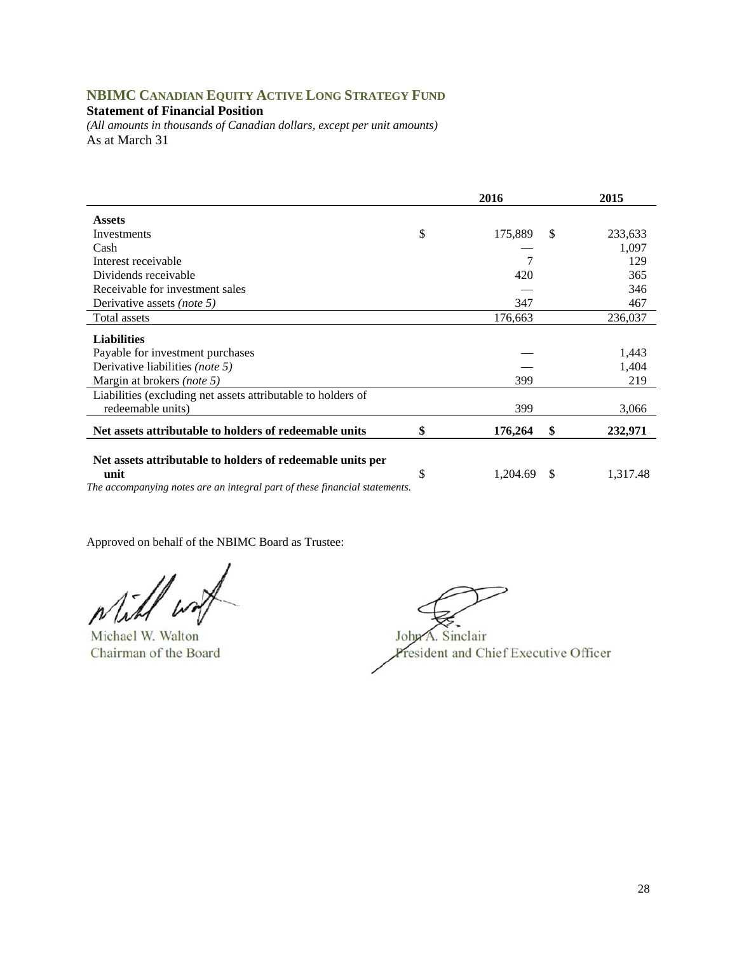# **NBIMC CANADIAN EQUITY ACTIVE LONG STRATEGY FUND**

## **Statement of Financial Position**

*(All amounts in thousands of Canadian dollars, except per unit amounts)*  As at March 31

|                                                                                                                                                  | 2016           |               | 2015     |
|--------------------------------------------------------------------------------------------------------------------------------------------------|----------------|---------------|----------|
| <b>Assets</b>                                                                                                                                    |                |               |          |
| Investments                                                                                                                                      | \$<br>175,889  | <sup>\$</sup> | 233,633  |
| Cash                                                                                                                                             |                |               | 1.097    |
| Interest receivable                                                                                                                              | 7              |               | 129      |
| Dividends receivable                                                                                                                             | 420            |               | 365      |
| Receivable for investment sales                                                                                                                  |                |               | 346      |
| Derivative assets <i>(note 5)</i>                                                                                                                | 347            |               | 467      |
| Total assets                                                                                                                                     | 176,663        |               | 236,037  |
| <b>Liabilities</b>                                                                                                                               |                |               |          |
| Payable for investment purchases                                                                                                                 |                |               | 1,443    |
| Derivative liabilities (note 5)                                                                                                                  |                |               | 1,404    |
| Margin at brokers <i>(note 5)</i>                                                                                                                | 399            |               | 219      |
| Liabilities (excluding net assets attributable to holders of                                                                                     |                |               |          |
| redeemable units)                                                                                                                                | 399            |               | 3,066    |
| Net assets attributable to holders of redeemable units                                                                                           | \$<br>176,264  | \$            | 232,971  |
| Net assets attributable to holders of redeemable units per<br>unit<br>The accompanying notes are an integral part of these financial statements. | \$<br>1,204.69 | \$.           | 1,317.48 |

Michael W. Walton Chairman of the Board

John A. Sinclair President and Chief Executive Officer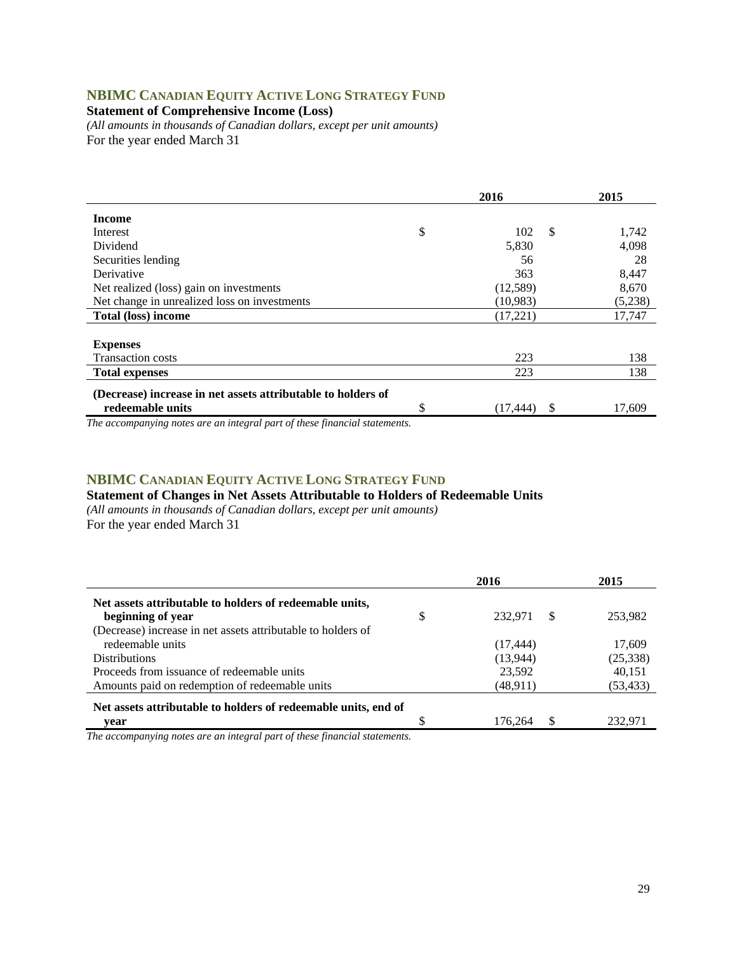## **NBIMC CANADIAN EQUITY ACTIVE LONG STRATEGY FUND**

**Statement of Comprehensive Income (Loss)** 

*(All amounts in thousands of Canadian dollars, except per unit amounts)*  For the year ended March 31

| 2015    | 2016           |                                                              |
|---------|----------------|--------------------------------------------------------------|
|         |                |                                                              |
| 1,742   | 102<br>-S      | \$                                                           |
| 4,098   | 5,830          | Dividend                                                     |
| 28      | 56             | Securities lending                                           |
| 8,447   | 363            | Derivative                                                   |
| 8,670   | (12, 589)      | Net realized (loss) gain on investments                      |
| (5,238) | (10, 983)      | Net change in unrealized loss on investments                 |
| 17,747  | (17, 221)      | <b>Total (loss) income</b>                                   |
|         |                |                                                              |
|         |                | <b>Expenses</b>                                              |
| 138     | 223            | <b>Transaction costs</b>                                     |
| 138     | 223            | <b>Total expenses</b>                                        |
|         |                |                                                              |
| 17,609  | (17, 444)<br>S | \$<br>redeemable units                                       |
|         |                | (Decrease) increase in net assets attributable to holders of |

*The accompanying notes are an integral part of these financial statements.*

### **NBIMC CANADIAN EQUITY ACTIVE LONG STRATEGY FUND**

**Statement of Changes in Net Assets Attributable to Holders of Redeemable Units**  *(All amounts in thousands of Canadian dollars, except per unit amounts)*  For the year ended March 31

|                                                                | 2016                | 2015      |
|----------------------------------------------------------------|---------------------|-----------|
| Net assets attributable to holders of redeemable units,        |                     |           |
| beginning of year                                              | \$<br>232.971<br>-S | 253,982   |
| (Decrease) increase in net assets attributable to holders of   |                     |           |
| redeemable units                                               | (17, 444)           | 17.609    |
| <b>Distributions</b>                                           | (13,944)            | (25,338)  |
| Proceeds from issuance of redeemable units                     | 23.592              | 40.151    |
| Amounts paid on redemption of redeemable units                 | (48,911)            | (53, 433) |
| Net assets attributable to holders of redeemable units, end of |                     |           |
| vear                                                           | 176.264             | 232.971   |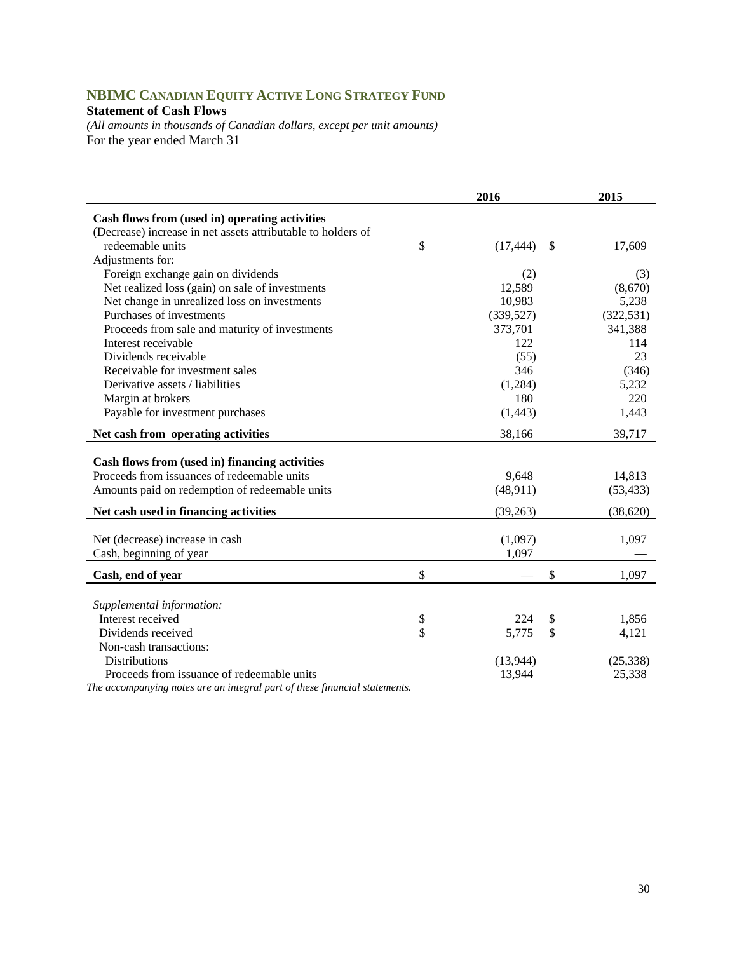# **NBIMC CANADIAN EQUITY ACTIVE LONG STRATEGY FUND**

### **Statement of Cash Flows**

*(All amounts in thousands of Canadian dollars, except per unit amounts)*  For the year ended March 31

|                                                                             | 2016                  | 2015       |
|-----------------------------------------------------------------------------|-----------------------|------------|
| Cash flows from (used in) operating activities                              |                       |            |
| (Decrease) increase in net assets attributable to holders of                |                       |            |
| redeemable units                                                            | \$<br>(17, 444)<br>\$ | 17,609     |
| Adjustments for:                                                            |                       |            |
| Foreign exchange gain on dividends                                          | (2)                   | (3)        |
| Net realized loss (gain) on sale of investments                             | 12,589                | (8,670)    |
| Net change in unrealized loss on investments                                | 10,983                | 5,238      |
| Purchases of investments                                                    | (339, 527)            | (322, 531) |
| Proceeds from sale and maturity of investments                              | 373,701               | 341,388    |
| Interest receivable                                                         | 122                   | 114        |
| Dividends receivable                                                        | (55)                  | 23         |
| Receivable for investment sales                                             | 346                   | (346)      |
| Derivative assets / liabilities                                             | (1,284)               | 5,232      |
| Margin at brokers                                                           | 180                   | 220        |
| Payable for investment purchases                                            | (1, 443)              | 1,443      |
| Net cash from operating activities                                          | 38,166                | 39,717     |
|                                                                             |                       |            |
| Cash flows from (used in) financing activities                              |                       |            |
| Proceeds from issuances of redeemable units                                 | 9,648                 | 14,813     |
| Amounts paid on redemption of redeemable units                              | (48,911)              | (53, 433)  |
| Net cash used in financing activities                                       | (39,263)              | (38, 620)  |
|                                                                             |                       |            |
| Net (decrease) increase in cash                                             | (1,097)               | 1,097      |
| Cash, beginning of year                                                     | 1,097                 |            |
| Cash, end of year                                                           | \$<br>\$              | 1,097      |
|                                                                             |                       |            |
| Supplemental information:                                                   |                       |            |
| Interest received                                                           | \$<br>224<br>\$       | 1,856      |
| Dividends received                                                          | \$<br>5,775<br>\$     | 4,121      |
| Non-cash transactions:                                                      |                       |            |
| <b>Distributions</b>                                                        | (13,944)              | (25, 338)  |
| Proceeds from issuance of redeemable units                                  | 13,944                | 25,338     |
| The generation with a water and on integral point of these financial states |                       |            |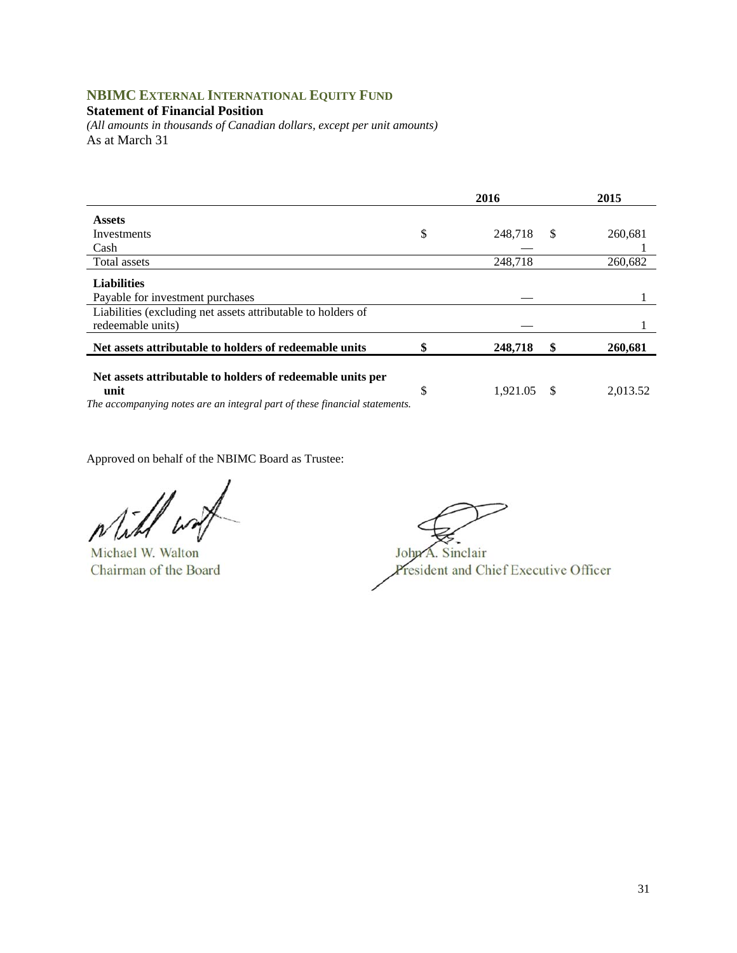# **NBIMC EXTERNAL INTERNATIONAL EQUITY FUND**

#### **Statement of Financial Position**

*(All amounts in thousands of Canadian dollars, except per unit amounts)*  As at March 31

|                                                                           | 2016           |   | 2015     |
|---------------------------------------------------------------------------|----------------|---|----------|
| <b>Assets</b>                                                             |                |   |          |
| Investments                                                               | \$<br>248,718  | S | 260,681  |
| Cash                                                                      |                |   |          |
| Total assets                                                              | 248,718        |   | 260,682  |
| <b>Liabilities</b><br>Payable for investment purchases                    |                |   |          |
| Liabilities (excluding net assets attributable to holders of              |                |   |          |
| redeemable units)                                                         |                |   |          |
| Net assets attributable to holders of redeemable units                    | \$<br>248,718  | S | 260,681  |
| Net assets attributable to holders of redeemable units per                |                |   |          |
| unit                                                                      | \$<br>1.921.05 |   | 2.013.52 |
| The accompanying notes are an integral part of these financial statements |                |   |          |

*The accompanying notes are an integral part of these financial statements.* 

Michael W. Walton Chairman of the Board

A. Sinclair John

President and Chief Executive Officer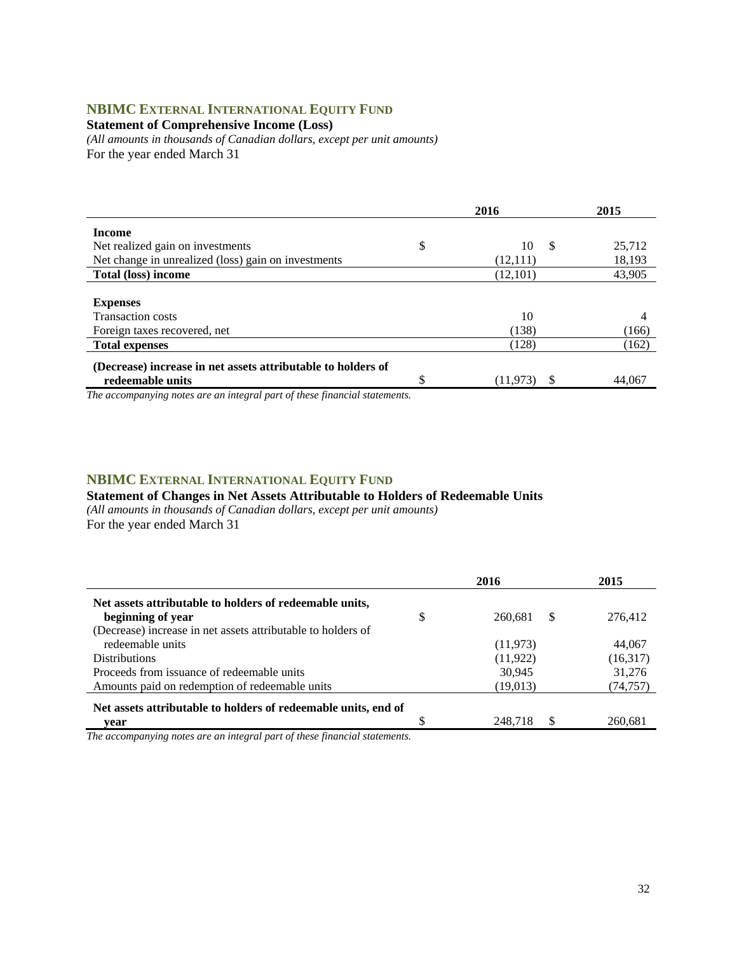### **NBIMC EXTERNAL INTERNATIONAL EQUITY FUND**

#### **Statement of Comprehensive Income (Loss)**

*(All amounts in thousands of Canadian dollars, except per unit amounts)*  For the year ended March 31

|                                                              | 2016 |           |   | 2015   |
|--------------------------------------------------------------|------|-----------|---|--------|
| <b>Income</b>                                                |      |           |   |        |
| Net realized gain on investments                             | \$   | 10        | S | 25,712 |
| Net change in unrealized (loss) gain on investments          |      | (12,111)  |   | 18,193 |
| <b>Total (loss) income</b>                                   |      | (12, 101) |   | 43,905 |
| <b>Expenses</b>                                              |      |           |   |        |
| <b>Transaction costs</b>                                     |      | 10        |   |        |
| Foreign taxes recovered, net                                 |      | (138)     |   | (166)  |
| <b>Total expenses</b>                                        |      | (128)     |   | (162)  |
| (Decrease) increase in net assets attributable to holders of |      |           |   |        |
| redeemable units                                             |      | (11.973)  |   | 44,067 |

*The accompanying notes are an integral part of these financial statements.*

### **NBIMC EXTERNAL INTERNATIONAL EQUITY FUND**

#### **Statement of Changes in Net Assets Attributable to Holders of Redeemable Units**

*(All amounts in thousands of Canadian dollars, except per unit amounts)*  For the year ended March 31

|                                                                | 2016               | 2015      |
|----------------------------------------------------------------|--------------------|-----------|
| Net assets attributable to holders of redeemable units,        |                    |           |
| beginning of year                                              | \$<br>260.681<br>S | 276,412   |
| (Decrease) increase in net assets attributable to holders of   |                    |           |
| redeemable units                                               | (11, 973)          | 44,067    |
| <b>Distributions</b>                                           | (11, 922)          | (16,317)  |
| Proceeds from issuance of redeemable units                     | 30.945             | 31,276    |
| Amounts paid on redemption of redeemable units                 | (19,013)           | (74, 757) |
| Net assets attributable to holders of redeemable units, end of |                    |           |
| vear                                                           | 248,718<br>S       | 260,681   |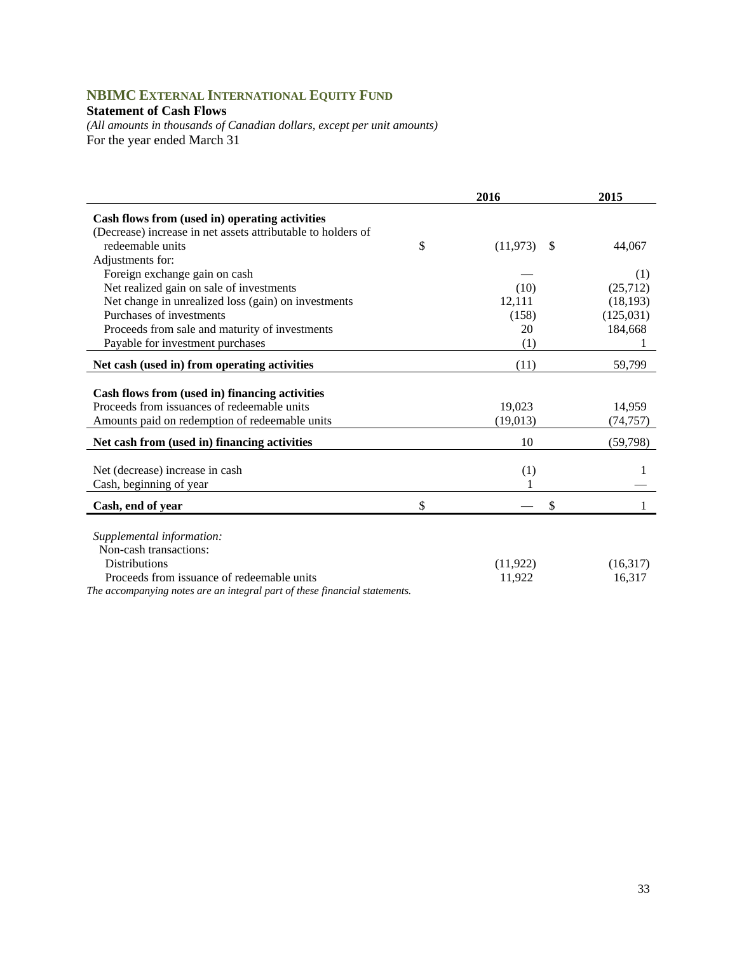# **NBIMC EXTERNAL INTERNATIONAL EQUITY FUND**

## **Statement of Cash Flows**

*(All amounts in thousands of Canadian dollars, except per unit amounts)*  For the year ended March 31

|                                                                                                                          | 2016            | 2015         |
|--------------------------------------------------------------------------------------------------------------------------|-----------------|--------------|
| Cash flows from (used in) operating activities                                                                           |                 |              |
| (Decrease) increase in net assets attributable to holders of                                                             |                 |              |
| redeemable units                                                                                                         | \$<br>(11, 973) | \$<br>44,067 |
| Adjustments for:                                                                                                         |                 |              |
| Foreign exchange gain on cash                                                                                            |                 | (1)          |
| Net realized gain on sale of investments                                                                                 | (10)            | (25,712)     |
| Net change in unrealized loss (gain) on investments                                                                      | 12,111          | (18, 193)    |
| Purchases of investments                                                                                                 | (158)           | (125, 031)   |
| Proceeds from sale and maturity of investments                                                                           | 20              | 184,668      |
| Payable for investment purchases                                                                                         | (1)             |              |
| Net cash (used in) from operating activities                                                                             | (11)            | 59,799       |
|                                                                                                                          |                 |              |
| Cash flows from (used in) financing activities<br>Proceeds from issuances of redeemable units                            |                 |              |
|                                                                                                                          | 19,023          | 14,959       |
| Amounts paid on redemption of redeemable units                                                                           | (19,013)        | (74, 757)    |
| Net cash from (used in) financing activities                                                                             | 10              | (59,798)     |
| Net (decrease) increase in cash                                                                                          |                 |              |
| Cash, beginning of year                                                                                                  | (1)<br>1        |              |
|                                                                                                                          |                 |              |
| Cash, end of year                                                                                                        | \$              | \$           |
|                                                                                                                          |                 |              |
| Supplemental information:                                                                                                |                 |              |
| Non-cash transactions:                                                                                                   |                 |              |
| <b>Distributions</b>                                                                                                     | (11, 922)       | (16,317)     |
| Proceeds from issuance of redeemable units<br>The accompanying notes are an integral part of these financial statements. | 11,922          | 16,317       |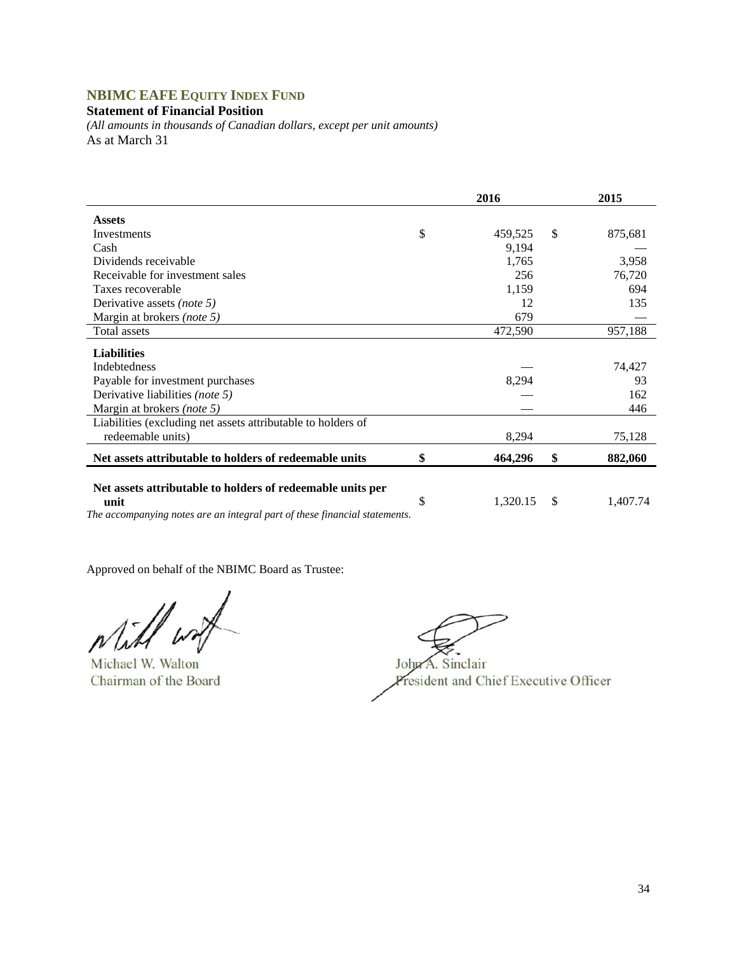# **NBIMC EAFE EQUITY INDEX FUND**

#### **Statement of Financial Position**

*(All amounts in thousands of Canadian dollars, except per unit amounts)*  As at March 31

|                                                                    | 2016           | 2015           |
|--------------------------------------------------------------------|----------------|----------------|
| <b>Assets</b>                                                      |                |                |
| Investments                                                        | \$<br>459,525  | \$<br>875,681  |
| Cash                                                               | 9,194          |                |
| Dividends receivable                                               | 1,765          | 3,958          |
| Receivable for investment sales                                    | 256            | 76,720         |
| Taxes recoverable                                                  | 1,159          | 694            |
| Derivative assets <i>(note 5)</i>                                  | 12             | 135            |
| Margin at brokers (note 5)                                         | 679            |                |
| Total assets                                                       | 472,590        | 957,188        |
| <b>Liabilities</b>                                                 |                |                |
| <b>Indebtedness</b>                                                |                | 74,427         |
| Payable for investment purchases                                   | 8,294          | 93             |
| Derivative liabilities (note 5)                                    |                | 162            |
| Margin at brokers (note 5)                                         |                | 446            |
| Liabilities (excluding net assets attributable to holders of       |                |                |
| redeemable units)                                                  | 8,294          | 75,128         |
| Net assets attributable to holders of redeemable units             | \$<br>464,296  | \$<br>882,060  |
|                                                                    |                |                |
| Net assets attributable to holders of redeemable units per<br>unit | \$<br>1,320.15 | \$<br>1,407.74 |

*The accompanying notes are an integral part of these financial statements.* 

Michael W. Walton Chairman of the Board

Sinclair John

President and Chief Executive Officer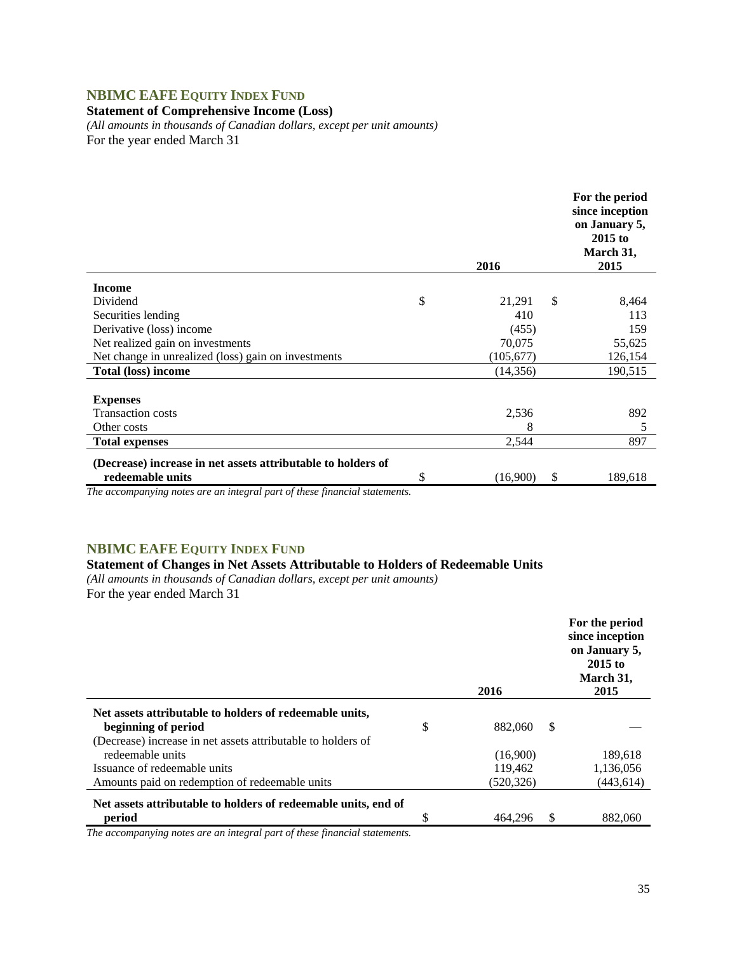### **NBIMC EAFE EQUITY INDEX FUND**

### **Statement of Comprehensive Income (Loss)**

*(All amounts in thousands of Canadian dollars, except per unit amounts)*  For the year ended March 31

|                                                              | 2016           |               | For the period<br>since inception<br>on January 5,<br>2015 to<br>March 31,<br>2015 |
|--------------------------------------------------------------|----------------|---------------|------------------------------------------------------------------------------------|
| <b>Income</b>                                                |                |               |                                                                                    |
| Dividend                                                     | \$<br>21,291   | <sup>\$</sup> | 8,464                                                                              |
| Securities lending                                           | 410            |               | 113                                                                                |
| Derivative (loss) income                                     | (455)          |               | 159                                                                                |
| Net realized gain on investments                             | 70,075         |               | 55,625                                                                             |
| Net change in unrealized (loss) gain on investments          | (105, 677)     |               | 126,154                                                                            |
| <b>Total (loss) income</b>                                   | (14,356)       |               | 190,515                                                                            |
|                                                              |                |               |                                                                                    |
| <b>Expenses</b>                                              |                |               |                                                                                    |
| <b>Transaction costs</b>                                     | 2,536          |               | 892                                                                                |
| Other costs                                                  | 8              |               | 5                                                                                  |
| <b>Total expenses</b>                                        | 2,544          |               | 897                                                                                |
| (Decrease) increase in net assets attributable to holders of |                |               |                                                                                    |
| redeemable units                                             | \$<br>(16,900) | \$            | 189,618                                                                            |

*The accompanying notes are an integral part of these financial statements.*

#### **NBIMC EAFE EQUITY INDEX FUND**

### **Statement of Changes in Net Assets Attributable to Holders of Redeemable Units**

*(All amounts in thousands of Canadian dollars, except per unit amounts)*  For the year ended March 31

|                                                                | 2016          |    | For the period<br>since inception<br>on January 5,<br>$2015$ to<br>March 31,<br>2015 |
|----------------------------------------------------------------|---------------|----|--------------------------------------------------------------------------------------|
| Net assets attributable to holders of redeemable units,        |               |    |                                                                                      |
| beginning of period                                            | \$<br>882,060 | -S |                                                                                      |
| (Decrease) increase in net assets attributable to holders of   |               |    |                                                                                      |
| redeemable units                                               | (16,900)      |    | 189.618                                                                              |
| Issuance of redeemable units                                   | 119.462       |    | 1,136,056                                                                            |
| Amounts paid on redemption of redeemable units                 | (520, 326)    |    | (443, 614)                                                                           |
| Net assets attributable to holders of redeemable units, end of |               |    |                                                                                      |
| period                                                         | 464.296       |    | 882,060                                                                              |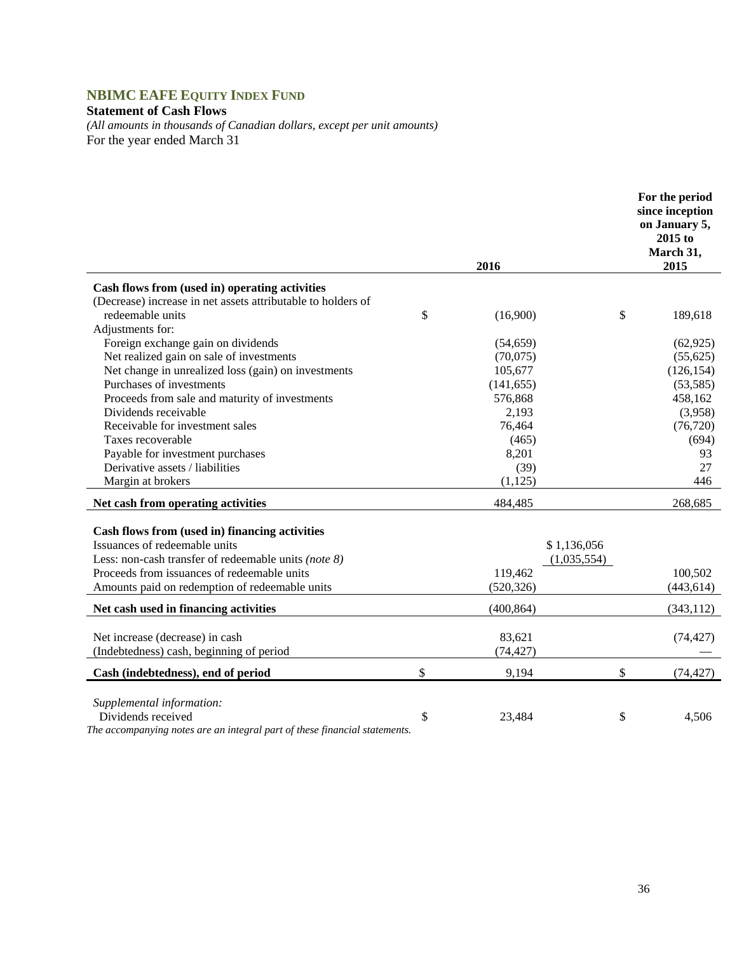# **NBIMC EAFE EQUITY INDEX FUND**

### **Statement of Cash Flows**

*(All amounts in thousands of Canadian dollars, except per unit amounts)*  For the year ended March 31

| Cash flows from (used in) operating activities<br>(Decrease) increase in net assets attributable to holders of<br>\$<br>(16,900)<br>\$<br>redeemable units<br>189,618<br>Adjustments for:<br>Foreign exchange gain on dividends<br>(54, 659)<br>(62, 925)<br>Net realized gain on sale of investments<br>(70,075)<br>(55, 625)<br>Net change in unrealized loss (gain) on investments<br>105,677<br>(126, 154)<br>Purchases of investments<br>(53, 585)<br>(141, 655)<br>Proceeds from sale and maturity of investments<br>576,868<br>458,162<br>Dividends receivable<br>2,193<br>(3,958)<br>Receivable for investment sales<br>76,464<br>(76, 720) |                   | 2016  | For the period<br>since inception<br>on January 5,<br>2015 to<br>March 31,<br>2015 |
|-----------------------------------------------------------------------------------------------------------------------------------------------------------------------------------------------------------------------------------------------------------------------------------------------------------------------------------------------------------------------------------------------------------------------------------------------------------------------------------------------------------------------------------------------------------------------------------------------------------------------------------------------------|-------------------|-------|------------------------------------------------------------------------------------|
|                                                                                                                                                                                                                                                                                                                                                                                                                                                                                                                                                                                                                                                     |                   |       |                                                                                    |
|                                                                                                                                                                                                                                                                                                                                                                                                                                                                                                                                                                                                                                                     |                   |       |                                                                                    |
|                                                                                                                                                                                                                                                                                                                                                                                                                                                                                                                                                                                                                                                     |                   |       |                                                                                    |
|                                                                                                                                                                                                                                                                                                                                                                                                                                                                                                                                                                                                                                                     |                   |       |                                                                                    |
|                                                                                                                                                                                                                                                                                                                                                                                                                                                                                                                                                                                                                                                     |                   |       |                                                                                    |
|                                                                                                                                                                                                                                                                                                                                                                                                                                                                                                                                                                                                                                                     |                   |       |                                                                                    |
|                                                                                                                                                                                                                                                                                                                                                                                                                                                                                                                                                                                                                                                     |                   |       |                                                                                    |
|                                                                                                                                                                                                                                                                                                                                                                                                                                                                                                                                                                                                                                                     |                   |       |                                                                                    |
|                                                                                                                                                                                                                                                                                                                                                                                                                                                                                                                                                                                                                                                     |                   |       |                                                                                    |
|                                                                                                                                                                                                                                                                                                                                                                                                                                                                                                                                                                                                                                                     |                   |       |                                                                                    |
|                                                                                                                                                                                                                                                                                                                                                                                                                                                                                                                                                                                                                                                     |                   |       |                                                                                    |
|                                                                                                                                                                                                                                                                                                                                                                                                                                                                                                                                                                                                                                                     | Taxes recoverable | (465) | (694)                                                                              |
| Payable for investment purchases<br>8,201<br>93                                                                                                                                                                                                                                                                                                                                                                                                                                                                                                                                                                                                     |                   |       |                                                                                    |
| Derivative assets / liabilities<br>27<br>(39)                                                                                                                                                                                                                                                                                                                                                                                                                                                                                                                                                                                                       |                   |       |                                                                                    |
| Margin at brokers<br>(1, 125)<br>446                                                                                                                                                                                                                                                                                                                                                                                                                                                                                                                                                                                                                |                   |       |                                                                                    |
|                                                                                                                                                                                                                                                                                                                                                                                                                                                                                                                                                                                                                                                     |                   |       |                                                                                    |
| 484,485<br>268,685<br>Net cash from operating activities                                                                                                                                                                                                                                                                                                                                                                                                                                                                                                                                                                                            |                   |       |                                                                                    |
| Cash flows from (used in) financing activities                                                                                                                                                                                                                                                                                                                                                                                                                                                                                                                                                                                                      |                   |       |                                                                                    |
| Issuances of redeemable units<br>\$1,136,056                                                                                                                                                                                                                                                                                                                                                                                                                                                                                                                                                                                                        |                   |       |                                                                                    |
| Less: non-cash transfer of redeemable units (note 8)<br>(1,035,554)                                                                                                                                                                                                                                                                                                                                                                                                                                                                                                                                                                                 |                   |       |                                                                                    |
| Proceeds from issuances of redeemable units<br>100,502<br>119,462                                                                                                                                                                                                                                                                                                                                                                                                                                                                                                                                                                                   |                   |       |                                                                                    |
| Amounts paid on redemption of redeemable units<br>(520, 326)<br>(443, 614)                                                                                                                                                                                                                                                                                                                                                                                                                                                                                                                                                                          |                   |       |                                                                                    |
|                                                                                                                                                                                                                                                                                                                                                                                                                                                                                                                                                                                                                                                     |                   |       |                                                                                    |
| (400, 864)<br>(343, 112)<br>Net cash used in financing activities                                                                                                                                                                                                                                                                                                                                                                                                                                                                                                                                                                                   |                   |       |                                                                                    |
| Net increase (decrease) in cash<br>83,621<br>(74, 427)                                                                                                                                                                                                                                                                                                                                                                                                                                                                                                                                                                                              |                   |       |                                                                                    |
| (Indebtedness) cash, beginning of period<br>(74, 427)                                                                                                                                                                                                                                                                                                                                                                                                                                                                                                                                                                                               |                   |       |                                                                                    |
| \$<br>\$<br>Cash (indebtedness), end of period<br>9,194<br>(74, 427)                                                                                                                                                                                                                                                                                                                                                                                                                                                                                                                                                                                |                   |       |                                                                                    |
|                                                                                                                                                                                                                                                                                                                                                                                                                                                                                                                                                                                                                                                     |                   |       |                                                                                    |
| Supplemental information:                                                                                                                                                                                                                                                                                                                                                                                                                                                                                                                                                                                                                           |                   |       |                                                                                    |
| Dividends received<br>\$<br>\$<br>23,484<br>4,506                                                                                                                                                                                                                                                                                                                                                                                                                                                                                                                                                                                                   |                   |       |                                                                                    |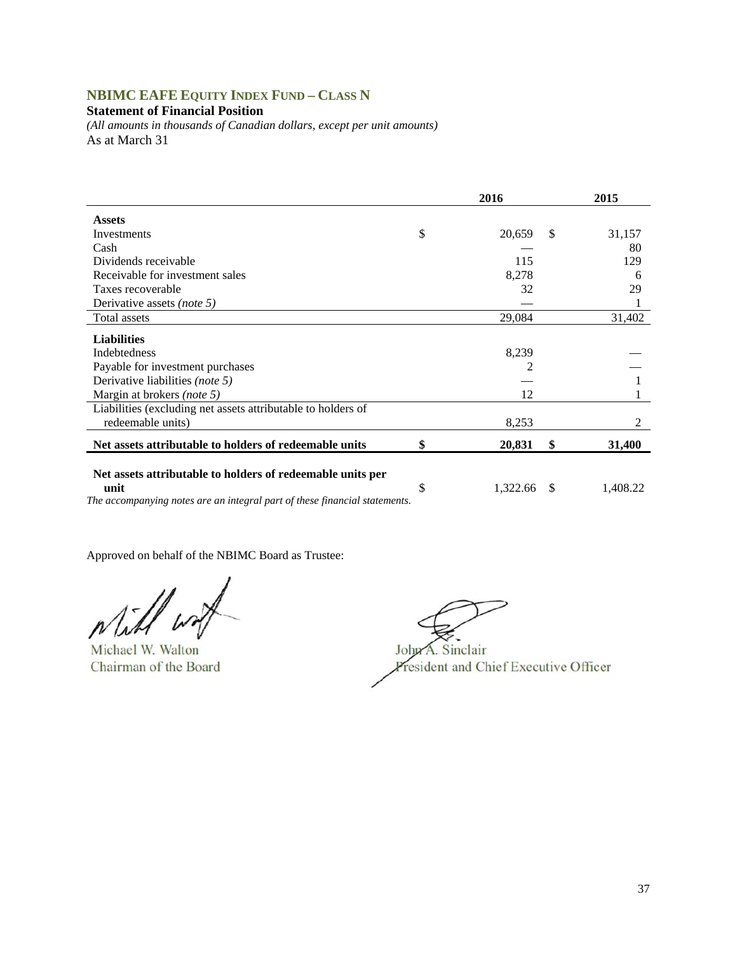# **NBIMC EAFE EQUITY INDEX FUND – CLASS N**

### **Statement of Financial Position**

*(All amounts in thousands of Canadian dollars, except per unit amounts)*  As at March 31

|                                                              | 2016           |               | 2015     |
|--------------------------------------------------------------|----------------|---------------|----------|
| <b>Assets</b>                                                |                |               |          |
| Investments                                                  | \$<br>20,659   | <sup>\$</sup> | 31,157   |
| Cash                                                         |                |               | 80       |
| Dividends receivable                                         | 115            |               | 129      |
| Receivable for investment sales                              | 8,278          |               | 6        |
| Taxes recoverable                                            | 32             |               | 29       |
| Derivative assets (note 5)                                   |                |               |          |
| Total assets                                                 | 29,084         |               | 31,402   |
| <b>Liabilities</b>                                           |                |               |          |
| <b>Indebtedness</b>                                          | 8,239          |               |          |
| Payable for investment purchases                             |                |               |          |
| Derivative liabilities (note 5)                              |                |               |          |
| Margin at brokers (note 5)                                   | 12             |               |          |
| Liabilities (excluding net assets attributable to holders of |                |               |          |
| redeemable units)                                            | 8,253          |               |          |
| Net assets attributable to holders of redeemable units       | \$<br>20,831   | \$            | 31,400   |
| Net assets attributable to holders of redeemable units per   |                |               |          |
| unit                                                         | \$<br>1,322.66 | -S            | 1,408.22 |

*The accompanying notes are an integral part of these financial statements.* 

Michael W. Walton Chairman of the Board

Sinclair John

President and Chief Executive Officer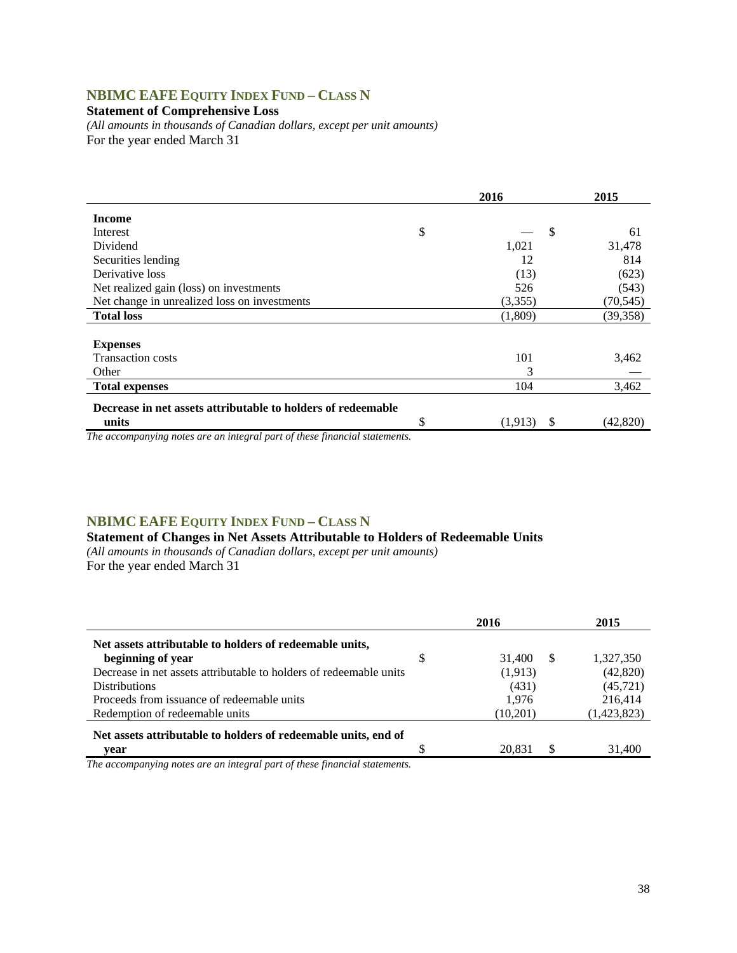### **NBIMC EAFE EQUITY INDEX FUND – CLASS N**

#### **Statement of Comprehensive Loss**

*(All amounts in thousands of Canadian dollars, except per unit amounts)*  For the year ended March 31

|                                                              | 2016               | 2015      |
|--------------------------------------------------------------|--------------------|-----------|
| <b>Income</b>                                                |                    |           |
| Interest                                                     | \$<br>S            | 61        |
| Dividend                                                     | 1,021              | 31,478    |
| Securities lending                                           | 12                 | 814       |
| Derivative loss                                              | (13)               | (623)     |
| Net realized gain (loss) on investments                      | 526                | (543)     |
| Net change in unrealized loss on investments                 | (3,355)            | (70, 545) |
| <b>Total loss</b>                                            | (1,809)            | (39, 358) |
|                                                              |                    |           |
| <b>Expenses</b>                                              |                    |           |
| <b>Transaction costs</b>                                     | 101                | 3,462     |
| Other                                                        | 3                  |           |
| <b>Total expenses</b>                                        | 104                | 3,462     |
| Decrease in net assets attributable to holders of redeemable |                    |           |
| units                                                        | \$<br>(1,913)<br>S | (42, 820) |

*The accompanying notes are an integral part of these financial statements.*

### **NBIMC EAFE EQUITY INDEX FUND – CLASS N**

**Statement of Changes in Net Assets Attributable to Holders of Redeemable Units** 

*(All amounts in thousands of Canadian dollars, except per unit amounts)*  For the year ended March 31

|                                                                                                                                                           | 2016 |          |    | 2015        |
|-----------------------------------------------------------------------------------------------------------------------------------------------------------|------|----------|----|-------------|
| Net assets attributable to holders of redeemable units,                                                                                                   |      |          |    |             |
| beginning of year                                                                                                                                         | S    | 31,400   | -S | 1,327,350   |
| Decrease in net assets attributable to holders of redeemable units                                                                                        |      | (1,913)  |    | (42, 820)   |
| <b>Distributions</b>                                                                                                                                      |      | (431)    |    | (45, 721)   |
| Proceeds from issuance of redeemable units                                                                                                                |      | 1,976    |    | 216.414     |
| Redemption of redeemable units                                                                                                                            |      | (10,201) |    | (1,423,823) |
| Net assets attributable to holders of redeemable units, end of                                                                                            |      |          |    |             |
| year                                                                                                                                                      |      | 20.831   |    | 31,400      |
| $\cdot$ $\cdot$ $\cdot$ $\cdot$ $\cdot$ $\cdot$ $\cdot$ $\cdot$<br>T1<br>$\mathbf{1}$ and $\mathbf{1}$ and $\mathbf{1}$ and $\mathbf{1}$ and $\mathbf{1}$ |      |          |    |             |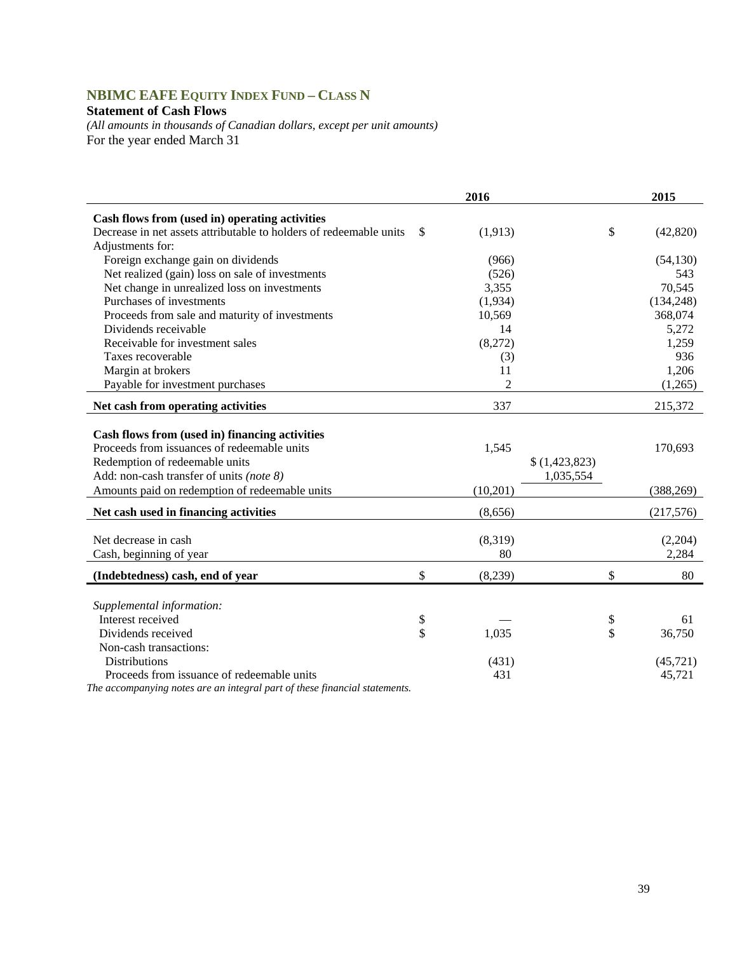# **NBIMC EAFE EQUITY INDEX FUND – CLASS N**

## **Statement of Cash Flows**

*(All amounts in thousands of Canadian dollars, except per unit amounts)*  For the year ended March 31

|                                                                                    |               | 2016           |             | 2015            |
|------------------------------------------------------------------------------------|---------------|----------------|-------------|-----------------|
| Cash flows from (used in) operating activities                                     |               |                |             |                 |
| Decrease in net assets attributable to holders of redeemable units                 | <sup>\$</sup> | (1,913)        |             | \$<br>(42, 820) |
| Adjustments for:                                                                   |               |                |             |                 |
| Foreign exchange gain on dividends                                                 |               | (966)          |             | (54, 130)       |
| Net realized (gain) loss on sale of investments                                    |               | (526)          |             | 543             |
| Net change in unrealized loss on investments                                       |               | 3,355          |             | 70,545          |
| Purchases of investments                                                           |               | (1,934)        |             | (134, 248)      |
| Proceeds from sale and maturity of investments                                     |               | 10,569         |             | 368,074         |
| Dividends receivable                                                               |               | 14             |             | 5,272           |
| Receivable for investment sales                                                    |               | (8,272)        |             | 1,259           |
| Taxes recoverable                                                                  |               | (3)            |             | 936             |
| Margin at brokers                                                                  |               | 11             |             | 1,206           |
| Payable for investment purchases                                                   |               | $\overline{2}$ |             | (1,265)         |
| Net cash from operating activities                                                 |               | 337            |             | 215,372         |
|                                                                                    |               |                |             |                 |
| Cash flows from (used in) financing activities                                     |               |                |             |                 |
| Proceeds from issuances of redeemable units                                        |               | 1,545          |             | 170,693         |
| Redemption of redeemable units                                                     |               |                | (1,423,823) |                 |
| Add: non-cash transfer of units (note $8$ )                                        |               |                | 1,035,554   |                 |
| Amounts paid on redemption of redeemable units                                     |               | (10,201)       |             | (388, 269)      |
|                                                                                    |               |                |             |                 |
| Net cash used in financing activities                                              |               | (8,656)        |             | (217,576)       |
|                                                                                    |               |                |             |                 |
| Net decrease in cash                                                               |               | (8,319)        |             | (2,204)         |
| Cash, beginning of year                                                            |               | 80             |             | 2,284           |
| (Indebtedness) cash, end of year                                                   | \$            | (8,239)        |             | \$<br>80        |
|                                                                                    |               |                |             |                 |
| Supplemental information:                                                          |               |                |             |                 |
| Interest received                                                                  | \$            |                |             | \$<br>61        |
| Dividends received                                                                 | \$            | 1,035          |             | \$<br>36,750    |
| Non-cash transactions:                                                             |               |                |             |                 |
| <b>Distributions</b>                                                               |               | (431)          |             | (45, 721)       |
| Proceeds from issuance of redeemable units                                         |               | 431            |             | 45,721          |
| $\tau$ , and account the contract of the contract of the contract $\tau$ of $\tau$ |               |                |             |                 |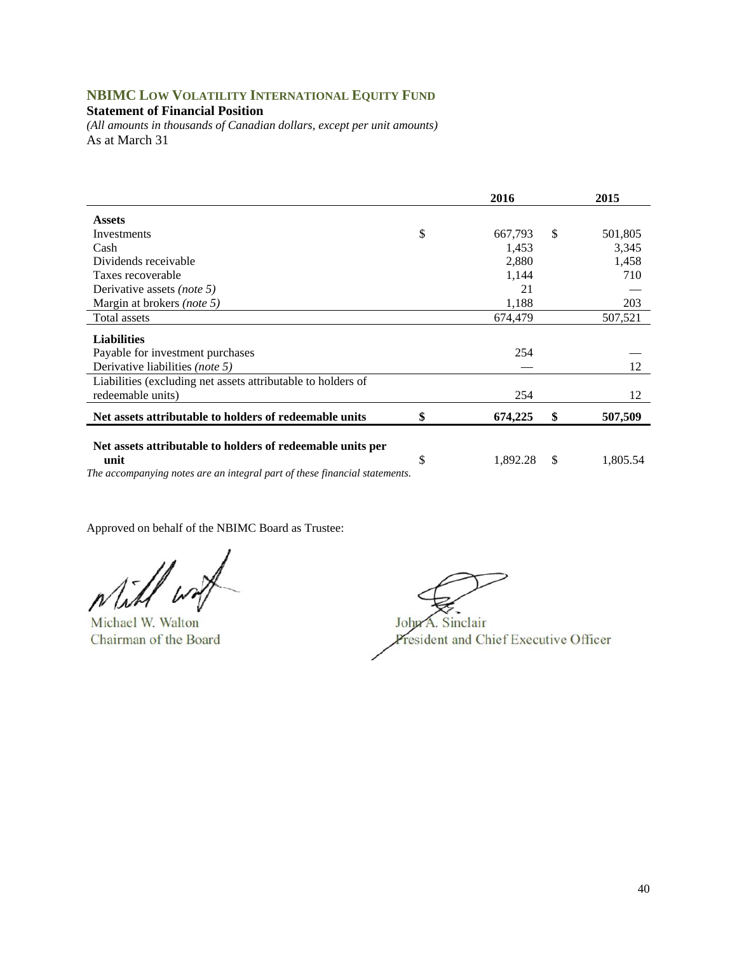## **NBIMC LOW VOLATILITY INTERNATIONAL EQUITY FUND**

#### **Statement of Financial Position**

*(All amounts in thousands of Canadian dollars, except per unit amounts)*  As at March 31

|                                                                                    | 2016           | 2015           |
|------------------------------------------------------------------------------------|----------------|----------------|
| <b>Assets</b>                                                                      |                |                |
| Investments                                                                        | \$<br>667,793  | \$<br>501,805  |
| Cash                                                                               | 1,453          | 3,345          |
| Dividends receivable                                                               | 2,880          | 1,458          |
| Taxes recoverable                                                                  | 1,144          | 710            |
| Derivative assets (note 5)                                                         | 21             |                |
| Margin at brokers <i>(note 5)</i>                                                  | 1,188          | 203            |
| Total assets                                                                       | 674,479        | 507,521        |
| <b>Liabilities</b>                                                                 |                |                |
| Payable for investment purchases                                                   | 254            |                |
| Derivative liabilities (note 5)                                                    |                | 12             |
| Liabilities (excluding net assets attributable to holders of                       |                |                |
| redeemable units)                                                                  | 254            | 12             |
| Net assets attributable to holders of redeemable units                             | \$<br>674,225  | \$<br>507,509  |
|                                                                                    |                |                |
| Net assets attributable to holders of redeemable units per                         |                |                |
| unit<br>The accompanying notes are an integral part of these financial statements. | \$<br>1,892.28 | \$<br>1,805.54 |
|                                                                                    |                |                |

Michael W. Walton Chairman of the Board

. Sinclair John President and Chief Executive Officer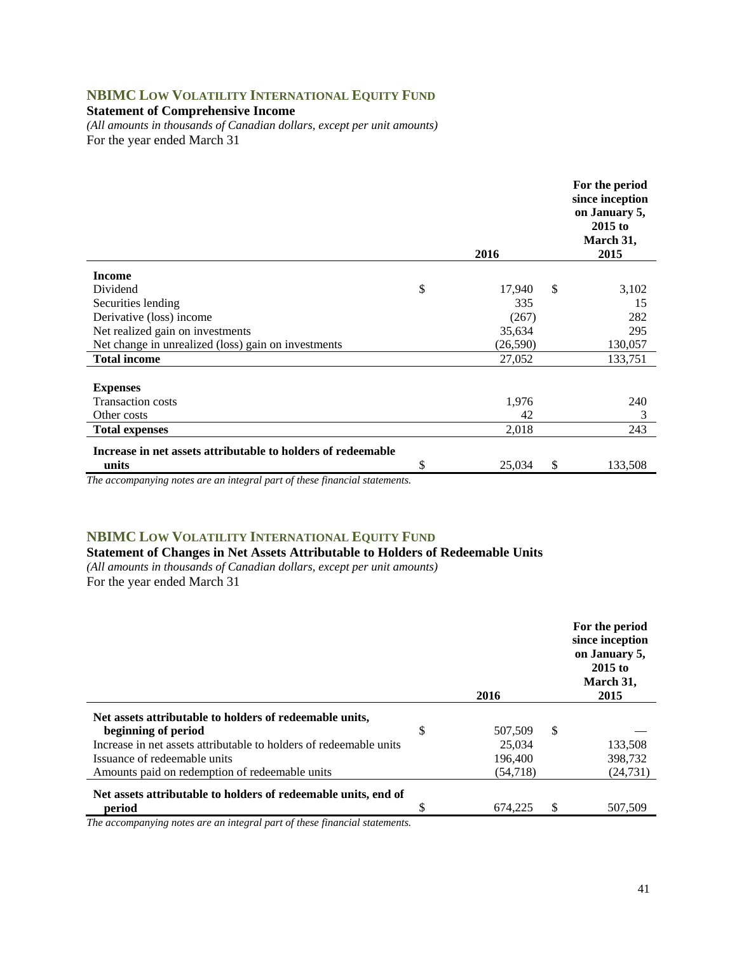## **NBIMC LOW VOLATILITY INTERNATIONAL EQUITY FUND**

**Statement of Comprehensive Income** 

*(All amounts in thousands of Canadian dollars, except per unit amounts)*  For the year ended March 31

|                                                              | 2016               | For the period<br>since inception<br>on January 5,<br>2015 to<br>March 31,<br>2015 |
|--------------------------------------------------------------|--------------------|------------------------------------------------------------------------------------|
| <b>Income</b>                                                |                    |                                                                                    |
| Dividend                                                     | \$<br>\$<br>17,940 | 3,102                                                                              |
| Securities lending                                           | 335                | 15                                                                                 |
| Derivative (loss) income                                     | (267)              | 282                                                                                |
| Net realized gain on investments                             | 35,634             | 295                                                                                |
| Net change in unrealized (loss) gain on investments          | (26, 590)          | 130,057                                                                            |
| <b>Total income</b>                                          | 27,052             | 133,751                                                                            |
| <b>Expenses</b>                                              |                    |                                                                                    |
| <b>Transaction costs</b>                                     | 1,976              | 240                                                                                |
| Other costs                                                  | 42                 | 3                                                                                  |
| <b>Total expenses</b>                                        | 2,018              | 243                                                                                |
| Increase in net assets attributable to holders of redeemable |                    |                                                                                    |
| units<br>$\cdot$ $\cdot$ $\cdot$ $\cdot$<br>T <sub>1</sub>   | \$<br>25,034<br>\$ | 133,508                                                                            |

*The accompanying notes are an integral part of these financial statements.*

### **NBIMC LOW VOLATILITY INTERNATIONAL EQUITY FUND**

### **Statement of Changes in Net Assets Attributable to Holders of Redeemable Units**

*(All amounts in thousands of Canadian dollars, except per unit amounts)*  For the year ended March 31

|                                                                    | 2016          | For the period<br>since inception<br>on January 5,<br>$2015$ to<br>March 31,<br>2015 |
|--------------------------------------------------------------------|---------------|--------------------------------------------------------------------------------------|
| Net assets attributable to holders of redeemable units,            |               |                                                                                      |
| beginning of period                                                | \$<br>507,509 | \$                                                                                   |
| Increase in net assets attributable to holders of redeemable units | 25,034        | 133.508                                                                              |
| Issuance of redeemable units                                       | 196,400       | 398.732                                                                              |
| Amounts paid on redemption of redeemable units                     | (54, 718)     | (24, 731)                                                                            |
| Net assets attributable to holders of redeemable units, end of     |               |                                                                                      |
| period                                                             | 674.225       | 507.509                                                                              |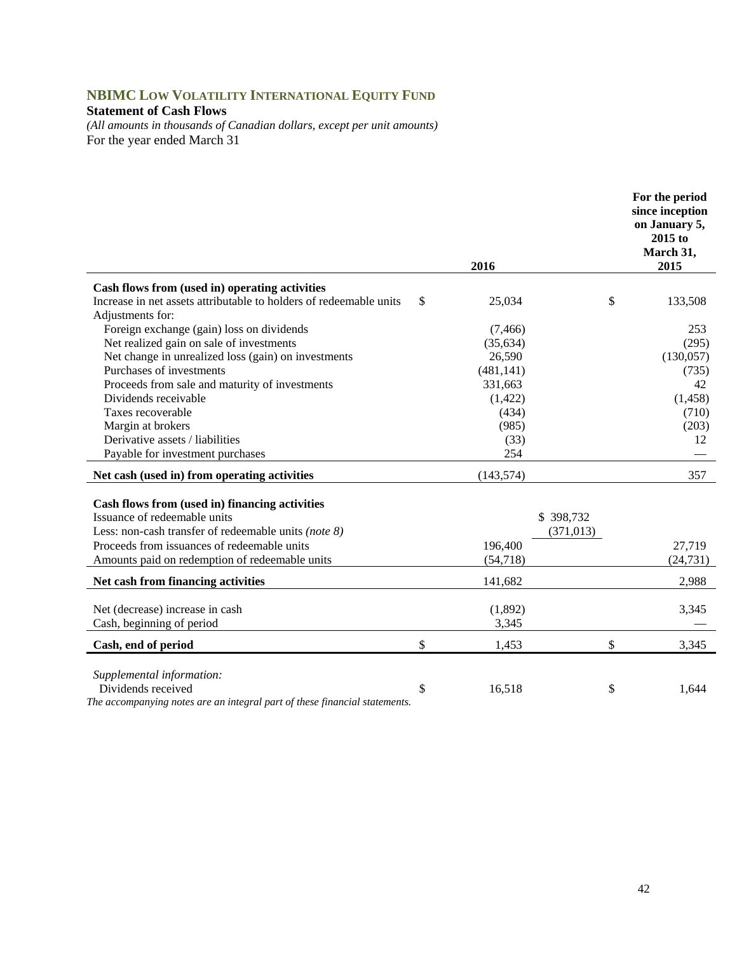## **NBIMC LOW VOLATILITY INTERNATIONAL EQUITY FUND**

### **Statement of Cash Flows**

*(All amounts in thousands of Canadian dollars, except per unit amounts)*  For the year ended March 31

|                                                                            |              |            |            | For the period<br>since inception<br>on January 5,<br>2015 to<br>March 31, |
|----------------------------------------------------------------------------|--------------|------------|------------|----------------------------------------------------------------------------|
|                                                                            |              | 2016       |            | 2015                                                                       |
| Cash flows from (used in) operating activities                             |              |            |            |                                                                            |
| Increase in net assets attributable to holders of redeemable units         | $\mathbb{S}$ | 25,034     | \$         | 133,508                                                                    |
| Adjustments for:                                                           |              |            |            |                                                                            |
| Foreign exchange (gain) loss on dividends                                  |              | (7, 466)   |            | 253                                                                        |
| Net realized gain on sale of investments                                   |              | (35, 634)  |            | (295)                                                                      |
| Net change in unrealized loss (gain) on investments                        |              | 26,590     |            | (130, 057)                                                                 |
| Purchases of investments                                                   |              | (481, 141) |            | (735)                                                                      |
| Proceeds from sale and maturity of investments                             |              | 331,663    |            | 42                                                                         |
| Dividends receivable                                                       |              | (1,422)    |            | (1, 458)                                                                   |
| Taxes recoverable                                                          |              | (434)      |            | (710)                                                                      |
| Margin at brokers                                                          |              | (985)      |            | (203)                                                                      |
| Derivative assets / liabilities                                            |              | (33)       |            | 12                                                                         |
| Payable for investment purchases                                           |              | 254        |            |                                                                            |
| Net cash (used in) from operating activities                               |              | (143, 574) |            | 357                                                                        |
| Cash flows from (used in) financing activities                             |              |            |            |                                                                            |
| Issuance of redeemable units                                               |              |            | \$398,732  |                                                                            |
| Less: non-cash transfer of redeemable units (note 8)                       |              |            | (371, 013) |                                                                            |
| Proceeds from issuances of redeemable units                                |              | 196,400    |            | 27,719                                                                     |
| Amounts paid on redemption of redeemable units                             |              | (54, 718)  |            | (24, 731)                                                                  |
|                                                                            |              |            |            |                                                                            |
| Net cash from financing activities                                         |              | 141,682    |            | 2,988                                                                      |
| Net (decrease) increase in cash                                            |              | (1,892)    |            | 3,345                                                                      |
| Cash, beginning of period                                                  |              | 3,345      |            |                                                                            |
|                                                                            |              |            |            |                                                                            |
| Cash, end of period                                                        | \$           | 1,453      | \$         | 3,345                                                                      |
| Supplemental information:                                                  |              |            |            |                                                                            |
| Dividends received                                                         | \$           | 16,518     | \$         | 1,644                                                                      |
| The accompanying notes are an integral part of these financial statements. |              |            |            |                                                                            |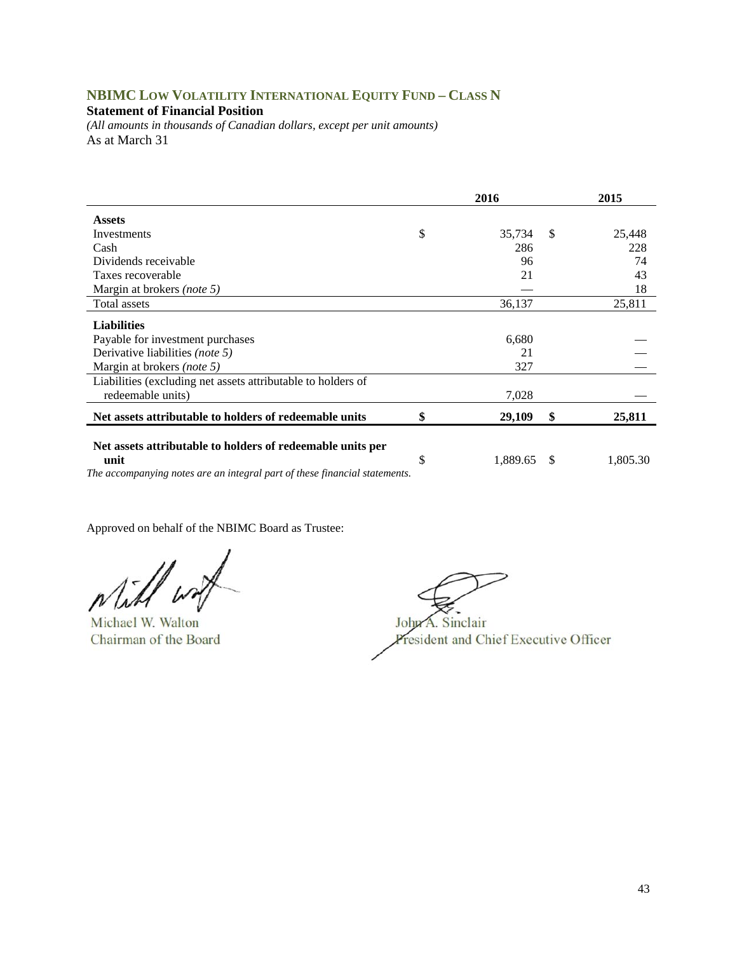## **NBIMC LOW VOLATILITY INTERNATIONAL EQUITY FUND – CLASS N**

### **Statement of Financial Position**

*(All amounts in thousands of Canadian dollars, except per unit amounts)*  As at March 31

|                                                                                                                                                  | 2016 |          |               | 2015     |  |
|--------------------------------------------------------------------------------------------------------------------------------------------------|------|----------|---------------|----------|--|
| <b>Assets</b>                                                                                                                                    |      |          |               |          |  |
| Investments                                                                                                                                      | \$   | 35,734   | <sup>\$</sup> | 25,448   |  |
| Cash                                                                                                                                             |      | 286      |               | 228      |  |
| Dividends receivable                                                                                                                             |      | 96       |               | 74       |  |
| Taxes recoverable                                                                                                                                |      | 21       |               | 43       |  |
| Margin at brokers <i>(note 5)</i>                                                                                                                |      |          |               | 18       |  |
| Total assets                                                                                                                                     |      | 36,137   |               | 25,811   |  |
| <b>Liabilities</b><br>Payable for investment purchases                                                                                           |      | 6,680    |               |          |  |
| Derivative liabilities (note 5)                                                                                                                  |      | 21       |               |          |  |
| Margin at brokers (note 5)                                                                                                                       |      | 327      |               |          |  |
| Liabilities (excluding net assets attributable to holders of<br>redeemable units)                                                                |      | 7,028    |               |          |  |
| Net assets attributable to holders of redeemable units                                                                                           | \$   | 29,109   | \$            | 25,811   |  |
| Net assets attributable to holders of redeemable units per<br>unit<br>The accompanying notes are an integral part of these financial statements. | \$   | 1,889.65 | S             | 1,805.30 |  |

Michael W. Walton Chairman of the Board

. Sinclair John President and Chief Executive Officer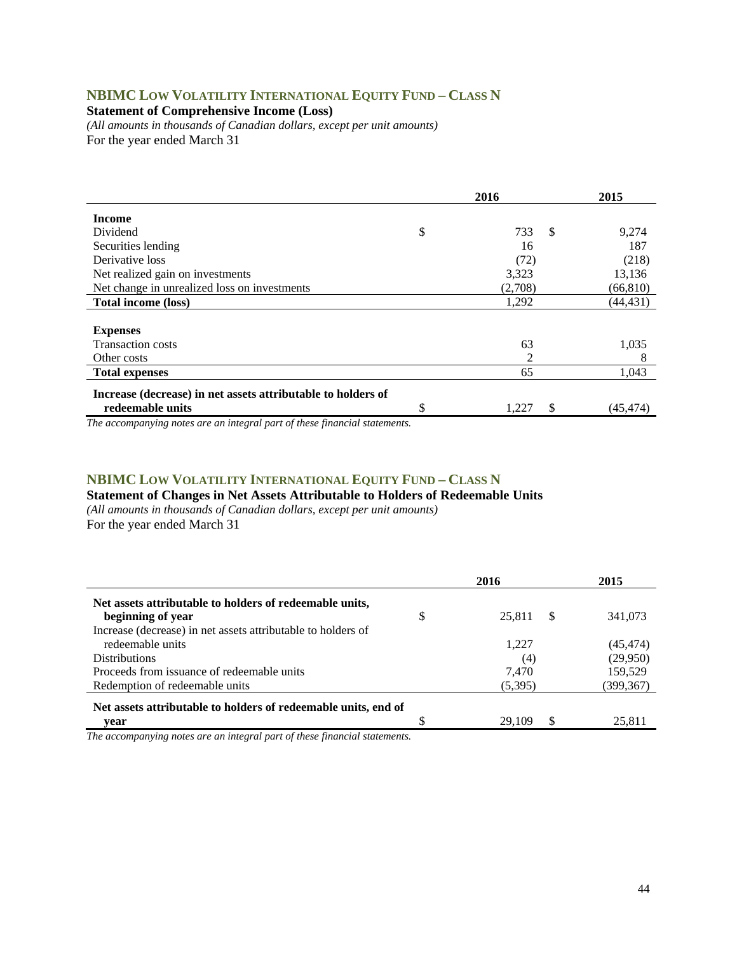### **NBIMC LOW VOLATILITY INTERNATIONAL EQUITY FUND – CLASS N**

**Statement of Comprehensive Income (Loss)** 

*(All amounts in thousands of Canadian dollars, except per unit amounts)*  For the year ended March 31

|                                                              |    | 2015    |                        |
|--------------------------------------------------------------|----|---------|------------------------|
| <b>Income</b>                                                |    |         |                        |
| Dividend                                                     | \$ | 733     | $\mathcal{S}$<br>9,274 |
| Securities lending                                           |    | 16      | 187                    |
| Derivative loss                                              |    | (72)    | (218)                  |
| Net realized gain on investments                             |    | 3,323   | 13,136                 |
| Net change in unrealized loss on investments                 |    | (2,708) | (66, 810)              |
| <b>Total income (loss)</b>                                   |    | 1,292   | (44,431)               |
|                                                              |    |         |                        |
| <b>Expenses</b>                                              |    |         |                        |
| <b>Transaction costs</b>                                     |    | 63      | 1,035                  |
| Other costs                                                  |    | 2       | 8                      |
| <b>Total expenses</b>                                        |    | 65      | 1,043                  |
| Increase (decrease) in net assets attributable to holders of |    |         |                        |
| redeemable units                                             | \$ | 1,227   | \$<br>(45,474)         |

*The accompanying notes are an integral part of these financial statements.*

### **NBIMC LOW VOLATILITY INTERNATIONAL EQUITY FUND – CLASS N**

**Statement of Changes in Net Assets Attributable to Holders of Redeemable Units**  *(All amounts in thousands of Canadian dollars, except per unit amounts)* 

For the year ended March 31

|              |    | 2015      |
|--------------|----|-----------|
|              |    |           |
| \$<br>25.811 | -S | 341,073   |
|              |    |           |
| 1,227        |    | (45, 474) |
| (4)          |    | (29,950)  |
| 7.470        |    | 159.529   |
| (5,395)      |    | (399,367) |
|              |    |           |
| 29.109       |    | 25,811    |
|              |    |           |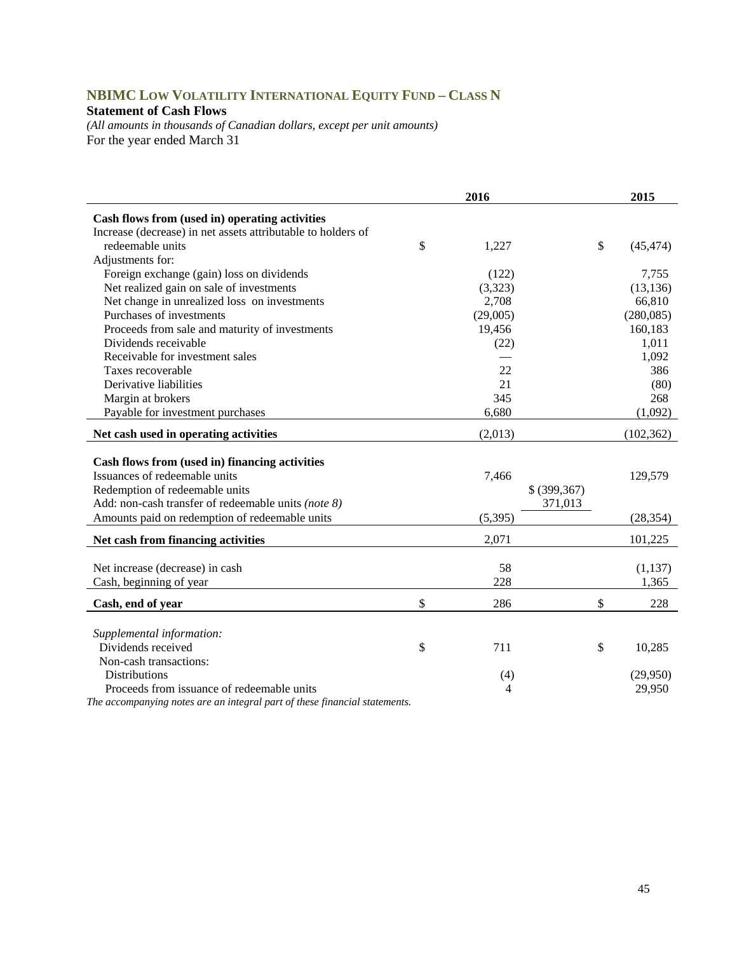## **NBIMC LOW VOLATILITY INTERNATIONAL EQUITY FUND – CLASS N**

### **Statement of Cash Flows**

*(All amounts in thousands of Canadian dollars, except per unit amounts)*  For the year ended March 31

|                                                                            |    | 2015     |               |                 |
|----------------------------------------------------------------------------|----|----------|---------------|-----------------|
| Cash flows from (used in) operating activities                             |    |          |               |                 |
| Increase (decrease) in net assets attributable to holders of               |    |          |               |                 |
| redeemable units                                                           | \$ | 1,227    |               | \$<br>(45, 474) |
| Adjustments for:                                                           |    |          |               |                 |
| Foreign exchange (gain) loss on dividends                                  |    | (122)    |               | 7,755           |
| Net realized gain on sale of investments                                   |    | (3,323)  |               | (13, 136)       |
| Net change in unrealized loss on investments                               |    | 2,708    |               | 66,810          |
| Purchases of investments                                                   |    | (29,005) |               | (280, 085)      |
| Proceeds from sale and maturity of investments                             |    | 19,456   |               | 160,183         |
| Dividends receivable                                                       |    | (22)     |               | 1,011           |
| Receivable for investment sales                                            |    |          |               | 1,092           |
| Taxes recoverable                                                          |    | 22       |               | 386             |
| Derivative liabilities                                                     |    | 21       |               | (80)            |
| Margin at brokers                                                          |    | 345      |               | 268             |
| Payable for investment purchases                                           |    | 6,680    |               | (1,092)         |
| Net cash used in operating activities                                      |    | (2,013)  |               | (102, 362)      |
|                                                                            |    |          |               |                 |
| Cash flows from (used in) financing activities                             |    |          |               |                 |
| Issuances of redeemable units                                              |    | 7,466    |               | 129,579         |
| Redemption of redeemable units                                             |    |          | \$ (399, 367) |                 |
| Add: non-cash transfer of redeemable units (note 8)                        |    |          | 371,013       |                 |
| Amounts paid on redemption of redeemable units                             |    | (5,395)  |               | (28, 354)       |
| Net cash from financing activities                                         |    | 2,071    |               | 101,225         |
| Net increase (decrease) in cash                                            |    | 58       |               | (1, 137)        |
| Cash, beginning of year                                                    |    | 228      |               | 1,365           |
|                                                                            |    |          |               |                 |
| Cash, end of year                                                          | \$ | 286      |               | \$<br>228       |
| Supplemental information:                                                  |    |          |               |                 |
| Dividends received                                                         | \$ | 711      |               | \$<br>10,285    |
| Non-cash transactions:                                                     |    |          |               |                 |
| <b>Distributions</b>                                                       |    | (4)      |               | (29,950)        |
| Proceeds from issuance of redeemable units                                 |    | 4        |               | 29,950          |
| The accompanying notes are an integral part of these financial statements. |    |          |               |                 |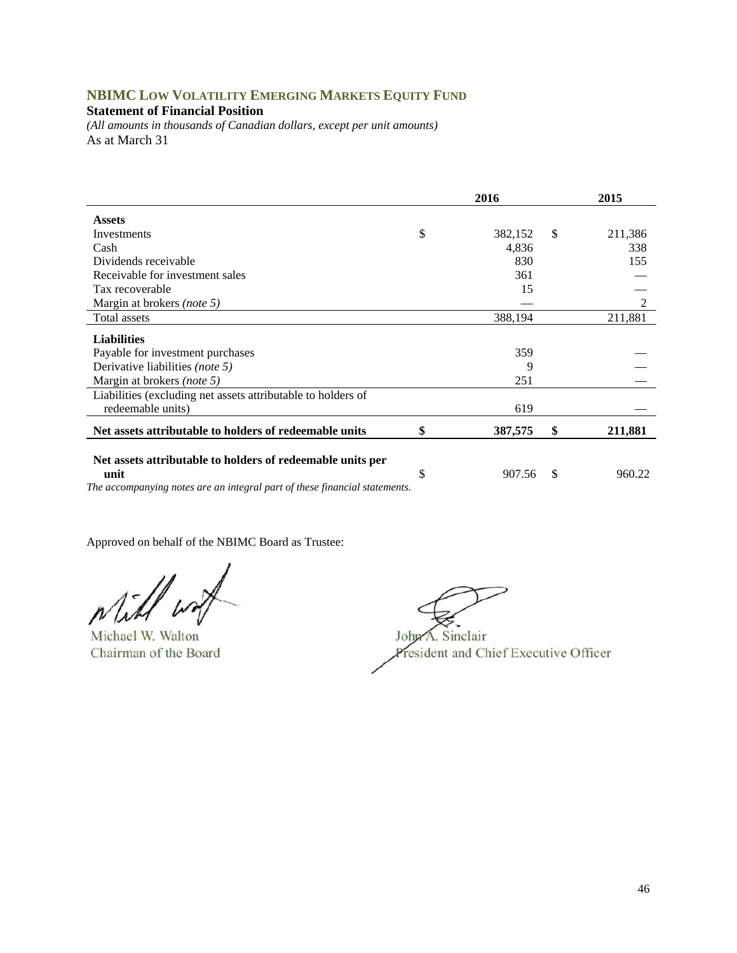## **NBIMC LOW VOLATILITY EMERGING MARKETS EQUITY FUND**

### **Statement of Financial Position**

*(All amounts in thousands of Canadian dollars, except per unit amounts)*  As at March 31

|                                                                            | 2016 |         |               | 2015    |
|----------------------------------------------------------------------------|------|---------|---------------|---------|
| <b>Assets</b>                                                              |      |         |               |         |
| Investments                                                                | \$   | 382,152 | \$            | 211,386 |
| Cash                                                                       |      | 4,836   |               | 338     |
| Dividends receivable                                                       |      | 830     |               | 155     |
| Receivable for investment sales                                            |      | 361     |               |         |
| Tax recoverable                                                            |      | 15      |               |         |
| Margin at brokers (note 5)                                                 |      |         |               | 2       |
| Total assets                                                               |      | 388,194 |               | 211,881 |
| <b>Liabilities</b>                                                         |      |         |               |         |
| Payable for investment purchases                                           |      | 359     |               |         |
| Derivative liabilities (note 5)                                            |      | 9       |               |         |
| Margin at brokers (note 5)                                                 |      | 251     |               |         |
| Liabilities (excluding net assets attributable to holders of               |      |         |               |         |
| redeemable units)                                                          |      | 619     |               |         |
| Net assets attributable to holders of redeemable units                     | \$   | 387,575 | \$            | 211,881 |
|                                                                            |      |         |               |         |
| Net assets attributable to holders of redeemable units per                 |      |         |               |         |
| unit                                                                       | \$   | 907.56  | <sup>\$</sup> | 960.22  |
| The accompanying notes are an integral part of these financial statements. |      |         |               |         |

Michael W. Walton Chairman of the Board

John A. Sinclair President and Chief Executive Officer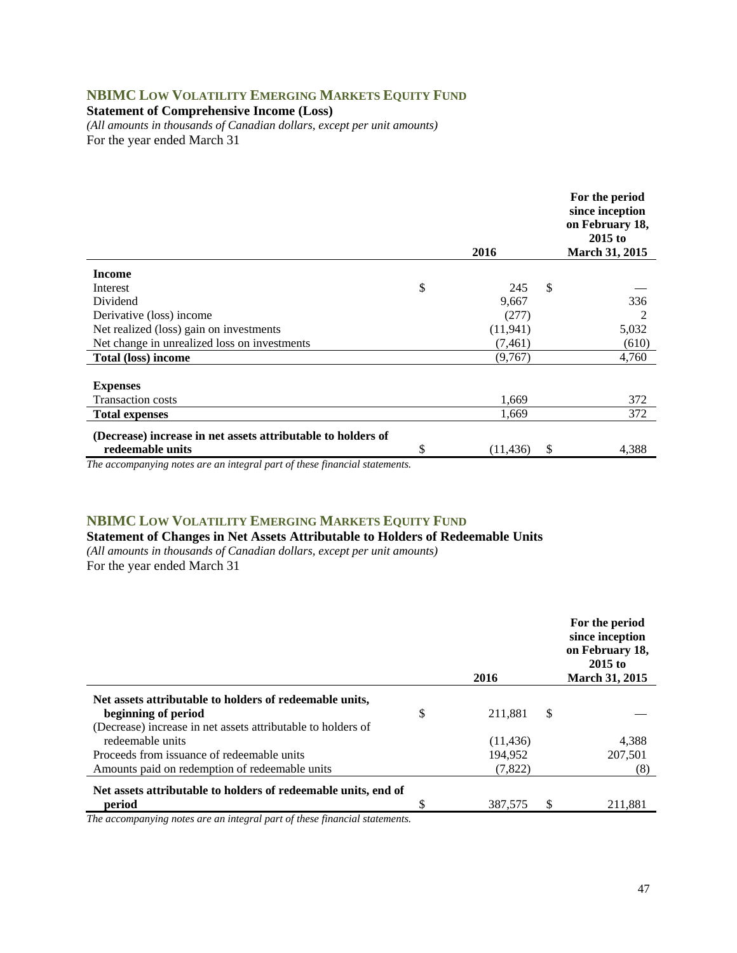### **NBIMC LOW VOLATILITY EMERGING MARKETS EQUITY FUND**

**Statement of Comprehensive Income (Loss)** 

*(All amounts in thousands of Canadian dollars, except per unit amounts)*  For the year ended March 31

|                                                                            | 2016            | For the period<br>since inception<br>on February 18,<br>$2015$ to<br><b>March 31, 2015</b> |
|----------------------------------------------------------------------------|-----------------|--------------------------------------------------------------------------------------------|
| <b>Income</b>                                                              |                 |                                                                                            |
| Interest                                                                   | \$<br>245       | \$                                                                                         |
|                                                                            |                 |                                                                                            |
| Dividend                                                                   | 9,667           | 336                                                                                        |
| Derivative (loss) income                                                   | (277)           |                                                                                            |
| Net realized (loss) gain on investments                                    | (11,941)        | 5,032                                                                                      |
| Net change in unrealized loss on investments                               | (7, 461)        | (610)                                                                                      |
| <b>Total (loss) income</b>                                                 | (9,767)         | 4,760                                                                                      |
| <b>Expenses</b>                                                            |                 |                                                                                            |
| <b>Transaction costs</b>                                                   | 1,669           | 372                                                                                        |
| <b>Total expenses</b>                                                      | 1,669           | 372                                                                                        |
| (Decrease) increase in net assets attributable to holders of               |                 |                                                                                            |
| redeemable units                                                           | \$<br>(11, 436) | \$<br>4,388                                                                                |
| The accompanying notes are an integral part of these financial statements. |                 |                                                                                            |

### **NBIMC LOW VOLATILITY EMERGING MARKETS EQUITY FUND**

**Statement of Changes in Net Assets Attributable to Holders of Redeemable Units**  *(All amounts in thousands of Canadian dollars, except per unit amounts)* 

For the year ended March 31

|                                                                                     | 2016          |   | For the period<br>since inception<br>on February 18,<br>$2015$ to<br><b>March 31, 2015</b> |
|-------------------------------------------------------------------------------------|---------------|---|--------------------------------------------------------------------------------------------|
| Net assets attributable to holders of redeemable units,                             | \$<br>211.881 |   |                                                                                            |
| beginning of period<br>(Decrease) increase in net assets attributable to holders of |               | S |                                                                                            |
| redeemable units                                                                    | (11, 436)     |   | 4,388                                                                                      |
| Proceeds from issuance of redeemable units                                          | 194.952       |   | 207.501                                                                                    |
| Amounts paid on redemption of redeemable units                                      | (7,822)       |   | (8)                                                                                        |
| Net assets attributable to holders of redeemable units, end of                      |               |   |                                                                                            |
| period                                                                              | 387,575       |   | 211,881                                                                                    |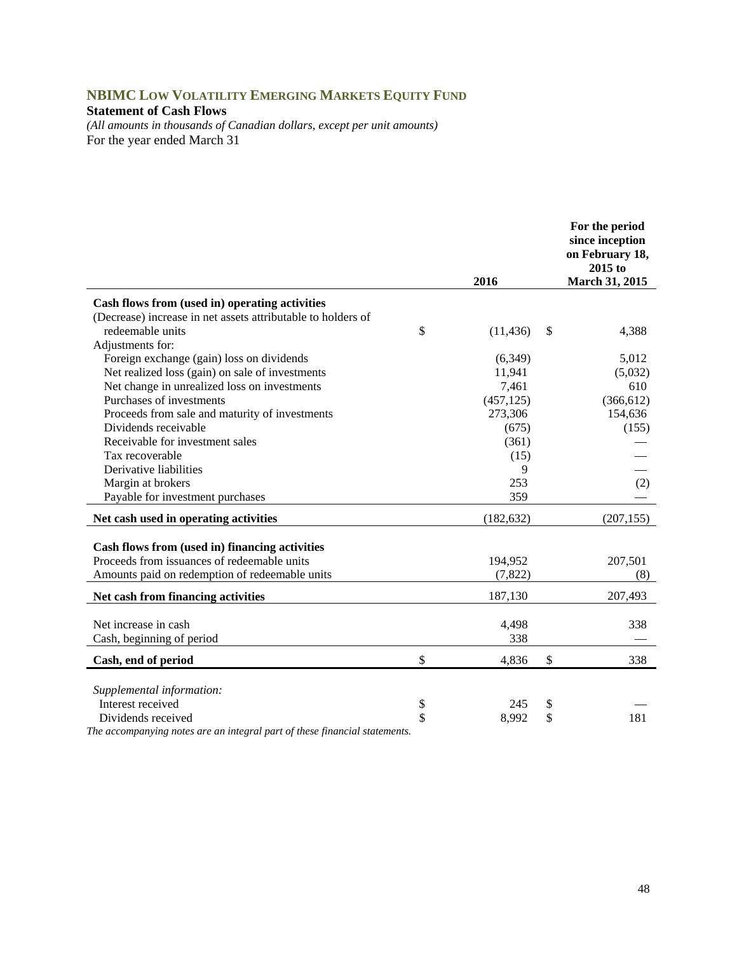# **NBIMC LOW VOLATILITY EMERGING MARKETS EQUITY FUND**

#### **Statement of Cash Flows**

*(All amounts in thousands of Canadian dollars, except per unit amounts)*  For the year ended March 31

|                                                              |                 | For the period<br>since inception<br>on February 18,<br>2015 to |
|--------------------------------------------------------------|-----------------|-----------------------------------------------------------------|
|                                                              | 2016            | March 31, 2015                                                  |
| Cash flows from (used in) operating activities               |                 |                                                                 |
| (Decrease) increase in net assets attributable to holders of |                 |                                                                 |
| redeemable units                                             | \$<br>(11, 436) | \$<br>4,388                                                     |
| Adjustments for:                                             |                 |                                                                 |
| Foreign exchange (gain) loss on dividends                    | (6, 349)        | 5,012                                                           |
| Net realized loss (gain) on sale of investments              | 11,941          | (5,032)                                                         |
| Net change in unrealized loss on investments                 | 7,461           | 610                                                             |
| Purchases of investments                                     | (457, 125)      | (366, 612)                                                      |
| Proceeds from sale and maturity of investments               | 273,306         | 154,636                                                         |
| Dividends receivable                                         | (675)           | (155)                                                           |
| Receivable for investment sales                              | (361)           |                                                                 |
| Tax recoverable                                              | (15)            |                                                                 |
| Derivative liabilities                                       | 9               |                                                                 |
| Margin at brokers                                            | 253             | (2)                                                             |
| Payable for investment purchases                             | 359             |                                                                 |
| Net cash used in operating activities                        | (182, 632)      | (207, 155)                                                      |
|                                                              |                 |                                                                 |
| Cash flows from (used in) financing activities               |                 |                                                                 |
| Proceeds from issuances of redeemable units                  | 194,952         | 207,501                                                         |
| Amounts paid on redemption of redeemable units               | (7, 822)        | (8)                                                             |
| Net cash from financing activities                           | 187,130         | 207,493                                                         |
|                                                              |                 |                                                                 |
| Net increase in cash                                         | 4,498           | 338                                                             |
| Cash, beginning of period                                    | 338             |                                                                 |
| Cash, end of period                                          | \$<br>4,836     | \$<br>338                                                       |
|                                                              |                 |                                                                 |
| Supplemental information:                                    |                 |                                                                 |
| Interest received                                            | \$<br>245       | \$                                                              |
| Dividends received                                           | \$<br>8,992     | \$<br>181                                                       |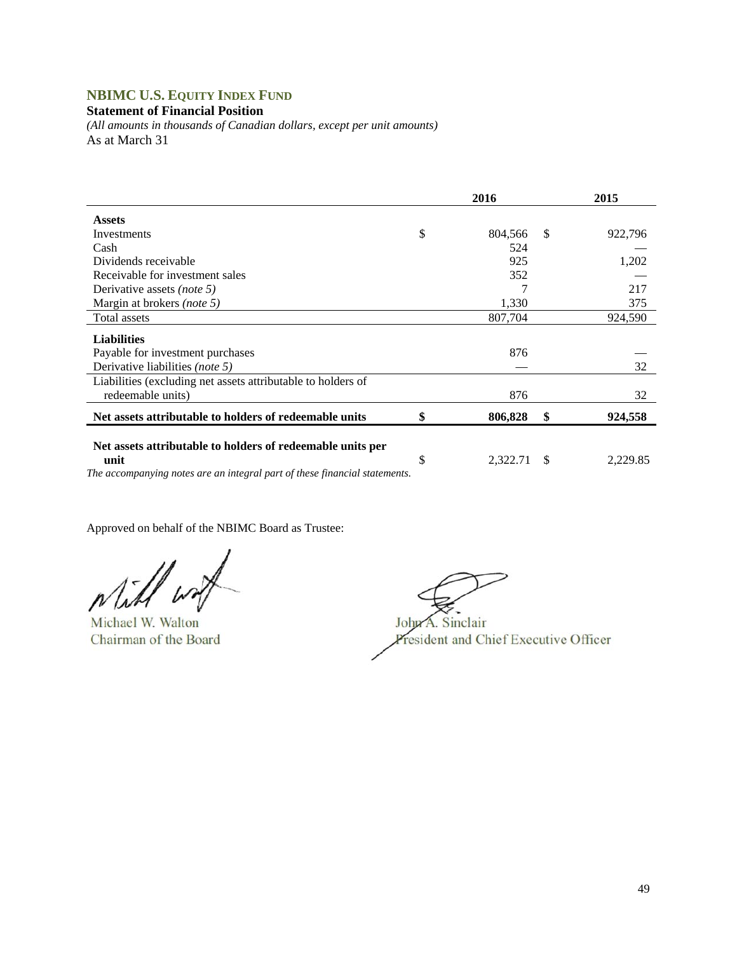# **NBIMC U.S. EQUITY INDEX FUND**

**Statement of Financial Position** 

*(All amounts in thousands of Canadian dollars, except per unit amounts)*  As at March 31

|                                                                                                                                                  | 2016 |          |    | 2015     |
|--------------------------------------------------------------------------------------------------------------------------------------------------|------|----------|----|----------|
| <b>Assets</b>                                                                                                                                    |      |          |    |          |
| Investments                                                                                                                                      | \$   | 804,566  | \$ | 922,796  |
| Cash                                                                                                                                             |      | 524      |    |          |
| Dividends receivable                                                                                                                             |      | 925      |    | 1,202    |
| Receivable for investment sales                                                                                                                  |      | 352      |    |          |
| Derivative assets <i>(note 5)</i>                                                                                                                |      |          |    | 217      |
| Margin at brokers (note 5)                                                                                                                       |      | 1,330    |    | 375      |
| Total assets                                                                                                                                     |      | 807,704  |    | 924,590  |
| <b>Liabilities</b>                                                                                                                               |      |          |    |          |
| Payable for investment purchases                                                                                                                 |      | 876      |    |          |
| Derivative liabilities <i>(note 5)</i>                                                                                                           |      |          |    | 32       |
| Liabilities (excluding net assets attributable to holders of                                                                                     |      |          |    |          |
| redeemable units)                                                                                                                                |      | 876      |    | 32       |
| Net assets attributable to holders of redeemable units                                                                                           | \$   | 806,828  | \$ | 924,558  |
| Net assets attributable to holders of redeemable units per<br>unit<br>The accompanying notes are an integral part of these financial statements. | \$   | 2,322.71 | S  | 2,229.85 |

 $\mu$ 

Michael W. Walton Chairman of the Board

John A. Sinclair President and Chief Executive Officer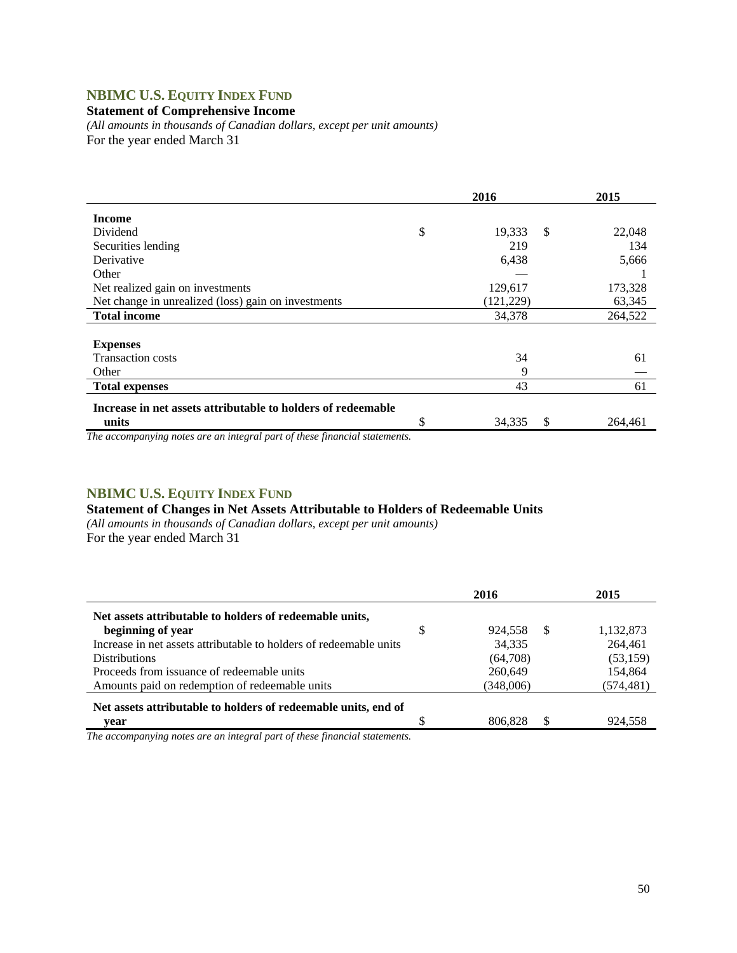## **NBIMC U.S. EQUITY INDEX FUND**

#### **Statement of Comprehensive Income**

*(All amounts in thousands of Canadian dollars, except per unit amounts)*  For the year ended March 31

|                                                              | 2016 |            |    | 2015    |
|--------------------------------------------------------------|------|------------|----|---------|
| <b>Income</b>                                                |      |            |    |         |
| Dividend                                                     | \$   | 19,333     | \$ | 22,048  |
| Securities lending                                           |      | 219        |    | 134     |
| Derivative                                                   |      | 6,438      |    | 5,666   |
| Other                                                        |      |            |    |         |
| Net realized gain on investments                             |      | 129,617    |    | 173,328 |
| Net change in unrealized (loss) gain on investments          |      | (121, 229) |    | 63,345  |
| <b>Total income</b>                                          |      | 34,378     |    | 264,522 |
|                                                              |      |            |    |         |
| <b>Expenses</b>                                              |      |            |    |         |
| <b>Transaction costs</b>                                     |      | 34         |    | 61      |
| Other                                                        |      | 9          |    |         |
| <b>Total expenses</b>                                        |      | 43         |    | 61      |
| Increase in net assets attributable to holders of redeemable |      |            |    |         |
| units                                                        | \$   | 34,335     | \$ | 264,461 |

*The accompanying notes are an integral part of these financial statements.*

### **NBIMC U.S. EQUITY INDEX FUND**

#### **Statement of Changes in Net Assets Attributable to Holders of Redeemable Units**

*(All amounts in thousands of Canadian dollars, except per unit amounts)*  For the year ended March 31

|                                                                                                         | 2016          |    | 2015       |
|---------------------------------------------------------------------------------------------------------|---------------|----|------------|
| Net assets attributable to holders of redeemable units,                                                 |               |    |            |
| beginning of year                                                                                       | \$<br>924,558 | -S | 1,132,873  |
| Increase in net assets attributable to holders of redeemable units                                      | 34,335        |    | 264,461    |
| <b>Distributions</b>                                                                                    | (64,708)      |    | (53, 159)  |
| Proceeds from issuance of redeemable units                                                              | 260,649       |    | 154,864    |
| Amounts paid on redemption of redeemable units                                                          | (348,006)     |    | (574, 481) |
| Net assets attributable to holders of redeemable units, end of                                          |               |    |            |
| vear                                                                                                    | 806.828       | \$ | 924,558    |
| $\cdot$ $\cdot$ $\cdot$ $\cdot$ $\cdot$ $\cdot$ $\cdot$ $\cdot$<br>$\sim$<br>$\cdots$ $\cdots$ $\cdots$ |               |    |            |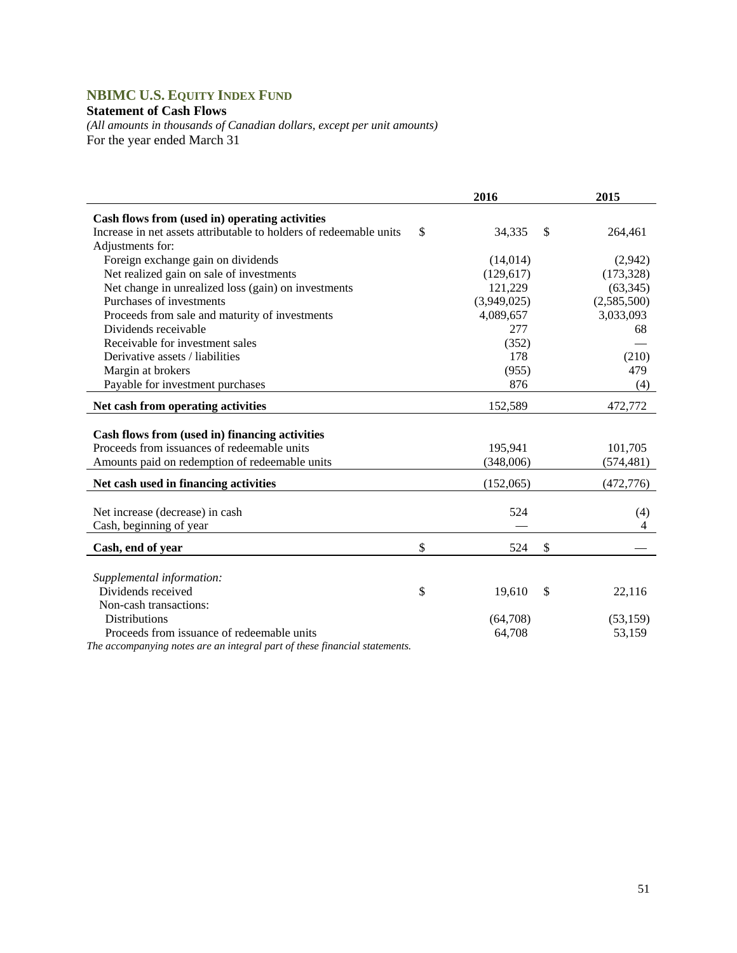# **NBIMC U.S. EQUITY INDEX FUND**

### **Statement of Cash Flows**

*(All amounts in thousands of Canadian dollars, except per unit amounts)*  For the year ended March 31

|                                                                                                                                                                           | 2016               |               | 2015                |
|---------------------------------------------------------------------------------------------------------------------------------------------------------------------------|--------------------|---------------|---------------------|
| Cash flows from (used in) operating activities                                                                                                                            |                    |               |                     |
| Increase in net assets attributable to holders of redeemable units                                                                                                        | \$<br>34,335       | <sup>\$</sup> | 264,461             |
| Adjustments for:                                                                                                                                                          |                    |               |                     |
| Foreign exchange gain on dividends                                                                                                                                        | (14,014)           |               | (2,942)             |
| Net realized gain on sale of investments                                                                                                                                  | (129,617)          |               | (173, 328)          |
| Net change in unrealized loss (gain) on investments                                                                                                                       | 121,229            |               | (63, 345)           |
| Purchases of investments                                                                                                                                                  | (3,949,025)        |               | (2,585,500)         |
| Proceeds from sale and maturity of investments                                                                                                                            | 4,089,657          |               | 3,033,093           |
| Dividends receivable                                                                                                                                                      | 277                |               | 68                  |
| Receivable for investment sales                                                                                                                                           | (352)              |               |                     |
| Derivative assets / liabilities                                                                                                                                           | 178                |               | (210)               |
| Margin at brokers                                                                                                                                                         | (955)              |               | 479                 |
| Payable for investment purchases                                                                                                                                          | 876                |               | (4)                 |
| Net cash from operating activities                                                                                                                                        | 152,589            |               | 472,772             |
|                                                                                                                                                                           |                    |               |                     |
| Cash flows from (used in) financing activities                                                                                                                            |                    |               |                     |
| Proceeds from issuances of redeemable units                                                                                                                               | 195.941            |               | 101,705             |
| Amounts paid on redemption of redeemable units                                                                                                                            | (348,006)          |               | (574, 481)          |
| Net cash used in financing activities                                                                                                                                     | (152,065)          |               | (472, 776)          |
| Net increase (decrease) in cash                                                                                                                                           | 524                |               | (4)                 |
| Cash, beginning of year                                                                                                                                                   |                    |               | 4                   |
|                                                                                                                                                                           |                    |               |                     |
| Cash, end of year                                                                                                                                                         | \$<br>524          | \$            |                     |
|                                                                                                                                                                           |                    |               |                     |
| Supplemental information:                                                                                                                                                 |                    |               |                     |
| Dividends received                                                                                                                                                        | \$<br>19,610       | \$            | 22,116              |
|                                                                                                                                                                           |                    |               |                     |
|                                                                                                                                                                           |                    |               |                     |
|                                                                                                                                                                           |                    |               |                     |
| Non-cash transactions:<br><b>Distributions</b><br>Proceeds from issuance of redeemable units<br>The accompanying notes are an integral part of these financial statements | (64,708)<br>64,708 |               | (53, 159)<br>53,159 |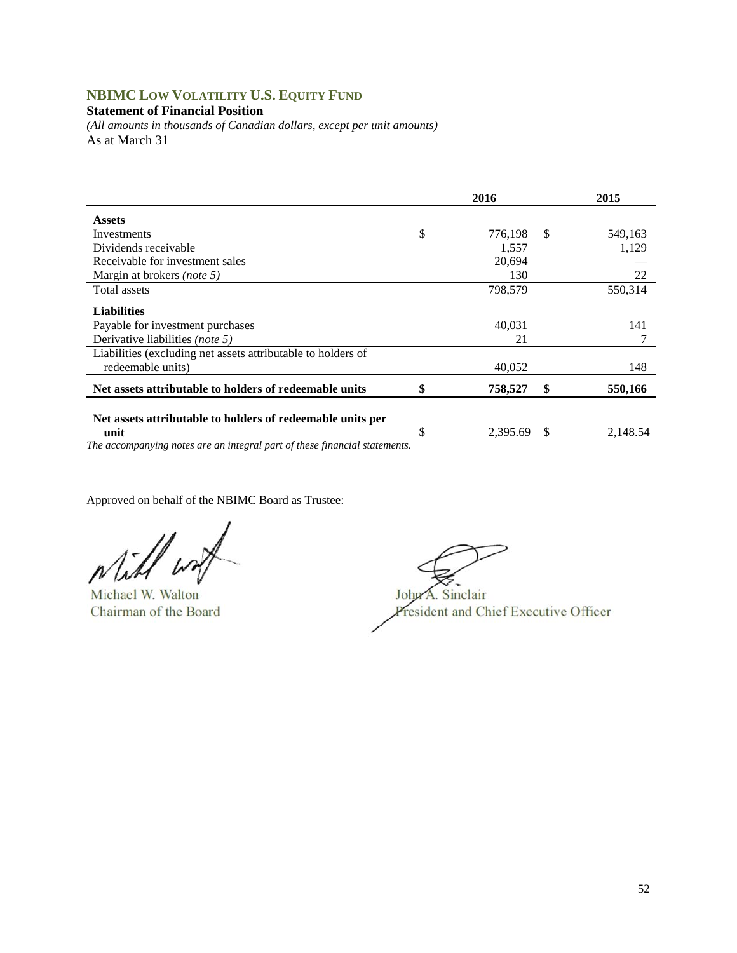# **NBIMC LOW VOLATILITY U.S. EQUITY FUND**

### **Statement of Financial Position**

*(All amounts in thousands of Canadian dollars, except per unit amounts)*  As at March 31

|                                                                            | 2016 |          |    | 2015     |
|----------------------------------------------------------------------------|------|----------|----|----------|
| <b>Assets</b>                                                              |      |          |    |          |
| Investments                                                                | \$   | 776,198  | \$ | 549,163  |
| Dividends receivable                                                       |      | 1,557    |    | 1,129    |
| Receivable for investment sales                                            |      | 20,694   |    |          |
| Margin at brokers <i>(note 5)</i>                                          |      | 130      |    | 22       |
| Total assets                                                               |      | 798,579  |    | 550,314  |
| <b>Liabilities</b>                                                         |      |          |    |          |
| Payable for investment purchases                                           |      | 40,031   |    | 141      |
| Derivative liabilities (note 5)                                            |      | 21       |    |          |
| Liabilities (excluding net assets attributable to holders of               |      |          |    |          |
| redeemable units)                                                          |      | 40,052   |    | 148      |
| Net assets attributable to holders of redeemable units                     | \$   | 758,527  | \$ | 550,166  |
|                                                                            |      |          |    |          |
| Net assets attributable to holders of redeemable units per                 |      |          |    |          |
| unit                                                                       | \$   | 2,395.69 | \$ | 2,148.54 |
| The accompanying notes are an integral part of these financial statements. |      |          |    |          |

p

Michael W. Walton Chairman of the Board

John A. Sinclair President and Chief Executive Officer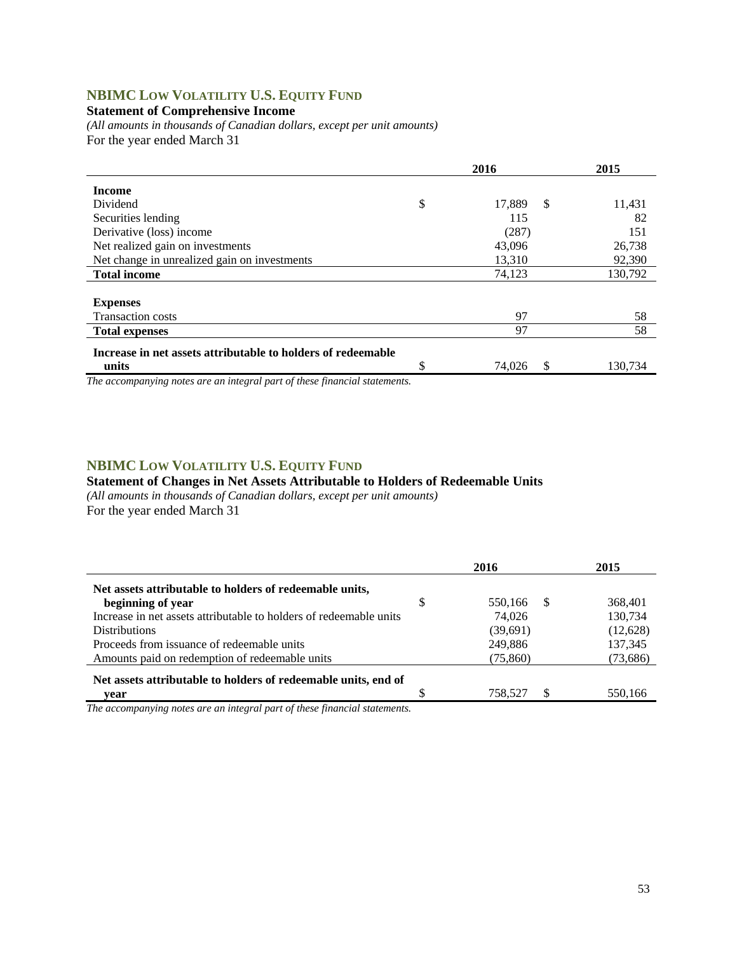# **NBIMC LOW VOLATILITY U.S. EQUITY FUND**

### **Statement of Comprehensive Income**

*(All amounts in thousands of Canadian dollars, except per unit amounts)*  For the year ended March 31

|                                                              | 2016         | 2015          |
|--------------------------------------------------------------|--------------|---------------|
| <b>Income</b>                                                |              |               |
| Dividend                                                     | \$<br>17.889 | -S<br>11,431  |
| Securities lending                                           | 115          | 82            |
| Derivative (loss) income                                     | (287)        | 151           |
| Net realized gain on investments                             | 43,096       | 26,738        |
| Net change in unrealized gain on investments                 | 13,310       | 92,390        |
| <b>Total income</b>                                          | 74,123       | 130,792       |
|                                                              |              |               |
| <b>Expenses</b>                                              |              |               |
| <b>Transaction costs</b>                                     | 97           | 58            |
| <b>Total expenses</b>                                        | 97           | 58            |
| Increase in net assets attributable to holders of redeemable |              |               |
| units                                                        | \$<br>74,026 | \$<br>130.734 |

*The accompanying notes are an integral part of these financial statements.*

### **NBIMC LOW VOLATILITY U.S. EQUITY FUND**

#### **Statement of Changes in Net Assets Attributable to Holders of Redeemable Units**

*(All amounts in thousands of Canadian dollars, except per unit amounts)*  For the year ended March 31

|                                                                    | 2016                | 2015      |
|--------------------------------------------------------------------|---------------------|-----------|
| Net assets attributable to holders of redeemable units,            |                     |           |
| beginning of year                                                  | \$<br>-S<br>550,166 | 368,401   |
| Increase in net assets attributable to holders of redeemable units | 74.026              | 130.734   |
| <b>Distributions</b>                                               | (39,691)            | (12, 628) |
| Proceeds from issuance of redeemable units                         | 249.886             | 137,345   |
| Amounts paid on redemption of redeemable units                     | (75, 860)           | (73,686)  |
| Net assets attributable to holders of redeemable units, end of     |                     |           |
| vear                                                               | S.<br>758.527       | 550,166   |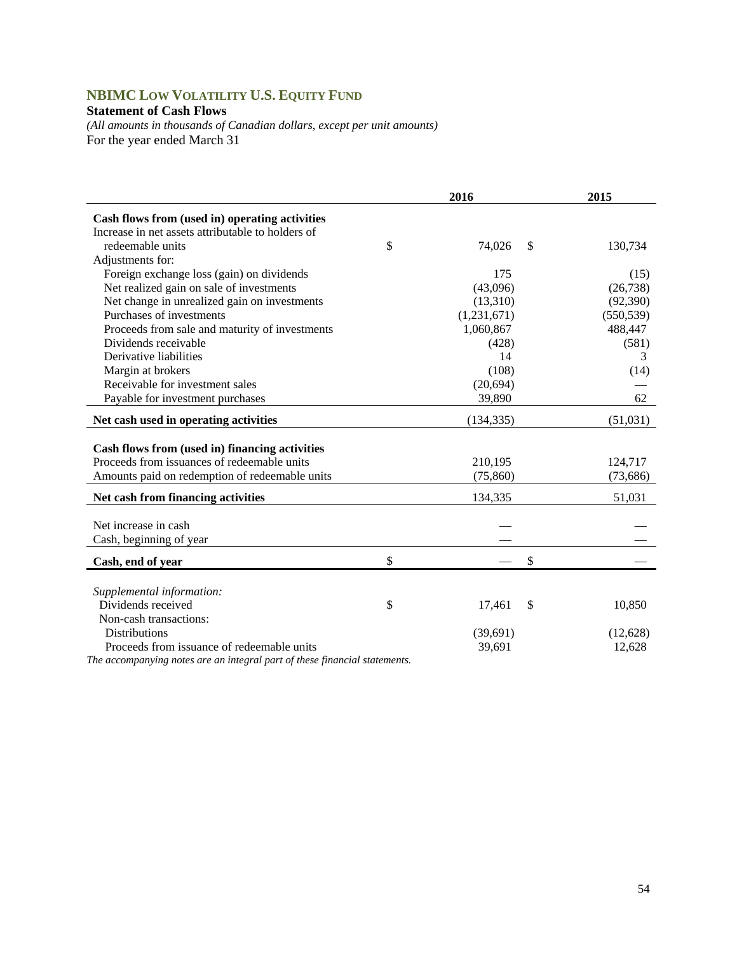# **NBIMC LOW VOLATILITY U.S. EQUITY FUND**

### **Statement of Cash Flows**

*(All amounts in thousands of Canadian dollars, except per unit amounts)*  For the year ended March 31

|                                                                            | 2016         |               | 2015       |
|----------------------------------------------------------------------------|--------------|---------------|------------|
| Cash flows from (used in) operating activities                             |              |               |            |
| Increase in net assets attributable to holders of                          |              |               |            |
| redeemable units                                                           | \$<br>74,026 | $\mathbb{S}$  | 130,734    |
| Adjustments for:                                                           |              |               |            |
| Foreign exchange loss (gain) on dividends                                  | 175          |               | (15)       |
| Net realized gain on sale of investments                                   | (43,096)     |               | (26, 738)  |
| Net change in unrealized gain on investments                               | (13,310)     |               | (92, 390)  |
| Purchases of investments                                                   | (1,231,671)  |               | (550, 539) |
| Proceeds from sale and maturity of investments                             | 1,060,867    |               | 488,447    |
| Dividends receivable                                                       | (428)        |               | (581)      |
| Derivative liabilities                                                     | 14           |               | 3          |
| Margin at brokers                                                          | (108)        |               | (14)       |
| Receivable for investment sales                                            | (20, 694)    |               |            |
| Payable for investment purchases                                           | 39,890       |               | 62         |
| Net cash used in operating activities                                      | (134, 335)   |               | (51,031)   |
|                                                                            |              |               |            |
| Cash flows from (used in) financing activities                             |              |               |            |
| Proceeds from issuances of redeemable units                                | 210,195      |               | 124,717    |
| Amounts paid on redemption of redeemable units                             | (75, 860)    |               | (73, 686)  |
| Net cash from financing activities                                         | 134,335      |               | 51,031     |
| Net increase in cash                                                       |              |               |            |
|                                                                            |              |               |            |
| Cash, beginning of year                                                    |              |               |            |
| Cash, end of year                                                          | \$           | \$            |            |
|                                                                            |              |               |            |
| Supplemental information:                                                  |              |               |            |
| Dividends received                                                         | \$<br>17,461 | $\mathcal{S}$ | 10,850     |
| Non-cash transactions:                                                     |              |               |            |
| <b>Distributions</b>                                                       | (39,691)     |               | (12,628)   |
| Proceeds from issuance of redeemable units                                 | 39,691       |               | 12,628     |
| The accompanying notes are an integral part of these financial statements. |              |               |            |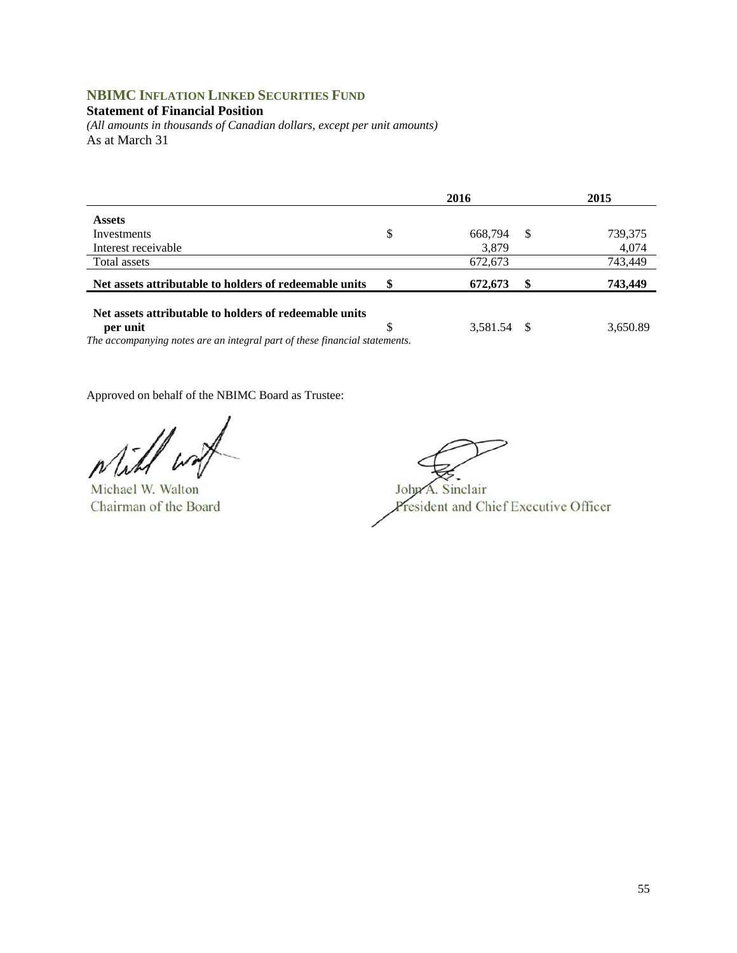## **NBIMC INFLATION LINKED SECURITIES FUND**

### **Statement of Financial Position**

*(All amounts in thousands of Canadian dollars, except per unit amounts)*  As at March 31

|                                                        | 2016          |               | 2015     |
|--------------------------------------------------------|---------------|---------------|----------|
| <b>Assets</b>                                          |               |               |          |
| Investments                                            | \$<br>668,794 | <sup>\$</sup> | 739,375  |
| Interest receivable                                    | 3,879         |               | 4,074    |
| Total assets                                           | 672,673       |               | 743,449  |
| Net assets attributable to holders of redeemable units | \$<br>672,673 | \$            | 743,449  |
|                                                        |               |               |          |
| Net assets attributable to holders of redeemable units |               |               |          |
| per unit<br>.                                          | 3,581.54 \$   |               | 3,650.89 |

*The accompanying notes are an integral part of these financial statements.* 

 $\widetilde{\mathcal{M}}$ 

Michael W. Walton Chairman of the Board

John A. Sinclair President and Chief Executive Officer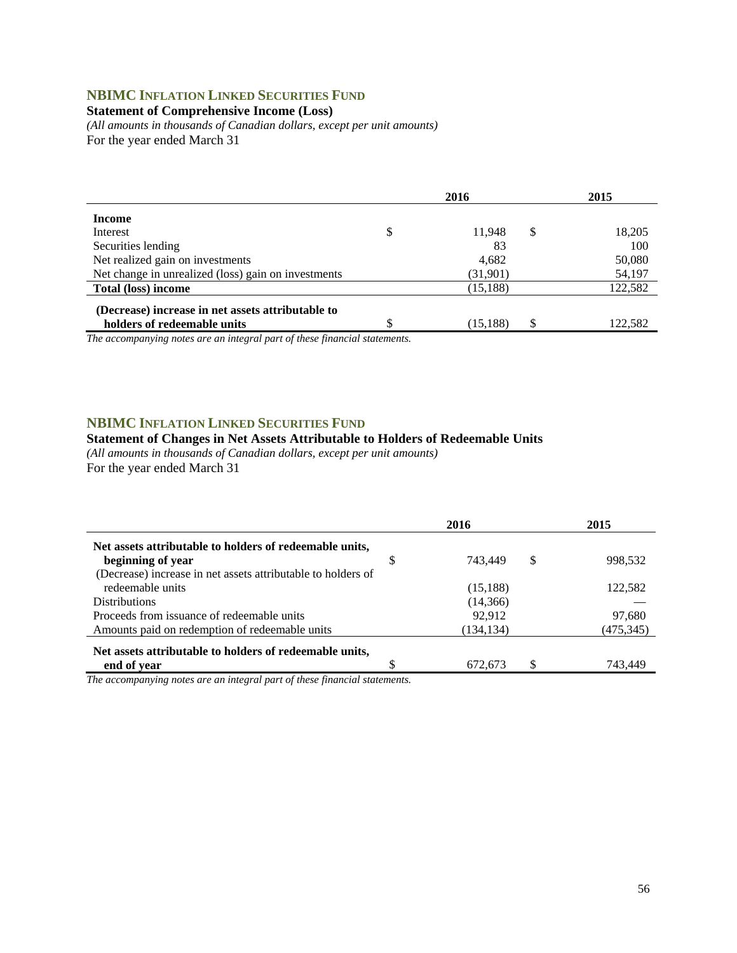### **NBIMC INFLATION LINKED SECURITIES FUND**

#### **Statement of Comprehensive Income (Loss)**

*(All amounts in thousands of Canadian dollars, except per unit amounts)*  For the year ended March 31

|                                                     | 2016         | 2015          |
|-----------------------------------------------------|--------------|---------------|
| <b>Income</b>                                       |              |               |
| Interest                                            | \$<br>11.948 | \$<br>18,205  |
| Securities lending                                  | 83           | 100           |
| Net realized gain on investments                    | 4,682        | 50,080        |
| Net change in unrealized (loss) gain on investments | (31,901)     | 54,197        |
| <b>Total (loss) income</b>                          | (15, 188)    | 122,582       |
| (Decrease) increase in net assets attributable to   |              |               |
| holders of redeemable units                         | (15, 188)    | \$<br>122.582 |

*The accompanying notes are an integral part of these financial statements.*

#### **NBIMC INFLATION LINKED SECURITIES FUND**

### **Statement of Changes in Net Assets Attributable to Holders of Redeemable Units**

*(All amounts in thousands of Canadian dollars, except per unit amounts)*  For the year ended March 31

|                                                              |   | 2016       |   | 2015      |
|--------------------------------------------------------------|---|------------|---|-----------|
| Net assets attributable to holders of redeemable units,      |   |            |   |           |
| beginning of year                                            | S | 743.449    | S | 998.532   |
| (Decrease) increase in net assets attributable to holders of |   |            |   |           |
| redeemable units                                             |   | (15, 188)  |   | 122,582   |
| <b>Distributions</b>                                         |   | (14,366)   |   |           |
| Proceeds from issuance of redeemable units                   |   | 92.912     |   | 97,680    |
| Amounts paid on redemption of redeemable units               |   | (134, 134) |   | (475,345) |
| Net assets attributable to holders of redeemable units,      |   |            |   |           |
| end of year                                                  |   | 672.673    |   | 743.449   |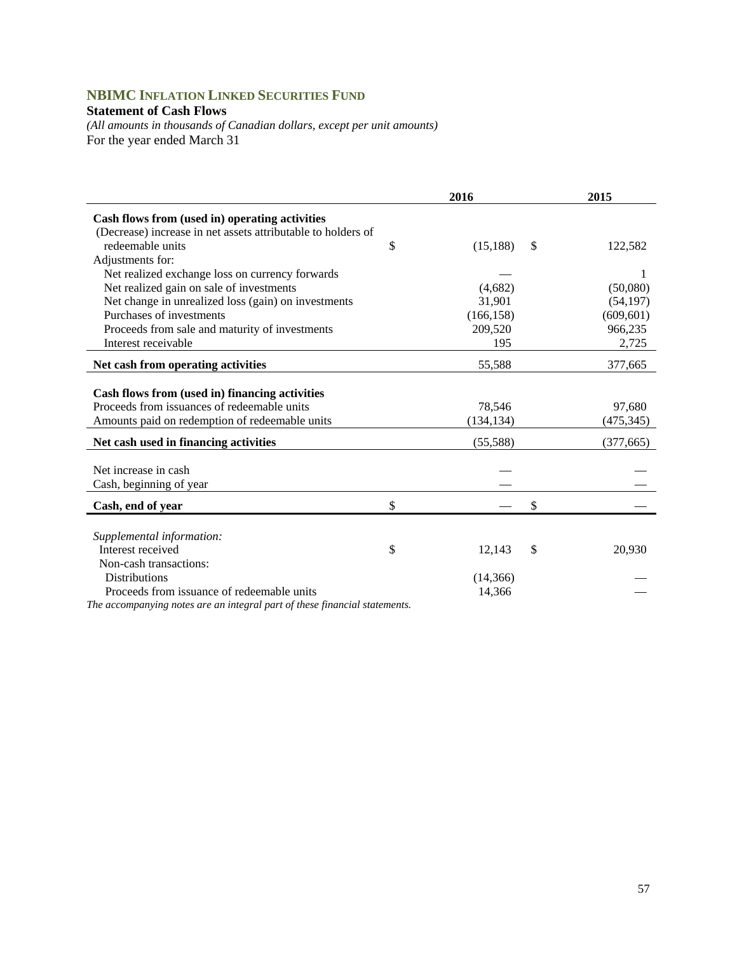# **NBIMC INFLATION LINKED SECURITIES FUND**

### **Statement of Cash Flows**

*(All amounts in thousands of Canadian dollars, except per unit amounts)*  For the year ended March 31

|                                                                           | 2016            | 2015          |
|---------------------------------------------------------------------------|-----------------|---------------|
| Cash flows from (used in) operating activities                            |                 |               |
| (Decrease) increase in net assets attributable to holders of              |                 |               |
| redeemable units                                                          | \$<br>(15, 188) | \$<br>122,582 |
| Adjustments for:                                                          |                 |               |
| Net realized exchange loss on currency forwards                           |                 |               |
| Net realized gain on sale of investments                                  | (4,682)         | (50,080)      |
| Net change in unrealized loss (gain) on investments                       | 31,901          | (54, 197)     |
| Purchases of investments                                                  | (166, 158)      | (609, 601)    |
| Proceeds from sale and maturity of investments                            | 209,520         | 966,235       |
| Interest receivable                                                       | 195             | 2,725         |
| Net cash from operating activities                                        | 55,588          | 377,665       |
|                                                                           |                 |               |
| Cash flows from (used in) financing activities                            |                 |               |
| Proceeds from issuances of redeemable units                               | 78,546          | 97,680        |
| Amounts paid on redemption of redeemable units                            | (134, 134)      | (475, 345)    |
| Net cash used in financing activities                                     | (55,588)        | (377, 665)    |
|                                                                           |                 |               |
| Net increase in cash                                                      |                 |               |
| Cash, beginning of year                                                   |                 |               |
| Cash, end of year                                                         | \$              | \$            |
| Supplemental information:                                                 |                 |               |
| Interest received                                                         | \$<br>12,143    | \$<br>20,930  |
| Non-cash transactions:                                                    |                 |               |
| <b>Distributions</b>                                                      | (14, 366)       |               |
| Proceeds from issuance of redeemable units                                | 14,366          |               |
| The accompanying notes are an integral part of these financial statements |                 |               |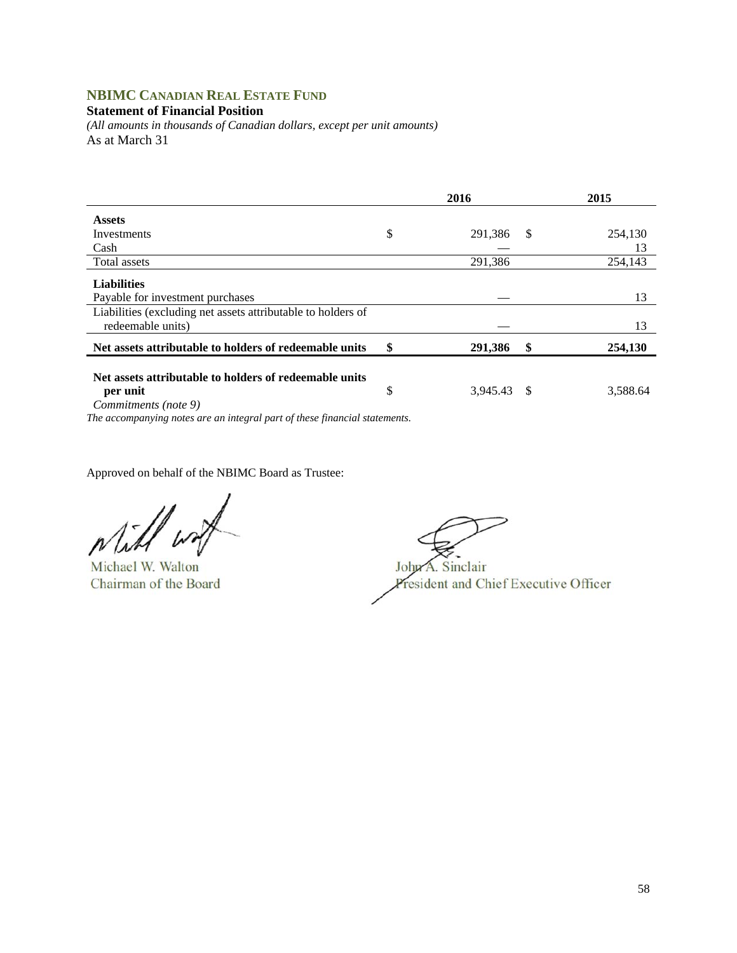## **NBIMC CANADIAN REAL ESTATE FUND**

### **Statement of Financial Position**

*(All amounts in thousands of Canadian dollars, except per unit amounts)*  As at March 31

|                                                                                            | 2016           |      | 2015     |
|--------------------------------------------------------------------------------------------|----------------|------|----------|
| <b>Assets</b>                                                                              |                |      |          |
| Investments                                                                                | \$<br>291,386  | -S   | 254,130  |
| Cash                                                                                       |                |      | 13       |
| Total assets                                                                               | 291,386        |      | 254,143  |
| <b>Liabilities</b>                                                                         |                |      |          |
| Payable for investment purchases                                                           |                |      | 13       |
| Liabilities (excluding net assets attributable to holders of<br>redeemable units)          |                |      | 13       |
| Net assets attributable to holders of redeemable units                                     | \$<br>291,386  | \$   | 254,130  |
| Net assets attributable to holders of redeemable units<br>per unit<br>Commitments (note 9) | \$<br>3,945.43 | - \$ | 3,588.64 |

*The accompanying notes are an integral part of these financial statements.* 

Nih

Michael W. Walton Chairman of the Board

John A. Sinclair President and Chief Executive Officer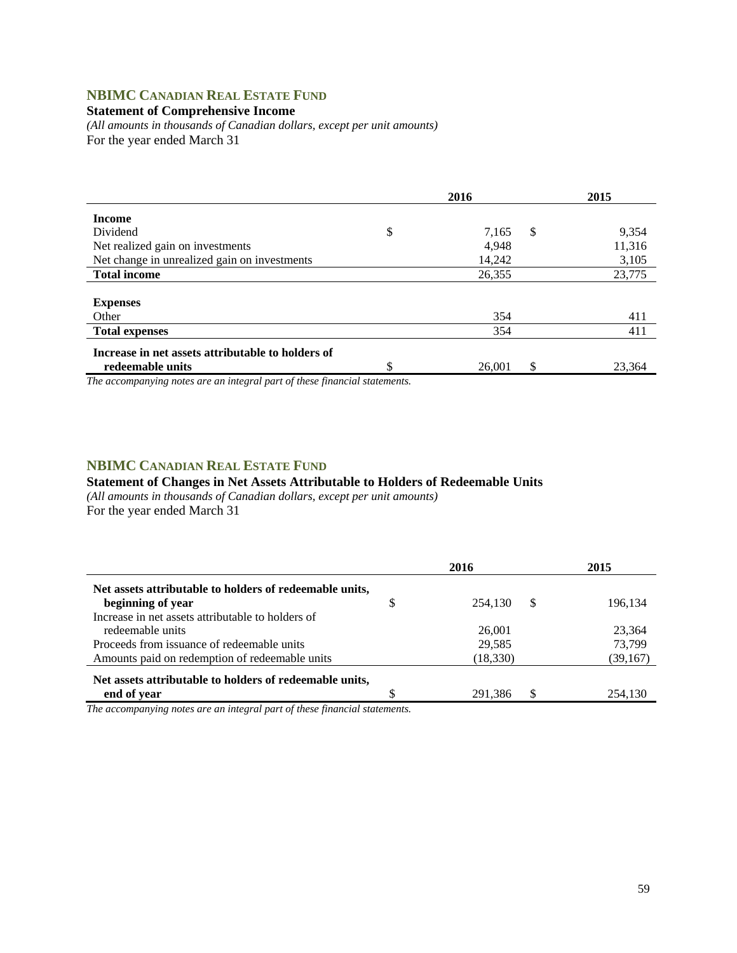### **NBIMC CANADIAN REAL ESTATE FUND**

### **Statement of Comprehensive Income**

*(All amounts in thousands of Canadian dollars, except per unit amounts)*  For the year ended March 31

|                                                   | 2016         |    | 2015   |
|---------------------------------------------------|--------------|----|--------|
| <b>Income</b>                                     |              |    |        |
| Dividend                                          | \$<br>7,165  | -S | 9.354  |
| Net realized gain on investments                  | 4,948        |    | 11,316 |
| Net change in unrealized gain on investments      | 14,242       |    | 3,105  |
| <b>Total income</b>                               | 26,355       |    | 23,775 |
|                                                   |              |    |        |
| <b>Expenses</b>                                   |              |    |        |
| Other                                             | 354          |    | 411    |
| <b>Total expenses</b>                             | 354          |    | 411    |
| Increase in net assets attributable to holders of |              |    |        |
| redeemable units                                  | \$<br>26,001 | \$ | 23.364 |

*The accompanying notes are an integral part of these financial statements.*

### **NBIMC CANADIAN REAL ESTATE FUND**

#### **Statement of Changes in Net Assets Attributable to Holders of Redeemable Units**

*(All amounts in thousands of Canadian dollars, except per unit amounts)*  For the year ended March 31

|                                                                              |   | 2016      | 2015            |
|------------------------------------------------------------------------------|---|-----------|-----------------|
| Net assets attributable to holders of redeemable units,<br>beginning of year | S | 254,130   | - \$<br>196.134 |
| Increase in net assets attributable to holders of                            |   |           |                 |
| redeemable units                                                             |   | 26,001    | 23,364          |
| Proceeds from issuance of redeemable units                                   |   | 29,585    | 73,799          |
| Amounts paid on redemption of redeemable units                               |   | (18, 330) | (39,167)        |
| Net assets attributable to holders of redeemable units,                      |   | 291.386   | 254.130         |
| end of year                                                                  |   |           |                 |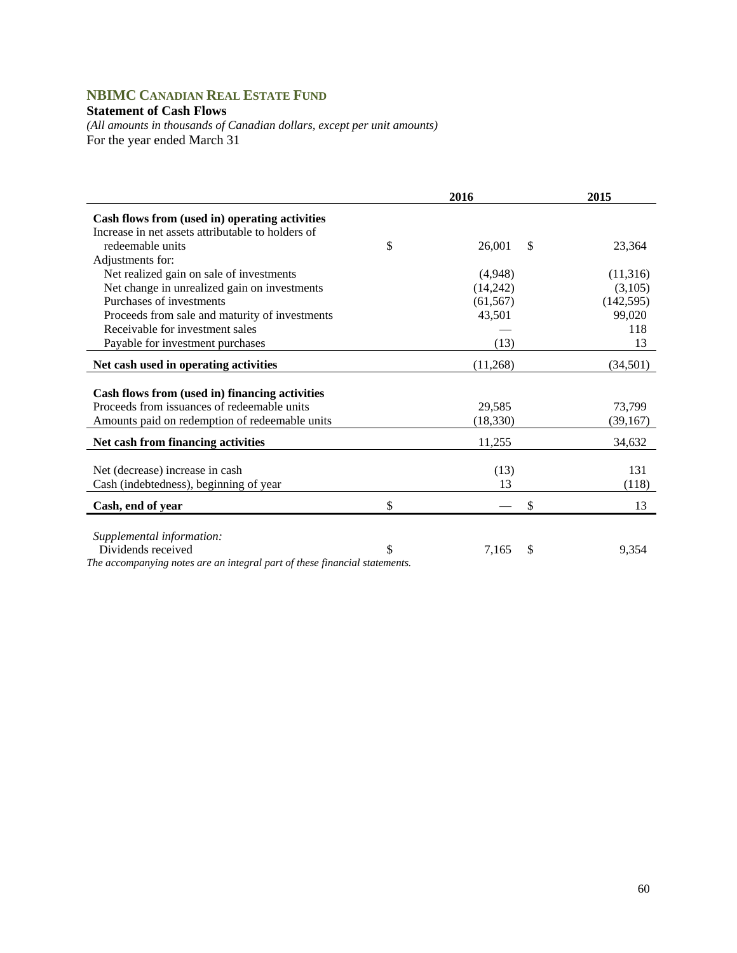# **NBIMC CANADIAN REAL ESTATE FUND**

### **Statement of Cash Flows**

*(All amounts in thousands of Canadian dollars, except per unit amounts)*  For the year ended March 31

|                                                                            | 2016         | 2015         |
|----------------------------------------------------------------------------|--------------|--------------|
| Cash flows from (used in) operating activities                             |              |              |
| Increase in net assets attributable to holders of                          |              |              |
| redeemable units                                                           | \$<br>26,001 | \$<br>23,364 |
| Adjustments for:                                                           |              |              |
| Net realized gain on sale of investments                                   | (4,948)      | (11,316)     |
| Net change in unrealized gain on investments                               | (14,242)     | (3,105)      |
| Purchases of investments                                                   | (61, 567)    | (142, 595)   |
| Proceeds from sale and maturity of investments                             | 43,501       | 99,020       |
| Receivable for investment sales                                            |              | 118          |
| Payable for investment purchases                                           | (13)         | 13           |
| Net cash used in operating activities                                      | (11,268)     | (34,501)     |
|                                                                            |              |              |
| Cash flows from (used in) financing activities                             |              |              |
| Proceeds from issuances of redeemable units                                | 29,585       | 73,799       |
| Amounts paid on redemption of redeemable units                             | (18, 330)    | (39,167)     |
| Net cash from financing activities                                         | 11,255       | 34,632       |
|                                                                            |              |              |
| Net (decrease) increase in cash                                            | (13)         | 131          |
| Cash (indebtedness), beginning of year                                     | 13           | (118)        |
| Cash, end of year                                                          | \$           | \$<br>13     |
|                                                                            |              |              |
| Supplemental information:                                                  |              |              |
| Dividends received                                                         | \$<br>7,165  | \$<br>9,354  |
| The accompanying notes are an integral part of these financial statements. |              |              |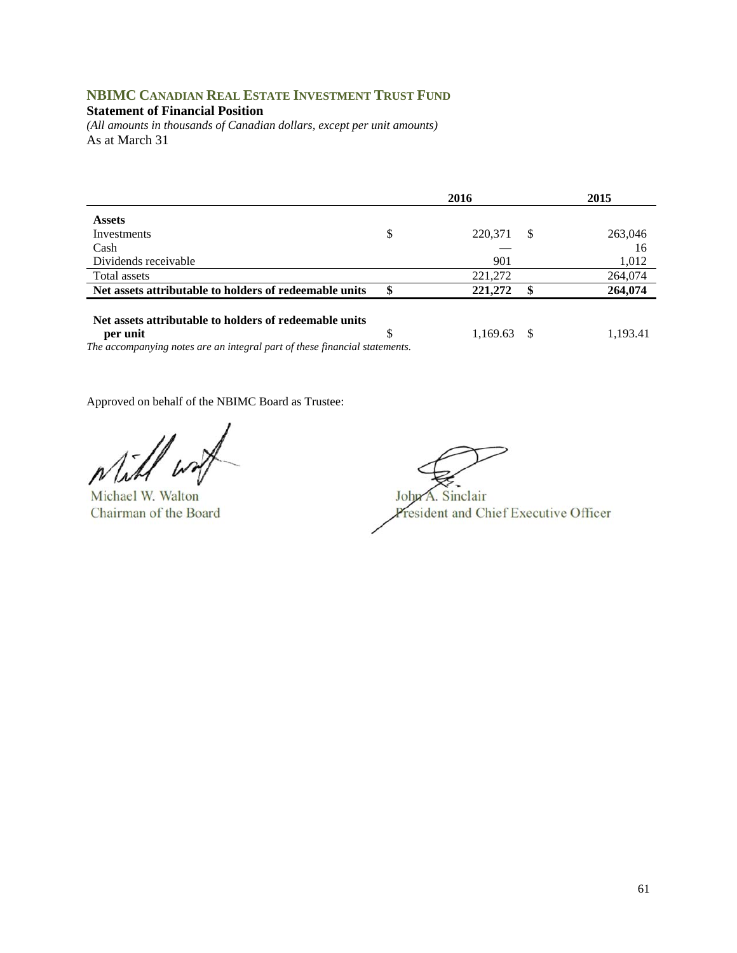## **NBIMC CANADIAN REAL ESTATE INVESTMENT TRUST FUND**

#### **Statement of Financial Position**

*(All amounts in thousands of Canadian dollars, except per unit amounts)*  As at March 31

|                                                                            |    | 2016          |    | 2015     |
|----------------------------------------------------------------------------|----|---------------|----|----------|
| <b>Assets</b>                                                              |    |               |    |          |
| Investments                                                                | \$ | 220,371       | -S | 263,046  |
| Cash                                                                       |    |               |    | 16       |
| Dividends receivable                                                       |    | 901           |    | 1,012    |
| Total assets                                                               |    | 221,272       |    | 264,074  |
| Net assets attributable to holders of redeemable units                     | \$ | 221,272       | \$ | 264,074  |
| Net assets attributable to holders of redeemable units                     |    |               |    |          |
| per unit                                                                   | S  | $1,169.63$ \$ |    | 1,193.41 |
| The accompanying notes are an integral part of these financial statements. |    |               |    |          |

Michael W. Walton Chairman of the Board

. Sinclair John President and Chief Executive Officer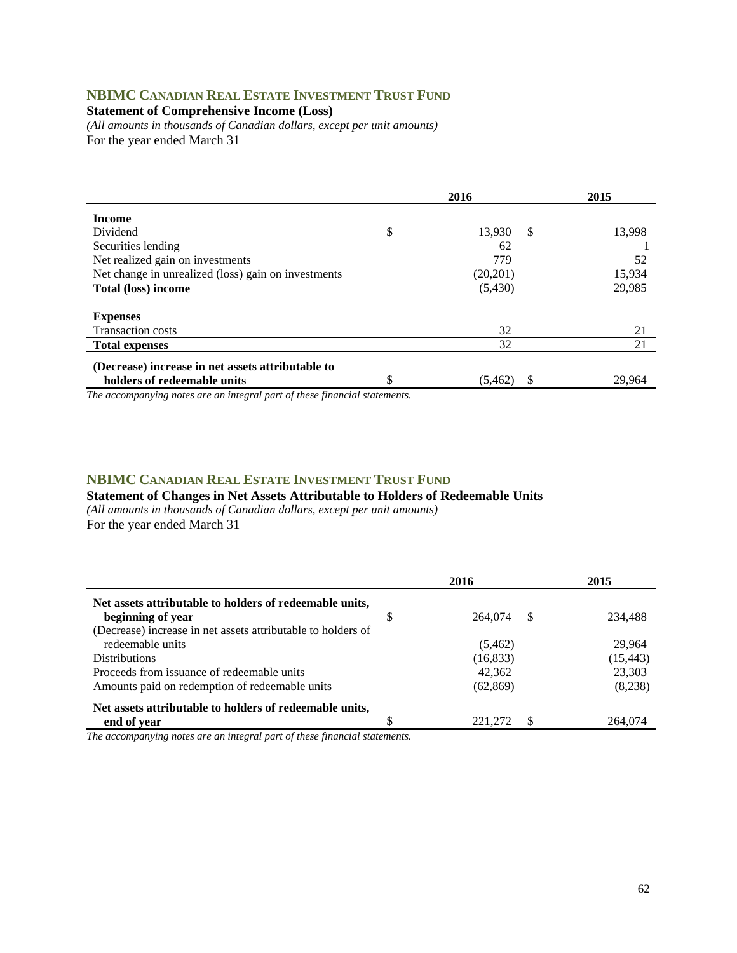### **NBIMC CANADIAN REAL ESTATE INVESTMENT TRUST FUND**

**Statement of Comprehensive Income (Loss)** 

*(All amounts in thousands of Canadian dollars, except per unit amounts)*  For the year ended March 31

|                                                     | 2016 |          |    | 2015   |
|-----------------------------------------------------|------|----------|----|--------|
| <b>Income</b>                                       |      |          |    |        |
| Dividend                                            | \$   | 13,930   | -S | 13.998 |
| Securities lending                                  |      | 62       |    |        |
| Net realized gain on investments                    |      | 779      |    | 52     |
| Net change in unrealized (loss) gain on investments |      | (20,201) |    | 15,934 |
| Total (loss) income                                 |      | (5,430)  |    | 29,985 |
|                                                     |      |          |    |        |
| <b>Expenses</b>                                     |      |          |    |        |
| <b>Transaction costs</b>                            |      | 32       |    | 21     |
| <b>Total expenses</b>                               |      | 32       |    | 21     |
| (Decrease) increase in net assets attributable to   |      |          |    |        |
| holders of redeemable units                         |      | (5,462)  | S  | 29.964 |

*The accompanying notes are an integral part of these financial statements.*

### **NBIMC CANADIAN REAL ESTATE INVESTMENT TRUST FUND**

**Statement of Changes in Net Assets Attributable to Holders of Redeemable Units** 

*(All amounts in thousands of Canadian dollars, except per unit amounts)*  For the year ended March 31

|                                                              | 2016      |    | 2015      |
|--------------------------------------------------------------|-----------|----|-----------|
| Net assets attributable to holders of redeemable units,      |           |    |           |
| beginning of year                                            | 264,074   | S  | 234.488   |
| (Decrease) increase in net assets attributable to holders of |           |    |           |
| redeemable units                                             | (5,462)   |    | 29.964    |
| <b>Distributions</b>                                         | (16, 833) |    | (15, 443) |
| Proceeds from issuance of redeemable units                   | 42,362    |    | 23,303    |
| Amounts paid on redemption of redeemable units               | (62, 869) |    | (8,238)   |
| Net assets attributable to holders of redeemable units,      |           |    |           |
| end of year                                                  | 221,272   | \$ | 264,074   |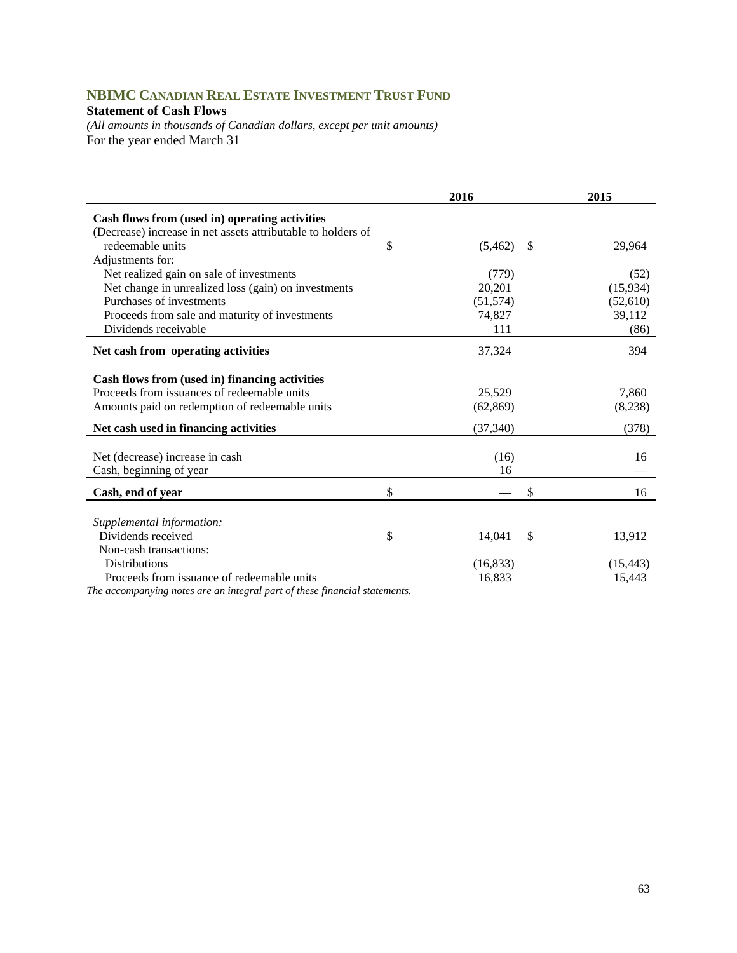# **NBIMC CANADIAN REAL ESTATE INVESTMENT TRUST FUND**

### **Statement of Cash Flows**

*(All amounts in thousands of Canadian dollars, except per unit amounts)*  For the year ended March 31

|                                                              | 2016          |              | 2015      |
|--------------------------------------------------------------|---------------|--------------|-----------|
| Cash flows from (used in) operating activities               |               |              |           |
| (Decrease) increase in net assets attributable to holders of |               |              |           |
| redeemable units                                             | \$<br>(5,462) | -\$          | 29,964    |
| Adjustments for:                                             |               |              |           |
| Net realized gain on sale of investments                     | (779)         |              | (52)      |
| Net change in unrealized loss (gain) on investments          | 20,201        |              | (15,934)  |
| Purchases of investments                                     | (51, 574)     |              | (52,610)  |
| Proceeds from sale and maturity of investments               | 74,827        |              | 39,112    |
| Dividends receivable                                         | 111           |              | (86)      |
| Net cash from operating activities                           | 37,324        |              | 394       |
|                                                              |               |              |           |
| Cash flows from (used in) financing activities               |               |              |           |
| Proceeds from issuances of redeemable units                  | 25,529        |              | 7,860     |
| Amounts paid on redemption of redeemable units               | (62, 869)     |              | (8,238)   |
| Net cash used in financing activities                        | (37,340)      |              | (378)     |
|                                                              |               |              |           |
| Net (decrease) increase in cash                              | (16)          |              | 16        |
| Cash, beginning of year                                      | 16            |              |           |
| Cash, end of year                                            | \$            | \$           | 16        |
|                                                              |               |              |           |
| Supplemental information:                                    |               |              |           |
| Dividends received                                           | \$<br>14,041  | $\mathbb{S}$ | 13,912    |
| Non-cash transactions:                                       |               |              |           |
| <b>Distributions</b>                                         | (16, 833)     |              | (15, 443) |
| Proceeds from issuance of redeemable units                   | 16,833        |              | 15,443    |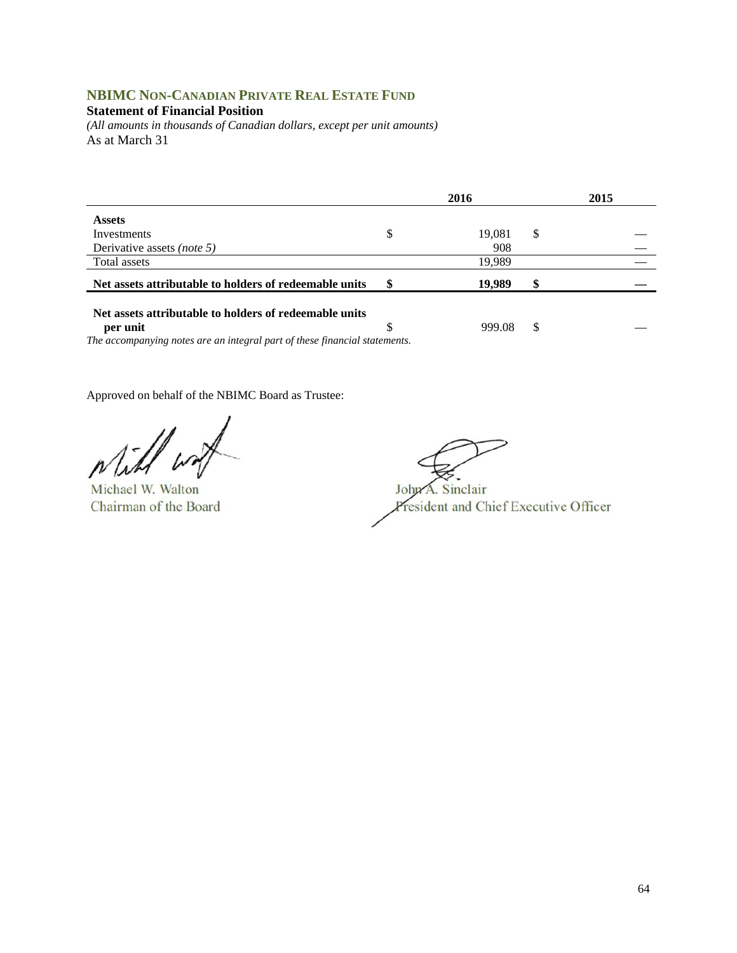## **NBIMC NON-CANADIAN PRIVATE REAL ESTATE FUND**

#### **Statement of Financial Position**

*(All amounts in thousands of Canadian dollars, except per unit amounts)*  As at March 31

|                                                                    |    | 2016   | 2015 |  |
|--------------------------------------------------------------------|----|--------|------|--|
| <b>Assets</b>                                                      |    |        |      |  |
| Investments                                                        | S  | 19,081 | S    |  |
| Derivative assets (note 5)                                         |    | 908    |      |  |
| Total assets                                                       |    | 19,989 |      |  |
| Net assets attributable to holders of redeemable units             | \$ | 19,989 | \$   |  |
| Net assets attributable to holders of redeemable units<br>per unit |    | 999.08 | S    |  |

*The accompanying notes are an integral part of these financial statements.* 

Michael W. Walton Chairman of the Board

John A. Sinclair President and Chief Executive Officer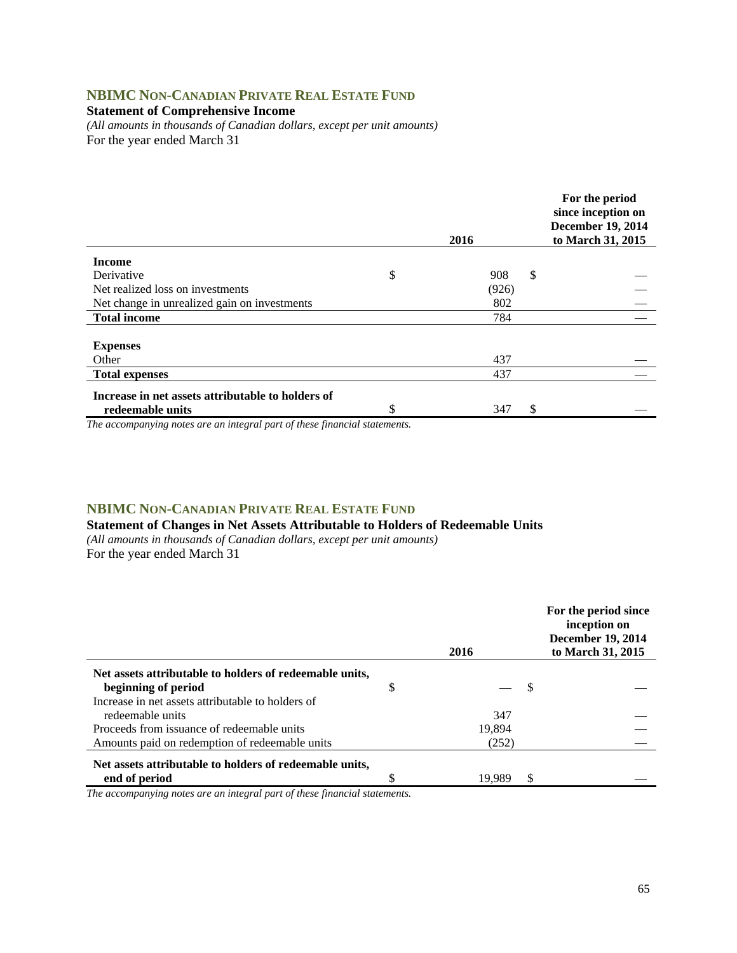## **NBIMC NON-CANADIAN PRIVATE REAL ESTATE FUND**

**Statement of Comprehensive Income** 

*(All amounts in thousands of Canadian dollars, except per unit amounts)*  For the year ended March 31

|                                                   | 2016      | For the period<br>since inception on<br><b>December 19, 2014</b><br>to March 31, 2015 |
|---------------------------------------------------|-----------|---------------------------------------------------------------------------------------|
| <b>Income</b>                                     |           |                                                                                       |
| Derivative                                        | \$<br>908 | \$                                                                                    |
| Net realized loss on investments                  | (926)     |                                                                                       |
| Net change in unrealized gain on investments      | 802       |                                                                                       |
| <b>Total income</b>                               | 784       |                                                                                       |
|                                                   |           |                                                                                       |
| <b>Expenses</b>                                   |           |                                                                                       |
| Other                                             | 437       |                                                                                       |
| <b>Total expenses</b>                             | 437       |                                                                                       |
| Increase in net assets attributable to holders of |           |                                                                                       |
| redeemable units                                  | \$<br>347 | \$                                                                                    |

*The accompanying notes are an integral part of these financial statements.*

#### **NBIMC NON-CANADIAN PRIVATE REAL ESTATE FUND**

**Statement of Changes in Net Assets Attributable to Holders of Redeemable Units** 

*(All amounts in thousands of Canadian dollars, except per unit amounts)*  For the year ended March 31

|                                                         | 2016   |   | For the period since<br>inception on<br><b>December 19, 2014</b><br>to March 31, 2015 |
|---------------------------------------------------------|--------|---|---------------------------------------------------------------------------------------|
| Net assets attributable to holders of redeemable units, |        |   |                                                                                       |
| beginning of period                                     | \$     | S |                                                                                       |
| Increase in net assets attributable to holders of       |        |   |                                                                                       |
| redeemable units                                        | 347    |   |                                                                                       |
| Proceeds from issuance of redeemable units              | 19.894 |   |                                                                                       |
| Amounts paid on redemption of redeemable units          | (252)  |   |                                                                                       |
| Net assets attributable to holders of redeemable units, |        |   |                                                                                       |
| end of period                                           | 19.989 |   |                                                                                       |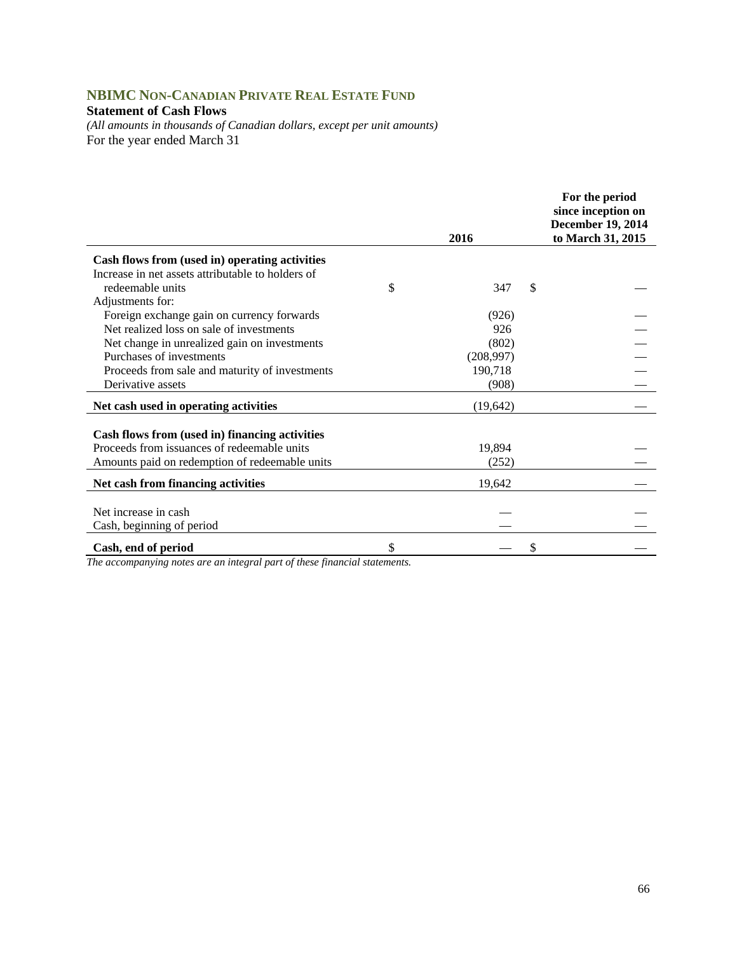## **NBIMC NON-CANADIAN PRIVATE REAL ESTATE FUND**

#### **Statement of Cash Flows**

*(All amounts in thousands of Canadian dollars, except per unit amounts)*  For the year ended March 31

|                                                   | 2016      | For the period<br>since inception on<br><b>December 19, 2014</b><br>to March 31, 2015 |
|---------------------------------------------------|-----------|---------------------------------------------------------------------------------------|
| Cash flows from (used in) operating activities    |           |                                                                                       |
| Increase in net assets attributable to holders of |           |                                                                                       |
| redeemable units                                  | \$<br>347 | \$                                                                                    |
| Adjustments for:                                  |           |                                                                                       |
| Foreign exchange gain on currency forwards        | (926)     |                                                                                       |
| Net realized loss on sale of investments          | 926       |                                                                                       |
| Net change in unrealized gain on investments      | (802)     |                                                                                       |
| Purchases of investments                          | (208,997) |                                                                                       |
| Proceeds from sale and maturity of investments    | 190,718   |                                                                                       |
| Derivative assets                                 | (908)     |                                                                                       |
| Net cash used in operating activities             | (19, 642) |                                                                                       |
| Cash flows from (used in) financing activities    |           |                                                                                       |
| Proceeds from issuances of redeemable units       | 19,894    |                                                                                       |
| Amounts paid on redemption of redeemable units    | (252)     |                                                                                       |
| Net cash from financing activities                | 19,642    |                                                                                       |
|                                                   |           |                                                                                       |
| Net increase in cash                              |           |                                                                                       |
| Cash, beginning of period                         |           |                                                                                       |
| Cash, end of period                               | \$        | \$                                                                                    |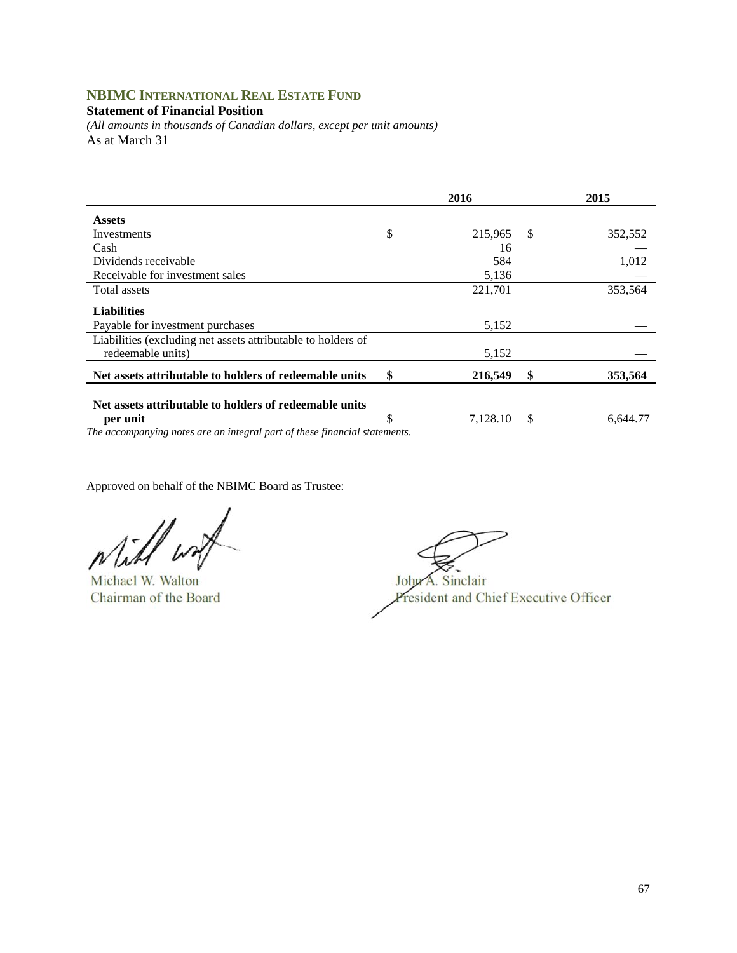## **NBIMC INTERNATIONAL REAL ESTATE FUND**

#### **Statement of Financial Position**

*(All amounts in thousands of Canadian dollars, except per unit amounts)*  As at March 31

|                                                                                   |    | 2016     |     | 2015     |
|-----------------------------------------------------------------------------------|----|----------|-----|----------|
| <b>Assets</b>                                                                     |    |          |     |          |
| Investments                                                                       | \$ | 215,965  | -\$ | 352,552  |
| Cash                                                                              |    | 16       |     |          |
| Dividends receivable                                                              |    | 584      |     | 1,012    |
| Receivable for investment sales                                                   |    | 5,136    |     |          |
| Total assets                                                                      |    | 221,701  |     | 353,564  |
| <b>Liabilities</b>                                                                |    |          |     |          |
| Payable for investment purchases                                                  |    | 5,152    |     |          |
| Liabilities (excluding net assets attributable to holders of<br>redeemable units) |    | 5,152    |     |          |
| Net assets attributable to holders of redeemable units                            | \$ | 216,549  | \$  | 353,564  |
| Net assets attributable to holders of redeemable units<br>per unit                | S  | 7,128.10 | \$  | 6,644.77 |
| The accompanying notes are an integral part of these financial statements.        |    |          |     |          |

 $\overline{\mu}$ 

Michael W. Walton Chairman of the Board

John A. Sinclair President and Chief Executive Officer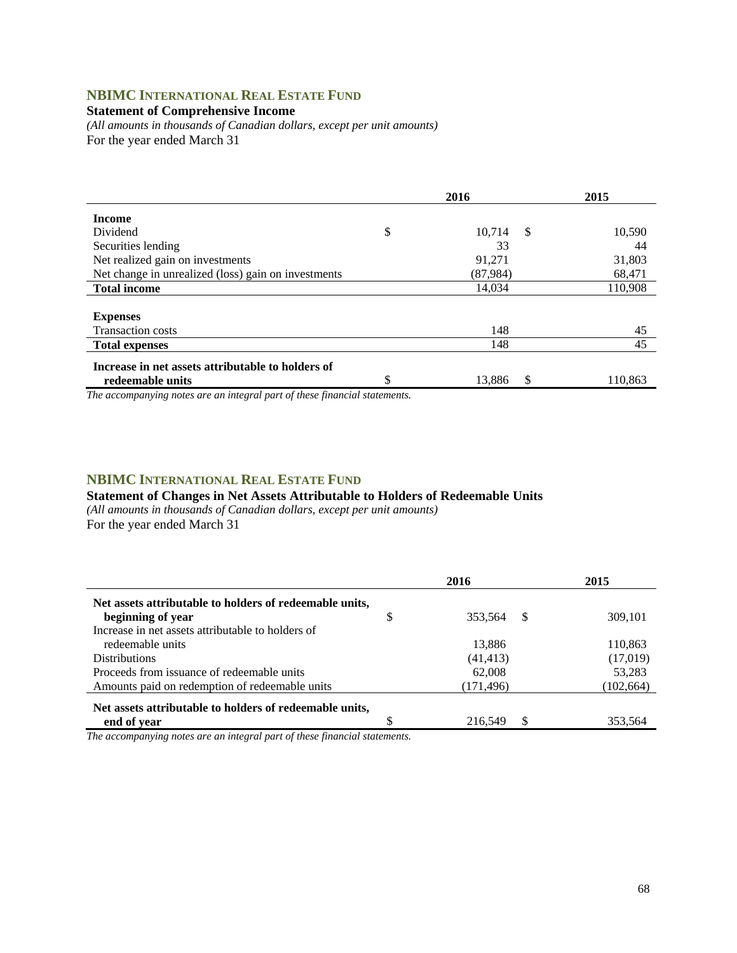### **NBIMC INTERNATIONAL REAL ESTATE FUND**

### **Statement of Comprehensive Income**

*(All amounts in thousands of Canadian dollars, except per unit amounts)*  For the year ended March 31

|                                                     | 2016         |    | 2015    |
|-----------------------------------------------------|--------------|----|---------|
| <b>Income</b>                                       |              |    |         |
| Dividend                                            | \$<br>10.714 | -S | 10,590  |
| Securities lending                                  | 33           |    | 44      |
| Net realized gain on investments                    | 91,271       |    | 31,803  |
| Net change in unrealized (loss) gain on investments | (87, 984)    |    | 68,471  |
| <b>Total income</b>                                 | 14,034       |    | 110,908 |
|                                                     |              |    |         |
| <b>Expenses</b>                                     |              |    |         |
| <b>Transaction costs</b>                            | 148          |    | 45      |
| <b>Total expenses</b>                               | 148          |    | 45      |
| Increase in net assets attributable to holders of   |              |    |         |
| redeemable units                                    | \$<br>13,886 | \$ | 110,863 |

*The accompanying notes are an integral part of these financial statements.*

### **NBIMC INTERNATIONAL REAL ESTATE FUND**

#### **Statement of Changes in Net Assets Attributable to Holders of Redeemable Units**

*(All amounts in thousands of Canadian dollars, except per unit amounts)*  For the year ended March 31

|                                                         | 2016          |    | 2015       |
|---------------------------------------------------------|---------------|----|------------|
| Net assets attributable to holders of redeemable units, |               |    |            |
| beginning of year                                       | \$<br>353,564 | -8 | 309.101    |
| Increase in net assets attributable to holders of       |               |    |            |
| redeemable units                                        | 13.886        |    | 110,863    |
| <b>Distributions</b>                                    | (41, 413)     |    | (17,019)   |
| Proceeds from issuance of redeemable units              | 62,008        |    | 53.283     |
| Amounts paid on redemption of redeemable units          | (171, 496)    |    | (102, 664) |
| Net assets attributable to holders of redeemable units, |               |    |            |
| end of year                                             | 216.549       |    | 353,564    |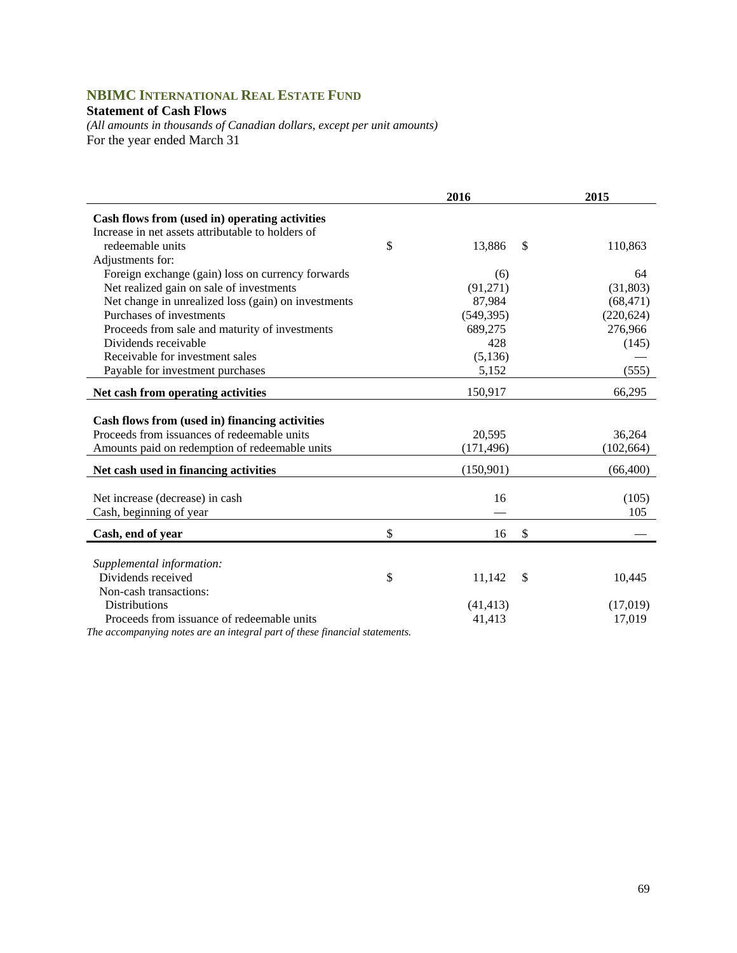# **NBIMC INTERNATIONAL REAL ESTATE FUND**

### **Statement of Cash Flows**

*(All amounts in thousands of Canadian dollars, except per unit amounts)*  For the year ended March 31

|                                                     | 2016         | 2015          |
|-----------------------------------------------------|--------------|---------------|
| Cash flows from (used in) operating activities      |              |               |
| Increase in net assets attributable to holders of   |              |               |
| redeemable units                                    | \$<br>13,886 | \$<br>110,863 |
| Adjustments for:                                    |              |               |
| Foreign exchange (gain) loss on currency forwards   | (6)          | 64            |
| Net realized gain on sale of investments            | (91,271)     | (31,803)      |
| Net change in unrealized loss (gain) on investments | 87,984       | (68, 471)     |
| Purchases of investments                            | (549, 395)   | (220, 624)    |
| Proceeds from sale and maturity of investments      | 689,275      | 276,966       |
| Dividends receivable                                | 428          | (145)         |
| Receivable for investment sales                     | (5, 136)     |               |
| Payable for investment purchases                    | 5,152        | (555)         |
| Net cash from operating activities                  | 150,917      | 66,295        |
|                                                     |              |               |
| Cash flows from (used in) financing activities      |              |               |
| Proceeds from issuances of redeemable units         | 20.595       | 36,264        |
| Amounts paid on redemption of redeemable units      | (171, 496)   | (102, 664)    |
| Net cash used in financing activities               | (150,901)    | (66, 400)     |
|                                                     |              |               |
| Net increase (decrease) in cash                     | 16           | (105)         |
| Cash, beginning of year                             |              | 105           |
| Cash, end of year                                   | \$<br>16     | \$            |
|                                                     |              |               |
| Supplemental information:                           |              |               |
| Dividends received                                  | \$<br>11,142 | \$<br>10,445  |
| Non-cash transactions:                              |              |               |
| <b>Distributions</b>                                | (41, 413)    | (17,019)      |
| Proceeds from issuance of redeemable units          | 41,413       | 17,019        |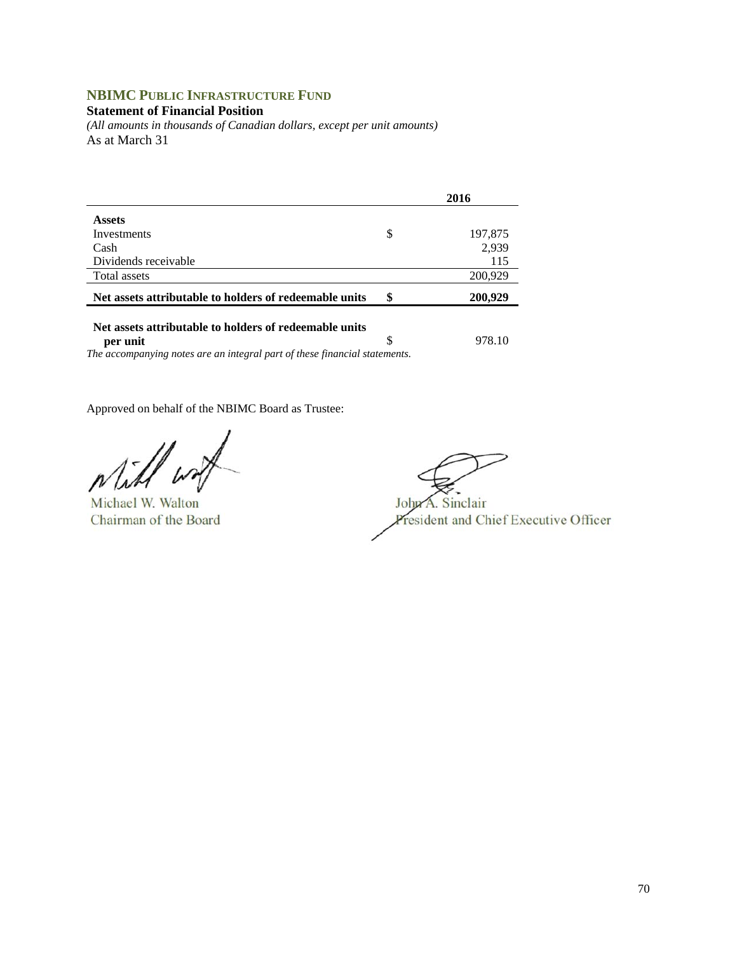## **NBIMC PUBLIC INFRASTRUCTURE FUND**

### **Statement of Financial Position**

*(All amounts in thousands of Canadian dollars, except per unit amounts)*  As at March 31

|                                                        | 2016          |
|--------------------------------------------------------|---------------|
| <b>Assets</b>                                          |               |
| Investments                                            | \$<br>197,875 |
| Cash                                                   | 2,939         |
| Dividends receivable                                   | 115           |
| Total assets                                           | 200,929       |
| Net assets attributable to holders of redeemable units | \$<br>200,929 |
| Net assets attributable to holders of redeemable units |               |
| per unit                                               | 978.10        |

*The accompanying notes are an integral part of these financial statements.* 

 $\mathbb{W}$  $\overline{\mu}$ 

Michael W. Walton Chairman of the Board

John A. Sinclair President and Chief Executive Officer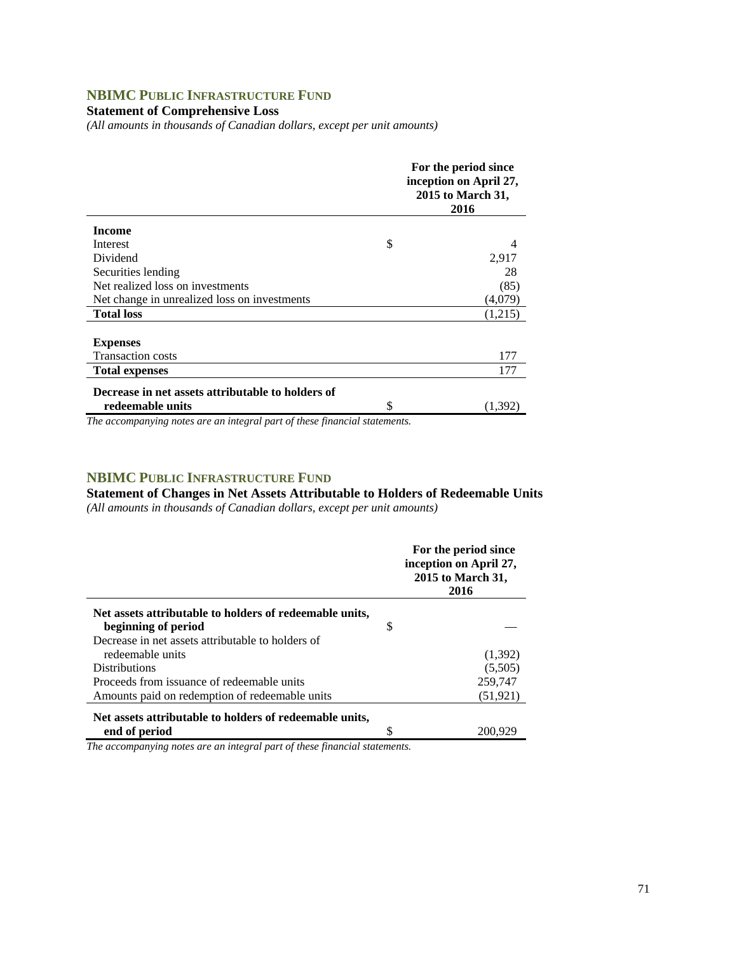# **NBIMC PUBLIC INFRASTRUCTURE FUND**

## **Statement of Comprehensive Loss**

*(All amounts in thousands of Canadian dollars, except per unit amounts)* 

| <b>Income</b><br>\$<br>Interest                   |         |
|---------------------------------------------------|---------|
|                                                   |         |
|                                                   |         |
| Dividend                                          | 2,917   |
| Securities lending                                | 28      |
| Net realized loss on investments                  | (85)    |
| Net change in unrealized loss on investments      | (4,079) |
| <b>Total loss</b>                                 | (1,215) |
|                                                   |         |
| <b>Expenses</b>                                   |         |
| <b>Transaction costs</b>                          | 177     |
| <b>Total expenses</b>                             | 177     |
| Decrease in net assets attributable to holders of |         |
| \$<br>redeemable units                            | (1,392  |

*The accompanying notes are an integral part of these financial statements.*

## **NBIMC PUBLIC INFRASTRUCTURE FUND**

**Statement of Changes in Net Assets Attributable to Holders of Redeemable Units**  *(All amounts in thousands of Canadian dollars, except per unit amounts)* 

|                                                         | For the period since<br>inception on April 27,<br>2015 to March 31,<br>2016 |           |  |
|---------------------------------------------------------|-----------------------------------------------------------------------------|-----------|--|
| Net assets attributable to holders of redeemable units, |                                                                             |           |  |
| beginning of period                                     | S                                                                           |           |  |
| Decrease in net assets attributable to holders of       |                                                                             |           |  |
| redeemable units                                        |                                                                             | (1,392)   |  |
| <b>Distributions</b>                                    |                                                                             | (5,505)   |  |
| Proceeds from issuance of redeemable units              |                                                                             | 259,747   |  |
| Amounts paid on redemption of redeemable units          |                                                                             | (51, 921) |  |
| Net assets attributable to holders of redeemable units, |                                                                             |           |  |
| end of period                                           |                                                                             | 200,929   |  |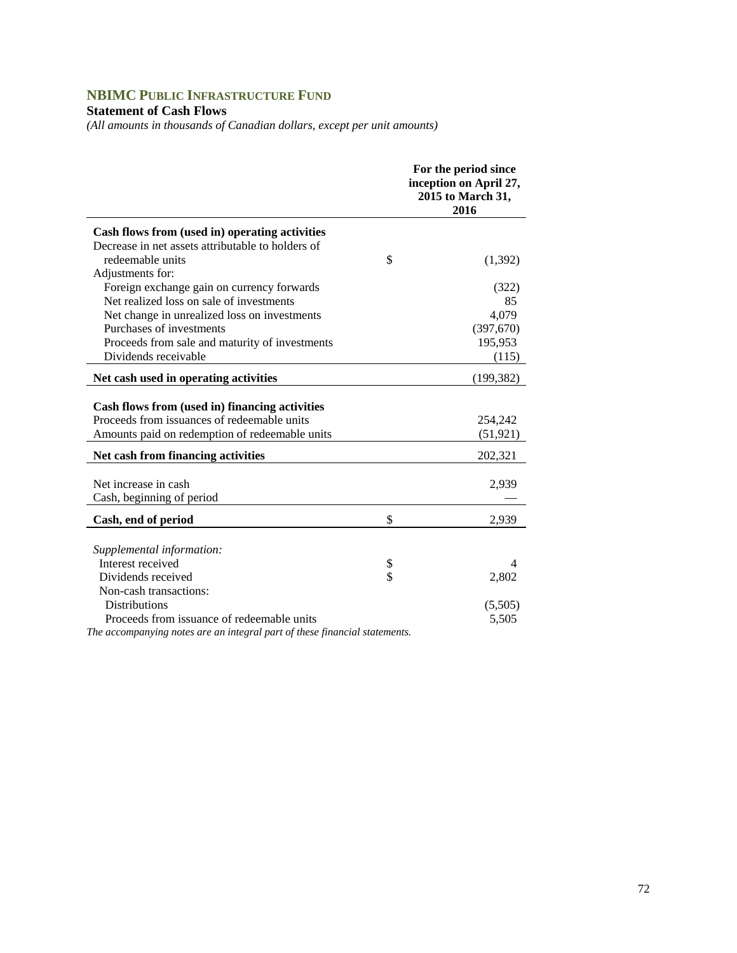# **NBIMC PUBLIC INFRASTRUCTURE FUND**

## **Statement of Cash Flows**

*(All amounts in thousands of Canadian dollars, except per unit amounts)* 

|                                                                                               | For the period since<br>inception on April 27,<br>2015 to March 31,<br>2016 |            |  |  |
|-----------------------------------------------------------------------------------------------|-----------------------------------------------------------------------------|------------|--|--|
| Cash flows from (used in) operating activities                                                |                                                                             |            |  |  |
| Decrease in net assets attributable to holders of                                             |                                                                             |            |  |  |
| redeemable units                                                                              | \$                                                                          | (1, 392)   |  |  |
| Adjustments for:                                                                              |                                                                             |            |  |  |
| Foreign exchange gain on currency forwards                                                    |                                                                             | (322)      |  |  |
| Net realized loss on sale of investments                                                      |                                                                             | 85         |  |  |
| Net change in unrealized loss on investments                                                  |                                                                             | 4,079      |  |  |
| Purchases of investments                                                                      |                                                                             | (397, 670) |  |  |
| Proceeds from sale and maturity of investments                                                |                                                                             | 195,953    |  |  |
| Dividends receivable                                                                          |                                                                             | (115)      |  |  |
| Net cash used in operating activities                                                         |                                                                             | (199, 382) |  |  |
| Cash flows from (used in) financing activities<br>Proceeds from issuances of redeemable units |                                                                             | 254,242    |  |  |
| Amounts paid on redemption of redeemable units                                                |                                                                             | (51, 921)  |  |  |
| Net cash from financing activities                                                            |                                                                             | 202,321    |  |  |
| Net increase in cash<br>Cash, beginning of period                                             |                                                                             | 2,939      |  |  |
| Cash, end of period                                                                           | \$                                                                          | 2,939      |  |  |
| Supplemental information:                                                                     |                                                                             |            |  |  |
| Interest received                                                                             | \$                                                                          | 4          |  |  |
| Dividends received                                                                            | \$                                                                          | 2,802      |  |  |
| Non-cash transactions:                                                                        |                                                                             |            |  |  |
| <b>Distributions</b>                                                                          |                                                                             | (5,505)    |  |  |
| Proceeds from issuance of redeemable units                                                    |                                                                             | 5,505      |  |  |
| The accompanying notes are an integral part of these financial statements.                    |                                                                             |            |  |  |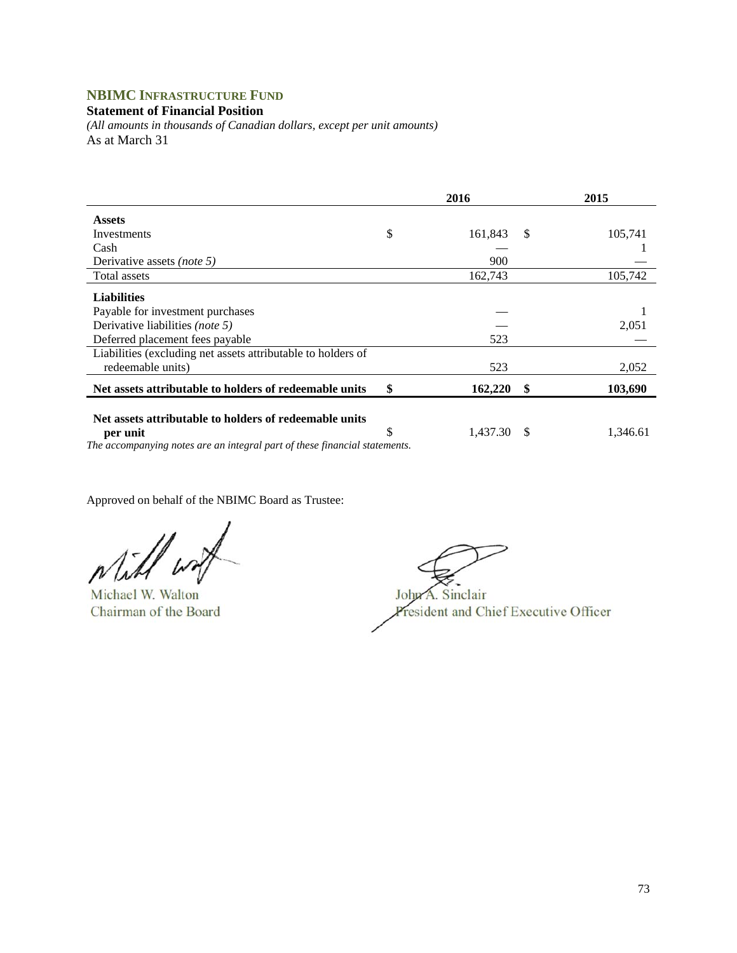# **NBIMC INFRASTRUCTURE FUND**

**Statement of Financial Position** 

*(All amounts in thousands of Canadian dollars, except per unit amounts)*  As at March 31

|                                                                                       |    | 2016     |    | 2015     |
|---------------------------------------------------------------------------------------|----|----------|----|----------|
| <b>Assets</b>                                                                         |    |          |    |          |
| Investments                                                                           | \$ | 161,843  | -S | 105,741  |
| Cash                                                                                  |    |          |    |          |
| Derivative assets <i>(note 5)</i>                                                     |    | 900      |    |          |
| Total assets                                                                          |    | 162,743  |    | 105,742  |
| <b>Liabilities</b>                                                                    |    |          |    |          |
| Payable for investment purchases                                                      |    |          |    |          |
| Derivative liabilities (note 5)                                                       |    |          |    | 2,051    |
| Deferred placement fees payable                                                       |    | 523      |    |          |
| Liabilities (excluding net assets attributable to holders of                          |    |          |    |          |
| redeemable units)                                                                     |    | 523      |    | 2,052    |
| Net assets attributable to holders of redeemable units                                | S  | 162,220  | -S | 103,690  |
| Net assets attributable to holders of redeemable units                                |    |          |    |          |
| per unit<br>The accompanying notes are an integral part of these financial statements |    | 1,437.30 | -S | 1,346.61 |

*The accompanying notes are an integral part of these financial statements.* 

Approved on behalf of the NBIMC Board as Trustee:

NW

Michael W. Walton Chairman of the Board

John A. Sinclair President and Chief Executive Officer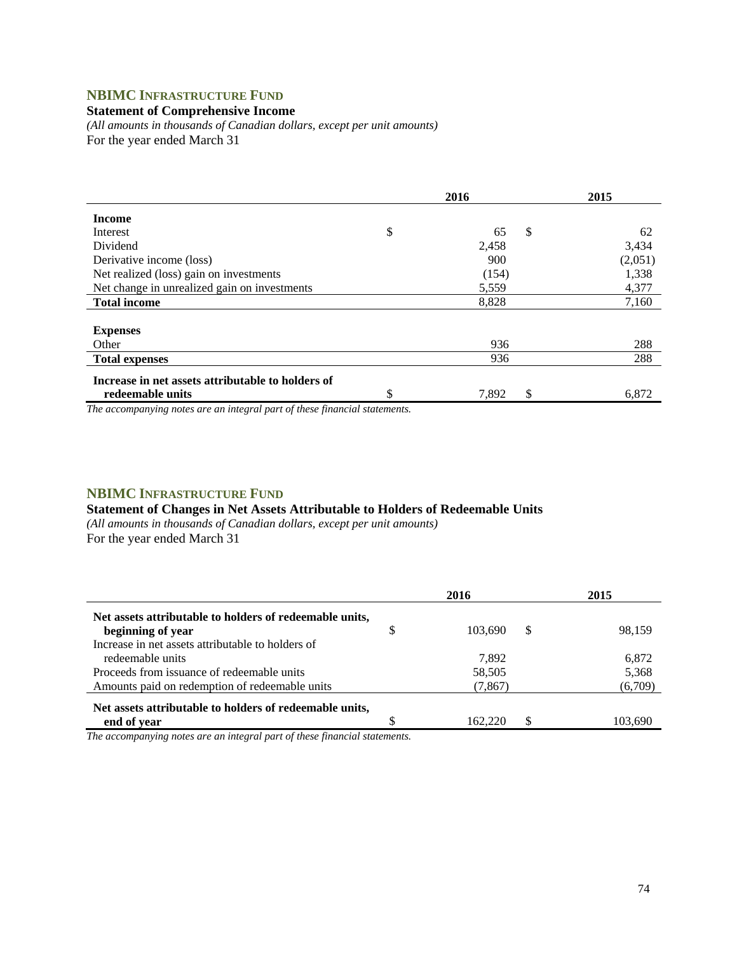## **NBIMC INFRASTRUCTURE FUND**

#### **Statement of Comprehensive Income**

*(All amounts in thousands of Canadian dollars, except per unit amounts)*  For the year ended March 31

|                                                   | 2016                                  | 2015    |
|---------------------------------------------------|---------------------------------------|---------|
| <b>Income</b>                                     |                                       |         |
| Interest                                          | \$<br>$\boldsymbol{\mathsf{S}}$<br>65 | 62      |
| Dividend                                          | 2,458                                 | 3,434   |
| Derivative income (loss)                          | 900                                   | (2,051) |
| Net realized (loss) gain on investments           | (154)                                 | 1,338   |
| Net change in unrealized gain on investments      | 5,559                                 | 4,377   |
| <b>Total income</b>                               | 8,828                                 | 7,160   |
|                                                   |                                       |         |
| <b>Expenses</b>                                   |                                       |         |
| Other                                             | 936                                   | 288     |
| <b>Total expenses</b>                             | 936                                   | 288     |
| Increase in net assets attributable to holders of |                                       |         |
| redeemable units                                  | \$<br>\$<br>7,892                     | 6,872   |

*The accompanying notes are an integral part of these financial statements.*

### **NBIMC INFRASTRUCTURE FUND**

### **Statement of Changes in Net Assets Attributable to Holders of Redeemable Units**

*(All amounts in thousands of Canadian dollars, except per unit amounts)*  For the year ended March 31

|                                                         |   | 2016     |   | 2015    |
|---------------------------------------------------------|---|----------|---|---------|
| Net assets attributable to holders of redeemable units, |   |          |   |         |
| beginning of year                                       | J | 103.690  | S | 98.159  |
| Increase in net assets attributable to holders of       |   |          |   |         |
| redeemable units                                        |   | 7,892    |   | 6,872   |
| Proceeds from issuance of redeemable units              |   | 58,505   |   | 5,368   |
| Amounts paid on redemption of redeemable units          |   | (7, 867) |   | (6,709) |
| Net assets attributable to holders of redeemable units, |   |          |   |         |
| end of year                                             |   | 162.220  | S | 103,690 |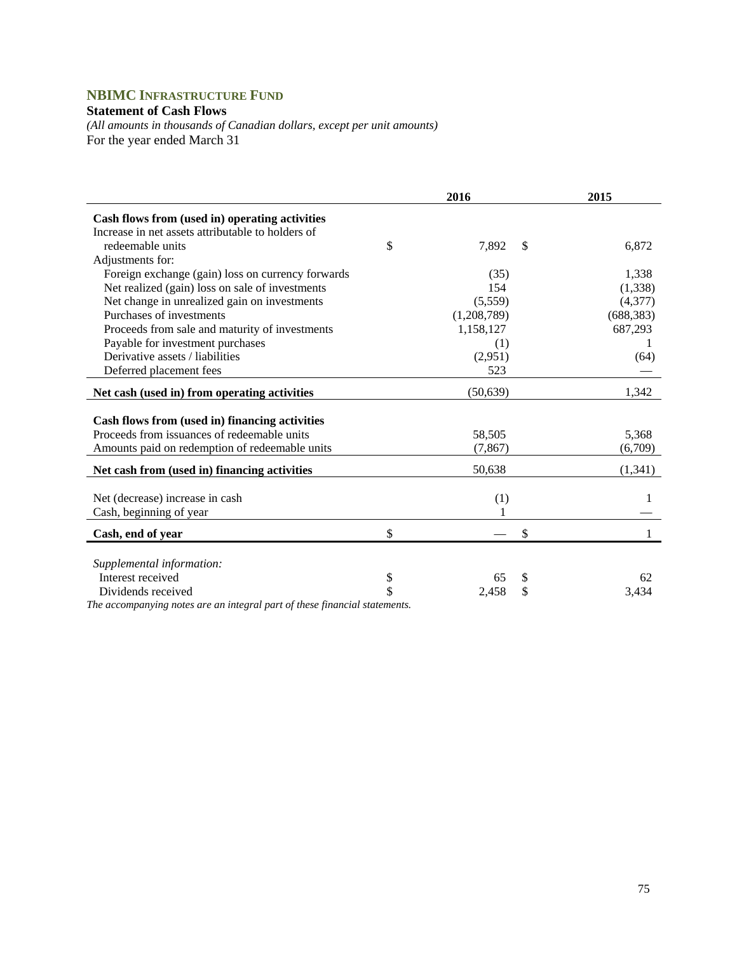# **NBIMC INFRASTRUCTURE FUND**

## **Statement of Cash Flows**

*(All amounts in thousands of Canadian dollars, except per unit amounts)*  For the year ended March 31

|                                                                            | 2016        | 2015        |
|----------------------------------------------------------------------------|-------------|-------------|
| Cash flows from (used in) operating activities                             |             |             |
| Increase in net assets attributable to holders of                          |             |             |
| redeemable units                                                           | \$<br>7,892 | \$<br>6,872 |
| Adjustments for:                                                           |             |             |
| Foreign exchange (gain) loss on currency forwards                          | (35)        | 1,338       |
| Net realized (gain) loss on sale of investments                            | 154         | (1,338)     |
| Net change in unrealized gain on investments                               | (5,559)     | (4,377)     |
| Purchases of investments                                                   | (1,208,789) | (688, 383)  |
| Proceeds from sale and maturity of investments                             | 1,158,127   | 687,293     |
| Payable for investment purchases                                           | (1)         |             |
| Derivative assets / liabilities                                            | (2,951)     | (64)        |
| Deferred placement fees                                                    | 523         |             |
| Net cash (used in) from operating activities                               | (50, 639)   | 1,342       |
| Cash flows from (used in) financing activities                             |             |             |
| Proceeds from issuances of redeemable units                                | 58,505      | 5,368       |
| Amounts paid on redemption of redeemable units                             | (7, 867)    | (6,709)     |
|                                                                            |             |             |
| Net cash from (used in) financing activities                               | 50,638      | (1, 341)    |
|                                                                            |             |             |
| Net (decrease) increase in cash                                            | (1)         |             |
| Cash, beginning of year                                                    |             |             |
| Cash, end of year                                                          | \$          | \$          |
|                                                                            |             |             |
| Supplemental information:                                                  |             |             |
| Interest received                                                          | \$<br>65    | \$<br>62    |
| Dividends received                                                         | \$<br>2,458 | \$<br>3,434 |
| The accompanying notes are an integral part of these financial statements. |             |             |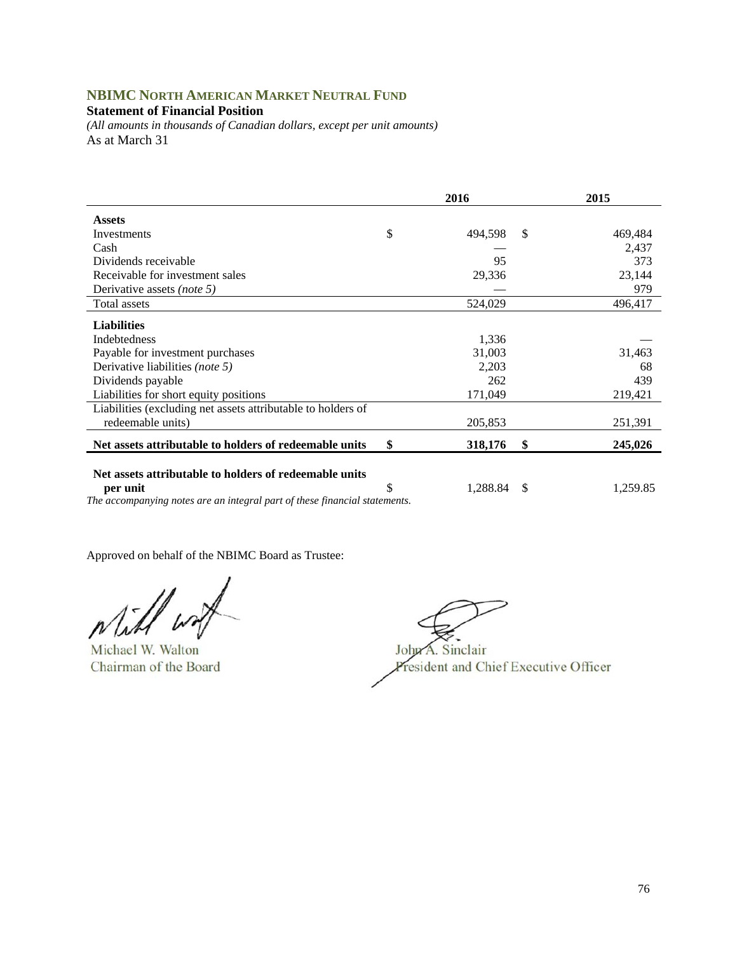# **NBIMC NORTH AMERICAN MARKET NEUTRAL FUND**

### **Statement of Financial Position**

*(All amounts in thousands of Canadian dollars, except per unit amounts)*  As at March 31

|                                                              | 2016           |    | 2015     |
|--------------------------------------------------------------|----------------|----|----------|
| <b>Assets</b>                                                |                |    |          |
| Investments                                                  | \$<br>494,598  | S  | 469,484  |
| Cash                                                         |                |    | 2,437    |
| Dividends receivable                                         | 95             |    | 373      |
| Receivable for investment sales                              | 29,336         |    | 23,144   |
| Derivative assets <i>(note 5)</i>                            |                |    | 979      |
| Total assets                                                 | 524,029        |    | 496,417  |
| <b>Liabilities</b>                                           |                |    |          |
| <b>Indebtedness</b>                                          | 1,336          |    |          |
| Payable for investment purchases                             | 31,003         |    | 31,463   |
| Derivative liabilities (note 5)                              | 2,203          |    | 68       |
| Dividends payable                                            | 262            |    | 439      |
| Liabilities for short equity positions                       | 171,049        |    | 219,421  |
| Liabilities (excluding net assets attributable to holders of |                |    |          |
| redeemable units)                                            | 205,853        |    | 251,391  |
| Net assets attributable to holders of redeemable units       | \$<br>318,176  | \$ | 245,026  |
|                                                              |                |    |          |
| Net assets attributable to holders of redeemable units       |                |    |          |
| per unit                                                     | \$<br>1,288.84 | \$ | 1,259.85 |

*The accompanying notes are an integral part of these financial statements.* 

Approved on behalf of the NBIMC Board as Trustee:

Michael W. Walton Chairman of the Board

Sinclair John President and Chief Executive Officer

76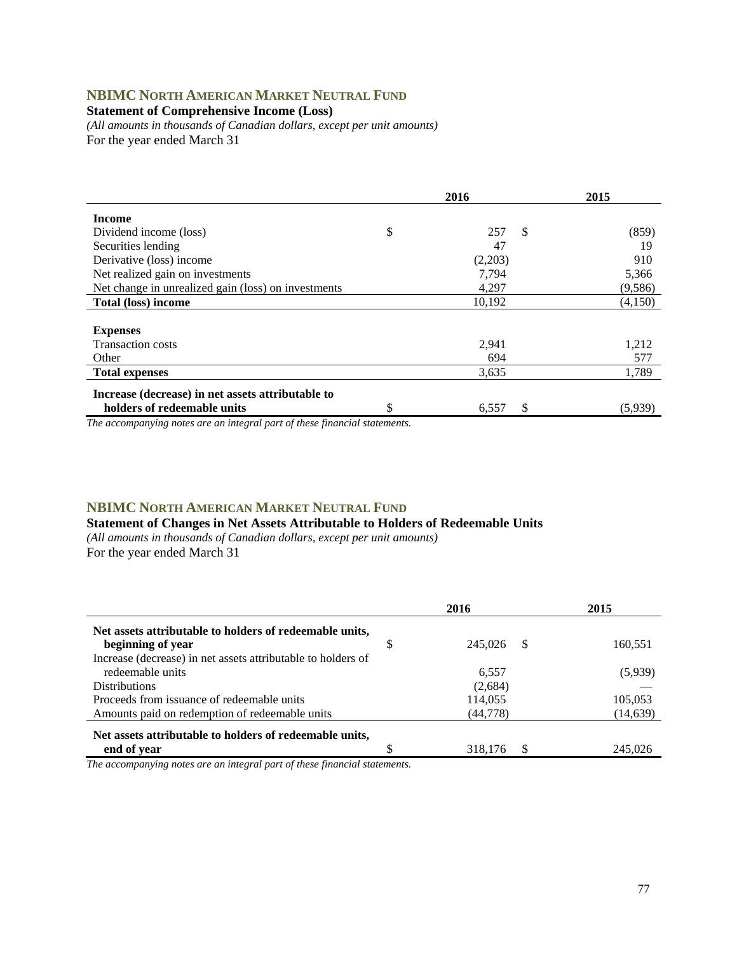## **NBIMC NORTH AMERICAN MARKET NEUTRAL FUND**

**Statement of Comprehensive Income (Loss)** 

*(All amounts in thousands of Canadian dollars, except per unit amounts)*  For the year ended March 31

|                                                                                                           | 2016              | 2015     |
|-----------------------------------------------------------------------------------------------------------|-------------------|----------|
| <b>Income</b>                                                                                             |                   |          |
| Dividend income (loss)                                                                                    | \$<br>257<br>-S   | (859)    |
| Securities lending                                                                                        | 47                | 19       |
| Derivative (loss) income                                                                                  | (2,203)           | 910      |
| Net realized gain on investments                                                                          | 7,794             | 5,366    |
| Net change in unrealized gain (loss) on investments                                                       | 4,297             | (9, 586) |
| <b>Total (loss) income</b>                                                                                | 10,192            | (4,150)  |
|                                                                                                           |                   |          |
| <b>Expenses</b>                                                                                           |                   |          |
| <b>Transaction costs</b>                                                                                  | 2,941             | 1,212    |
| Other                                                                                                     | 694               | 577      |
| <b>Total expenses</b>                                                                                     | 3,635             | 1,789    |
| Increase (decrease) in net assets attributable to                                                         |                   |          |
| holders of redeemable units<br>$\cdot$ $\cdot$ $\cdot$ $\cdot$ $\cdot$ $\cdot$ $\cdot$<br>$\cdot$ $\cdot$ | \$<br>6,557<br>\$ | (5,939)  |

*The accompanying notes are an integral part of these financial statements.*

### **NBIMC NORTH AMERICAN MARKET NEUTRAL FUND**

## **Statement of Changes in Net Assets Attributable to Holders of Redeemable Units**

*(All amounts in thousands of Canadian dollars, except per unit amounts)*  For the year ended March 31

|                                                              | 2016     |    | 2015      |
|--------------------------------------------------------------|----------|----|-----------|
| Net assets attributable to holders of redeemable units,      |          |    |           |
| beginning of year                                            | 245,026  | -S | 160,551   |
| Increase (decrease) in net assets attributable to holders of |          |    |           |
| redeemable units                                             | 6.557    |    | (5,939)   |
| <b>Distributions</b>                                         | (2,684)  |    |           |
| Proceeds from issuance of redeemable units                   | 114,055  |    | 105,053   |
| Amounts paid on redemption of redeemable units               | (44,778) |    | (14, 639) |
| Net assets attributable to holders of redeemable units,      |          |    |           |
| end of year                                                  | 318,176  |    | 245,026   |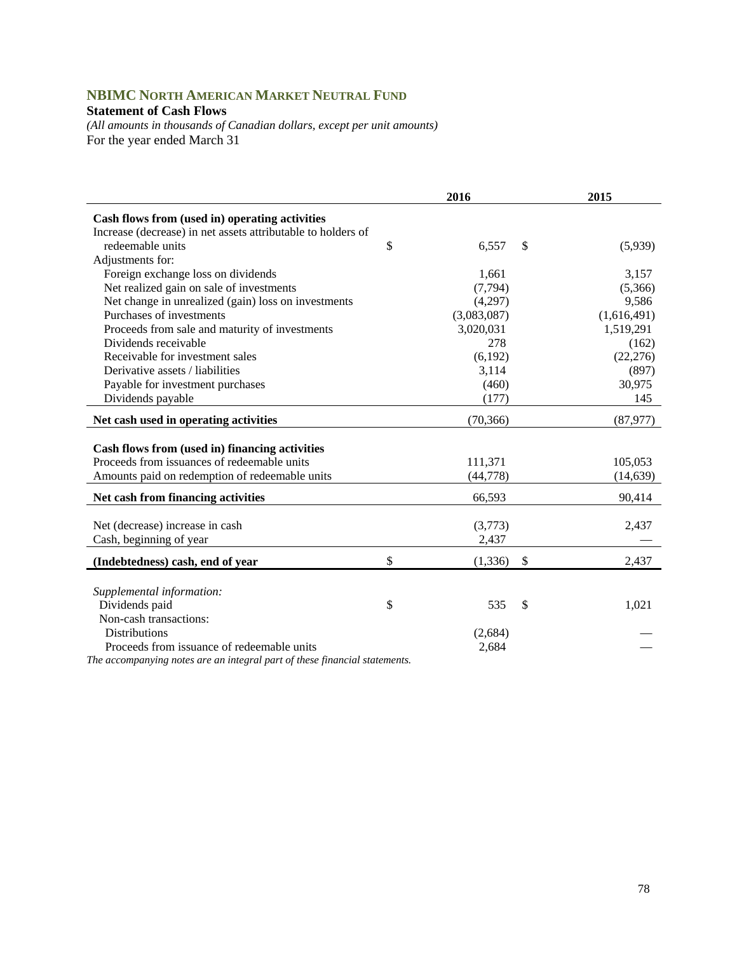# **NBIMC NORTH AMERICAN MARKET NEUTRAL FUND**

### **Statement of Cash Flows**

*(All amounts in thousands of Canadian dollars, except per unit amounts)*  For the year ended March 31

|                                                                                                                         | 2016           |               | 2015        |
|-------------------------------------------------------------------------------------------------------------------------|----------------|---------------|-------------|
| Cash flows from (used in) operating activities                                                                          |                |               |             |
| Increase (decrease) in net assets attributable to holders of                                                            |                |               |             |
| redeemable units                                                                                                        | \$<br>6,557    | $\mathbb{S}$  | (5,939)     |
| Adjustments for:                                                                                                        |                |               |             |
| Foreign exchange loss on dividends                                                                                      | 1,661          |               | 3,157       |
| Net realized gain on sale of investments                                                                                | (7, 794)       |               | (5,366)     |
| Net change in unrealized (gain) loss on investments                                                                     | (4,297)        |               | 9,586       |
| Purchases of investments                                                                                                | (3,083,087)    |               | (1,616,491) |
| Proceeds from sale and maturity of investments                                                                          | 3,020,031      |               | 1,519,291   |
| Dividends receivable                                                                                                    | 278            |               | (162)       |
| Receivable for investment sales                                                                                         | (6,192)        |               | (22, 276)   |
| Derivative assets / liabilities                                                                                         | 3,114          |               | (897)       |
| Payable for investment purchases                                                                                        | (460)          |               | 30,975      |
| Dividends payable                                                                                                       | (177)          |               | 145         |
| Net cash used in operating activities                                                                                   | (70, 366)      |               | (87, 977)   |
|                                                                                                                         |                |               |             |
| Cash flows from (used in) financing activities                                                                          |                |               |             |
| Proceeds from issuances of redeemable units                                                                             | 111,371        |               | 105,053     |
| Amounts paid on redemption of redeemable units                                                                          | (44, 778)      |               | (14, 639)   |
| Net cash from financing activities                                                                                      | 66,593         |               | 90,414      |
| Net (decrease) increase in cash                                                                                         | (3,773)        |               | 2,437       |
| Cash, beginning of year                                                                                                 | 2,437          |               |             |
|                                                                                                                         |                |               |             |
| (Indebtedness) cash, end of year                                                                                        | \$<br>(1, 336) | <sup>\$</sup> | 2,437       |
|                                                                                                                         |                |               |             |
| Supplemental information:                                                                                               |                |               |             |
| Dividends paid                                                                                                          | \$<br>535      | \$            | 1,021       |
| Non-cash transactions:                                                                                                  |                |               |             |
| <b>Distributions</b>                                                                                                    | (2,684)        |               |             |
| Proceeds from issuance of redeemable units<br>The accompanying notes are an integral part of these financial statements | 2,684          |               |             |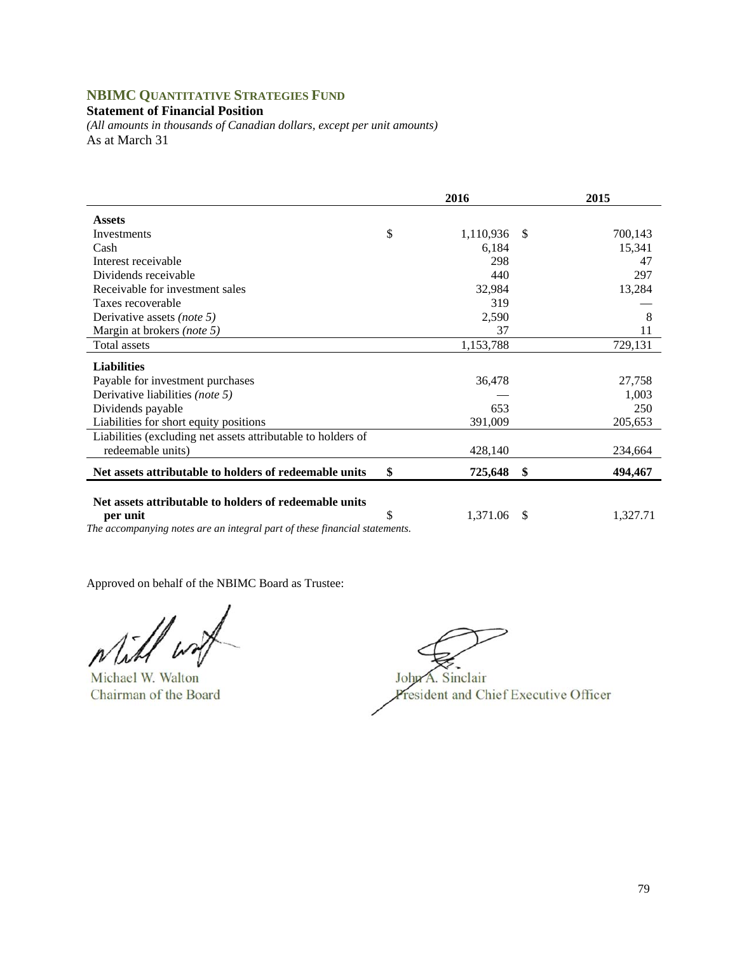# **NBIMC QUANTITATIVE STRATEGIES FUND**

# **Statement of Financial Position**

*(All amounts in thousands of Canadian dollars, except per unit amounts)*  As at March 31

|                                                                            | 2016            |    | 2015     |
|----------------------------------------------------------------------------|-----------------|----|----------|
| <b>Assets</b>                                                              |                 |    |          |
| Investments                                                                | \$<br>1,110,936 | -S | 700,143  |
| Cash                                                                       | 6,184           |    | 15,341   |
| Interest receivable                                                        | 298             |    | 47       |
| Dividends receivable                                                       | 440             |    | 297      |
| Receivable for investment sales                                            | 32,984          |    | 13,284   |
| Taxes recoverable                                                          | 319             |    |          |
| Derivative assets (note 5)                                                 | 2,590           |    | 8        |
| Margin at brokers (note 5)                                                 | 37              |    | 11       |
| Total assets                                                               | 1,153,788       |    | 729,131  |
| <b>Liabilities</b>                                                         |                 |    |          |
| Payable for investment purchases                                           | 36,478          |    | 27,758   |
| Derivative liabilities (note 5)                                            |                 |    | 1,003    |
| Dividends payable                                                          | 653             |    | 250      |
| Liabilities for short equity positions                                     | 391,009         |    | 205,653  |
| Liabilities (excluding net assets attributable to holders of               |                 |    |          |
| redeemable units)                                                          | 428,140         |    | 234,664  |
| Net assets attributable to holders of redeemable units                     | \$<br>725,648   | \$ | 494,467  |
|                                                                            |                 |    |          |
| Net assets attributable to holders of redeemable units                     |                 |    |          |
| per unit                                                                   | \$<br>1,371.06  | -S | 1,327.71 |
| The accompanying notes are an integral part of these financial statements. |                 |    |          |

Approved on behalf of the NBIMC Board as Trustee:

Michael W. Walton Chairman of the Board

John A. Sinclair President and Chief Executive Officer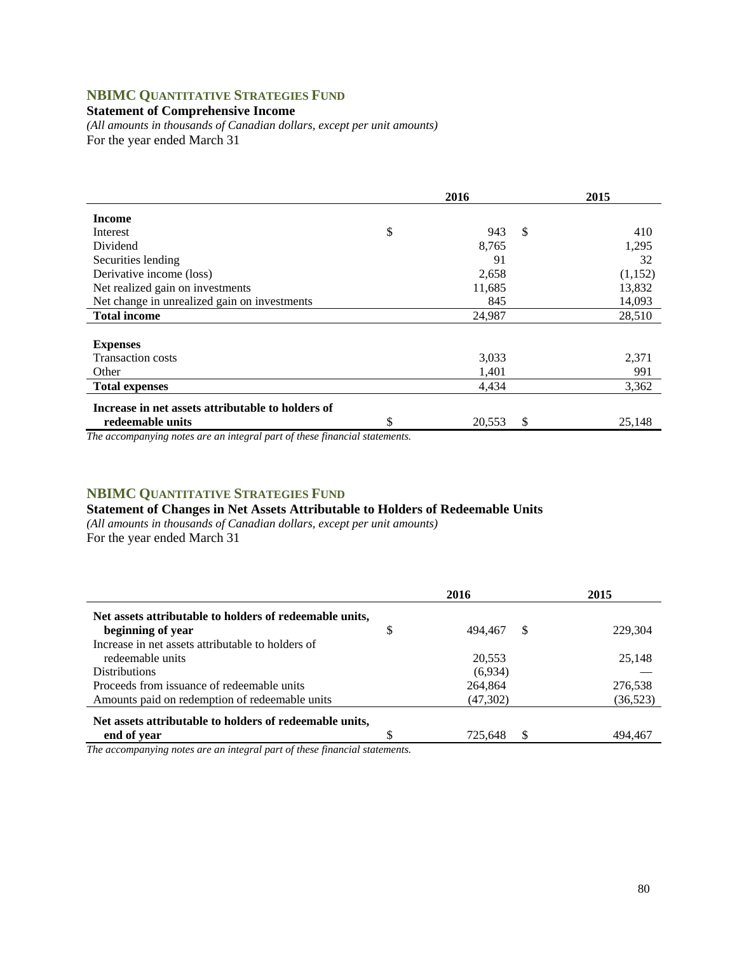# **NBIMC QUANTITATIVE STRATEGIES FUND**

## **Statement of Comprehensive Income**

*(All amounts in thousands of Canadian dollars, except per unit amounts)*  For the year ended March 31

|                                                   | 2016 |        |               | 2015    |
|---------------------------------------------------|------|--------|---------------|---------|
| <b>Income</b>                                     |      |        |               |         |
| Interest                                          | \$   | 943    | <sup>\$</sup> | 410     |
| Dividend                                          |      | 8,765  |               | 1,295   |
| Securities lending                                |      | 91     |               | 32      |
| Derivative income (loss)                          |      | 2,658  |               | (1,152) |
| Net realized gain on investments                  |      | 11,685 |               | 13,832  |
| Net change in unrealized gain on investments      |      | 845    |               | 14,093  |
| <b>Total income</b>                               |      | 24,987 |               | 28,510  |
|                                                   |      |        |               |         |
| <b>Expenses</b>                                   |      |        |               |         |
| <b>Transaction costs</b>                          |      | 3,033  |               | 2,371   |
| Other                                             |      | 1,401  |               | 991     |
| <b>Total expenses</b>                             |      | 4,434  |               | 3,362   |
| Increase in net assets attributable to holders of |      |        |               |         |
| redeemable units                                  | \$   | 20,553 | \$            | 25,148  |

*The accompanying notes are an integral part of these financial statements.*

# **NBIMC QUANTITATIVE STRATEGIES FUND**

**Statement of Changes in Net Assets Attributable to Holders of Redeemable Units** 

*(All amounts in thousands of Canadian dollars, except per unit amounts)*  For the year ended March 31

|                                                         | 2016     |   | 2015      |
|---------------------------------------------------------|----------|---|-----------|
| Net assets attributable to holders of redeemable units, |          |   |           |
| beginning of year                                       | 494.467  | S | 229.304   |
| Increase in net assets attributable to holders of       |          |   |           |
| redeemable units                                        | 20,553   |   | 25,148    |
| <b>Distributions</b>                                    | (6,934)  |   |           |
| Proceeds from issuance of redeemable units              | 264.864  |   | 276,538   |
| Amounts paid on redemption of redeemable units          | (47,302) |   | (36, 523) |
| Net assets attributable to holders of redeemable units, |          |   |           |
| end of year                                             | 725.648  |   | 494 46    |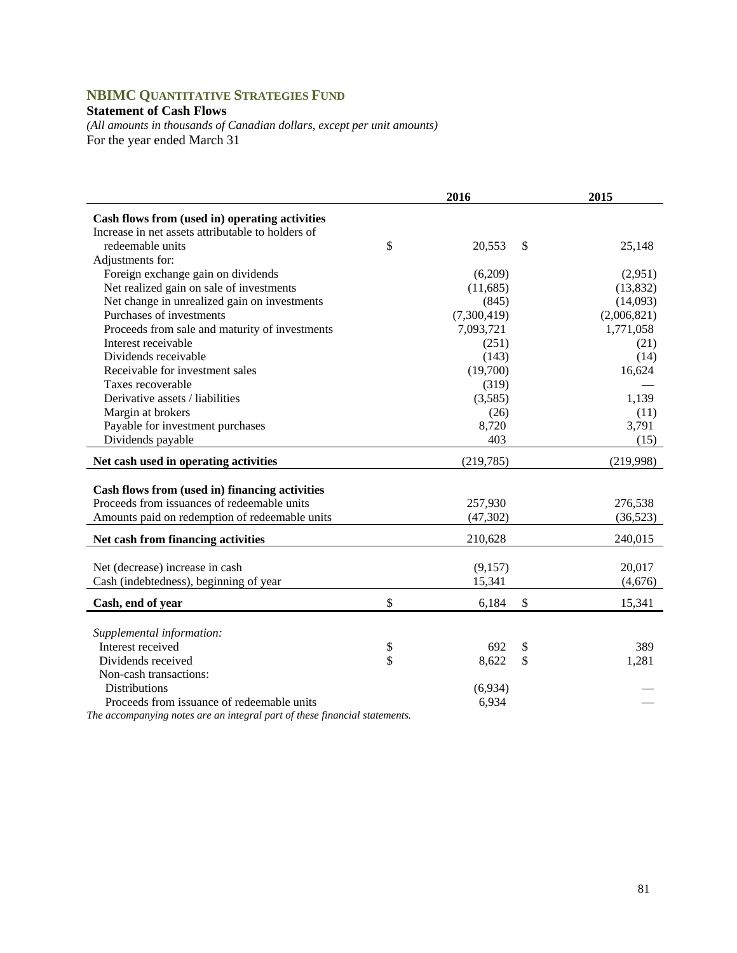# **NBIMC QUANTITATIVE STRATEGIES FUND**

# **Statement of Cash Flows**

*(All amounts in thousands of Canadian dollars, except per unit amounts)*  For the year ended March 31

|                                                                                                                                                                                   | 2016         | 2015         |
|-----------------------------------------------------------------------------------------------------------------------------------------------------------------------------------|--------------|--------------|
| Cash flows from (used in) operating activities                                                                                                                                    |              |              |
| Increase in net assets attributable to holders of                                                                                                                                 |              |              |
| redeemable units                                                                                                                                                                  | \$<br>20,553 | \$<br>25,148 |
| Adjustments for:                                                                                                                                                                  |              |              |
| Foreign exchange gain on dividends                                                                                                                                                | (6,209)      | (2,951)      |
| Net realized gain on sale of investments                                                                                                                                          | (11,685)     | (13, 832)    |
| Net change in unrealized gain on investments                                                                                                                                      | (845)        | (14,093)     |
| Purchases of investments                                                                                                                                                          | (7,300,419)  | (2,006,821)  |
| Proceeds from sale and maturity of investments                                                                                                                                    | 7,093,721    | 1,771,058    |
| Interest receivable                                                                                                                                                               | (251)        | (21)         |
| Dividends receivable                                                                                                                                                              | (143)        | (14)         |
| Receivable for investment sales                                                                                                                                                   | (19,700)     | 16,624       |
| Taxes recoverable                                                                                                                                                                 | (319)        |              |
| Derivative assets / liabilities                                                                                                                                                   | (3,585)      | 1,139        |
| Margin at brokers                                                                                                                                                                 | (26)         | (11)         |
| Payable for investment purchases                                                                                                                                                  | 8,720        | 3,791        |
| Dividends payable                                                                                                                                                                 | 403          | (15)         |
| Net cash used in operating activities                                                                                                                                             | (219, 785)   | (219,998)    |
|                                                                                                                                                                                   |              |              |
| Cash flows from (used in) financing activities                                                                                                                                    |              |              |
| Proceeds from issuances of redeemable units                                                                                                                                       | 257,930      | 276,538      |
| Amounts paid on redemption of redeemable units                                                                                                                                    | (47, 302)    | (36, 523)    |
| Net cash from financing activities                                                                                                                                                | 210,628      | 240,015      |
| Net (decrease) increase in cash                                                                                                                                                   | (9,157)      | 20,017       |
| Cash (indebtedness), beginning of year                                                                                                                                            | 15,341       | (4,676)      |
|                                                                                                                                                                                   |              |              |
| Cash, end of year                                                                                                                                                                 | \$<br>6,184  | \$<br>15,341 |
|                                                                                                                                                                                   |              |              |
| Supplemental information:                                                                                                                                                         |              |              |
| Interest received                                                                                                                                                                 | \$<br>692    | \$<br>389    |
| Dividends received                                                                                                                                                                | \$<br>8,622  | \$<br>1,281  |
| Non-cash transactions:                                                                                                                                                            |              |              |
| <b>Distributions</b>                                                                                                                                                              | (6,934)      |              |
| Proceeds from issuance of redeemable units<br>$\mathbf{r}$ and $\mathbf{r}$ and $\mathbf{r}$ and $\mathbf{r}$ and $\mathbf{r}$ and $\mathbf{r}$ and $\mathbf{r}$ and $\mathbf{r}$ | 6,934        |              |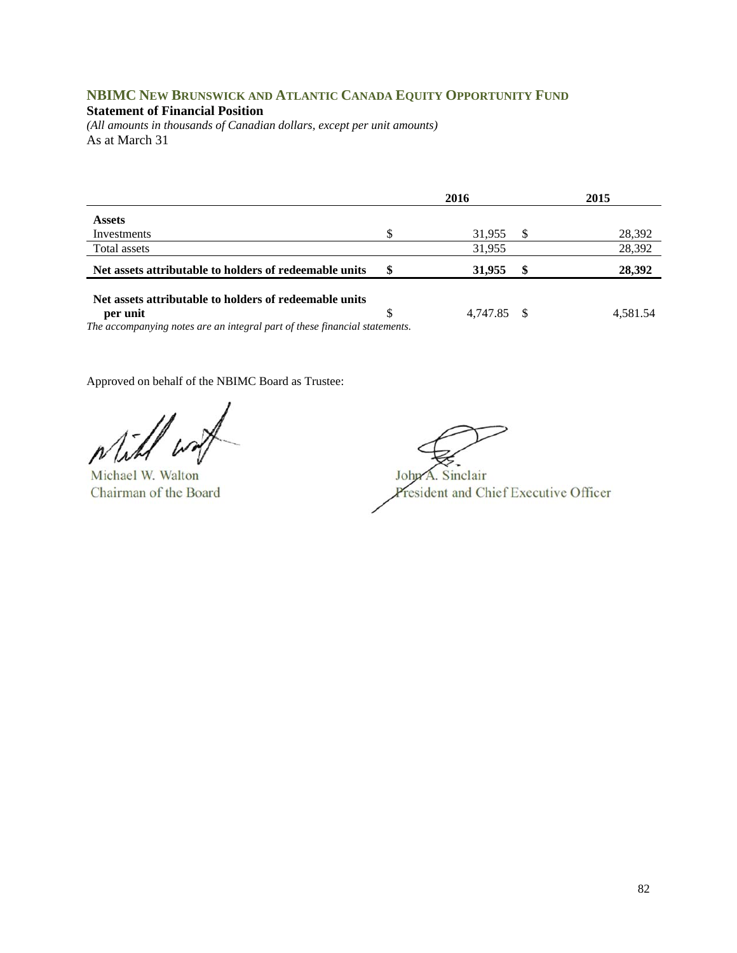# **NBIMC NEW BRUNSWICK AND ATLANTIC CANADA EQUITY OPPORTUNITY FUND**

### **Statement of Financial Position**

*(All amounts in thousands of Canadian dollars, except per unit amounts)*  As at March 31

|                                                                            | 2016        |          | 2015     |
|----------------------------------------------------------------------------|-------------|----------|----------|
| <b>Assets</b>                                                              |             |          |          |
| Investments                                                                | 31,955      | <b>S</b> | 28,392   |
| Total assets                                                               | 31,955      |          | 28,392   |
| Net assets attributable to holders of redeemable units                     | 31,955      | \$       | 28,392   |
| Net assets attributable to holders of redeemable units<br>per unit         | 4.747.85 \$ |          | 4,581.54 |
| The accompanying notes are an integral part of these financial statements. |             |          |          |

Approved on behalf of the NBIMC Board as Trustee:

Michael W. Walton Chairman of the Board

John **A.** Sinclair President and Chief Executive Officer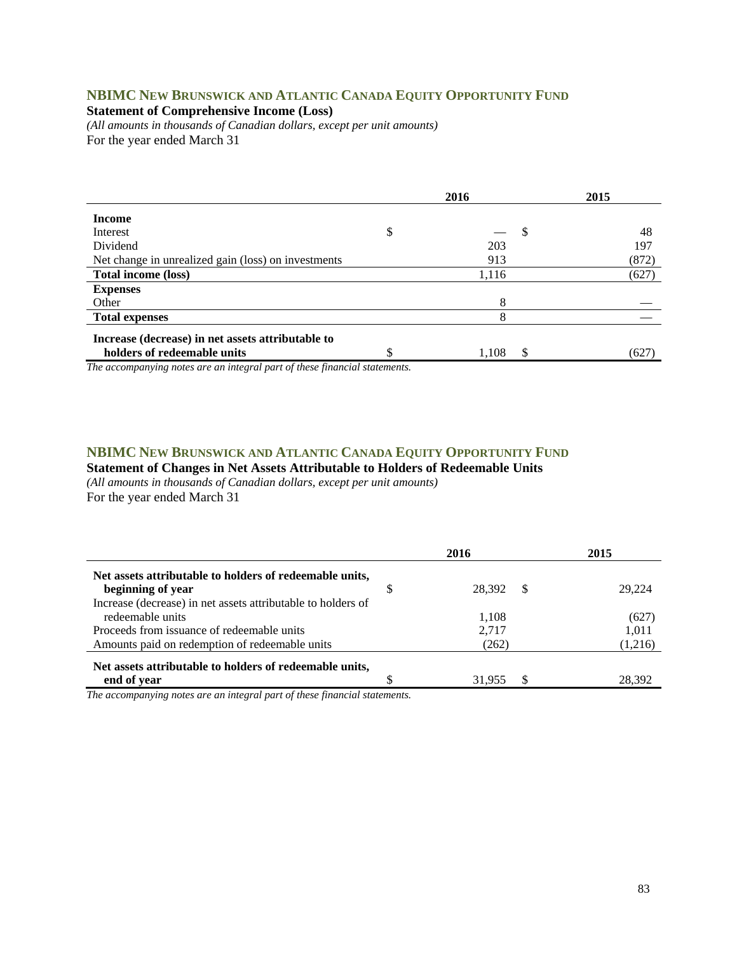## **NBIMC NEW BRUNSWICK AND ATLANTIC CANADA EQUITY OPPORTUNITY FUND**

**Statement of Comprehensive Income (Loss)** 

*(All amounts in thousands of Canadian dollars, except per unit amounts)*  For the year ended March 31

|                                                     | 2016  |    | 2015  |
|-----------------------------------------------------|-------|----|-------|
| <b>Income</b>                                       |       |    |       |
| Interest                                            | \$    | S  | 48    |
| Dividend                                            | 203   |    | 197   |
| Net change in unrealized gain (loss) on investments | 913   |    | (872) |
| Total income (loss)                                 | 1,116 |    | (627) |
| <b>Expenses</b>                                     |       |    |       |
| Other                                               | 8     |    |       |
| <b>Total expenses</b>                               | 8     |    |       |
| Increase (decrease) in net assets attributable to   |       |    |       |
| holders of redeemable units                         | 1,108 | S. | (627) |

*The accompanying notes are an integral part of these financial statements.*

## **NBIMC NEW BRUNSWICK AND ATLANTIC CANADA EQUITY OPPORTUNITY FUND**

**Statement of Changes in Net Assets Attributable to Holders of Redeemable Units**  *(All amounts in thousands of Canadian dollars, except per unit amounts)* 

For the year ended March 31

|                                                              | 2016         | 2015    |
|--------------------------------------------------------------|--------------|---------|
| Net assets attributable to holders of redeemable units,      |              |         |
| beginning of year                                            | 28.392<br>-8 | 29.224  |
| Increase (decrease) in net assets attributable to holders of |              |         |
| redeemable units                                             | 1,108        | (627)   |
| Proceeds from issuance of redeemable units                   | 2,717        | 1,011   |
| Amounts paid on redemption of redeemable units               | (262)        | (1,216) |
| Net assets attributable to holders of redeemable units,      |              |         |
| end of year                                                  | 31.955       | 28.392  |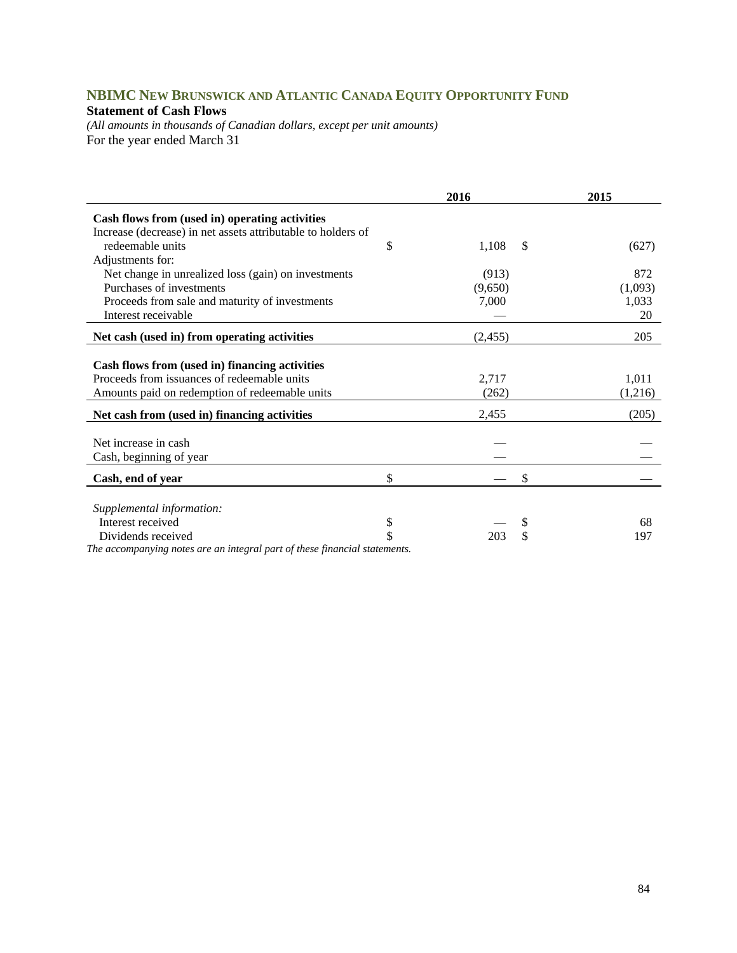# **NBIMC NEW BRUNSWICK AND ATLANTIC CANADA EQUITY OPPORTUNITY FUND**

## **Statement of Cash Flows**

*(All amounts in thousands of Canadian dollars, except per unit amounts)*  For the year ended March 31

|                                                                            | 2016        |    | 2015    |
|----------------------------------------------------------------------------|-------------|----|---------|
| Cash flows from (used in) operating activities                             |             |    |         |
| Increase (decrease) in net assets attributable to holders of               |             |    |         |
| redeemable units                                                           | \$<br>1,108 | S  | (627)   |
| Adjustments for:                                                           |             |    |         |
| Net change in unrealized loss (gain) on investments                        | (913)       |    | 872     |
| Purchases of investments                                                   | (9,650)     |    | (1,093) |
| Proceeds from sale and maturity of investments                             | 7,000       |    | 1,033   |
| Interest receivable                                                        |             |    | 20      |
| Net cash (used in) from operating activities                               | (2,455)     |    | 205     |
|                                                                            |             |    |         |
| Cash flows from (used in) financing activities                             |             |    |         |
| Proceeds from issuances of redeemable units                                | 2,717       |    | 1,011   |
| Amounts paid on redemption of redeemable units                             | (262)       |    | (1,216) |
| Net cash from (used in) financing activities                               | 2,455       |    | (205)   |
| Net increase in cash                                                       |             |    |         |
| Cash, beginning of year                                                    |             |    |         |
| Cash, end of year                                                          | \$          | \$ |         |
|                                                                            |             |    |         |
| Supplemental information:                                                  |             |    |         |
| Interest received                                                          | \$          | \$ | 68      |
| Dividends received                                                         | 203         | \$ | 197     |
| The accompanying notes are an integral part of these financial statements. |             |    |         |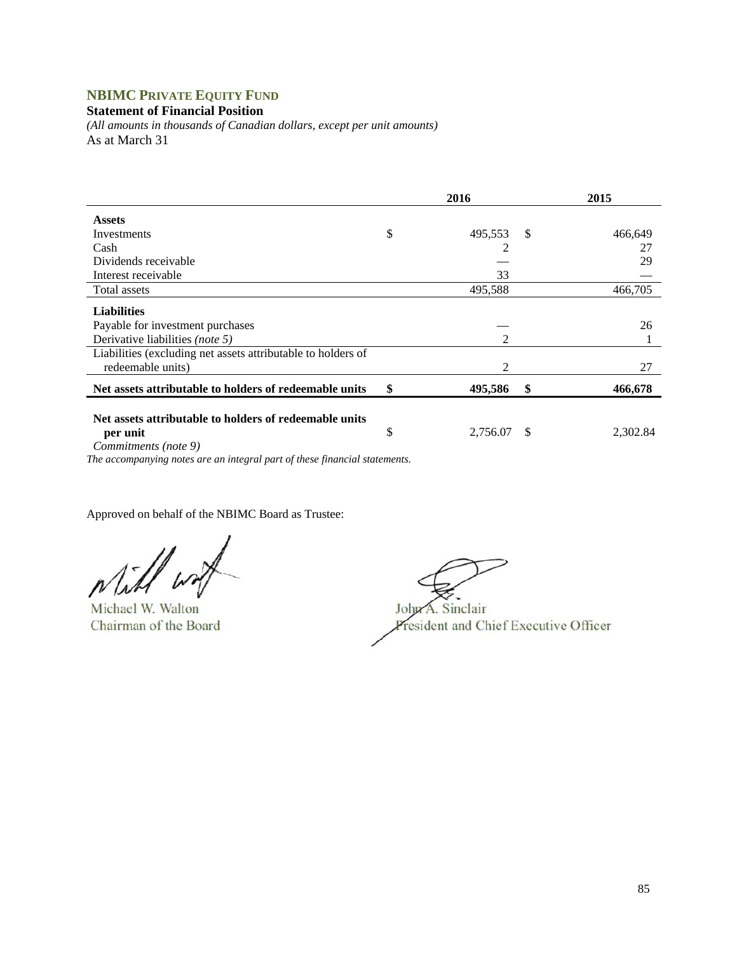# **NBIMC PRIVATE EQUITY FUND**

**Statement of Financial Position** 

*(All amounts in thousands of Canadian dollars, except per unit amounts)*  As at March 31

|                                                                                            | 2016           |    | 2015     |
|--------------------------------------------------------------------------------------------|----------------|----|----------|
| <b>Assets</b>                                                                              |                |    |          |
| Investments                                                                                | \$<br>495,553  | \$ | 466,649  |
| Cash                                                                                       |                |    | 27       |
| Dividends receivable                                                                       |                |    | 29       |
| Interest receivable                                                                        | 33             |    |          |
| Total assets                                                                               | 495,588        |    | 466,705  |
| <b>Liabilities</b>                                                                         |                |    |          |
| Payable for investment purchases                                                           |                |    | 26       |
| Derivative liabilities (note 5)                                                            | 2              |    |          |
| Liabilities (excluding net assets attributable to holders of                               |                |    |          |
| redeemable units)                                                                          | 2              |    | 27       |
| Net assets attributable to holders of redeemable units                                     | \$<br>495,586  | \$ | 466,678  |
| Net assets attributable to holders of redeemable units<br>per unit<br>Commitments (note 9) | \$<br>2,756.07 | S  | 2,302.84 |

*The accompanying notes are an integral part of these financial statements.* 

Approved on behalf of the NBIMC Board as Trustee:

Michael W. Walton Chairman of the Board

A. Sinclair John President and Chief Executive Officer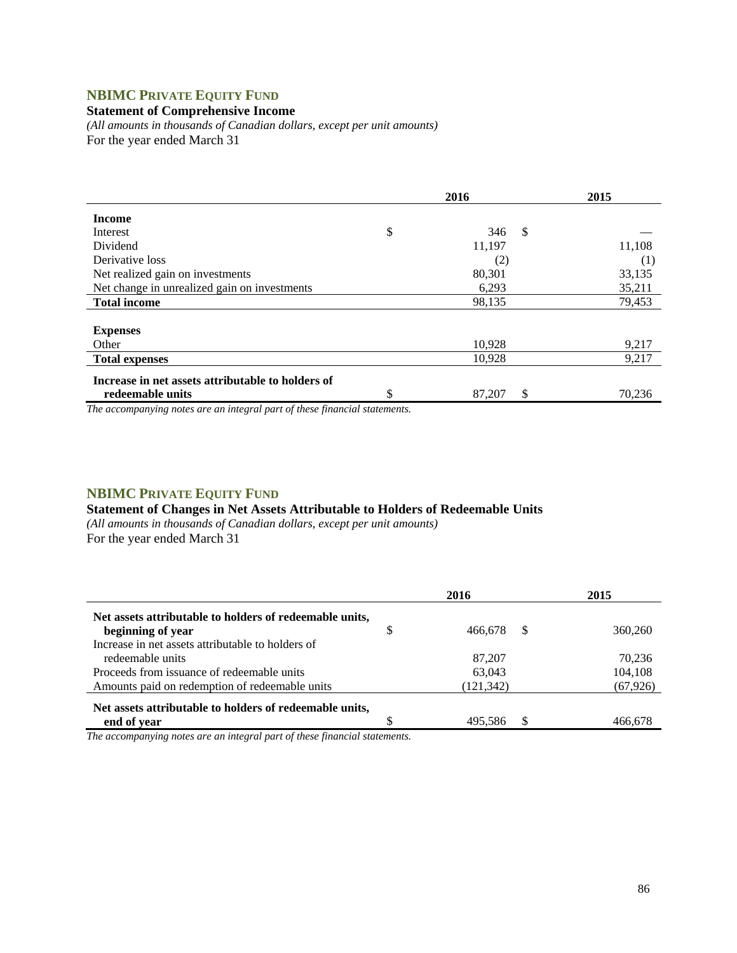## **NBIMC PRIVATE EQUITY FUND**

### **Statement of Comprehensive Income**

*(All amounts in thousands of Canadian dollars, except per unit amounts)*  For the year ended March 31

|                                                   |    | 2016                 | 2015   |
|---------------------------------------------------|----|----------------------|--------|
| <b>Income</b>                                     |    |                      |        |
| Interest                                          | \$ | 346<br>$\mathcal{S}$ |        |
| Dividend                                          |    | 11,197               | 11,108 |
| Derivative loss                                   |    | (2)                  | (1)    |
| Net realized gain on investments                  |    | 33,135               |        |
| Net change in unrealized gain on investments      |    | 6,293                | 35,211 |
| <b>Total income</b>                               |    | 98,135               | 79,453 |
|                                                   |    |                      |        |
| <b>Expenses</b>                                   |    |                      |        |
| Other                                             |    | 10,928               | 9,217  |
| <b>Total expenses</b>                             |    | 10,928               | 9,217  |
| Increase in net assets attributable to holders of |    |                      |        |
| redeemable units                                  | \$ | \$<br>87,207         | 70,236 |

*The accompanying notes are an integral part of these financial statements.*

## **NBIMC PRIVATE EQUITY FUND**

### **Statement of Changes in Net Assets Attributable to Holders of Redeemable Units**

*(All amounts in thousands of Canadian dollars, except per unit amounts)*  For the year ended March 31

|                                                         | 2016       |    | 2015      |
|---------------------------------------------------------|------------|----|-----------|
| Net assets attributable to holders of redeemable units, |            |    |           |
| beginning of year                                       | 466,678    | S  | 360,260   |
| Increase in net assets attributable to holders of       |            |    |           |
| redeemable units                                        | 87,207     |    | 70.236    |
| Proceeds from issuance of redeemable units              | 63,043     |    | 104,108   |
| Amounts paid on redemption of redeemable units          | (121, 342) |    | (67, 926) |
| Net assets attributable to holders of redeemable units, |            |    |           |
| end of year                                             | 495,586    | £. | 466,678   |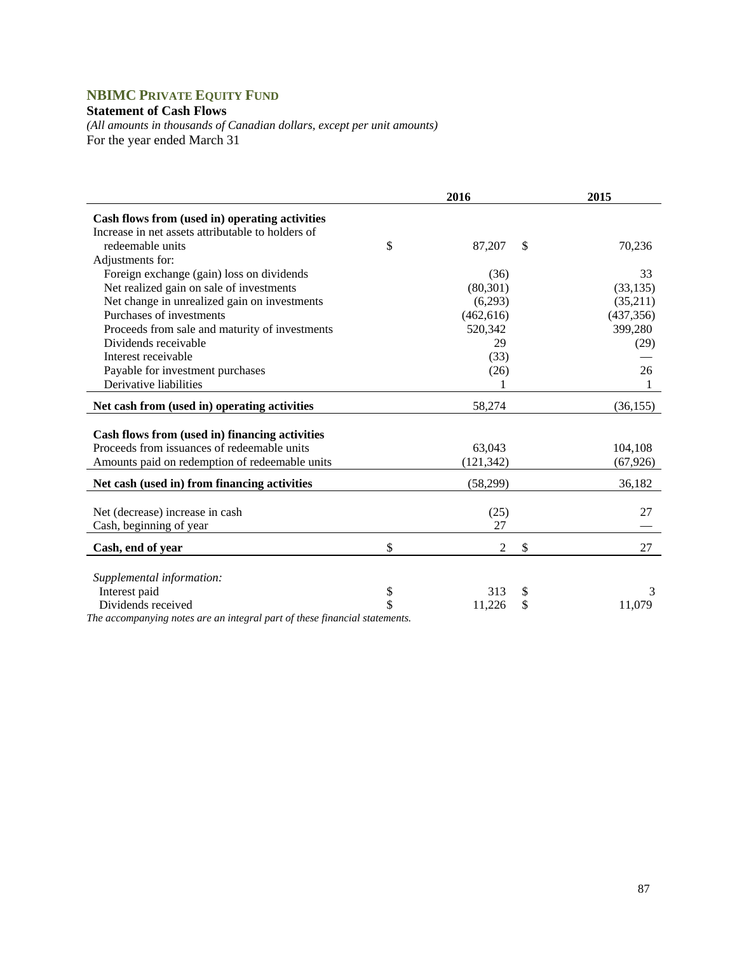# **NBIMC PRIVATE EQUITY FUND**

# **Statement of Cash Flows**

*(All amounts in thousands of Canadian dollars, except per unit amounts)*  For the year ended March 31

| 2016                                                                  |                                                                      | 2015       |
|-----------------------------------------------------------------------|----------------------------------------------------------------------|------------|
|                                                                       |                                                                      |            |
|                                                                       |                                                                      |            |
| \$<br>87,207                                                          | \$                                                                   | 70,236     |
|                                                                       |                                                                      |            |
| (36)                                                                  |                                                                      | 33         |
|                                                                       |                                                                      | (33, 135)  |
|                                                                       |                                                                      | (35,211)   |
|                                                                       |                                                                      | (437, 356) |
| 520,342                                                               |                                                                      | 399,280    |
| 29                                                                    |                                                                      | (29)       |
|                                                                       |                                                                      |            |
| (26)                                                                  |                                                                      | 26         |
|                                                                       |                                                                      |            |
|                                                                       |                                                                      | (36, 155)  |
|                                                                       |                                                                      |            |
|                                                                       |                                                                      |            |
| 63,043                                                                |                                                                      | 104,108    |
| (121, 342)                                                            |                                                                      | (67, 926)  |
| (58,299)                                                              |                                                                      | 36,182     |
|                                                                       |                                                                      |            |
| (25)                                                                  |                                                                      | 27         |
|                                                                       |                                                                      |            |
| \$<br>2                                                               | \$                                                                   | 27         |
|                                                                       |                                                                      |            |
|                                                                       |                                                                      |            |
| \$<br>313                                                             | \$                                                                   | 3          |
| \$                                                                    | \$                                                                   | 11,079     |
| The governmenting potes are an integral part of these formatel states | (80, 301)<br>(6,293)<br>(462, 616)<br>(33)<br>58,274<br>27<br>11,226 |            |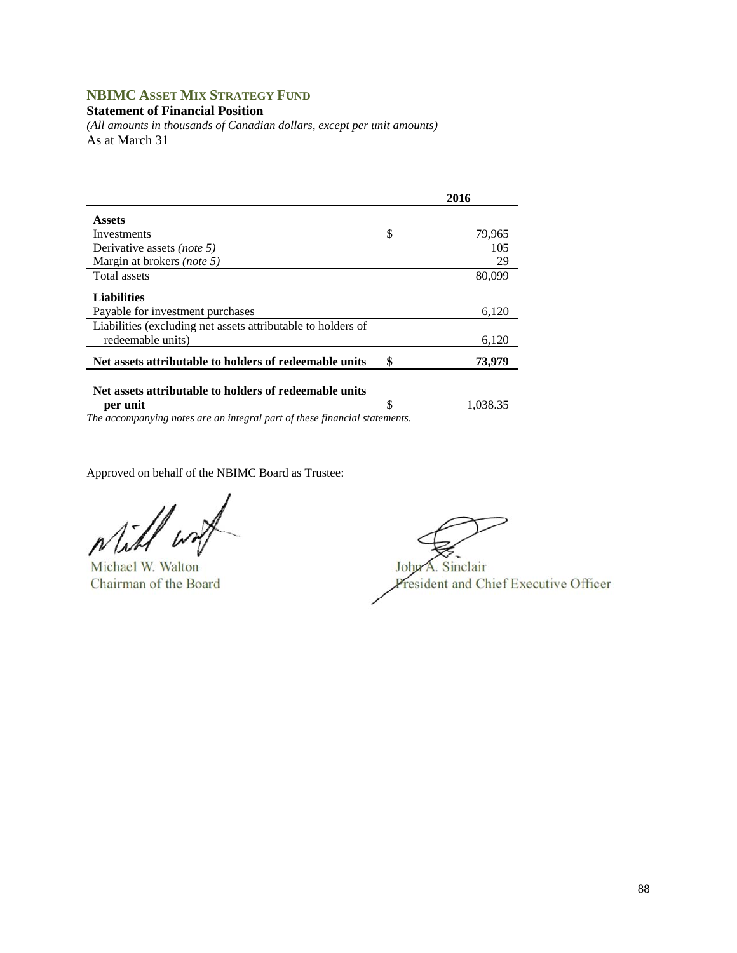# **NBIMC ASSET MIX STRATEGY FUND**

### **Statement of Financial Position**

*(All amounts in thousands of Canadian dollars, except per unit amounts)*  As at March 31

|                                                                                   | 2016           |
|-----------------------------------------------------------------------------------|----------------|
| <b>Assets</b>                                                                     |                |
| Investments                                                                       | \$<br>79,965   |
| Derivative assets <i>(note 5)</i>                                                 | 105            |
| Margin at brokers <i>(note 5)</i>                                                 | 29             |
| Total assets                                                                      | 80,099         |
| <b>Liabilities</b>                                                                |                |
| Payable for investment purchases                                                  | 6,120          |
| Liabilities (excluding net assets attributable to holders of<br>redeemable units) | 6,120          |
| Net assets attributable to holders of redeemable units                            | \$<br>73,979   |
| Net assets attributable to holders of redeemable units<br>per unit                | \$<br>1.038.35 |

*The accompanying notes are an integral part of these financial statements.* 

Approved on behalf of the NBIMC Board as Trustee:

Nih

Michael W. Walton Chairman of the Board

John A. Sinclair President and Chief Executive Officer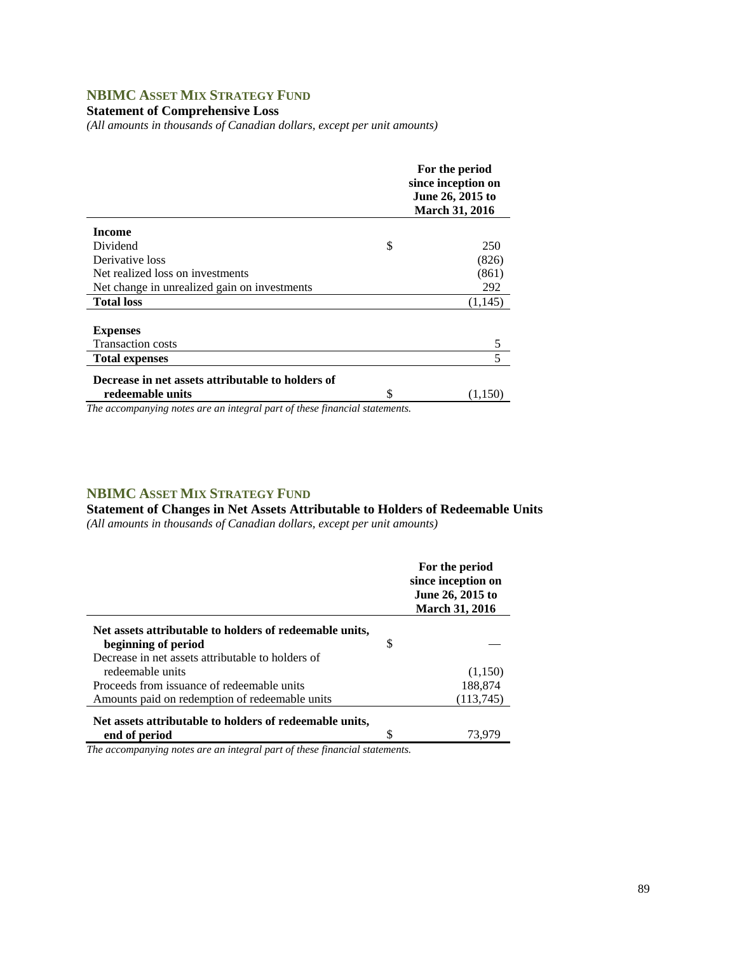# **NBIMC ASSET MIX STRATEGY FUND**

**Statement of Comprehensive Loss** 

*(All amounts in thousands of Canadian dollars, except per unit amounts)* 

|                                                   |                 | For the period<br>since inception on<br>June 26, 2015 to<br><b>March 31, 2016</b> |  |  |
|---------------------------------------------------|-----------------|-----------------------------------------------------------------------------------|--|--|
| <b>Income</b>                                     |                 |                                                                                   |  |  |
| Dividend                                          | \$              | 250                                                                               |  |  |
| Derivative loss                                   |                 | (826)                                                                             |  |  |
| Net realized loss on investments                  |                 | (861)                                                                             |  |  |
| Net change in unrealized gain on investments      |                 | 292                                                                               |  |  |
| <b>Total loss</b>                                 |                 | (1,145)                                                                           |  |  |
|                                                   |                 |                                                                                   |  |  |
| <b>Expenses</b>                                   |                 |                                                                                   |  |  |
| <b>Transaction costs</b>                          |                 |                                                                                   |  |  |
| <b>Total expenses</b>                             |                 |                                                                                   |  |  |
| Decrease in net assets attributable to holders of |                 |                                                                                   |  |  |
| redeemable units                                  | \$              | (1,150)                                                                           |  |  |
| $\sim$ $\sim$                                     | $\cdot$ $\cdot$ |                                                                                   |  |  |

*The accompanying notes are an integral part of these financial statements.*

## **NBIMC ASSET MIX STRATEGY FUND**

**Statement of Changes in Net Assets Attributable to Holders of Redeemable Units**  *(All amounts in thousands of Canadian dollars, except per unit amounts)* 

|                                                                                |   | For the period<br>since inception on<br>June 26, 2015 to<br><b>March 31, 2016</b> |
|--------------------------------------------------------------------------------|---|-----------------------------------------------------------------------------------|
| Net assets attributable to holders of redeemable units,<br>beginning of period | S |                                                                                   |
| Decrease in net assets attributable to holders of                              |   |                                                                                   |
| redeemable units                                                               |   | (1,150)                                                                           |
| Proceeds from issuance of redeemable units                                     |   | 188,874                                                                           |
| Amounts paid on redemption of redeemable units                                 |   | (113,745)                                                                         |
| Net assets attributable to holders of redeemable units,                        |   |                                                                                   |
| end of period                                                                  |   | 73,979                                                                            |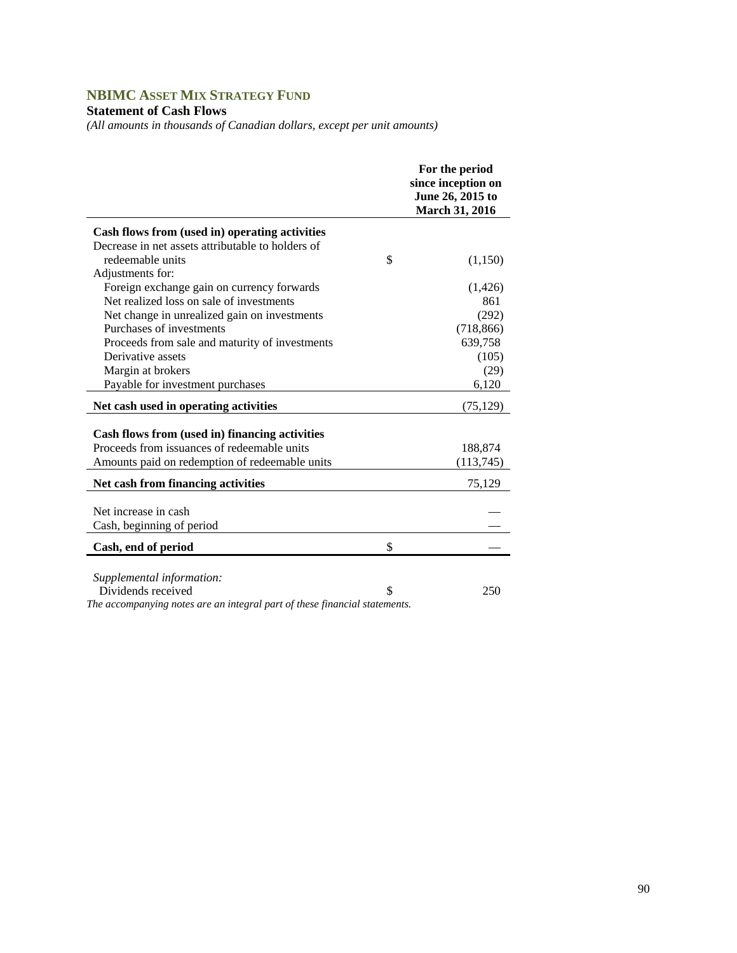# **NBIMC ASSET MIX STRATEGY FUND**

## **Statement of Cash Flows**

*(All amounts in thousands of Canadian dollars, except per unit amounts)* 

|                                                                            | For the period<br>since inception on<br>June 26, 2015 to<br><b>March 31, 2016</b> |
|----------------------------------------------------------------------------|-----------------------------------------------------------------------------------|
| Cash flows from (used in) operating activities                             |                                                                                   |
| Decrease in net assets attributable to holders of                          |                                                                                   |
| redeemable units                                                           | \$<br>(1,150)                                                                     |
| Adjustments for:                                                           |                                                                                   |
| Foreign exchange gain on currency forwards                                 | (1,426)                                                                           |
| Net realized loss on sale of investments                                   | 861                                                                               |
| Net change in unrealized gain on investments                               | (292)                                                                             |
| Purchases of investments                                                   | (718, 866)                                                                        |
| Proceeds from sale and maturity of investments                             | 639,758                                                                           |
| Derivative assets                                                          | (105)                                                                             |
| Margin at brokers                                                          | (29)                                                                              |
| Payable for investment purchases                                           | 6,120                                                                             |
| Net cash used in operating activities                                      | (75, 129)                                                                         |
| Cash flows from (used in) financing activities                             |                                                                                   |
| Proceeds from issuances of redeemable units                                | 188,874                                                                           |
| Amounts paid on redemption of redeemable units                             | (113,745)                                                                         |
|                                                                            |                                                                                   |
| Net cash from financing activities                                         | 75,129                                                                            |
| Net increase in cash                                                       |                                                                                   |
| Cash, beginning of period                                                  |                                                                                   |
| Cash, end of period                                                        | \$                                                                                |
|                                                                            |                                                                                   |
| Supplemental information:                                                  |                                                                                   |
| Dividends received                                                         | \$<br>250                                                                         |
| The accompanying notes are an integral part of these financial statements. |                                                                                   |

90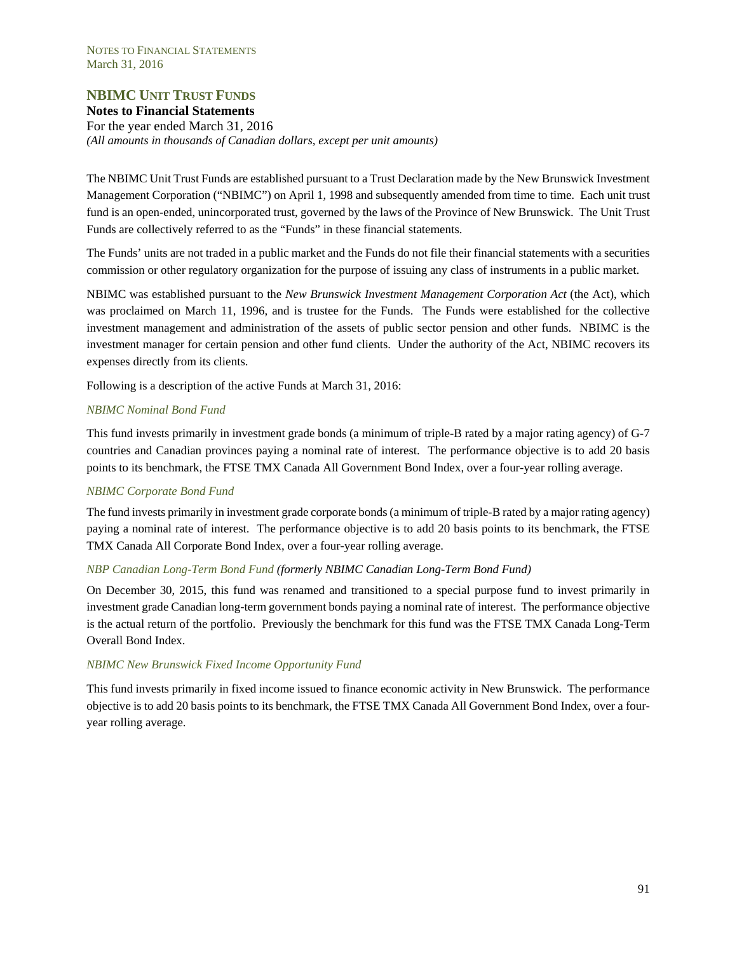NOTES TO FINANCIAL STATEMENTS March 31, 2016

## **NBIMC UNIT TRUST FUNDS**

**Notes to Financial Statements**  For the year ended March 31, 2016 *(All amounts in thousands of Canadian dollars, except per unit amounts)* 

The NBIMC Unit Trust Funds are established pursuant to a Trust Declaration made by the New Brunswick Investment Management Corporation ("NBIMC") on April 1, 1998 and subsequently amended from time to time. Each unit trust fund is an open-ended, unincorporated trust, governed by the laws of the Province of New Brunswick. The Unit Trust Funds are collectively referred to as the "Funds" in these financial statements.

The Funds' units are not traded in a public market and the Funds do not file their financial statements with a securities commission or other regulatory organization for the purpose of issuing any class of instruments in a public market.

NBIMC was established pursuant to the *New Brunswick Investment Management Corporation Act* (the Act), which was proclaimed on March 11, 1996, and is trustee for the Funds. The Funds were established for the collective investment management and administration of the assets of public sector pension and other funds. NBIMC is the investment manager for certain pension and other fund clients. Under the authority of the Act, NBIMC recovers its expenses directly from its clients.

Following is a description of the active Funds at March 31, 2016:

#### *NBIMC Nominal Bond Fund*

This fund invests primarily in investment grade bonds (a minimum of triple-B rated by a major rating agency) of G-7 countries and Canadian provinces paying a nominal rate of interest. The performance objective is to add 20 basis points to its benchmark, the FTSE TMX Canada All Government Bond Index, over a four-year rolling average.

#### *NBIMC Corporate Bond Fund*

The fund invests primarily in investment grade corporate bonds (a minimum of triple-B rated by a major rating agency) paying a nominal rate of interest. The performance objective is to add 20 basis points to its benchmark, the FTSE TMX Canada All Corporate Bond Index, over a four-year rolling average.

#### *NBP Canadian Long-Term Bond Fund (formerly NBIMC Canadian Long-Term Bond Fund)*

On December 30, 2015, this fund was renamed and transitioned to a special purpose fund to invest primarily in investment grade Canadian long-term government bonds paying a nominal rate of interest. The performance objective is the actual return of the portfolio. Previously the benchmark for this fund was the FTSE TMX Canada Long-Term Overall Bond Index.

#### *NBIMC New Brunswick Fixed Income Opportunity Fund*

This fund invests primarily in fixed income issued to finance economic activity in New Brunswick. The performance objective is to add 20 basis points to its benchmark, the FTSE TMX Canada All Government Bond Index, over a fouryear rolling average.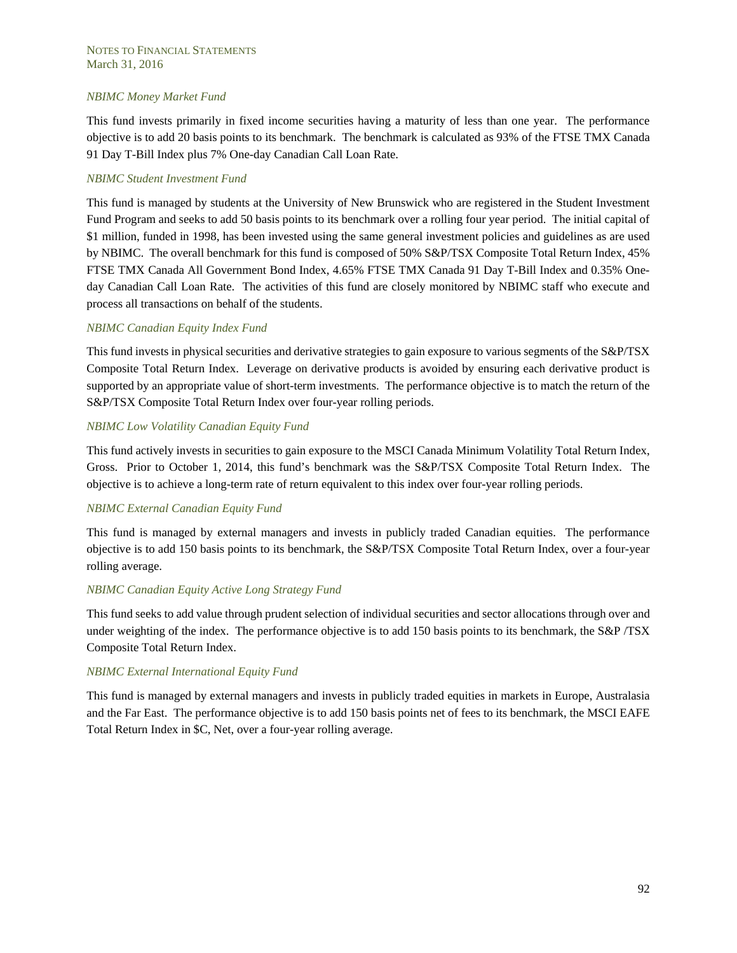#### NOTES TO FINANCIAL STATEMENTS March 31, 2016

### *NBIMC Money Market Fund*

This fund invests primarily in fixed income securities having a maturity of less than one year. The performance objective is to add 20 basis points to its benchmark. The benchmark is calculated as 93% of the FTSE TMX Canada 91 Day T-Bill Index plus 7% One-day Canadian Call Loan Rate.

#### *NBIMC Student Investment Fund*

This fund is managed by students at the University of New Brunswick who are registered in the Student Investment Fund Program and seeks to add 50 basis points to its benchmark over a rolling four year period. The initial capital of \$1 million, funded in 1998, has been invested using the same general investment policies and guidelines as are used by NBIMC. The overall benchmark for this fund is composed of 50% S&P/TSX Composite Total Return Index, 45% FTSE TMX Canada All Government Bond Index, 4.65% FTSE TMX Canada 91 Day T-Bill Index and 0.35% Oneday Canadian Call Loan Rate. The activities of this fund are closely monitored by NBIMC staff who execute and process all transactions on behalf of the students.

#### *NBIMC Canadian Equity Index Fund*

This fund invests in physical securities and derivative strategies to gain exposure to various segments of the S&P/TSX Composite Total Return Index. Leverage on derivative products is avoided by ensuring each derivative product is supported by an appropriate value of short-term investments. The performance objective is to match the return of the S&P/TSX Composite Total Return Index over four-year rolling periods.

### *NBIMC Low Volatility Canadian Equity Fund*

This fund actively invests in securities to gain exposure to the MSCI Canada Minimum Volatility Total Return Index, Gross. Prior to October 1, 2014, this fund's benchmark was the S&P/TSX Composite Total Return Index. The objective is to achieve a long-term rate of return equivalent to this index over four-year rolling periods.

#### *NBIMC External Canadian Equity Fund*

This fund is managed by external managers and invests in publicly traded Canadian equities. The performance objective is to add 150 basis points to its benchmark, the S&P/TSX Composite Total Return Index, over a four-year rolling average.

#### *NBIMC Canadian Equity Active Long Strategy Fund*

This fund seeks to add value through prudent selection of individual securities and sector allocations through over and under weighting of the index. The performance objective is to add 150 basis points to its benchmark, the S&P/TSX Composite Total Return Index.

#### *NBIMC External International Equity Fund*

This fund is managed by external managers and invests in publicly traded equities in markets in Europe, Australasia and the Far East. The performance objective is to add 150 basis points net of fees to its benchmark, the MSCI EAFE Total Return Index in \$C, Net, over a four-year rolling average.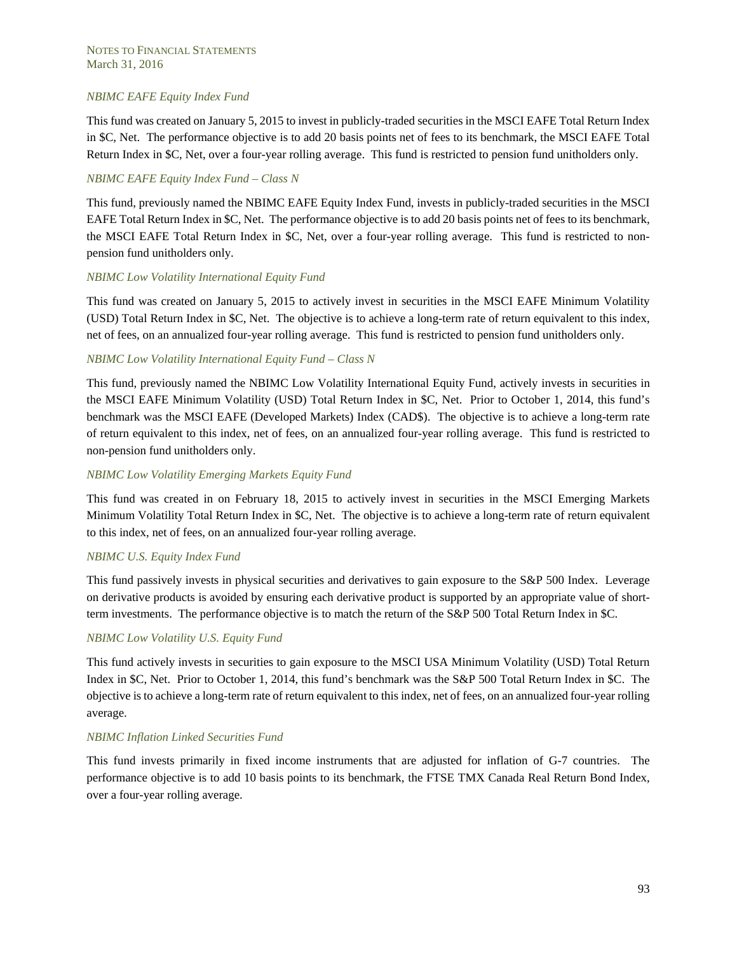### *NBIMC EAFE Equity Index Fund*

This fund was created on January 5, 2015 to invest in publicly-traded securities in the MSCI EAFE Total Return Index in \$C, Net. The performance objective is to add 20 basis points net of fees to its benchmark, the MSCI EAFE Total Return Index in \$C, Net, over a four-year rolling average. This fund is restricted to pension fund unitholders only.

### *NBIMC EAFE Equity Index Fund – Class N*

This fund, previously named the NBIMC EAFE Equity Index Fund, invests in publicly-traded securities in the MSCI EAFE Total Return Index in \$C, Net. The performance objective is to add 20 basis points net of fees to its benchmark, the MSCI EAFE Total Return Index in \$C, Net, over a four-year rolling average. This fund is restricted to nonpension fund unitholders only.

### *NBIMC Low Volatility International Equity Fund*

This fund was created on January 5, 2015 to actively invest in securities in the MSCI EAFE Minimum Volatility (USD) Total Return Index in \$C, Net. The objective is to achieve a long-term rate of return equivalent to this index, net of fees, on an annualized four-year rolling average. This fund is restricted to pension fund unitholders only.

### *NBIMC Low Volatility International Equity Fund – Class N*

This fund, previously named the NBIMC Low Volatility International Equity Fund, actively invests in securities in the MSCI EAFE Minimum Volatility (USD) Total Return Index in \$C, Net. Prior to October 1, 2014, this fund's benchmark was the MSCI EAFE (Developed Markets) Index (CAD\$). The objective is to achieve a long-term rate of return equivalent to this index, net of fees, on an annualized four-year rolling average. This fund is restricted to non-pension fund unitholders only.

### *NBIMC Low Volatility Emerging Markets Equity Fund*

This fund was created in on February 18, 2015 to actively invest in securities in the MSCI Emerging Markets Minimum Volatility Total Return Index in \$C, Net. The objective is to achieve a long-term rate of return equivalent to this index, net of fees, on an annualized four-year rolling average.

### *NBIMC U.S. Equity Index Fund*

This fund passively invests in physical securities and derivatives to gain exposure to the S&P 500 Index. Leverage on derivative products is avoided by ensuring each derivative product is supported by an appropriate value of shortterm investments. The performance objective is to match the return of the S&P 500 Total Return Index in \$C.

#### *NBIMC Low Volatility U.S. Equity Fund*

This fund actively invests in securities to gain exposure to the MSCI USA Minimum Volatility (USD) Total Return Index in \$C, Net. Prior to October 1, 2014, this fund's benchmark was the S&P 500 Total Return Index in \$C. The objective is to achieve a long-term rate of return equivalent to this index, net of fees, on an annualized four-year rolling average.

#### *NBIMC Inflation Linked Securities Fund*

This fund invests primarily in fixed income instruments that are adjusted for inflation of G-7 countries. The performance objective is to add 10 basis points to its benchmark, the FTSE TMX Canada Real Return Bond Index, over a four-year rolling average.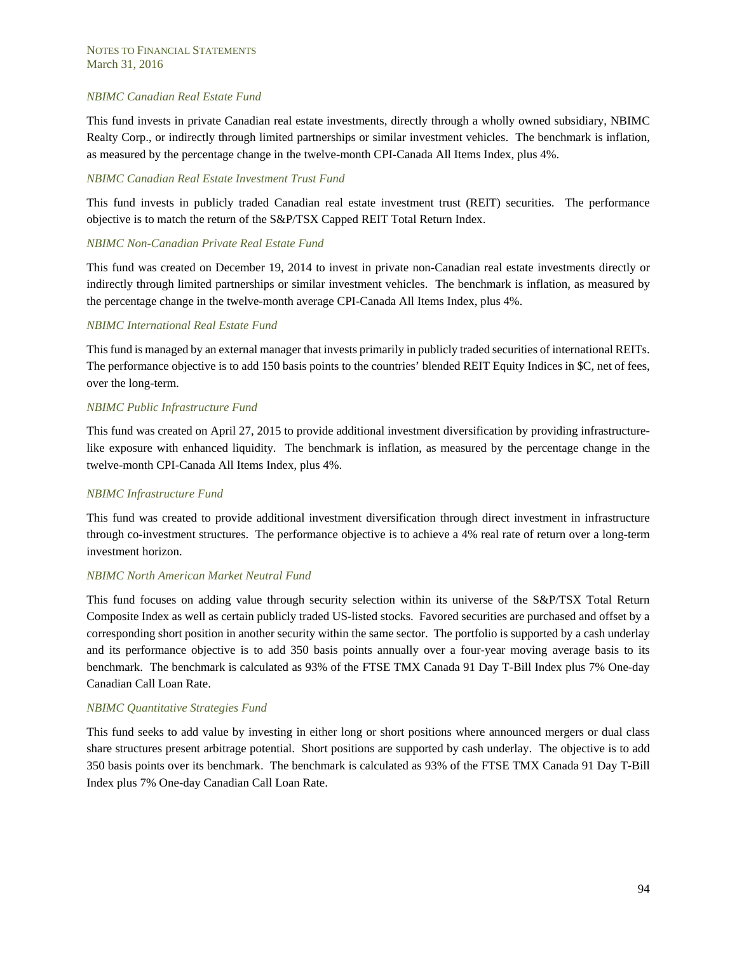#### *NBIMC Canadian Real Estate Fund*

This fund invests in private Canadian real estate investments, directly through a wholly owned subsidiary, NBIMC Realty Corp., or indirectly through limited partnerships or similar investment vehicles. The benchmark is inflation, as measured by the percentage change in the twelve-month CPI-Canada All Items Index, plus 4%.

#### *NBIMC Canadian Real Estate Investment Trust Fund*

This fund invests in publicly traded Canadian real estate investment trust (REIT) securities. The performance objective is to match the return of the S&P/TSX Capped REIT Total Return Index.

#### *NBIMC Non-Canadian Private Real Estate Fund*

This fund was created on December 19, 2014 to invest in private non-Canadian real estate investments directly or indirectly through limited partnerships or similar investment vehicles. The benchmark is inflation, as measured by the percentage change in the twelve-month average CPI-Canada All Items Index, plus 4%.

#### *NBIMC International Real Estate Fund*

This fund is managed by an external manager that invests primarily in publicly traded securities of international REITs. The performance objective is to add 150 basis points to the countries' blended REIT Equity Indices in \$C, net of fees, over the long-term.

#### *NBIMC Public Infrastructure Fund*

This fund was created on April 27, 2015 to provide additional investment diversification by providing infrastructurelike exposure with enhanced liquidity. The benchmark is inflation, as measured by the percentage change in the twelve-month CPI-Canada All Items Index, plus 4%.

#### *NBIMC Infrastructure Fund*

This fund was created to provide additional investment diversification through direct investment in infrastructure through co-investment structures. The performance objective is to achieve a 4% real rate of return over a long-term investment horizon.

#### *NBIMC North American Market Neutral Fund*

This fund focuses on adding value through security selection within its universe of the S&P/TSX Total Return Composite Index as well as certain publicly traded US-listed stocks. Favored securities are purchased and offset by a corresponding short position in another security within the same sector. The portfolio is supported by a cash underlay and its performance objective is to add 350 basis points annually over a four-year moving average basis to its benchmark. The benchmark is calculated as 93% of the FTSE TMX Canada 91 Day T-Bill Index plus 7% One-day Canadian Call Loan Rate.

#### *NBIMC Quantitative Strategies Fund*

This fund seeks to add value by investing in either long or short positions where announced mergers or dual class share structures present arbitrage potential. Short positions are supported by cash underlay. The objective is to add 350 basis points over its benchmark. The benchmark is calculated as 93% of the FTSE TMX Canada 91 Day T-Bill Index plus 7% One-day Canadian Call Loan Rate.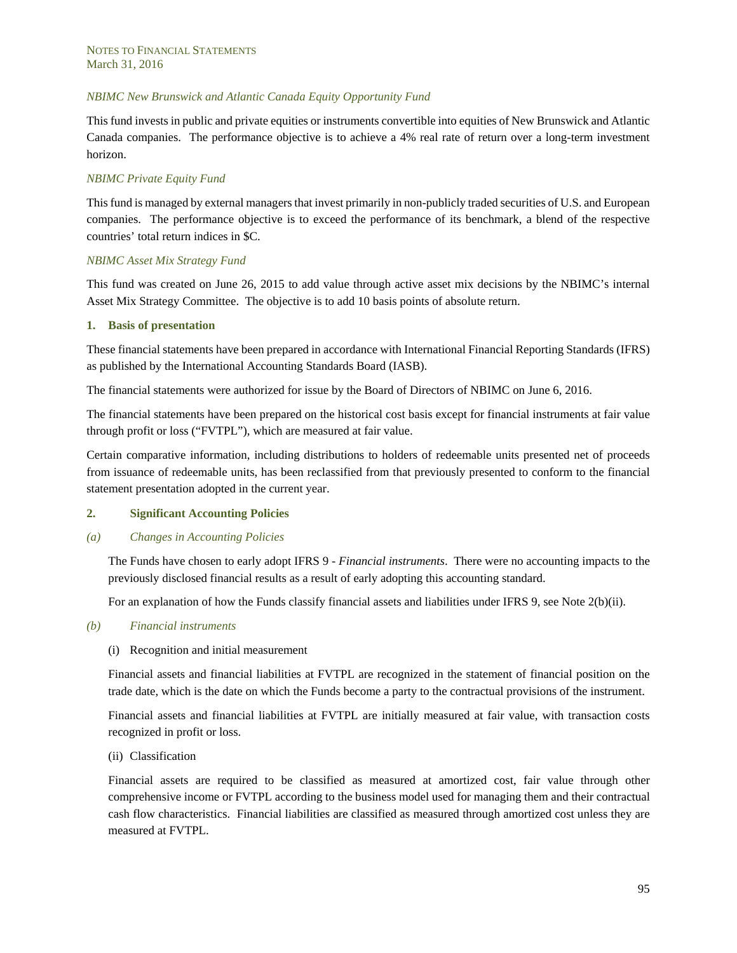#### *NBIMC New Brunswick and Atlantic Canada Equity Opportunity Fund*

This fund invests in public and private equities or instruments convertible into equities of New Brunswick and Atlantic Canada companies. The performance objective is to achieve a 4% real rate of return over a long-term investment horizon.

#### *NBIMC Private Equity Fund*

This fund is managed by external managers that invest primarily in non-publicly traded securities of U.S. and European companies. The performance objective is to exceed the performance of its benchmark, a blend of the respective countries' total return indices in \$C.

#### *NBIMC Asset Mix Strategy Fund*

This fund was created on June 26, 2015 to add value through active asset mix decisions by the NBIMC's internal Asset Mix Strategy Committee. The objective is to add 10 basis points of absolute return.

#### **1. Basis of presentation**

These financial statements have been prepared in accordance with International Financial Reporting Standards (IFRS) as published by the International Accounting Standards Board (IASB).

The financial statements were authorized for issue by the Board of Directors of NBIMC on June 6, 2016.

The financial statements have been prepared on the historical cost basis except for financial instruments at fair value through profit or loss ("FVTPL"), which are measured at fair value.

Certain comparative information, including distributions to holders of redeemable units presented net of proceeds from issuance of redeemable units, has been reclassified from that previously presented to conform to the financial statement presentation adopted in the current year.

#### **2. Significant Accounting Policies**

#### *(a) Changes in Accounting Policies*

The Funds have chosen to early adopt IFRS 9 - *Financial instruments*. There were no accounting impacts to the previously disclosed financial results as a result of early adopting this accounting standard.

For an explanation of how the Funds classify financial assets and liabilities under IFRS 9, see Note 2(b)(ii).

#### *(b) Financial instruments*

(i) Recognition and initial measurement

Financial assets and financial liabilities at FVTPL are recognized in the statement of financial position on the trade date, which is the date on which the Funds become a party to the contractual provisions of the instrument.

Financial assets and financial liabilities at FVTPL are initially measured at fair value, with transaction costs recognized in profit or loss.

#### (ii) Classification

Financial assets are required to be classified as measured at amortized cost, fair value through other comprehensive income or FVTPL according to the business model used for managing them and their contractual cash flow characteristics. Financial liabilities are classified as measured through amortized cost unless they are measured at FVTPL.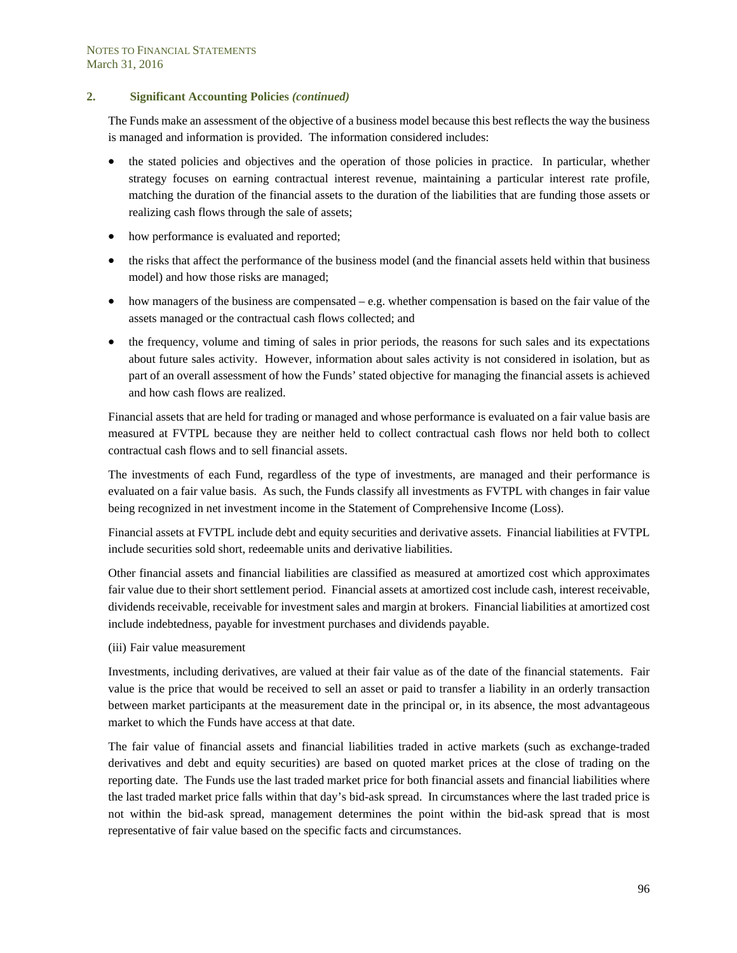The Funds make an assessment of the objective of a business model because this best reflects the way the business is managed and information is provided. The information considered includes:

- the stated policies and objectives and the operation of those policies in practice. In particular, whether strategy focuses on earning contractual interest revenue, maintaining a particular interest rate profile, matching the duration of the financial assets to the duration of the liabilities that are funding those assets or realizing cash flows through the sale of assets;
- how performance is evaluated and reported;
- the risks that affect the performance of the business model (and the financial assets held within that business model) and how those risks are managed;
- $\bullet$  how managers of the business are compensated e.g. whether compensation is based on the fair value of the assets managed or the contractual cash flows collected; and
- the frequency, volume and timing of sales in prior periods, the reasons for such sales and its expectations about future sales activity. However, information about sales activity is not considered in isolation, but as part of an overall assessment of how the Funds' stated objective for managing the financial assets is achieved and how cash flows are realized.

Financial assets that are held for trading or managed and whose performance is evaluated on a fair value basis are measured at FVTPL because they are neither held to collect contractual cash flows nor held both to collect contractual cash flows and to sell financial assets.

The investments of each Fund, regardless of the type of investments, are managed and their performance is evaluated on a fair value basis. As such, the Funds classify all investments as FVTPL with changes in fair value being recognized in net investment income in the Statement of Comprehensive Income (Loss).

Financial assets at FVTPL include debt and equity securities and derivative assets. Financial liabilities at FVTPL include securities sold short, redeemable units and derivative liabilities.

Other financial assets and financial liabilities are classified as measured at amortized cost which approximates fair value due to their short settlement period. Financial assets at amortized cost include cash, interest receivable, dividends receivable, receivable for investment sales and margin at brokers. Financial liabilities at amortized cost include indebtedness, payable for investment purchases and dividends payable.

(iii) Fair value measurement

Investments, including derivatives, are valued at their fair value as of the date of the financial statements. Fair value is the price that would be received to sell an asset or paid to transfer a liability in an orderly transaction between market participants at the measurement date in the principal or, in its absence, the most advantageous market to which the Funds have access at that date.

The fair value of financial assets and financial liabilities traded in active markets (such as exchange-traded derivatives and debt and equity securities) are based on quoted market prices at the close of trading on the reporting date. The Funds use the last traded market price for both financial assets and financial liabilities where the last traded market price falls within that day's bid-ask spread. In circumstances where the last traded price is not within the bid-ask spread, management determines the point within the bid-ask spread that is most representative of fair value based on the specific facts and circumstances.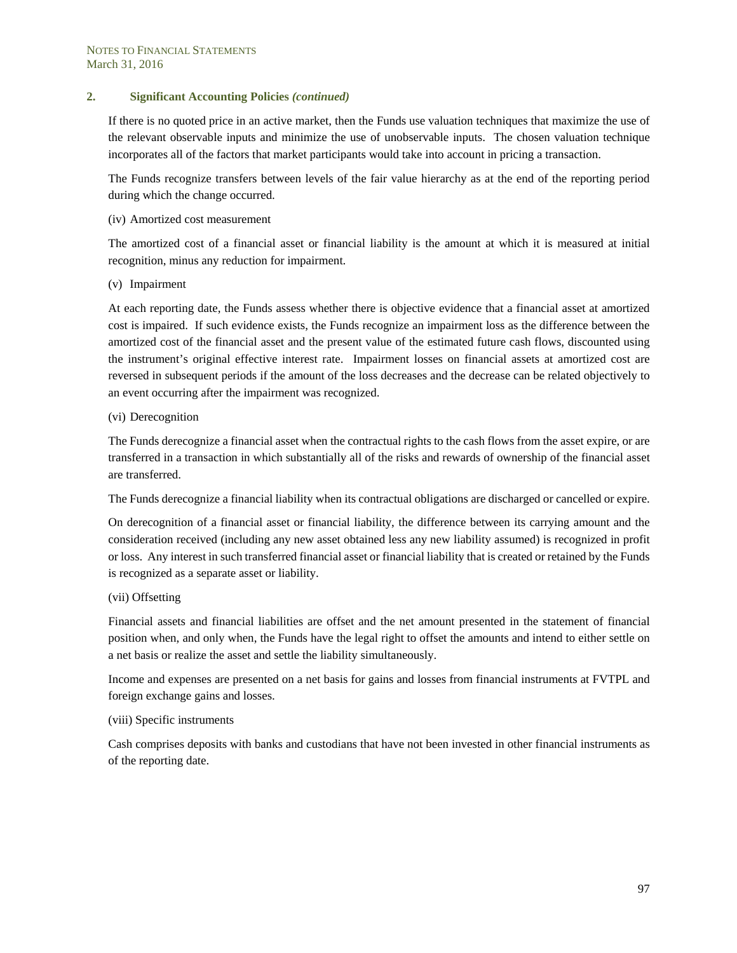If there is no quoted price in an active market, then the Funds use valuation techniques that maximize the use of the relevant observable inputs and minimize the use of unobservable inputs. The chosen valuation technique incorporates all of the factors that market participants would take into account in pricing a transaction.

The Funds recognize transfers between levels of the fair value hierarchy as at the end of the reporting period during which the change occurred.

#### (iv) Amortized cost measurement

The amortized cost of a financial asset or financial liability is the amount at which it is measured at initial recognition, minus any reduction for impairment.

(v) Impairment

At each reporting date, the Funds assess whether there is objective evidence that a financial asset at amortized cost is impaired. If such evidence exists, the Funds recognize an impairment loss as the difference between the amortized cost of the financial asset and the present value of the estimated future cash flows, discounted using the instrument's original effective interest rate. Impairment losses on financial assets at amortized cost are reversed in subsequent periods if the amount of the loss decreases and the decrease can be related objectively to an event occurring after the impairment was recognized.

#### (vi) Derecognition

The Funds derecognize a financial asset when the contractual rights to the cash flows from the asset expire, or are transferred in a transaction in which substantially all of the risks and rewards of ownership of the financial asset are transferred.

The Funds derecognize a financial liability when its contractual obligations are discharged or cancelled or expire.

On derecognition of a financial asset or financial liability, the difference between its carrying amount and the consideration received (including any new asset obtained less any new liability assumed) is recognized in profit or loss. Any interest in such transferred financial asset or financial liability that is created or retained by the Funds is recognized as a separate asset or liability.

#### (vii) Offsetting

Financial assets and financial liabilities are offset and the net amount presented in the statement of financial position when, and only when, the Funds have the legal right to offset the amounts and intend to either settle on a net basis or realize the asset and settle the liability simultaneously.

Income and expenses are presented on a net basis for gains and losses from financial instruments at FVTPL and foreign exchange gains and losses.

#### (viii) Specific instruments

Cash comprises deposits with banks and custodians that have not been invested in other financial instruments as of the reporting date.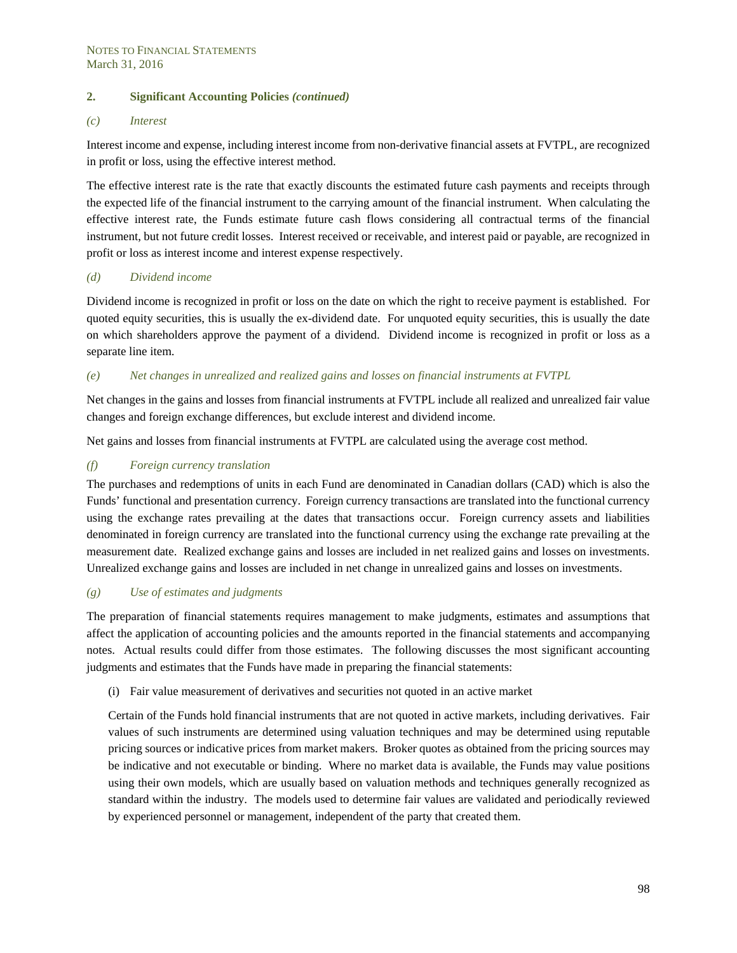### *(c) Interest*

Interest income and expense, including interest income from non-derivative financial assets at FVTPL, are recognized in profit or loss, using the effective interest method.

The effective interest rate is the rate that exactly discounts the estimated future cash payments and receipts through the expected life of the financial instrument to the carrying amount of the financial instrument. When calculating the effective interest rate, the Funds estimate future cash flows considering all contractual terms of the financial instrument, but not future credit losses. Interest received or receivable, and interest paid or payable, are recognized in profit or loss as interest income and interest expense respectively.

### *(d) Dividend income*

Dividend income is recognized in profit or loss on the date on which the right to receive payment is established. For quoted equity securities, this is usually the ex-dividend date. For unquoted equity securities, this is usually the date on which shareholders approve the payment of a dividend. Dividend income is recognized in profit or loss as a separate line item.

### *(e) Net changes in unrealized and realized gains and losses on financial instruments at FVTPL*

Net changes in the gains and losses from financial instruments at FVTPL include all realized and unrealized fair value changes and foreign exchange differences, but exclude interest and dividend income.

Net gains and losses from financial instruments at FVTPL are calculated using the average cost method.

### *(f) Foreign currency translation*

The purchases and redemptions of units in each Fund are denominated in Canadian dollars (CAD) which is also the Funds' functional and presentation currency. Foreign currency transactions are translated into the functional currency using the exchange rates prevailing at the dates that transactions occur. Foreign currency assets and liabilities denominated in foreign currency are translated into the functional currency using the exchange rate prevailing at the measurement date. Realized exchange gains and losses are included in net realized gains and losses on investments. Unrealized exchange gains and losses are included in net change in unrealized gains and losses on investments.

### *(g) Use of estimates and judgments*

The preparation of financial statements requires management to make judgments, estimates and assumptions that affect the application of accounting policies and the amounts reported in the financial statements and accompanying notes. Actual results could differ from those estimates. The following discusses the most significant accounting judgments and estimates that the Funds have made in preparing the financial statements:

#### (i) Fair value measurement of derivatives and securities not quoted in an active market

Certain of the Funds hold financial instruments that are not quoted in active markets, including derivatives. Fair values of such instruments are determined using valuation techniques and may be determined using reputable pricing sources or indicative prices from market makers. Broker quotes as obtained from the pricing sources may be indicative and not executable or binding. Where no market data is available, the Funds may value positions using their own models, which are usually based on valuation methods and techniques generally recognized as standard within the industry. The models used to determine fair values are validated and periodically reviewed by experienced personnel or management, independent of the party that created them.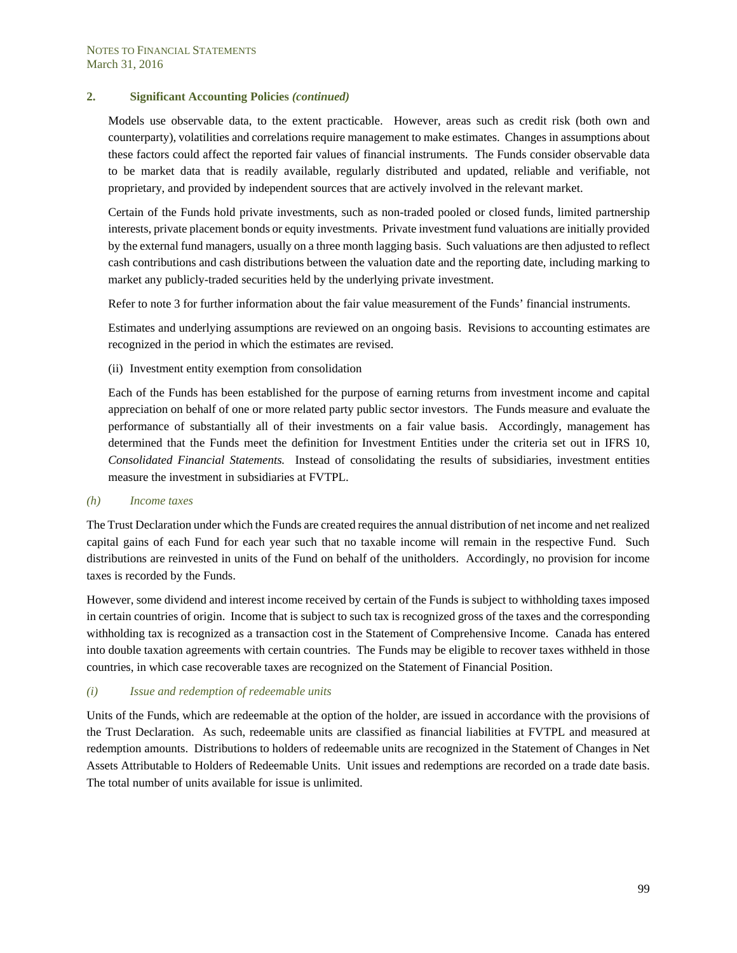Models use observable data, to the extent practicable. However, areas such as credit risk (both own and counterparty), volatilities and correlations require management to make estimates. Changes in assumptions about these factors could affect the reported fair values of financial instruments. The Funds consider observable data to be market data that is readily available, regularly distributed and updated, reliable and verifiable, not proprietary, and provided by independent sources that are actively involved in the relevant market.

Certain of the Funds hold private investments, such as non-traded pooled or closed funds, limited partnership interests, private placement bonds or equity investments. Private investment fund valuations are initially provided by the external fund managers, usually on a three month lagging basis. Such valuations are then adjusted to reflect cash contributions and cash distributions between the valuation date and the reporting date, including marking to market any publicly-traded securities held by the underlying private investment.

Refer to note 3 for further information about the fair value measurement of the Funds' financial instruments.

Estimates and underlying assumptions are reviewed on an ongoing basis. Revisions to accounting estimates are recognized in the period in which the estimates are revised.

(ii) Investment entity exemption from consolidation

Each of the Funds has been established for the purpose of earning returns from investment income and capital appreciation on behalf of one or more related party public sector investors. The Funds measure and evaluate the performance of substantially all of their investments on a fair value basis. Accordingly, management has determined that the Funds meet the definition for Investment Entities under the criteria set out in IFRS 10, *Consolidated Financial Statements.* Instead of consolidating the results of subsidiaries, investment entities measure the investment in subsidiaries at FVTPL.

#### *(h) Income taxes*

The Trust Declaration under which the Funds are created requires the annual distribution of net income and net realized capital gains of each Fund for each year such that no taxable income will remain in the respective Fund. Such distributions are reinvested in units of the Fund on behalf of the unitholders. Accordingly, no provision for income taxes is recorded by the Funds.

However, some dividend and interest income received by certain of the Funds is subject to withholding taxes imposed in certain countries of origin. Income that is subject to such tax is recognized gross of the taxes and the corresponding withholding tax is recognized as a transaction cost in the Statement of Comprehensive Income. Canada has entered into double taxation agreements with certain countries. The Funds may be eligible to recover taxes withheld in those countries, in which case recoverable taxes are recognized on the Statement of Financial Position.

#### *(i) Issue and redemption of redeemable units*

Units of the Funds, which are redeemable at the option of the holder, are issued in accordance with the provisions of the Trust Declaration. As such, redeemable units are classified as financial liabilities at FVTPL and measured at redemption amounts. Distributions to holders of redeemable units are recognized in the Statement of Changes in Net Assets Attributable to Holders of Redeemable Units. Unit issues and redemptions are recorded on a trade date basis. The total number of units available for issue is unlimited.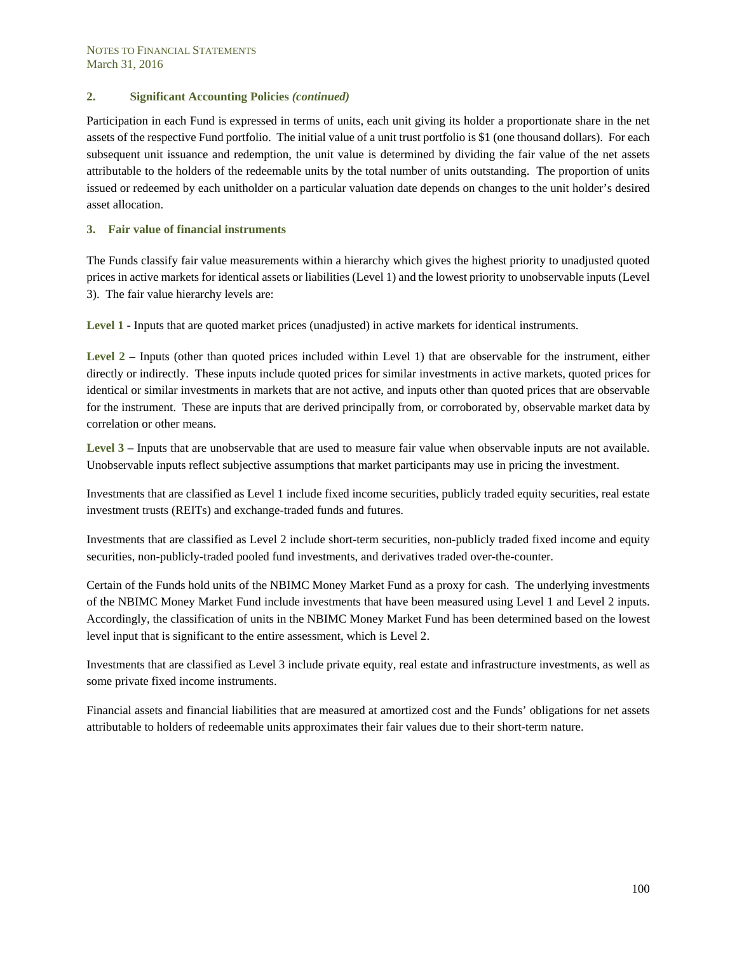Participation in each Fund is expressed in terms of units, each unit giving its holder a proportionate share in the net assets of the respective Fund portfolio. The initial value of a unit trust portfolio is \$1 (one thousand dollars). For each subsequent unit issuance and redemption, the unit value is determined by dividing the fair value of the net assets attributable to the holders of the redeemable units by the total number of units outstanding. The proportion of units issued or redeemed by each unitholder on a particular valuation date depends on changes to the unit holder's desired asset allocation.

### **3. Fair value of financial instruments**

The Funds classify fair value measurements within a hierarchy which gives the highest priority to unadjusted quoted prices in active markets for identical assets or liabilities (Level 1) and the lowest priority to unobservable inputs (Level 3). The fair value hierarchy levels are:

**Level 1 -** Inputs that are quoted market prices (unadjusted) in active markets for identical instruments.

**Level 2** – Inputs (other than quoted prices included within Level 1) that are observable for the instrument, either directly or indirectly. These inputs include quoted prices for similar investments in active markets, quoted prices for identical or similar investments in markets that are not active, and inputs other than quoted prices that are observable for the instrument. These are inputs that are derived principally from, or corroborated by, observable market data by correlation or other means.

**Level 3 –** Inputs that are unobservable that are used to measure fair value when observable inputs are not available. Unobservable inputs reflect subjective assumptions that market participants may use in pricing the investment.

Investments that are classified as Level 1 include fixed income securities, publicly traded equity securities, real estate investment trusts (REITs) and exchange-traded funds and futures.

Investments that are classified as Level 2 include short-term securities, non-publicly traded fixed income and equity securities, non-publicly-traded pooled fund investments, and derivatives traded over-the-counter.

Certain of the Funds hold units of the NBIMC Money Market Fund as a proxy for cash. The underlying investments of the NBIMC Money Market Fund include investments that have been measured using Level 1 and Level 2 inputs. Accordingly, the classification of units in the NBIMC Money Market Fund has been determined based on the lowest level input that is significant to the entire assessment, which is Level 2.

Investments that are classified as Level 3 include private equity, real estate and infrastructure investments, as well as some private fixed income instruments.

Financial assets and financial liabilities that are measured at amortized cost and the Funds' obligations for net assets attributable to holders of redeemable units approximates their fair values due to their short-term nature.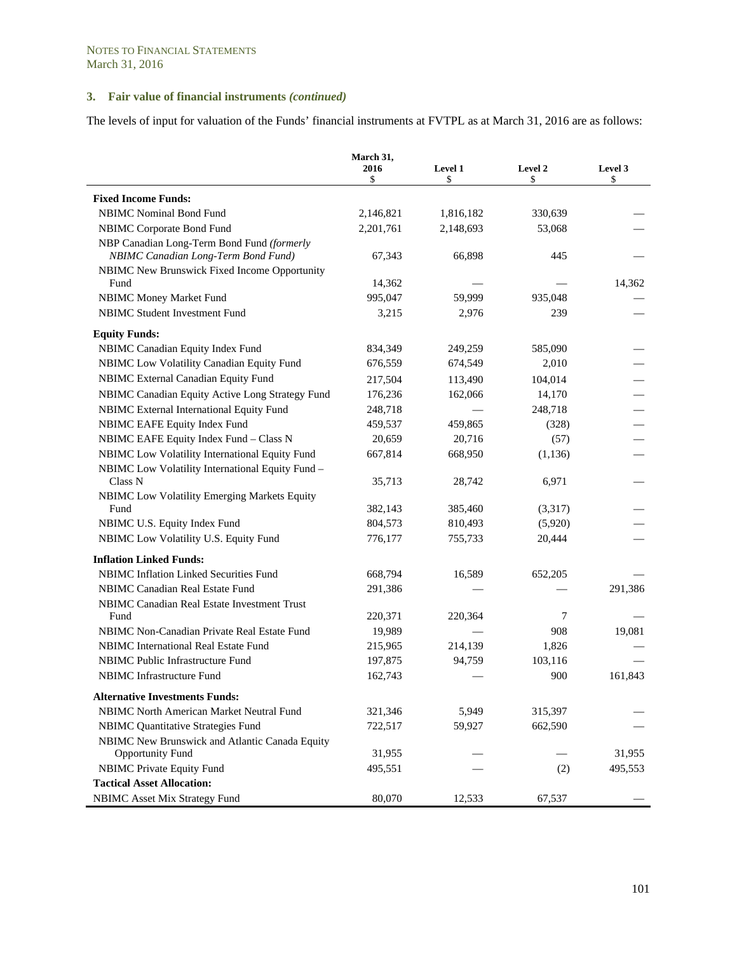The levels of input for valuation of the Funds' financial instruments at FVTPL as at March 31, 2016 are as follows:

|                                                                                   | March 31,<br>2016<br>\$ | Level 1<br>\$ | Level 2<br>\$  | Level 3<br>\$ |
|-----------------------------------------------------------------------------------|-------------------------|---------------|----------------|---------------|
| <b>Fixed Income Funds:</b>                                                        |                         |               |                |               |
| <b>NBIMC</b> Nominal Bond Fund                                                    | 2,146,821               | 1,816,182     | 330,639        |               |
| NBIMC Corporate Bond Fund                                                         | 2,201,761               | 2,148,693     | 53,068         |               |
| NBP Canadian Long-Term Bond Fund (formerly<br>NBIMC Canadian Long-Term Bond Fund) | 67,343                  | 66,898        | 445            |               |
| NBIMC New Brunswick Fixed Income Opportunity<br>Fund                              | 14,362                  |               |                | 14,362        |
| NBIMC Money Market Fund                                                           | 995,047                 | 59.999        | 935,048        |               |
| <b>NBIMC Student Investment Fund</b>                                              | 3,215                   | 2,976         | 239            |               |
| <b>Equity Funds:</b>                                                              |                         |               |                |               |
| NBIMC Canadian Equity Index Fund                                                  | 834,349                 | 249,259       | 585,090        |               |
| NBIMC Low Volatility Canadian Equity Fund                                         | 676,559                 | 674,549       | 2,010          |               |
| NBIMC External Canadian Equity Fund                                               | 217,504                 | 113,490       | 104,014        |               |
| NBIMC Canadian Equity Active Long Strategy Fund                                   | 176,236                 | 162,066       | 14,170         |               |
| NBIMC External International Equity Fund                                          | 248,718                 |               | 248,718        |               |
| NBIMC EAFE Equity Index Fund                                                      | 459,537                 | 459,865       | (328)          |               |
| NBIMC EAFE Equity Index Fund - Class N                                            | 20,659                  | 20,716        | (57)           |               |
| NBIMC Low Volatility International Equity Fund                                    | 667,814                 | 668,950       | (1,136)        |               |
| NBIMC Low Volatility International Equity Fund -<br>Class N                       | 35,713                  | 28,742        | 6,971          |               |
| NBIMC Low Volatility Emerging Markets Equity                                      |                         |               |                |               |
| Fund                                                                              | 382,143                 | 385,460       | (3,317)        |               |
| NBIMC U.S. Equity Index Fund                                                      | 804,573                 | 810,493       | (5,920)        |               |
| NBIMC Low Volatility U.S. Equity Fund                                             | 776,177                 | 755,733       | 20,444         |               |
| <b>Inflation Linked Funds:</b>                                                    |                         |               |                |               |
| NBIMC Inflation Linked Securities Fund                                            | 668,794                 | 16,589        | 652,205        |               |
| NBIMC Canadian Real Estate Fund                                                   | 291,386                 |               |                | 291,386       |
| NBIMC Canadian Real Estate Investment Trust                                       |                         |               |                |               |
| Fund                                                                              | 220,371                 | 220,364       | 7              |               |
| NBIMC Non-Canadian Private Real Estate Fund                                       | 19,989                  |               | 908            | 19,081        |
| NBIMC International Real Estate Fund                                              | 215,965                 | 214,139       | 1,826          |               |
| NBIMC Public Infrastructure Fund<br><b>NBIMC</b> Infrastructure Fund              | 197,875                 | 94,759        | 103,116<br>900 | 161,843       |
|                                                                                   | 162,743                 |               |                |               |
| <b>Alternative Investments Funds:</b>                                             |                         |               |                |               |
| NBIMC North American Market Neutral Fund                                          | 321,346                 | 5,949         | 315,397        |               |
| <b>NBIMC Quantitative Strategies Fund</b>                                         | 722,517                 | 59,927        | 662,590        |               |
| NBIMC New Brunswick and Atlantic Canada Equity<br><b>Opportunity Fund</b>         | 31,955                  |               |                | 31,955        |
| NBIMC Private Equity Fund                                                         | 495,551                 |               | (2)            | 495,553       |
| <b>Tactical Asset Allocation:</b>                                                 |                         |               |                |               |
| <b>NBIMC Asset Mix Strategy Fund</b>                                              | 80,070                  | 12,533        | 67,537         |               |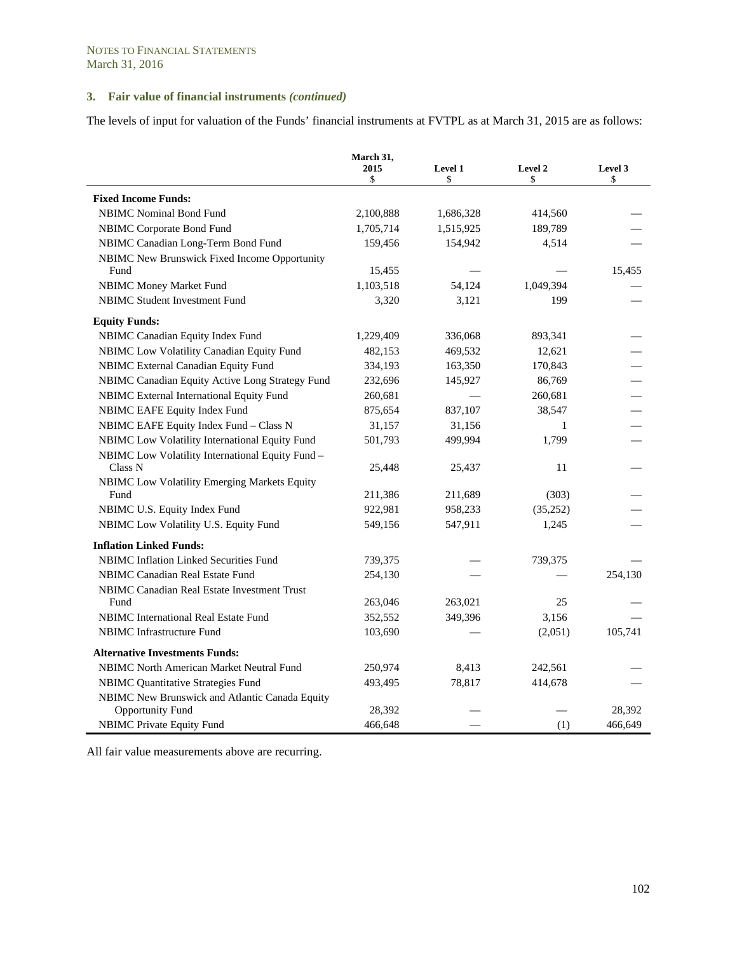The levels of input for valuation of the Funds' financial instruments at FVTPL as at March 31, 2015 are as follows:

|                                                             | March 31,  | Level 1   | Level 2   | Level 3 |
|-------------------------------------------------------------|------------|-----------|-----------|---------|
|                                                             | 2015<br>\$ | \$        | \$        | \$      |
| <b>Fixed Income Funds:</b>                                  |            |           |           |         |
| <b>NBIMC</b> Nominal Bond Fund                              | 2,100,888  | 1,686,328 | 414,560   |         |
| NBIMC Corporate Bond Fund                                   | 1,705,714  | 1,515,925 | 189,789   |         |
| NBIMC Canadian Long-Term Bond Fund                          | 159,456    | 154,942   | 4,514     |         |
| NBIMC New Brunswick Fixed Income Opportunity<br>Fund        | 15,455     |           |           | 15,455  |
| NBIMC Money Market Fund                                     | 1,103,518  | 54,124    | 1,049,394 |         |
| <b>NBIMC Student Investment Fund</b>                        | 3,320      | 3,121     | 199       |         |
| <b>Equity Funds:</b>                                        |            |           |           |         |
| NBIMC Canadian Equity Index Fund                            | 1,229,409  | 336,068   | 893,341   |         |
| NBIMC Low Volatility Canadian Equity Fund                   | 482,153    | 469,532   | 12,621    |         |
| NBIMC External Canadian Equity Fund                         | 334,193    | 163,350   | 170,843   |         |
| NBIMC Canadian Equity Active Long Strategy Fund             | 232,696    | 145,927   | 86,769    |         |
| NBIMC External International Equity Fund                    | 260,681    |           | 260,681   |         |
| NBIMC EAFE Equity Index Fund                                | 875,654    | 837,107   | 38,547    |         |
| NBIMC EAFE Equity Index Fund - Class N                      | 31,157     | 31,156    | 1         |         |
| NBIMC Low Volatility International Equity Fund              | 501,793    | 499,994   | 1,799     |         |
| NBIMC Low Volatility International Equity Fund -<br>Class N | 25,448     | 25,437    | 11        |         |
| <b>NBIMC</b> Low Volatility Emerging Markets Equity         |            |           |           |         |
| Fund                                                        | 211,386    | 211,689   | (303)     |         |
| NBIMC U.S. Equity Index Fund                                | 922,981    | 958,233   | (35,252)  |         |
| NBIMC Low Volatility U.S. Equity Fund                       | 549,156    | 547,911   | 1,245     |         |
| <b>Inflation Linked Funds:</b>                              |            |           |           |         |
| <b>NBIMC</b> Inflation Linked Securities Fund               | 739,375    |           | 739,375   |         |
| NBIMC Canadian Real Estate Fund                             | 254,130    |           |           | 254,130 |
| NBIMC Canadian Real Estate Investment Trust                 |            |           |           |         |
| Fund                                                        | 263,046    | 263,021   | 25        |         |
| <b>NBIMC</b> International Real Estate Fund                 | 352,552    | 349,396   | 3,156     |         |
| NBIMC Infrastructure Fund                                   | 103,690    |           | (2,051)   | 105,741 |
| <b>Alternative Investments Funds:</b>                       |            |           |           |         |
| NBIMC North American Market Neutral Fund                    | 250,974    | 8,413     | 242,561   |         |
| <b>NBIMC Quantitative Strategies Fund</b>                   | 493,495    | 78,817    | 414,678   |         |
| NBIMC New Brunswick and Atlantic Canada Equity              |            |           |           |         |
| <b>Opportunity Fund</b>                                     | 28,392     |           |           | 28,392  |
| <b>NBIMC Private Equity Fund</b>                            | 466,648    |           | (1)       | 466,649 |

All fair value measurements above are recurring.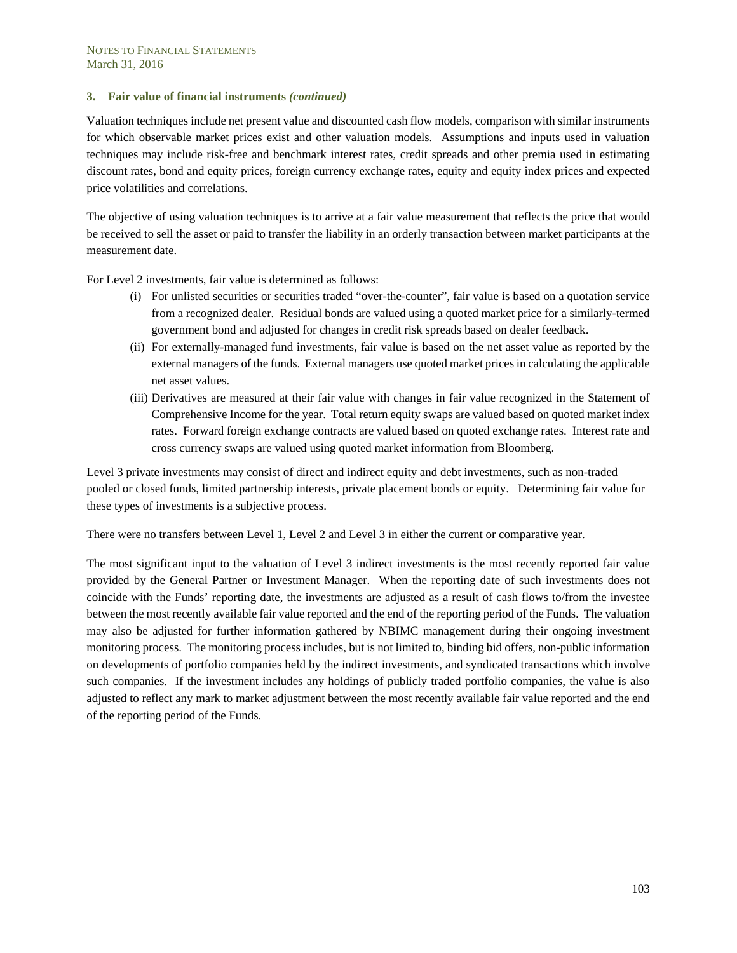Valuation techniques include net present value and discounted cash flow models, comparison with similar instruments for which observable market prices exist and other valuation models. Assumptions and inputs used in valuation techniques may include risk-free and benchmark interest rates, credit spreads and other premia used in estimating discount rates, bond and equity prices, foreign currency exchange rates, equity and equity index prices and expected price volatilities and correlations.

The objective of using valuation techniques is to arrive at a fair value measurement that reflects the price that would be received to sell the asset or paid to transfer the liability in an orderly transaction between market participants at the measurement date.

For Level 2 investments, fair value is determined as follows:

- (i) For unlisted securities or securities traded "over-the-counter", fair value is based on a quotation service from a recognized dealer. Residual bonds are valued using a quoted market price for a similarly-termed government bond and adjusted for changes in credit risk spreads based on dealer feedback.
- (ii) For externally-managed fund investments, fair value is based on the net asset value as reported by the external managers of the funds. External managers use quoted market prices in calculating the applicable net asset values.
- (iii) Derivatives are measured at their fair value with changes in fair value recognized in the Statement of Comprehensive Income for the year. Total return equity swaps are valued based on quoted market index rates. Forward foreign exchange contracts are valued based on quoted exchange rates. Interest rate and cross currency swaps are valued using quoted market information from Bloomberg.

Level 3 private investments may consist of direct and indirect equity and debt investments, such as non-traded pooled or closed funds, limited partnership interests, private placement bonds or equity. Determining fair value for these types of investments is a subjective process.

There were no transfers between Level 1, Level 2 and Level 3 in either the current or comparative year.

The most significant input to the valuation of Level 3 indirect investments is the most recently reported fair value provided by the General Partner or Investment Manager. When the reporting date of such investments does not coincide with the Funds' reporting date, the investments are adjusted as a result of cash flows to/from the investee between the most recently available fair value reported and the end of the reporting period of the Funds. The valuation may also be adjusted for further information gathered by NBIMC management during their ongoing investment monitoring process. The monitoring process includes, but is not limited to, binding bid offers, non-public information on developments of portfolio companies held by the indirect investments, and syndicated transactions which involve such companies. If the investment includes any holdings of publicly traded portfolio companies, the value is also adjusted to reflect any mark to market adjustment between the most recently available fair value reported and the end of the reporting period of the Funds.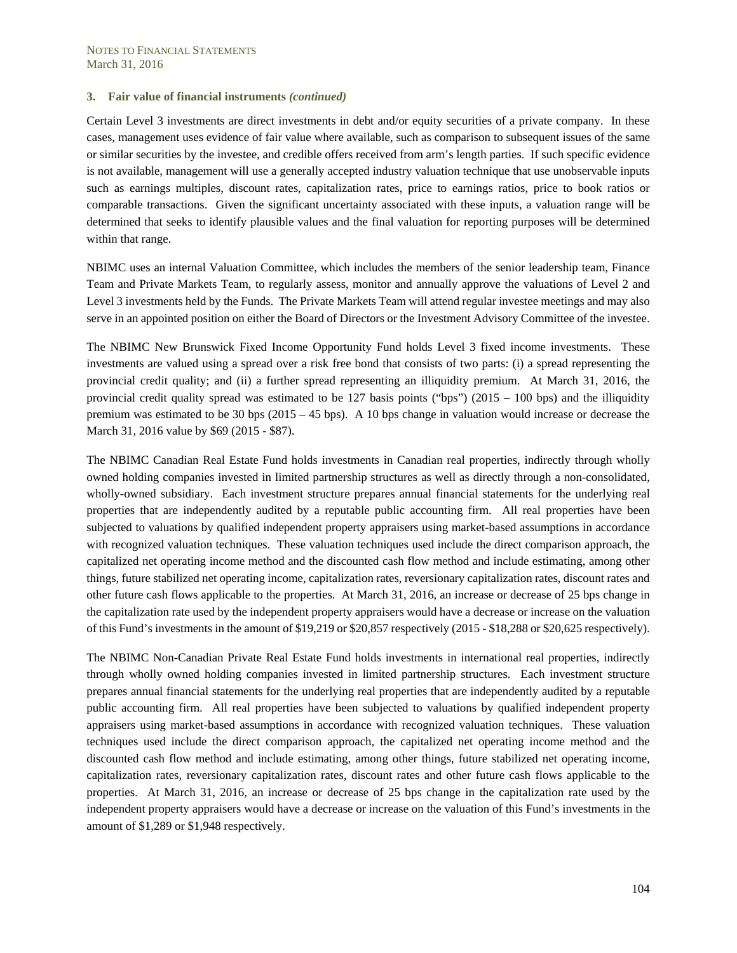Certain Level 3 investments are direct investments in debt and/or equity securities of a private company. In these cases, management uses evidence of fair value where available, such as comparison to subsequent issues of the same or similar securities by the investee, and credible offers received from arm's length parties. If such specific evidence is not available, management will use a generally accepted industry valuation technique that use unobservable inputs such as earnings multiples, discount rates, capitalization rates, price to earnings ratios, price to book ratios or comparable transactions. Given the significant uncertainty associated with these inputs, a valuation range will be determined that seeks to identify plausible values and the final valuation for reporting purposes will be determined within that range.

NBIMC uses an internal Valuation Committee, which includes the members of the senior leadership team, Finance Team and Private Markets Team, to regularly assess, monitor and annually approve the valuations of Level 2 and Level 3 investments held by the Funds. The Private Markets Team will attend regular investee meetings and may also serve in an appointed position on either the Board of Directors or the Investment Advisory Committee of the investee.

The NBIMC New Brunswick Fixed Income Opportunity Fund holds Level 3 fixed income investments. These investments are valued using a spread over a risk free bond that consists of two parts: (i) a spread representing the provincial credit quality; and (ii) a further spread representing an illiquidity premium. At March 31, 2016, the provincial credit quality spread was estimated to be 127 basis points ("bps")  $(2015 - 100$  bps) and the illiquidity premium was estimated to be 30 bps (2015 – 45 bps). A 10 bps change in valuation would increase or decrease the March 31, 2016 value by \$69 (2015 - \$87).

The NBIMC Canadian Real Estate Fund holds investments in Canadian real properties, indirectly through wholly owned holding companies invested in limited partnership structures as well as directly through a non-consolidated, wholly-owned subsidiary. Each investment structure prepares annual financial statements for the underlying real properties that are independently audited by a reputable public accounting firm. All real properties have been subjected to valuations by qualified independent property appraisers using market-based assumptions in accordance with recognized valuation techniques. These valuation techniques used include the direct comparison approach, the capitalized net operating income method and the discounted cash flow method and include estimating, among other things, future stabilized net operating income, capitalization rates, reversionary capitalization rates, discount rates and other future cash flows applicable to the properties. At March 31, 2016, an increase or decrease of 25 bps change in the capitalization rate used by the independent property appraisers would have a decrease or increase on the valuation of this Fund's investments in the amount of \$19,219 or \$20,857 respectively (2015 - \$18,288 or \$20,625 respectively).

The NBIMC Non-Canadian Private Real Estate Fund holds investments in international real properties, indirectly through wholly owned holding companies invested in limited partnership structures. Each investment structure prepares annual financial statements for the underlying real properties that are independently audited by a reputable public accounting firm. All real properties have been subjected to valuations by qualified independent property appraisers using market-based assumptions in accordance with recognized valuation techniques. These valuation techniques used include the direct comparison approach, the capitalized net operating income method and the discounted cash flow method and include estimating, among other things, future stabilized net operating income, capitalization rates, reversionary capitalization rates, discount rates and other future cash flows applicable to the properties. At March 31, 2016, an increase or decrease of 25 bps change in the capitalization rate used by the independent property appraisers would have a decrease or increase on the valuation of this Fund's investments in the amount of \$1,289 or \$1,948 respectively.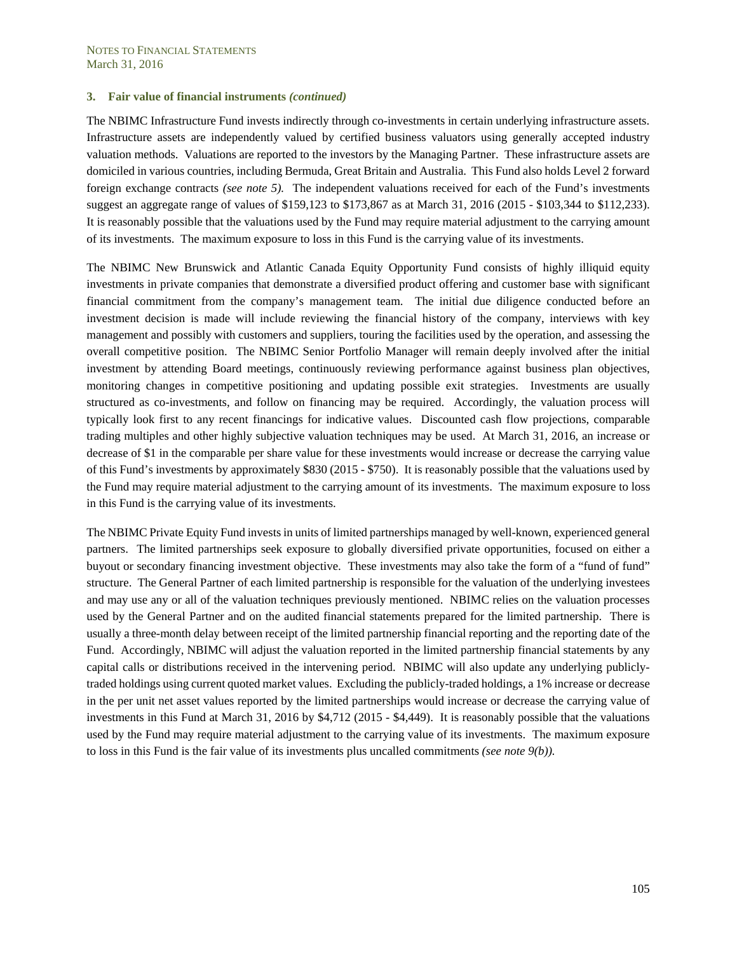The NBIMC Infrastructure Fund invests indirectly through co-investments in certain underlying infrastructure assets. Infrastructure assets are independently valued by certified business valuators using generally accepted industry valuation methods. Valuations are reported to the investors by the Managing Partner. These infrastructure assets are domiciled in various countries, including Bermuda, Great Britain and Australia. This Fund also holds Level 2 forward foreign exchange contracts *(see note 5).* The independent valuations received for each of the Fund's investments suggest an aggregate range of values of \$159,123 to \$173,867 as at March 31, 2016 (2015 - \$103,344 to \$112,233). It is reasonably possible that the valuations used by the Fund may require material adjustment to the carrying amount of its investments. The maximum exposure to loss in this Fund is the carrying value of its investments.

The NBIMC New Brunswick and Atlantic Canada Equity Opportunity Fund consists of highly illiquid equity investments in private companies that demonstrate a diversified product offering and customer base with significant financial commitment from the company's management team. The initial due diligence conducted before an investment decision is made will include reviewing the financial history of the company, interviews with key management and possibly with customers and suppliers, touring the facilities used by the operation, and assessing the overall competitive position. The NBIMC Senior Portfolio Manager will remain deeply involved after the initial investment by attending Board meetings, continuously reviewing performance against business plan objectives, monitoring changes in competitive positioning and updating possible exit strategies. Investments are usually structured as co-investments, and follow on financing may be required. Accordingly, the valuation process will typically look first to any recent financings for indicative values. Discounted cash flow projections, comparable trading multiples and other highly subjective valuation techniques may be used. At March 31, 2016, an increase or decrease of \$1 in the comparable per share value for these investments would increase or decrease the carrying value of this Fund's investments by approximately \$830 (2015 - \$750). It is reasonably possible that the valuations used by the Fund may require material adjustment to the carrying amount of its investments. The maximum exposure to loss in this Fund is the carrying value of its investments.

The NBIMC Private Equity Fund invests in units of limited partnerships managed by well-known, experienced general partners. The limited partnerships seek exposure to globally diversified private opportunities, focused on either a buyout or secondary financing investment objective. These investments may also take the form of a "fund of fund" structure. The General Partner of each limited partnership is responsible for the valuation of the underlying investees and may use any or all of the valuation techniques previously mentioned. NBIMC relies on the valuation processes used by the General Partner and on the audited financial statements prepared for the limited partnership. There is usually a three-month delay between receipt of the limited partnership financial reporting and the reporting date of the Fund. Accordingly, NBIMC will adjust the valuation reported in the limited partnership financial statements by any capital calls or distributions received in the intervening period. NBIMC will also update any underlying publiclytraded holdings using current quoted market values. Excluding the publicly-traded holdings, a 1% increase or decrease in the per unit net asset values reported by the limited partnerships would increase or decrease the carrying value of investments in this Fund at March 31, 2016 by \$4,712 (2015 - \$4,449). It is reasonably possible that the valuations used by the Fund may require material adjustment to the carrying value of its investments. The maximum exposure to loss in this Fund is the fair value of its investments plus uncalled commitments *(see note 9(b)).*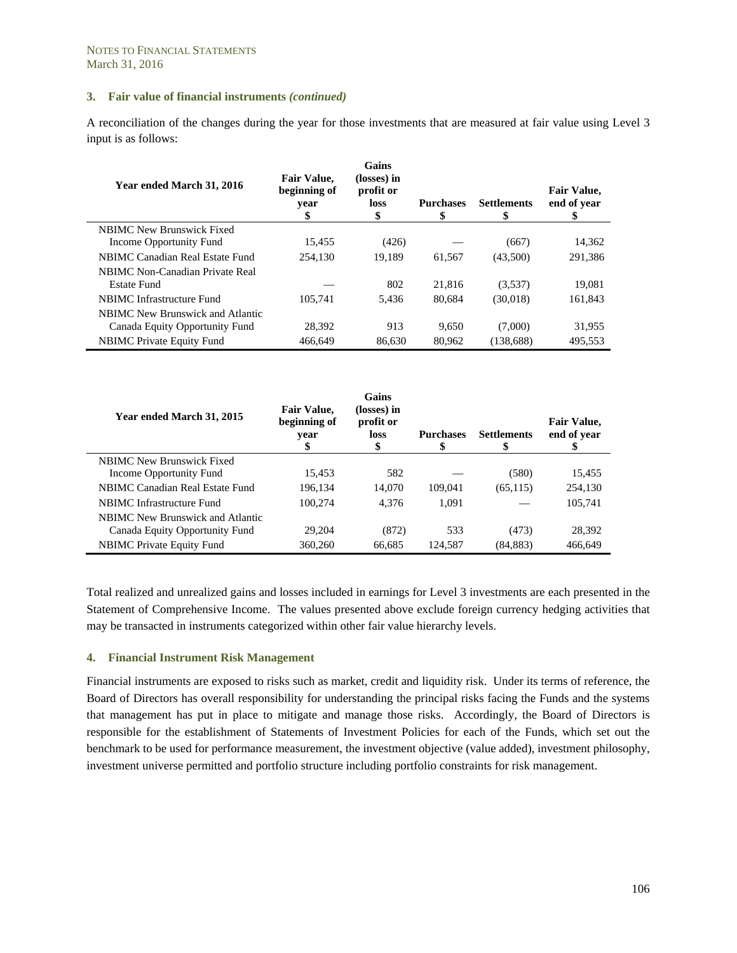A reconciliation of the changes during the year for those investments that are measured at fair value using Level 3 input is as follows:

| Year ended March 31, 2016        | <b>Fair Value,</b><br>beginning of<br>vear<br>S | Gains<br>(losses) in<br>profit or<br>loss<br>\$ | <b>Purchases</b><br>\$ | <b>Settlements</b><br>S | <b>Fair Value.</b><br>end of year<br>\$ |
|----------------------------------|-------------------------------------------------|-------------------------------------------------|------------------------|-------------------------|-----------------------------------------|
| <b>NBIMC New Brunswick Fixed</b> |                                                 |                                                 |                        |                         |                                         |
| Income Opportunity Fund          | 15.455                                          | (426)                                           |                        | (667)                   | 14,362                                  |
| NBIMC Canadian Real Estate Fund  | 254,130                                         | 19.189                                          | 61.567                 | (43,500)                | 291,386                                 |
| NBIMC Non-Canadian Private Real  |                                                 |                                                 |                        |                         |                                         |
| <b>Estate Fund</b>               |                                                 | 802                                             | 21.816                 | (3,537)                 | 19,081                                  |
| NBIMC Infrastructure Fund        | 105.741                                         | 5.436                                           | 80.684                 | (30,018)                | 161.843                                 |
| NBIMC New Brunswick and Atlantic |                                                 |                                                 |                        |                         |                                         |
| Canada Equity Opportunity Fund   | 28.392                                          | 913                                             | 9.650                  | (7,000)                 | 31,955                                  |
| <b>NBIMC</b> Private Equity Fund | 466,649                                         | 86.630                                          | 80,962                 | (138, 688)              | 495,553                                 |

| Year ended March 31, 2015        | <b>Fair Value,</b><br>beginning of<br>year<br>\$ | <b>Gains</b><br>(losses) in<br>profit or<br>loss | <b>Purchases</b> | <b>Settlements</b> | <b>Fair Value,</b><br>end of year |
|----------------------------------|--------------------------------------------------|--------------------------------------------------|------------------|--------------------|-----------------------------------|
| <b>NBIMC New Brunswick Fixed</b> |                                                  |                                                  |                  |                    |                                   |
| Income Opportunity Fund          | 15,453                                           | 582                                              |                  | (580)              | 15,455                            |
| NBIMC Canadian Real Estate Fund  | 196.134                                          | 14.070                                           | 109,041          | (65, 115)          | 254,130                           |
| NBIMC Infrastructure Fund        | 100.274                                          | 4.376                                            | 1.091            |                    | 105.741                           |
| NBIMC New Brunswick and Atlantic |                                                  |                                                  |                  |                    |                                   |
| Canada Equity Opportunity Fund   | 29,204                                           | (872)                                            | 533              | (473)              | 28,392                            |
| <b>NBIMC</b> Private Equity Fund | 360,260                                          | 66.685                                           | 124,587          | (84,883)           | 466.649                           |

Total realized and unrealized gains and losses included in earnings for Level 3 investments are each presented in the Statement of Comprehensive Income. The values presented above exclude foreign currency hedging activities that may be transacted in instruments categorized within other fair value hierarchy levels.

#### **4. Financial Instrument Risk Management**

Financial instruments are exposed to risks such as market, credit and liquidity risk. Under its terms of reference, the Board of Directors has overall responsibility for understanding the principal risks facing the Funds and the systems that management has put in place to mitigate and manage those risks. Accordingly, the Board of Directors is responsible for the establishment of Statements of Investment Policies for each of the Funds, which set out the benchmark to be used for performance measurement, the investment objective (value added), investment philosophy, investment universe permitted and portfolio structure including portfolio constraints for risk management.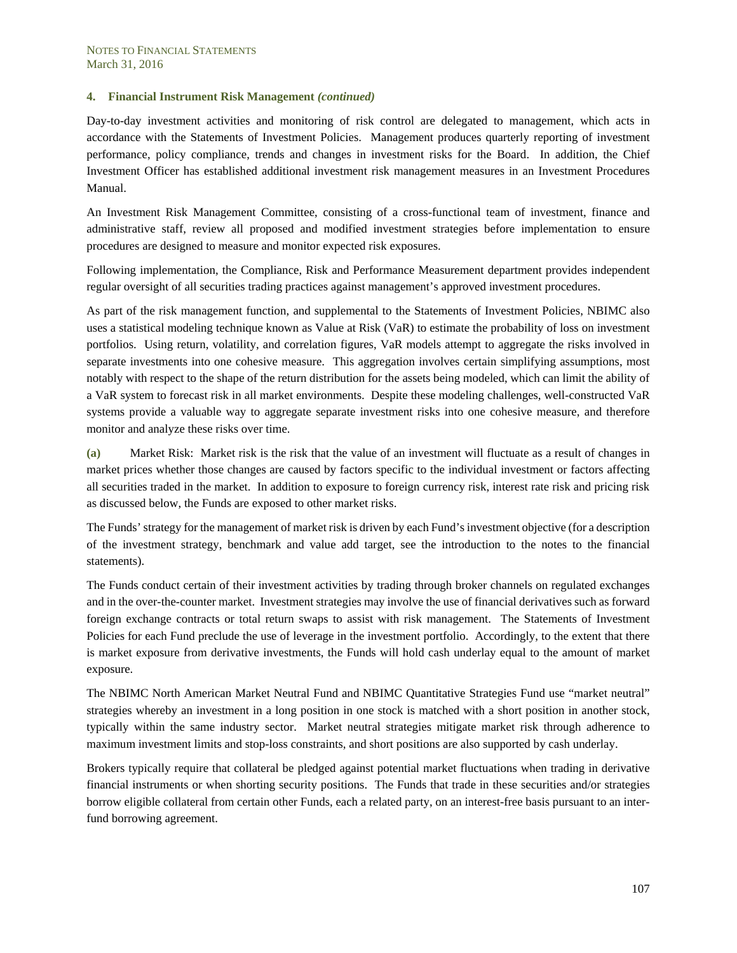Day-to-day investment activities and monitoring of risk control are delegated to management, which acts in accordance with the Statements of Investment Policies. Management produces quarterly reporting of investment performance, policy compliance, trends and changes in investment risks for the Board. In addition, the Chief Investment Officer has established additional investment risk management measures in an Investment Procedures Manual.

An Investment Risk Management Committee, consisting of a cross-functional team of investment, finance and administrative staff, review all proposed and modified investment strategies before implementation to ensure procedures are designed to measure and monitor expected risk exposures.

Following implementation, the Compliance, Risk and Performance Measurement department provides independent regular oversight of all securities trading practices against management's approved investment procedures.

As part of the risk management function, and supplemental to the Statements of Investment Policies, NBIMC also uses a statistical modeling technique known as Value at Risk (VaR) to estimate the probability of loss on investment portfolios. Using return, volatility, and correlation figures, VaR models attempt to aggregate the risks involved in separate investments into one cohesive measure. This aggregation involves certain simplifying assumptions, most notably with respect to the shape of the return distribution for the assets being modeled, which can limit the ability of a VaR system to forecast risk in all market environments. Despite these modeling challenges, well-constructed VaR systems provide a valuable way to aggregate separate investment risks into one cohesive measure, and therefore monitor and analyze these risks over time.

**(a)** Market Risk: Market risk is the risk that the value of an investment will fluctuate as a result of changes in market prices whether those changes are caused by factors specific to the individual investment or factors affecting all securities traded in the market. In addition to exposure to foreign currency risk, interest rate risk and pricing risk as discussed below, the Funds are exposed to other market risks.

The Funds' strategy for the management of market risk is driven by each Fund's investment objective (for a description of the investment strategy, benchmark and value add target, see the introduction to the notes to the financial statements).

The Funds conduct certain of their investment activities by trading through broker channels on regulated exchanges and in the over-the-counter market. Investment strategies may involve the use of financial derivatives such as forward foreign exchange contracts or total return swaps to assist with risk management. The Statements of Investment Policies for each Fund preclude the use of leverage in the investment portfolio. Accordingly, to the extent that there is market exposure from derivative investments, the Funds will hold cash underlay equal to the amount of market exposure.

The NBIMC North American Market Neutral Fund and NBIMC Quantitative Strategies Fund use "market neutral" strategies whereby an investment in a long position in one stock is matched with a short position in another stock, typically within the same industry sector. Market neutral strategies mitigate market risk through adherence to maximum investment limits and stop-loss constraints, and short positions are also supported by cash underlay.

Brokers typically require that collateral be pledged against potential market fluctuations when trading in derivative financial instruments or when shorting security positions. The Funds that trade in these securities and/or strategies borrow eligible collateral from certain other Funds, each a related party, on an interest-free basis pursuant to an interfund borrowing agreement.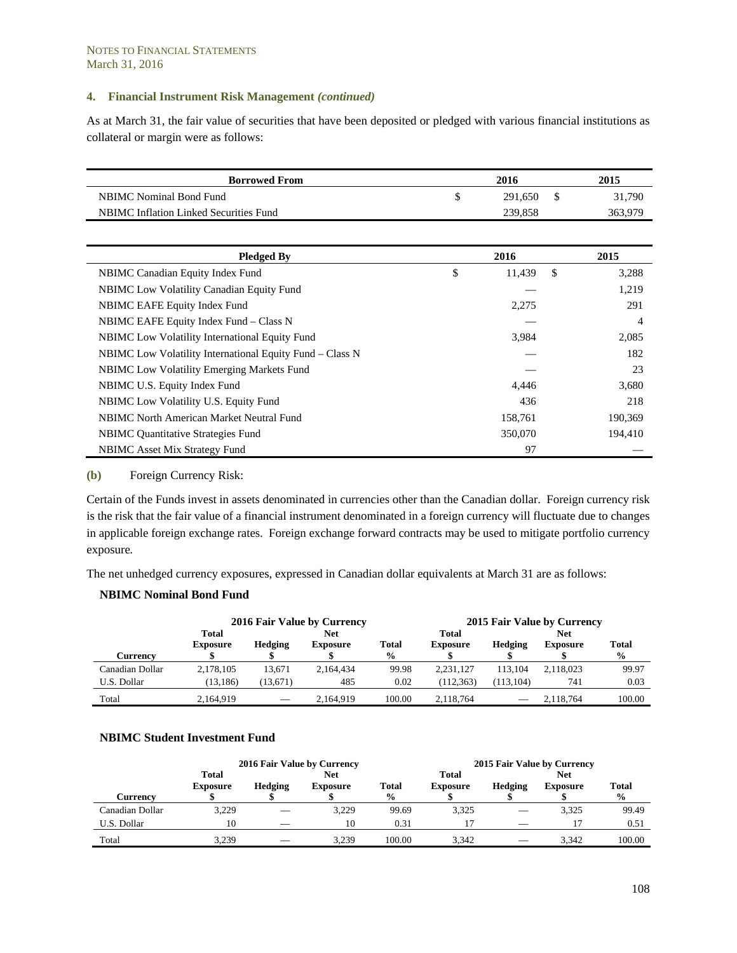As at March 31, the fair value of securities that have been deposited or pledged with various financial institutions as collateral or margin were as follows:

| <b>Borrowed From</b>                                  | 2016          |               | 2015    |
|-------------------------------------------------------|---------------|---------------|---------|
| <b>NBIMC</b> Nominal Bond Fund                        | \$<br>291.650 | <sup>\$</sup> | 31,790  |
| <b>NBIMC Inflation Linked Securities Fund</b>         | 239,858       |               | 363,979 |
|                                                       |               |               |         |
| <b>Pledged By</b>                                     | 2016          |               | 2015    |
| NBIMC Canadian Equity Index Fund                      | \$<br>11.439  | -S            | 3,288   |
| <b>NBIMC</b> Low Volatility Canadian Equity Fund      |               |               | 1,219   |
| NBIMC EAFE Equity Index Fund                          | 2.275         |               | 291     |
| NBIMC EAFE Equity Index Fund – Class N                |               |               | 4       |
| <b>NBIMC</b> Low Volatility International Equity Fund | 3,984         |               | 2.085   |
| $\mathbf{v}$                                          |               |               | $\sim$  |

| <b>NBIMC</b> Low Volatility International Equity Fund    | 3,984   | 2,085   |
|----------------------------------------------------------|---------|---------|
| NBIMC Low Volatility International Equity Fund – Class N |         | 182     |
| <b>NBIMC</b> Low Volatility Emerging Markets Fund        |         | 23      |
| NBIMC U.S. Equity Index Fund                             | 4.446   | 3,680   |
| NBIMC Low Volatility U.S. Equity Fund                    | 436     | 218     |
| NBIMC North American Market Neutral Fund                 | 158.761 | 190.369 |
| <b>NBIMC</b> Quantitative Strategies Fund                | 350,070 | 194.410 |
| <b>NBIMC</b> Asset Mix Strategy Fund                     | 97      |         |

**(b)** Foreign Currency Risk:

Certain of the Funds invest in assets denominated in currencies other than the Canadian dollar. Foreign currency risk is the risk that the fair value of a financial instrument denominated in a foreign currency will fluctuate due to changes in applicable foreign exchange rates. Foreign exchange forward contracts may be used to mitigate portfolio currency exposure*.* 

The net unhedged currency exposures, expressed in Canadian dollar equivalents at March 31 are as follows:

## **NBIMC Nominal Bond Fund**

|                 | 2016 Fair Value by Currency |          |                 |               | 2015 Fair Value by Currency |            |                 |               |  |
|-----------------|-----------------------------|----------|-----------------|---------------|-----------------------------|------------|-----------------|---------------|--|
|                 | <b>Total</b>                |          | Net             |               | Total                       | <b>Net</b> |                 |               |  |
|                 | <b>Exposure</b>             | Hedging  | <b>Exposure</b> | Total         | <b>Exposure</b>             | Hedging    | <b>Exposure</b> | <b>Total</b>  |  |
| Currency        |                             |          |                 | $\frac{0}{0}$ |                             |            |                 | $\frac{0}{0}$ |  |
| Canadian Dollar | 2,178,105                   | 13.671   | 2,164,434       | 99.98         | 2,231,127                   | 113.104    | 2.118.023       | 99.97         |  |
| U.S. Dollar     | (13.186)                    | (13,671) | 485             | 0.02          | (112, 363)                  | (113.104)  | 741             | 0.03          |  |
| Total           | 2,164,919                   |          | 2,164,919       | 100.00        | 2,118,764                   |            | 2,118,764       | 100.00        |  |

#### **NBIMC Student Investment Fund**

|                 |                 |         | 2016 Fair Value by Currency | 2015 Fair Value by Currency |                 |         |                 |               |
|-----------------|-----------------|---------|-----------------------------|-----------------------------|-----------------|---------|-----------------|---------------|
|                 | <b>Total</b>    |         | Net                         |                             | Total           |         | <b>Net</b>      |               |
|                 | <b>Exposure</b> | Hedging | <b>Exposure</b>             | Total                       | <b>Exposure</b> | Hedging | <b>Exposure</b> | <b>Total</b>  |
| Currency        |                 |         |                             | $\frac{6}{9}$               |                 |         |                 | $\frac{0}{0}$ |
| Canadian Dollar | 3.229           |         | 3.229                       | 99.69                       | 3,325           |         | 3.325           | 99.49         |
| U.S. Dollar     | 10              |         | 10                          | 0.31                        |                 |         |                 | 0.51          |
| Total           | 3.239           |         | 3.239                       | 100.00                      | 3.342           |         | 3.342           | 100.00        |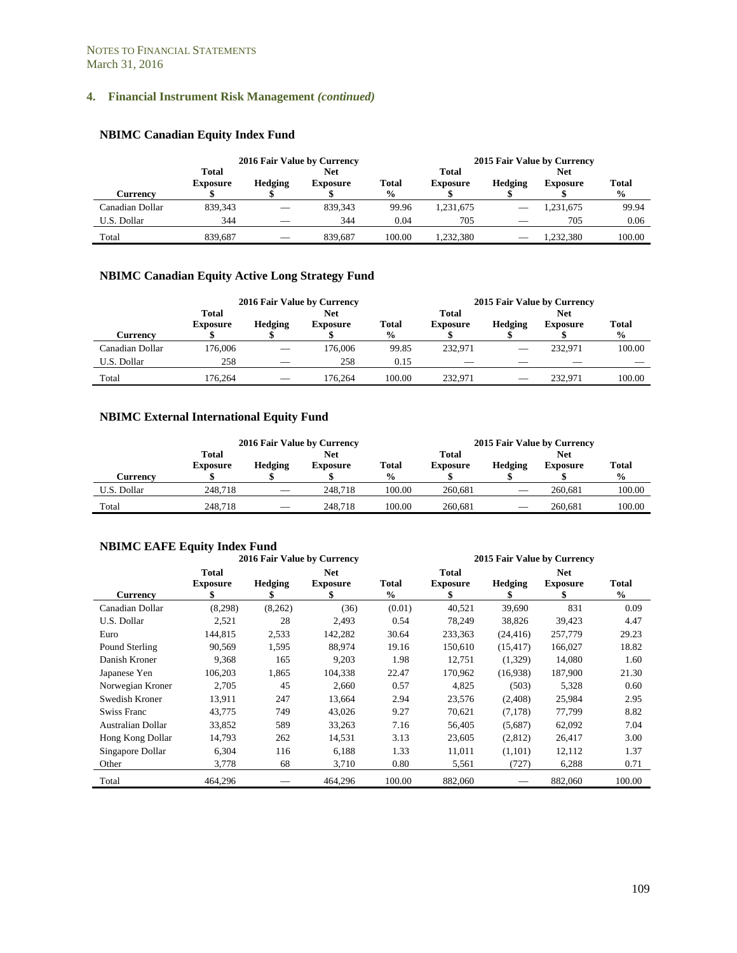|                 |                 | 2016 Fair Value by Currency |                 |               |              | 2015 Fair Value by Currency |                 |               |  |
|-----------------|-----------------|-----------------------------|-----------------|---------------|--------------|-----------------------------|-----------------|---------------|--|
|                 | <b>Total</b>    |                             | Net             |               | <b>Total</b> |                             | <b>Net</b>      |               |  |
|                 | <b>Exposure</b> | Hedging                     | <b>Exposure</b> | Total         | Exposure     | Hedging                     | <b>Exposure</b> | <b>Total</b>  |  |
| Currency        |                 |                             |                 | $\frac{0}{0}$ |              |                             |                 | $\frac{6}{9}$ |  |
| Canadian Dollar | 839.343         |                             | 839.343         | 99.96         | 1,231,675    |                             | 1,231,675       | 99.94         |  |
| U.S. Dollar     | 344             |                             | 344             | 0.04          | 705          |                             | 705             | 0.06          |  |
| Total           | 839.687         |                             | 839.687         | 100.00        | 1.232.380    |                             | 1.232.380       | 100.00        |  |

## **NBIMC Canadian Equity Index Fund**

## **NBIMC Canadian Equity Active Long Strategy Fund**

|                 |                 | 2016 Fair Value by Currency | 2015 Fair Value by Currency |               |                 |         |                 |               |
|-----------------|-----------------|-----------------------------|-----------------------------|---------------|-----------------|---------|-----------------|---------------|
|                 | <b>Total</b>    |                             | Net                         |               | <b>Total</b>    |         | <b>Net</b>      |               |
|                 | <b>Exposure</b> | Hedging                     | <b>Exposure</b>             | Total         | <b>Exposure</b> | Hedging | <b>Exposure</b> | <b>Total</b>  |
| Currency        |                 |                             |                             | $\frac{0}{0}$ |                 |         |                 | $\frac{0}{0}$ |
| Canadian Dollar | 176,006         |                             | 176,006                     | 99.85         | 232,971         |         | 232.971         | 100.00        |
| U.S. Dollar     | 258             |                             | 258                         | 0.15          |                 |         |                 |               |
| Total           | 176.264         |                             | 176.264                     | 100.00        | 232.971         |         | 232,971         | 100.00        |

## **NBIMC External International Equity Fund**

|             | 2016 Fair Value by Currency | 2015 Fair Value by Currency |                 |               |                 |         |                 |               |  |
|-------------|-----------------------------|-----------------------------|-----------------|---------------|-----------------|---------|-----------------|---------------|--|
|             | <b>Total</b>                |                             | Net             |               | <b>Total</b>    |         | Net             |               |  |
|             | <b>Exposure</b>             | <b>Hedging</b>              | <b>Exposure</b> | Total         | <b>Exposure</b> | Hedging | <b>Exposure</b> | <b>Total</b>  |  |
| Currencv    |                             |                             |                 | $\frac{0}{0}$ |                 |         |                 | $\frac{0}{0}$ |  |
| U.S. Dollar | 248.718                     |                             | 248.718         | 100.00        | 260.681         |         | 260.681         | 100.00        |  |
| Total       | 248.718                     |                             | 248,718         | 100.00        | 260.681         |         | 260.681         | 100.00        |  |

## **NBIMC EAFE Equity Index Fund**

|                   |                 |                | 2016 Fair Value by Currency |               |                 |                | 2015 Fair Value by Currency |               |  |  |
|-------------------|-----------------|----------------|-----------------------------|---------------|-----------------|----------------|-----------------------------|---------------|--|--|
|                   | Total           |                | <b>Net</b>                  |               | Total           |                | <b>Net</b>                  |               |  |  |
|                   | <b>Exposure</b> | <b>Hedging</b> | <b>Exposure</b>             | Total         | <b>Exposure</b> | <b>Hedging</b> | <b>Exposure</b>             | Total         |  |  |
| Currency          |                 |                |                             | $\frac{0}{0}$ |                 |                |                             | $\frac{6}{6}$ |  |  |
| Canadian Dollar   | (8,298)         | (8,262)        | (36)                        | (0.01)        | 40,521          | 39,690         | 831                         | 0.09          |  |  |
| U.S. Dollar       | 2,521           | 28             | 2,493                       | 0.54          | 78,249          | 38,826         | 39,423                      | 4.47          |  |  |
| Euro              | 144,815         | 2,533          | 142,282                     | 30.64         | 233,363         | (24, 416)      | 257,779                     | 29.23         |  |  |
| Pound Sterling    | 90,569          | 1,595          | 88,974                      | 19.16         | 150,610         | (15, 417)      | 166,027                     | 18.82         |  |  |
| Danish Kroner     | 9,368           | 165            | 9,203                       | 1.98          | 12,751          | (1,329)        | 14,080                      | 1.60          |  |  |
| Japanese Yen      | 106,203         | 1,865          | 104,338                     | 22.47         | 170,962         | (16,938)       | 187,900                     | 21.30         |  |  |
| Norwegian Kroner  | 2,705           | 45             | 2,660                       | 0.57          | 4,825           | (503)          | 5,328                       | 0.60          |  |  |
| Swedish Kroner    | 13,911          | 247            | 13,664                      | 2.94          | 23,576          | (2,408)        | 25,984                      | 2.95          |  |  |
| Swiss Franc       | 43,775          | 749            | 43,026                      | 9.27          | 70,621          | (7,178)        | 77,799                      | 8.82          |  |  |
| Australian Dollar | 33,852          | 589            | 33,263                      | 7.16          | 56,405          | (5,687)        | 62,092                      | 7.04          |  |  |
| Hong Kong Dollar  | 14,793          | 262            | 14,531                      | 3.13          | 23,605          | (2,812)        | 26,417                      | 3.00          |  |  |
| Singapore Dollar  | 6,304           | 116            | 6,188                       | 1.33          | 11,011          | (1,101)        | 12,112                      | 1.37          |  |  |
| Other             | 3,778           | 68             | 3,710                       | 0.80          | 5,561           | (727)          | 6,288                       | 0.71          |  |  |
| Total             | 464,296         |                | 464,296                     | 100.00        | 882,060         |                | 882,060                     | 100.00        |  |  |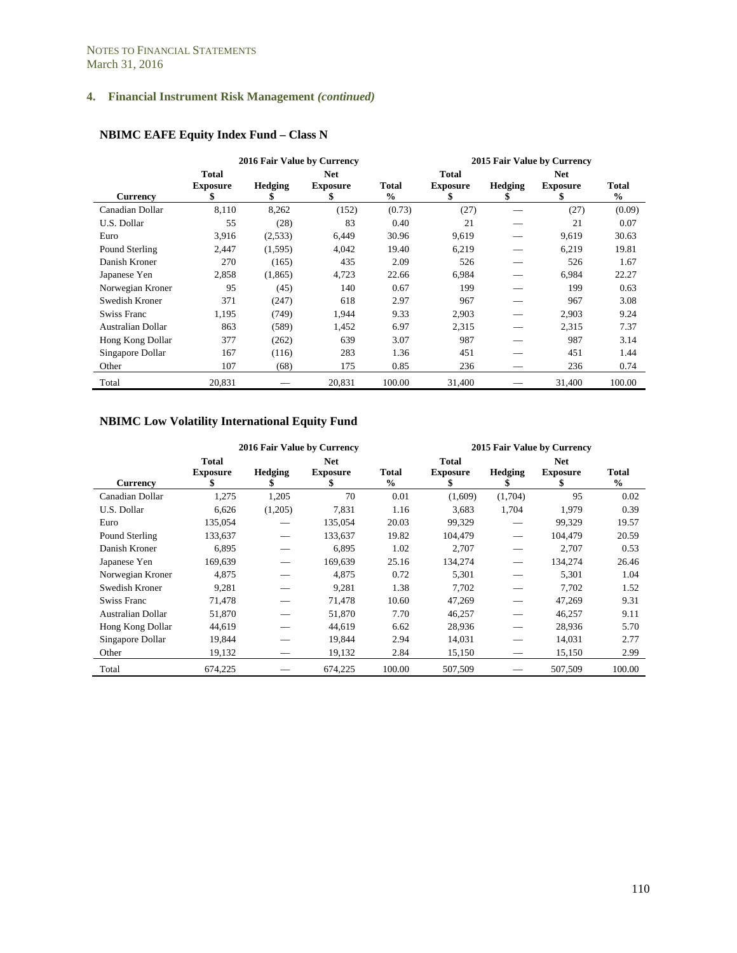|                   |                                       | 2016 Fair Value by Currency |                                     |                        | 2015 Fair Value by Currency          |                      |                                     |               |
|-------------------|---------------------------------------|-----------------------------|-------------------------------------|------------------------|--------------------------------------|----------------------|-------------------------------------|---------------|
| <b>Currency</b>   | <b>Total</b><br><b>Exposure</b><br>\$ | <b>Hedging</b><br>\$        | <b>Net</b><br><b>Exposure</b><br>S. | Total<br>$\frac{0}{0}$ | <b>Total</b><br><b>Exposure</b><br>S | <b>Hedging</b><br>Y. | <b>Net</b><br><b>Exposure</b><br>\$ | Total<br>$\%$ |
| Canadian Dollar   | 8,110                                 | 8,262                       | (152)                               | (0.73)                 | (27)                                 |                      | (27)                                | (0.09)        |
| U.S. Dollar       | 55                                    | (28)                        | 83                                  | 0.40                   | 21                                   |                      | 21                                  | 0.07          |
| Euro              | 3,916                                 | (2,533)                     | 6,449                               | 30.96                  | 9,619                                |                      | 9,619                               | 30.63         |
| Pound Sterling    | 2,447                                 | (1, 595)                    | 4,042                               | 19.40                  | 6,219                                |                      | 6,219                               | 19.81         |
| Danish Kroner     | 270                                   | (165)                       | 435                                 | 2.09                   | 526                                  |                      | 526                                 | 1.67          |
| Japanese Yen      | 2,858                                 | (1,865)                     | 4,723                               | 22.66                  | 6,984                                |                      | 6,984                               | 22.27         |
| Norwegian Kroner  | 95                                    | (45)                        | 140                                 | 0.67                   | 199                                  |                      | 199                                 | 0.63          |
| Swedish Kroner    | 371                                   | (247)                       | 618                                 | 2.97                   | 967                                  |                      | 967                                 | 3.08          |
| Swiss Franc       | 1.195                                 | (749)                       | 1.944                               | 9.33                   | 2.903                                |                      | 2,903                               | 9.24          |
| Australian Dollar | 863                                   | (589)                       | 1,452                               | 6.97                   | 2,315                                |                      | 2,315                               | 7.37          |
| Hong Kong Dollar  | 377                                   | (262)                       | 639                                 | 3.07                   | 987                                  |                      | 987                                 | 3.14          |
| Singapore Dollar  | 167                                   | (116)                       | 283                                 | 1.36                   | 451                                  |                      | 451                                 | 1.44          |
| Other             | 107                                   | (68)                        | 175                                 | 0.85                   | 236                                  |                      | 236                                 | 0.74          |
| Total             | 20,831                                |                             | 20,831                              | 100.00                 | 31,400                               |                      | 31,400                              | 100.00        |

# **NBIMC EAFE Equity Index Fund – Class N**

## **NBIMC Low Volatility International Equity Fund**

|                   |                                      |                     | 2016 Fair Value by Currency         |                               | 2015 Fair Value by Currency          |                          |                                    |                               |
|-------------------|--------------------------------------|---------------------|-------------------------------------|-------------------------------|--------------------------------------|--------------------------|------------------------------------|-------------------------------|
| <b>Currency</b>   | <b>Total</b><br><b>Exposure</b><br>S | <b>Hedging</b><br>ъ | <b>Net</b><br><b>Exposure</b><br>\$ | <b>Total</b><br>$\frac{0}{0}$ | <b>Total</b><br><b>Exposure</b><br>S | <b>Hedging</b><br>ъ      | <b>Net</b><br><b>Exposure</b><br>S | <b>Total</b><br>$\frac{0}{0}$ |
| Canadian Dollar   | 1,275                                | 1,205               | 70                                  | 0.01                          | (1,609)                              | (1,704)                  | 95                                 | 0.02                          |
| U.S. Dollar       | 6,626                                | (1,205)             | 7,831                               | 1.16                          | 3,683                                | 1,704                    | 1,979                              | 0.39                          |
| Euro              | 135,054                              |                     | 135,054                             | 20.03                         | 99,329                               |                          | 99,329                             | 19.57                         |
| Pound Sterling    | 133,637                              |                     | 133,637                             | 19.82                         | 104,479                              | $\overline{\phantom{0}}$ | 104,479                            | 20.59                         |
| Danish Kroner     | 6,895                                |                     | 6,895                               | 1.02                          | 2,707                                |                          | 2,707                              | 0.53                          |
| Japanese Yen      | 169,639                              |                     | 169,639                             | 25.16                         | 134,274                              |                          | 134,274                            | 26.46                         |
| Norwegian Kroner  | 4,875                                |                     | 4,875                               | 0.72                          | 5,301                                |                          | 5,301                              | 1.04                          |
| Swedish Kroner    | 9,281                                |                     | 9,281                               | 1.38                          | 7,702                                |                          | 7,702                              | 1.52                          |
| Swiss Franc       | 71,478                               |                     | 71,478                              | 10.60                         | 47,269                               |                          | 47,269                             | 9.31                          |
| Australian Dollar | 51,870                               |                     | 51,870                              | 7.70                          | 46,257                               |                          | 46,257                             | 9.11                          |
| Hong Kong Dollar  | 44,619                               |                     | 44,619                              | 6.62                          | 28,936                               |                          | 28,936                             | 5.70                          |
| Singapore Dollar  | 19,844                               |                     | 19,844                              | 2.94                          | 14,031                               |                          | 14,031                             | 2.77                          |
| Other             | 19,132                               |                     | 19,132                              | 2.84                          | 15,150                               |                          | 15,150                             | 2.99                          |
| Total             | 674,225                              |                     | 674,225                             | 100.00                        | 507,509                              |                          | 507,509                            | 100.00                        |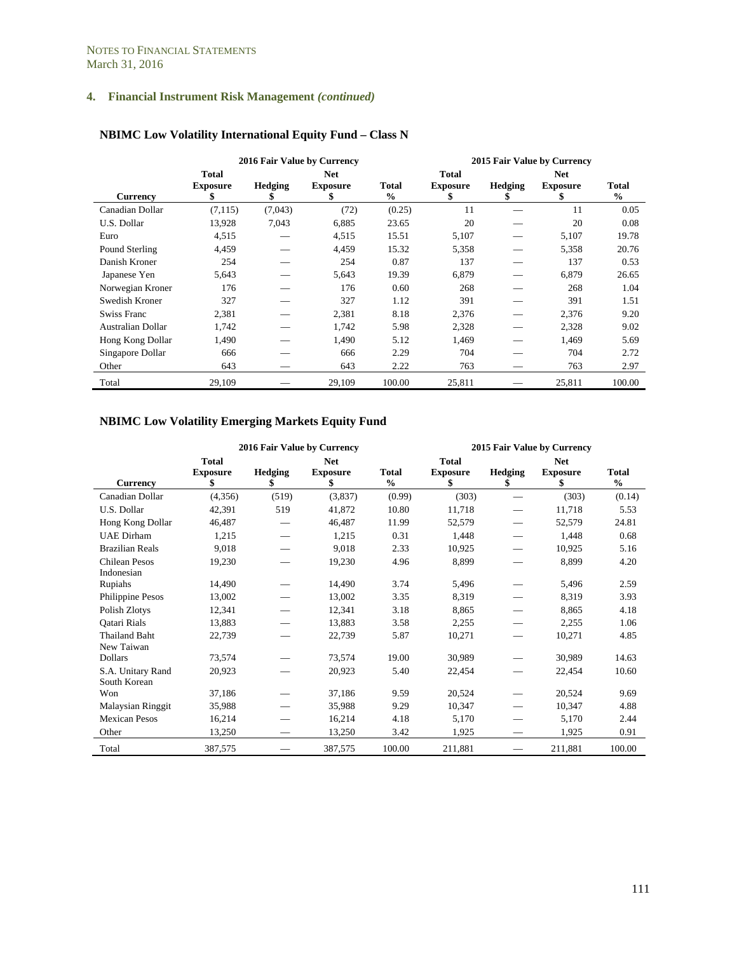|                   |                                 |                | 2016 Fair Value by Currency   |                        | 2015 Fair Value by Currency     |                     |                                    |                               |
|-------------------|---------------------------------|----------------|-------------------------------|------------------------|---------------------------------|---------------------|------------------------------------|-------------------------------|
| <b>Currency</b>   | <b>Total</b><br><b>Exposure</b> | <b>Hedging</b> | <b>Net</b><br><b>Exposure</b> | Total<br>$\frac{0}{0}$ | <b>Total</b><br><b>Exposure</b> | <b>Hedging</b><br>ж | <b>Net</b><br><b>Exposure</b><br>S | <b>Total</b><br>$\frac{6}{9}$ |
| Canadian Dollar   | (7,115)                         | (7,043)        | (72)                          | (0.25)                 | 11                              |                     | 11                                 | 0.05                          |
| U.S. Dollar       | 13,928                          | 7,043          | 6,885                         | 23.65                  | 20                              |                     | 20                                 | 0.08                          |
| Euro              | 4,515                           |                | 4,515                         | 15.51                  | 5,107                           |                     | 5,107                              | 19.78                         |
| Pound Sterling    | 4,459                           |                | 4,459                         | 15.32                  | 5,358                           |                     | 5,358                              | 20.76                         |
| Danish Kroner     | 254                             |                | 254                           | 0.87                   | 137                             |                     | 137                                | 0.53                          |
| Japanese Yen      | 5,643                           |                | 5,643                         | 19.39                  | 6.879                           |                     | 6,879                              | 26.65                         |
| Norwegian Kroner  | 176                             |                | 176                           | 0.60                   | 268                             |                     | 268                                | 1.04                          |
| Swedish Kroner    | 327                             |                | 327                           | 1.12                   | 391                             |                     | 391                                | 1.51                          |
| Swiss Franc       | 2,381                           |                | 2,381                         | 8.18                   | 2,376                           |                     | 2,376                              | 9.20                          |
| Australian Dollar | 1,742                           |                | 1,742                         | 5.98                   | 2,328                           |                     | 2,328                              | 9.02                          |
| Hong Kong Dollar  | 1,490                           |                | 1,490                         | 5.12                   | 1,469                           |                     | 1,469                              | 5.69                          |
| Singapore Dollar  | 666                             |                | 666                           | 2.29                   | 704                             |                     | 704                                | 2.72                          |
| Other             | 643                             |                | 643                           | 2.22                   | 763                             |                     | 763                                | 2.97                          |
| Total             | 29,109                          |                | 29,109                        | 100.00                 | 25,811                          |                     | 25,811                             | 100.00                        |

# **NBIMC Low Volatility International Equity Fund – Class N**

## **NBIMC Low Volatility Emerging Markets Equity Fund**

|                                    | 2016 Fair Value by Currency           |                      |                                     |                               |                                       | 2015 Fair Value by Currency |                                     |                               |  |
|------------------------------------|---------------------------------------|----------------------|-------------------------------------|-------------------------------|---------------------------------------|-----------------------------|-------------------------------------|-------------------------------|--|
| <b>Currency</b>                    | <b>Total</b><br><b>Exposure</b><br>\$ | <b>Hedging</b><br>\$ | <b>Net</b><br><b>Exposure</b><br>\$ | <b>Total</b><br>$\frac{0}{0}$ | <b>Total</b><br><b>Exposure</b><br>\$ | <b>Hedging</b><br>\$        | <b>Net</b><br><b>Exposure</b><br>\$ | <b>Total</b><br>$\frac{6}{6}$ |  |
| Canadian Dollar                    | (4,356)                               | (519)                | (3,837)                             | (0.99)                        | (303)                                 |                             | (303)                               | (0.14)                        |  |
| U.S. Dollar                        | 42,391                                | 519                  | 41,872                              | 10.80                         | 11,718                                |                             | 11,718                              | 5.53                          |  |
| Hong Kong Dollar                   | 46,487                                |                      | 46,487                              | 11.99                         | 52,579                                |                             | 52,579                              | 24.81                         |  |
| <b>UAE</b> Dirham                  | 1,215                                 |                      | 1,215                               | 0.31                          | 1,448                                 |                             | 1,448                               | 0.68                          |  |
| <b>Brazilian Reals</b>             | 9,018                                 |                      | 9,018                               | 2.33                          | 10,925                                |                             | 10,925                              | 5.16                          |  |
| <b>Chilean Pesos</b><br>Indonesian | 19,230                                |                      | 19,230                              | 4.96                          | 8,899                                 |                             | 8,899                               | 4.20                          |  |
| Rupiahs                            | 14,490                                |                      | 14,490                              | 3.74                          | 5,496                                 |                             | 5,496                               | 2.59                          |  |
| Philippine Pesos                   | 13,002                                |                      | 13,002                              | 3.35                          | 8,319                                 |                             | 8,319                               | 3.93                          |  |
| Polish Zlotys                      | 12,341                                |                      | 12,341                              | 3.18                          | 8,865                                 |                             | 8,865                               | 4.18                          |  |
| <b>Oatari Rials</b>                | 13,883                                |                      | 13,883                              | 3.58                          | 2,255                                 |                             | 2,255                               | 1.06                          |  |
| <b>Thailand Baht</b><br>New Taiwan | 22,739                                |                      | 22,739                              | 5.87                          | 10,271                                |                             | 10,271                              | 4.85                          |  |
| <b>Dollars</b>                     | 73.574                                |                      | 73.574                              | 19.00                         | 30.989                                |                             | 30.989                              | 14.63                         |  |
| S.A. Unitary Rand<br>South Korean  | 20,923                                |                      | 20,923                              | 5.40                          | 22,454                                |                             | 22,454                              | 10.60                         |  |
| Won                                | 37,186                                |                      | 37,186                              | 9.59                          | 20,524                                |                             | 20,524                              | 9.69                          |  |
| <b>Malaysian Ringgit</b>           | 35,988                                |                      | 35,988                              | 9.29                          | 10,347                                |                             | 10,347                              | 4.88                          |  |
| <b>Mexican Pesos</b>               | 16,214                                |                      | 16,214                              | 4.18                          | 5,170                                 |                             | 5,170                               | 2.44                          |  |
| Other                              | 13,250                                |                      | 13,250                              | 3.42                          | 1,925                                 |                             | 1,925                               | 0.91                          |  |
| Total                              | 387,575                               |                      | 387,575                             | 100.00                        | 211,881                               |                             | 211,881                             | 100.00                        |  |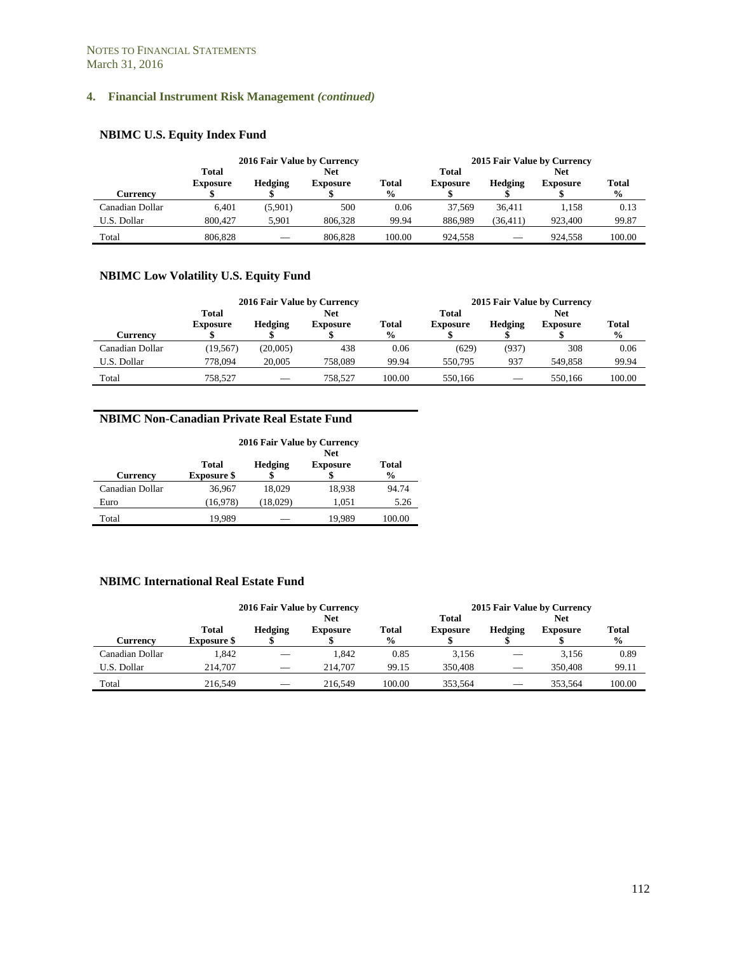## **NBIMC U.S. Equity Index Fund**

|                 |                 |                | 2016 Fair Value by Currency | 2015 Fair Value by Currency |                 |          |                 |               |
|-----------------|-----------------|----------------|-----------------------------|-----------------------------|-----------------|----------|-----------------|---------------|
|                 | Total<br>Net    |                | <b>Total</b><br>Net         |                             |                 |          |                 |               |
|                 | <b>Exposure</b> | <b>Hedging</b> | <b>Exposure</b>             | <b>Total</b>                | <b>Exposure</b> | Hedging  | <b>Exposure</b> | <b>Total</b>  |
| Currencv        |                 |                |                             | $\frac{6}{9}$               |                 |          |                 | $\frac{0}{0}$ |
| Canadian Dollar | 6.401           | (5,901)        | 500                         | 0.06                        | 37.569          | 36.411   | 1.158           | 0.13          |
| U.S. Dollar     | 800,427         | 5.901          | 806.328                     | 99.94                       | 886,989         | (36.411) | 923,400         | 99.87         |
| Total           | 806.828         |                | 806.828                     | 100.00                      | 924.558         |          | 924.558         | 100.00        |

## **NBIMC Low Volatility U.S. Equity Fund**

|                 | 2015 Fair Value by Currency |                 |                                    |                       |         |                 |                               |
|-----------------|-----------------------------|-----------------|------------------------------------|-----------------------|---------|-----------------|-------------------------------|
| <b>Total</b>    |                             | Net             |                                    | <b>Total</b>          |         | Net             |                               |
| <b>Exposure</b> | Hedging                     | <b>Exposure</b> | <b>Total</b>                       | <b>Exposure</b>       | Hedging | <b>Exposure</b> | <b>Total</b><br>$\frac{6}{9}$ |
|                 |                             |                 |                                    |                       |         |                 | 0.06                          |
| 778,094         | 20,005                      | 758,089         | 99.94                              | 550,795               | 937     | 549.858         | 99.94                         |
| 758.527         |                             | 758.527         | 100.00                             | 550.166               | __      | 550.166         | 100.00                        |
|                 | (19.567)                    | (20,005)        | 2016 Fair Value by Currency<br>438 | $\frac{6}{9}$<br>0.06 | (629)   | (937)           | 308                           |

# **NBIMC Non-Canadian Private Real Estate Fund**

|                 | 2016 Fair Value by Currency<br><b>Net</b> |                |                 |                        |  |  |  |  |
|-----------------|-------------------------------------------|----------------|-----------------|------------------------|--|--|--|--|
| <b>Currency</b> | Total<br><b>Exposure</b> \$               | <b>Hedging</b> | <b>Exposure</b> | Total<br>$\frac{6}{9}$ |  |  |  |  |
| Canadian Dollar | 36,967                                    | 18,029         | 18,938          | 94.74                  |  |  |  |  |
| Euro            | (16,978)                                  | (18,029)       | 1,051           | 5.26                   |  |  |  |  |
| Total           | 19.989                                    |                | 19.989          | 100.00                 |  |  |  |  |

#### **NBIMC International Real Estate Fund**

|                 |                                    |         | 2016 Fair Value by Currency | 2015 Fair Value by Currency   |                 |                                |                 |                               |
|-----------------|------------------------------------|---------|-----------------------------|-------------------------------|-----------------|--------------------------------|-----------------|-------------------------------|
|                 |                                    |         | Net                         |                               | <b>Total</b>    |                                | Net             |                               |
| Currency        | <b>Total</b><br><b>Exposure \$</b> | Hedging | <b>Exposure</b>             | <b>Total</b><br>$\frac{6}{9}$ | <b>Exposure</b> | Hedging                        | <b>Exposure</b> | <b>Total</b><br>$\frac{0}{0}$ |
| Canadian Dollar | 1.842                              |         | 1.842                       | 0.85                          | 3.156           |                                | 3.156           | 0.89                          |
| U.S. Dollar     | 214,707                            |         | 214.707                     | 99.15                         | 350.408         |                                | 350,408         | 99.11                         |
| Total           | 216.549                            |         | 216.549                     | 100.00                        | 353.564         | $\overbrace{\hspace{25mm}}^{}$ | 353.564         | 100.00                        |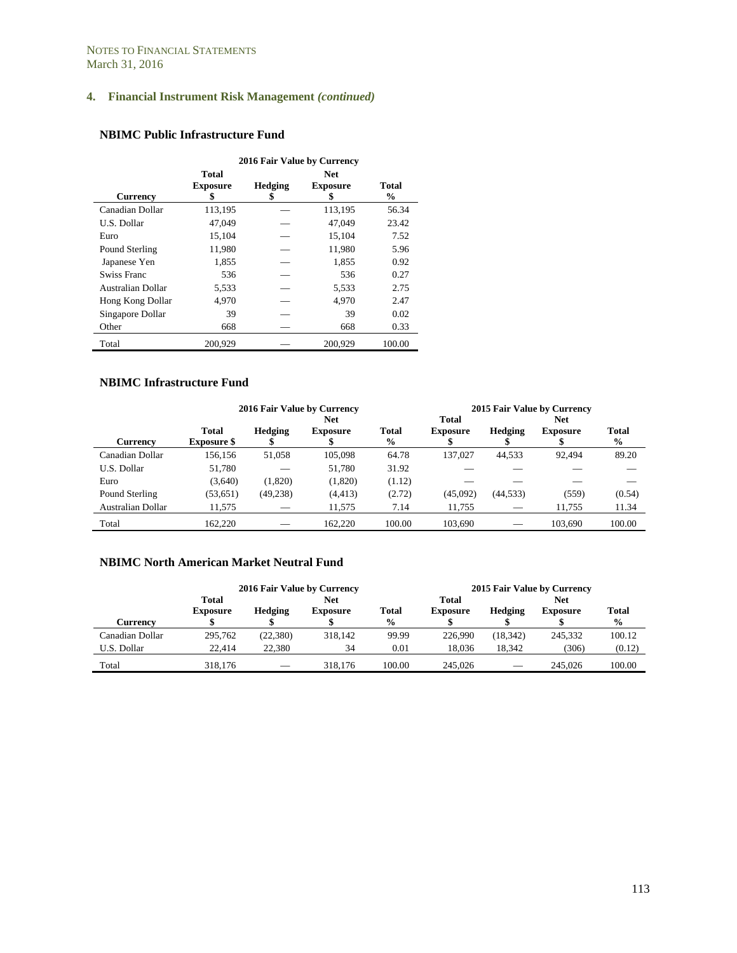#### **NBIMC Public Infrastructure Fund**

|                   | 2016 Fair Value by Currency |                |                               |        |  |  |  |  |
|-------------------|-----------------------------|----------------|-------------------------------|--------|--|--|--|--|
|                   | Total<br><b>Exposure</b>    | <b>Hedging</b> | <b>Net</b><br><b>Exposure</b> | Total  |  |  |  |  |
| <b>Currency</b>   | 5                           | \$             | S                             | $\%$   |  |  |  |  |
| Canadian Dollar   | 113,195                     |                | 113,195                       | 56.34  |  |  |  |  |
| U.S. Dollar       | 47,049                      |                | 47.049                        | 23.42  |  |  |  |  |
| Euro              | 15,104                      |                | 15,104                        | 7.52   |  |  |  |  |
| Pound Sterling    | 11,980                      |                | 11.980                        | 5.96   |  |  |  |  |
| Japanese Yen      | 1,855                       |                | 1,855                         | 0.92   |  |  |  |  |
| Swiss Franc       | 536                         |                | 536                           | 0.27   |  |  |  |  |
| Australian Dollar | 5,533                       |                | 5,533                         | 2.75   |  |  |  |  |
| Hong Kong Dollar  | 4,970                       |                | 4.970                         | 2.47   |  |  |  |  |
| Singapore Dollar  | 39                          |                | 39                            | 0.02   |  |  |  |  |
| Other             | 668                         |                | 668                           | 0.33   |  |  |  |  |
| Total             | 200,929                     |                | 200,929                       | 100.00 |  |  |  |  |

#### **NBIMC Infrastructure Fund**

|                   | 2016 Fair Value by Currency |           |                 |              | 2015 Fair Value by Currency |           |                 |              |
|-------------------|-----------------------------|-----------|-----------------|--------------|-----------------------------|-----------|-----------------|--------------|
|                   |                             |           | Net             |              | <b>Total</b>                |           | Net             |              |
|                   | <b>Total</b>                | Hedging   | <b>Exposure</b> | <b>Total</b> | <b>Exposure</b>             | Hedging   | <b>Exposure</b> | <b>Total</b> |
| Currency          | <b>Exposure</b> \$          |           |                 | $\%$         |                             |           |                 | $\%$         |
| Canadian Dollar   | 156.156                     | 51,058    | 105.098         | 64.78        | 137.027                     | 44,533    | 92.494          | 89.20        |
| U.S. Dollar       | 51,780                      |           | 51,780          | 31.92        |                             |           |                 |              |
| Euro              | (3,640)                     | (1,820)   | (1,820)         | (1.12)       |                             |           |                 |              |
| Pound Sterling    | (53, 651)                   | (49, 238) | (4, 413)        | (2.72)       | (45,092)                    | (44, 533) | (559)           | (0.54)       |
| Australian Dollar | 11,575                      |           | 11,575          | 7.14         | 11,755                      |           | 11,755          | 11.34        |
| Total             | 162.220                     |           | 162,220         | 100.00       | 103.690                     |           | 103.690         | 100.00       |

#### **NBIMC North American Market Neutral Fund**

|                 | 2016 Fair Value by Currency | 2015 Fair Value by Currency |                 |               |                 |           |                 |              |
|-----------------|-----------------------------|-----------------------------|-----------------|---------------|-----------------|-----------|-----------------|--------------|
|                 | <b>Total</b>                |                             | Net             | <b>Total</b>  | <b>Total</b>    |           | Net             | <b>Total</b> |
| Currency        | <b>Exposure</b>             | Hedging                     | <b>Exposure</b> | $\frac{0}{0}$ | <b>Exposure</b> | Hedging   | <b>Exposure</b> | $\%$         |
| Canadian Dollar | 295,762                     | (22, 380)                   | 318.142         | 99.99         | 226,990         | (18, 342) | 245,332         | 100.12       |
| U.S. Dollar     | 22.414                      | 22.380                      | 34              | 0.01          | 18,036          | 18.342    | (306)           | (0.12)       |
| Total           | 318,176                     |                             | 318,176         | 100.00        | 245,026         |           | 245,026         | 100.00       |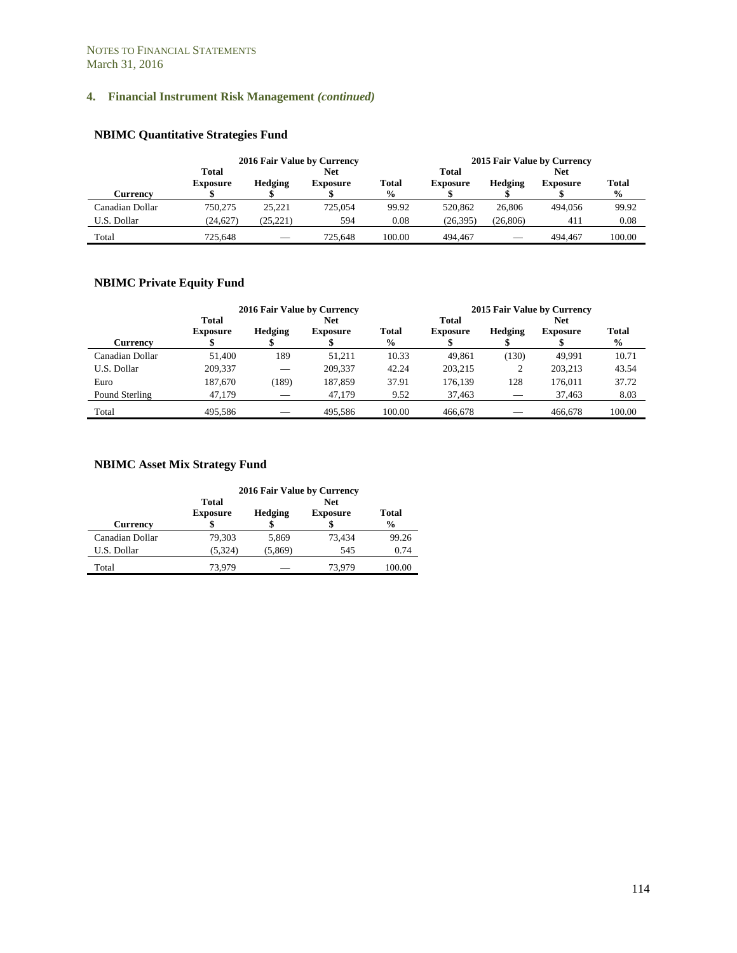## **NBIMC Quantitative Strategies Fund**

|                 | 2016 Fair Value by Currency |          |                 |               | 2015 Fair Value by Currency |                                 |                 |               |
|-----------------|-----------------------------|----------|-----------------|---------------|-----------------------------|---------------------------------|-----------------|---------------|
|                 | <b>Total</b>                |          | Net             |               | <b>Total</b>                |                                 | Net             |               |
|                 | <b>Exposure</b>             | Hedging  | <b>Exposure</b> | <b>Total</b>  | <b>Exposure</b>             | Hedging                         | <b>Exposure</b> | <b>Total</b>  |
| Currency        |                             |          |                 | $\frac{0}{0}$ |                             |                                 |                 | $\frac{6}{9}$ |
| Canadian Dollar | 750,275                     | 25.221   | 725,054         | 99.92         | 520,862                     | 26,806                          | 494,056         | 99.92         |
| U.S. Dollar     | (24, 627)                   | (25.221) | 594             | 0.08          | (26, 395)                   | (26, 806)                       | 411             | 0.08          |
| Total           | 725.648                     |          | 725.648         | 100.00        | 494,467                     | $\hspace{0.1mm}-\hspace{0.1mm}$ | 494,467         | 100.00        |

## **NBIMC Private Equity Fund**

|                 | 2016 Fair Value by Currency     |         |                 |               | 2015 Fair Value by Currency     |         |                        |              |
|-----------------|---------------------------------|---------|-----------------|---------------|---------------------------------|---------|------------------------|--------------|
|                 | <b>Total</b><br><b>Exposure</b> | Hedging | <b>Net</b>      | <b>Total</b>  | <b>Total</b><br><b>Exposure</b> | Hedging | Net<br><b>Exposure</b> | <b>Total</b> |
| <b>Currency</b> |                                 |         | <b>Exposure</b> | $\frac{6}{9}$ |                                 |         |                        | $\%$         |
| Canadian Dollar | 51.400                          | 189     | 51,211          | 10.33         | 49,861                          | (130)   | 49.991                 | 10.71        |
| U.S. Dollar     | 209,337                         |         | 209,337         | 42.24         | 203.215                         |         | 203.213                | 43.54        |
| Euro            | 187,670                         | (189)   | 187,859         | 37.91         | 176.139                         | 128     | 176.011                | 37.72        |
| Pound Sterling  | 47,179                          |         | 47,179          | 9.52          | 37,463                          |         | 37,463                 | 8.03         |
| Total           | 495.586                         |         | 495.586         | 100.00        | 466,678                         |         | 466,678                | 100.00       |

## **NBIMC Asset Mix Strategy Fund**

|                 | 2016 Fair Value by Currency |                |                 |               |  |  |  |
|-----------------|-----------------------------|----------------|-----------------|---------------|--|--|--|
|                 | <b>Total</b>                |                | <b>Net</b>      |               |  |  |  |
|                 | <b>Exposure</b>             | <b>Hedging</b> | <b>Exposure</b> | Total         |  |  |  |
| <b>Currency</b> |                             |                |                 | $\frac{0}{0}$ |  |  |  |
| Canadian Dollar | 79,303                      | 5.869          | 73.434          | 99.26         |  |  |  |
| U.S. Dollar     | (5, 324)                    | (5,869)        | 545             | 0.74          |  |  |  |
| Total           | 73.979                      |                | 73.979          | 100.00        |  |  |  |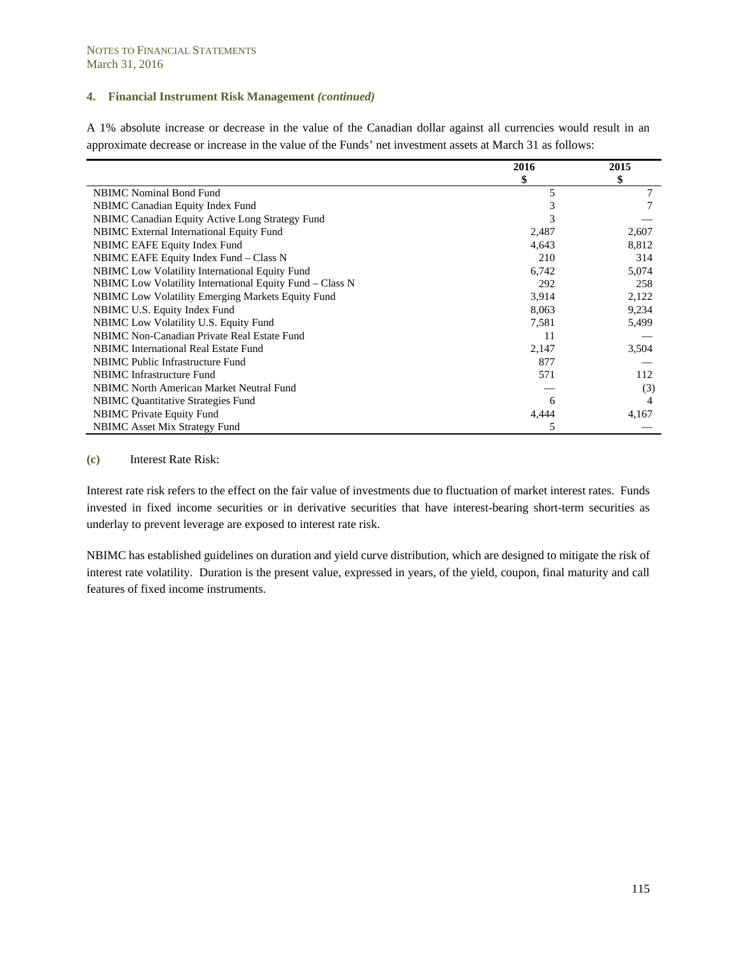A 1% absolute increase or decrease in the value of the Canadian dollar against all currencies would result in an approximate decrease or increase in the value of the Funds' net investment assets at March 31 as follows:

|                                                          | 2016  | 2015  |
|----------------------------------------------------------|-------|-------|
|                                                          | \$    | \$    |
| <b>NBIMC</b> Nominal Bond Fund                           | 5     |       |
| NBIMC Canadian Equity Index Fund                         | 3     |       |
| NBIMC Canadian Equity Active Long Strategy Fund          | 3     |       |
| <b>NBIMC</b> External International Equity Fund          | 2,487 | 2,607 |
| NBIMC EAFE Equity Index Fund                             | 4,643 | 8,812 |
| NBIMC EAFE Equity Index Fund – Class N                   | 210   | 314   |
| NBIMC Low Volatility International Equity Fund           | 6,742 | 5,074 |
| NBIMC Low Volatility International Equity Fund – Class N | 292   | 258   |
| <b>NBIMC</b> Low Volatility Emerging Markets Equity Fund | 3,914 | 2,122 |
| NBIMC U.S. Equity Index Fund                             | 8,063 | 9,234 |
| NBIMC Low Volatility U.S. Equity Fund                    | 7,581 | 5,499 |
| NBIMC Non-Canadian Private Real Estate Fund              | 11    |       |
| NBIMC International Real Estate Fund                     | 2,147 | 3,504 |
| NBIMC Public Infrastructure Fund                         | 877   |       |
| <b>NBIMC</b> Infrastructure Fund                         | 571   | 112   |
| NBIMC North American Market Neutral Fund                 |       | (3)   |
| <b>NBIMC</b> Quantitative Strategies Fund                | 6     |       |
| <b>NBIMC</b> Private Equity Fund                         | 4,444 | 4,167 |
| <b>NBIMC</b> Asset Mix Strategy Fund                     | 5     |       |

**(c)** Interest Rate Risk:

Interest rate risk refers to the effect on the fair value of investments due to fluctuation of market interest rates. Funds invested in fixed income securities or in derivative securities that have interest-bearing short-term securities as underlay to prevent leverage are exposed to interest rate risk.

NBIMC has established guidelines on duration and yield curve distribution, which are designed to mitigate the risk of interest rate volatility. Duration is the present value, expressed in years, of the yield, coupon, final maturity and call features of fixed income instruments.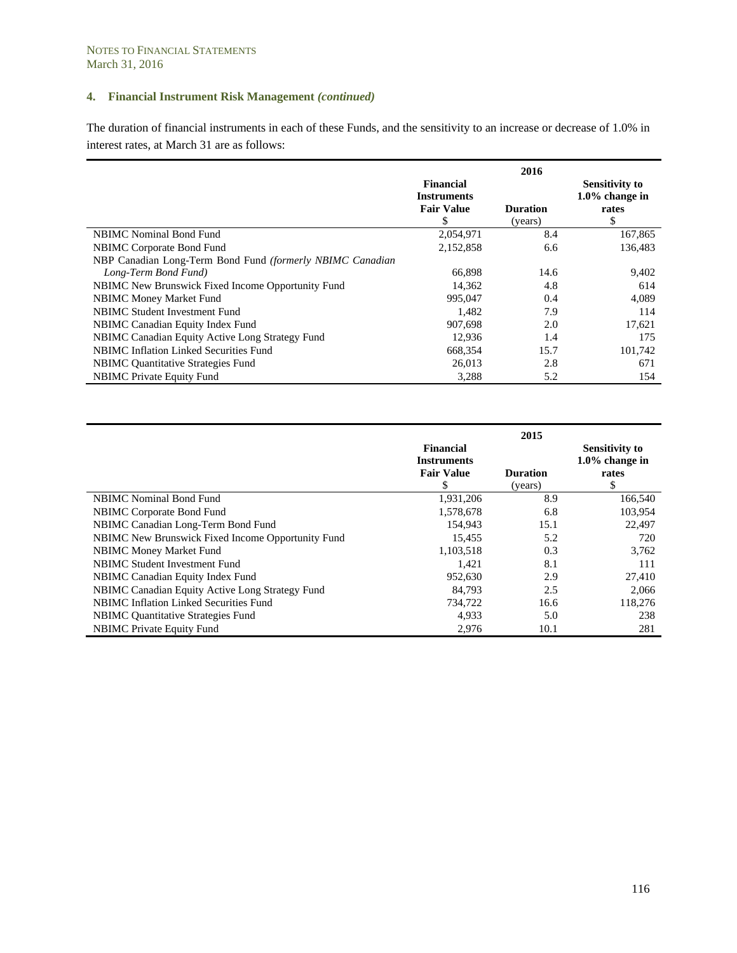The duration of financial instruments in each of these Funds, and the sensitivity to an increase or decrease of 1.0% in interest rates, at March 31 are as follows:

|                                                           |                                        | 2016            |                                            |
|-----------------------------------------------------------|----------------------------------------|-----------------|--------------------------------------------|
|                                                           | <b>Financial</b><br><b>Instruments</b> |                 | <b>Sensitivity to</b><br>$1.0\%$ change in |
|                                                           | <b>Fair Value</b>                      | <b>Duration</b> | rates                                      |
|                                                           | S                                      | (years)         | \$                                         |
| <b>NBIMC</b> Nominal Bond Fund                            | 2,054,971                              | 8.4             | 167,865                                    |
| NBIMC Corporate Bond Fund                                 | 2,152,858                              | 6.6             | 136,483                                    |
| NBP Canadian Long-Term Bond Fund (formerly NBIMC Canadian |                                        |                 |                                            |
| Long-Term Bond Fund)                                      | 66.898                                 | 14.6            | 9,402                                      |
| NBIMC New Brunswick Fixed Income Opportunity Fund         | 14.362                                 | 4.8             | 614                                        |
| <b>NBIMC Money Market Fund</b>                            | 995.047                                | 0.4             | 4,089                                      |
| NBIMC Student Investment Fund                             | 1,482                                  | 7.9             | 114                                        |
| NBIMC Canadian Equity Index Fund                          | 907,698                                | 2.0             | 17,621                                     |
| NBIMC Canadian Equity Active Long Strategy Fund           | 12.936                                 | 1.4             | 175                                        |
| <b>NBIMC Inflation Linked Securities Fund</b>             | 668,354                                | 15.7            | 101,742                                    |
| <b>NBIMC</b> Quantitative Strategies Fund                 | 26,013                                 | 2.8             | 671                                        |
| <b>NBIMC</b> Private Equity Fund                          | 3,288                                  | 5.2             | 154                                        |

|                                                   |                                        | 2015            |                                            |
|---------------------------------------------------|----------------------------------------|-----------------|--------------------------------------------|
|                                                   | <b>Financial</b><br><b>Instruments</b> |                 | <b>Sensitivity to</b><br>$1.0\%$ change in |
|                                                   | <b>Fair Value</b>                      | <b>Duration</b> | rates                                      |
|                                                   | S                                      | (years)         | \$                                         |
| NBIMC Nominal Bond Fund                           | 1,931,206                              | 8.9             | 166,540                                    |
| <b>NBIMC</b> Corporate Bond Fund                  | 1,578,678                              | 6.8             | 103,954                                    |
| NBIMC Canadian Long-Term Bond Fund                | 154,943                                | 15.1            | 22,497                                     |
| NBIMC New Brunswick Fixed Income Opportunity Fund | 15,455                                 | 5.2             | 720                                        |
| <b>NBIMC Money Market Fund</b>                    | 1,103,518                              | 0.3             | 3,762                                      |
| NBIMC Student Investment Fund                     | 1.421                                  | 8.1             | 111                                        |
| NBIMC Canadian Equity Index Fund                  | 952,630                                | 2.9             | 27,410                                     |
| NBIMC Canadian Equity Active Long Strategy Fund   | 84.793                                 | 2.5             | 2,066                                      |
| <b>NBIMC Inflation Linked Securities Fund</b>     | 734,722                                | 16.6            | 118,276                                    |
| <b>NBIMC</b> Quantitative Strategies Fund         | 4,933                                  | 5.0             | 238                                        |
| <b>NBIMC</b> Private Equity Fund                  | 2,976                                  | 10.1            | 281                                        |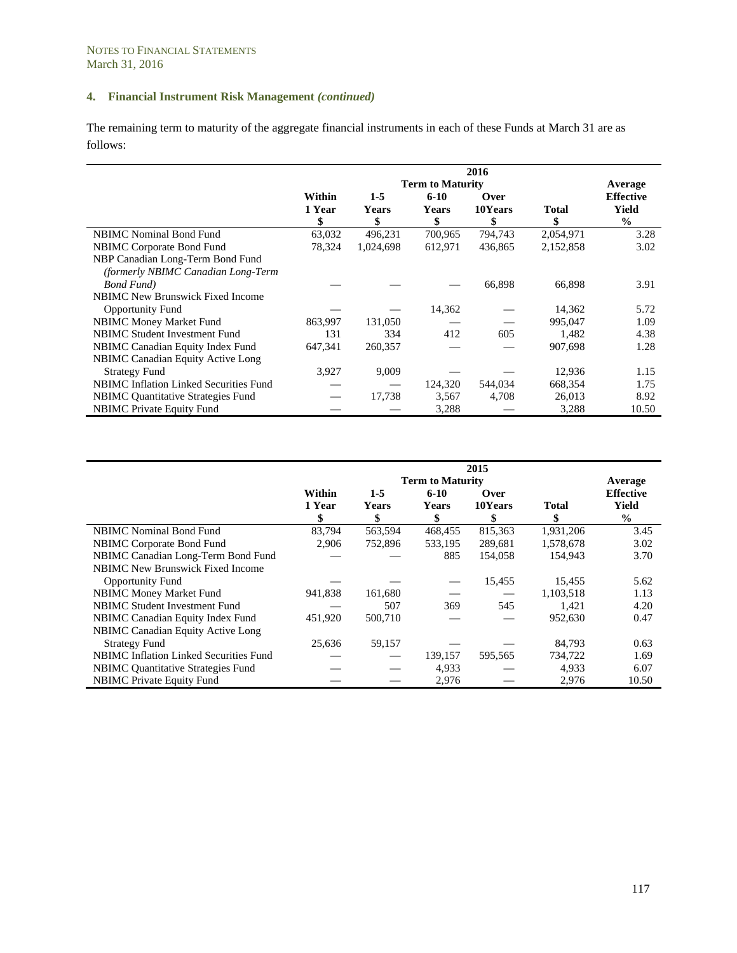The remaining term to maturity of the aggregate financial instruments in each of these Funds at March 31 are as follows:

|                                               |         |              |                         | 2016    |           |                  |
|-----------------------------------------------|---------|--------------|-------------------------|---------|-----------|------------------|
|                                               |         |              | <b>Term to Maturity</b> |         |           | Average          |
|                                               | Within  | $1-5$        | $6 - 10$                | Over    |           | <b>Effective</b> |
|                                               | 1 Year  | <b>Years</b> | <b>Years</b>            | 10Years | Total     | Yield            |
|                                               | \$      | \$           | \$                      | \$      | \$        | $\frac{0}{0}$    |
| <b>NBIMC</b> Nominal Bond Fund                | 63,032  | 496,231      | 700,965                 | 794,743 | 2,054,971 | 3.28             |
| NBIMC Corporate Bond Fund                     | 78,324  | 1,024,698    | 612,971                 | 436,865 | 2,152,858 | 3.02             |
| NBP Canadian Long-Term Bond Fund              |         |              |                         |         |           |                  |
| (formerly NBIMC Canadian Long-Term            |         |              |                         |         |           |                  |
| <b>Bond Fund</b> )                            |         |              |                         | 66,898  | 66,898    | 3.91             |
| NBIMC New Brunswick Fixed Income              |         |              |                         |         |           |                  |
| <b>Opportunity Fund</b>                       |         |              | 14,362                  |         | 14,362    | 5.72             |
| NBIMC Money Market Fund                       | 863,997 | 131,050      |                         |         | 995,047   | 1.09             |
| <b>NBIMC Student Investment Fund</b>          | 131     | 334          | 412                     | 605     | 1.482     | 4.38             |
| NBIMC Canadian Equity Index Fund              | 647,341 | 260,357      |                         |         | 907,698   | 1.28             |
| <b>NBIMC Canadian Equity Active Long</b>      |         |              |                         |         |           |                  |
| <b>Strategy Fund</b>                          | 3,927   | 9,009        |                         |         | 12,936    | 1.15             |
| <b>NBIMC</b> Inflation Linked Securities Fund |         |              | 124,320                 | 544,034 | 668,354   | 1.75             |
| <b>NBIMC</b> Quantitative Strategies Fund     |         | 17,738       | 3,567                   | 4,708   | 26,013    | 8.92             |
| <b>NBIMC</b> Private Equity Fund              |         |              | 3,288                   |         | 3,288     | 10.50            |

|                                               | 2015                    |              |              |         |              |                  |
|-----------------------------------------------|-------------------------|--------------|--------------|---------|--------------|------------------|
|                                               | <b>Term to Maturity</b> |              |              |         |              | Average          |
|                                               | Within                  | $1-5$        | $6 - 10$     | Over    |              | <b>Effective</b> |
|                                               | 1 Year                  | <b>Years</b> | <b>Years</b> | 10Years | <b>Total</b> | <b>Yield</b>     |
|                                               | \$                      | \$           | \$           | \$      | \$           | $\frac{0}{0}$    |
| <b>NBIMC</b> Nominal Bond Fund                | 83,794                  | 563,594      | 468,455      | 815,363 | 1,931,206    | 3.45             |
| NBIMC Corporate Bond Fund                     | 2,906                   | 752,896      | 533,195      | 289,681 | 1,578,678    | 3.02             |
| NBIMC Canadian Long-Term Bond Fund            |                         |              | 885          | 154,058 | 154,943      | 3.70             |
| <b>NBIMC New Brunswick Fixed Income</b>       |                         |              |              |         |              |                  |
| <b>Opportunity Fund</b>                       |                         |              |              | 15,455  | 15,455       | 5.62             |
| <b>NBIMC Money Market Fund</b>                | 941,838                 | 161,680      |              |         | 1,103,518    | 1.13             |
| NBIMC Student Investment Fund                 |                         | 507          | 369          | 545     | 1,421        | 4.20             |
| NBIMC Canadian Equity Index Fund              | 451,920                 | 500,710      |              |         | 952,630      | 0.47             |
| <b>NBIMC Canadian Equity Active Long</b>      |                         |              |              |         |              |                  |
| <b>Strategy Fund</b>                          | 25,636                  | 59,157       |              |         | 84.793       | 0.63             |
| <b>NBIMC Inflation Linked Securities Fund</b> |                         |              | 139,157      | 595,565 | 734,722      | 1.69             |
| <b>NBIMC</b> Quantitative Strategies Fund     |                         |              | 4,933        |         | 4.933        | 6.07             |
| <b>NBIMC</b> Private Equity Fund              |                         |              | 2,976        |         | 2,976        | 10.50            |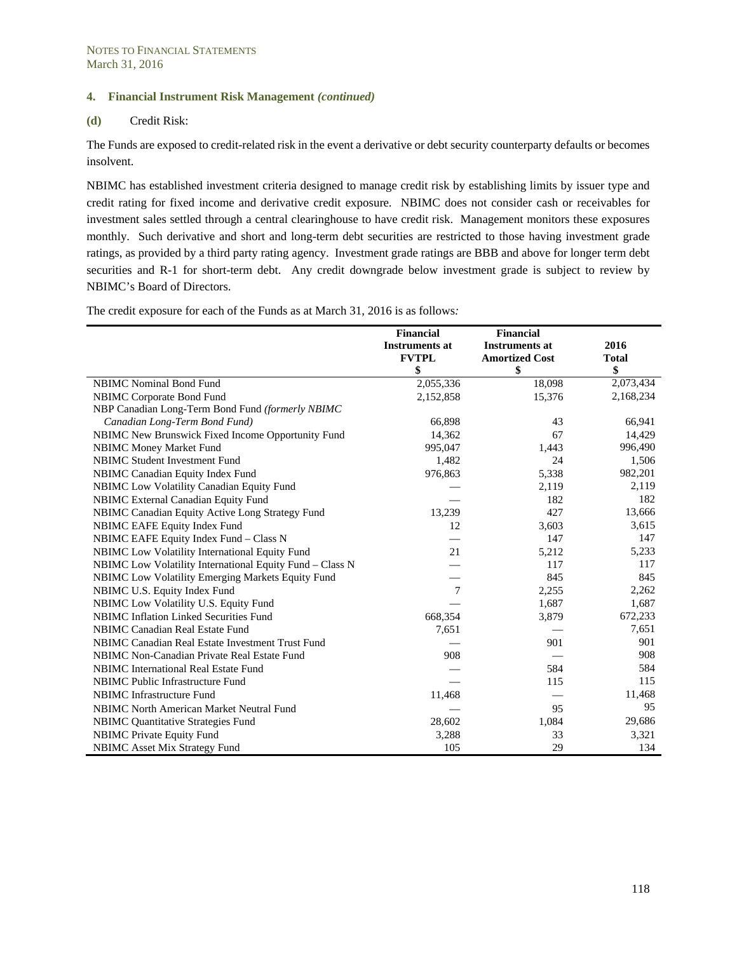#### **(d)** Credit Risk:

The Funds are exposed to credit-related risk in the event a derivative or debt security counterparty defaults or becomes insolvent.

NBIMC has established investment criteria designed to manage credit risk by establishing limits by issuer type and credit rating for fixed income and derivative credit exposure. NBIMC does not consider cash or receivables for investment sales settled through a central clearinghouse to have credit risk. Management monitors these exposures monthly. Such derivative and short and long-term debt securities are restricted to those having investment grade ratings, as provided by a third party rating agency. Investment grade ratings are BBB and above for longer term debt securities and R-1 for short-term debt. Any credit downgrade below investment grade is subject to review by NBIMC's Board of Directors.

The credit exposure for each of the Funds as at March 31, 2016 is as follows*:*

|                                                          | <b>Financial</b>      | <b>Financial</b>      |              |
|----------------------------------------------------------|-----------------------|-----------------------|--------------|
|                                                          | <b>Instruments at</b> | <b>Instruments at</b> | 2016         |
|                                                          | <b>FVTPL</b>          | <b>Amortized Cost</b> | <b>Total</b> |
|                                                          | \$                    | \$                    | \$           |
| <b>NBIMC</b> Nominal Bond Fund                           | 2,055,336             | 18,098                | 2,073,434    |
| NBIMC Corporate Bond Fund                                | 2,152,858             | 15,376                | 2,168,234    |
| NBP Canadian Long-Term Bond Fund (formerly NBIMC         |                       |                       |              |
| Canadian Long-Term Bond Fund)                            | 66,898                | 43                    | 66,941       |
| NBIMC New Brunswick Fixed Income Opportunity Fund        | 14,362                | 67                    | 14,429       |
| <b>NBIMC Money Market Fund</b>                           | 995,047               | 1,443                 | 996,490      |
| <b>NBIMC Student Investment Fund</b>                     | 1,482                 | 24                    | 1,506        |
| NBIMC Canadian Equity Index Fund                         | 976,863               | 5,338                 | 982,201      |
| NBIMC Low Volatility Canadian Equity Fund                |                       | 2,119                 | 2,119        |
| NBIMC External Canadian Equity Fund                      |                       | 182                   | 182          |
| NBIMC Canadian Equity Active Long Strategy Fund          | 13,239                | 427                   | 13,666       |
| NBIMC EAFE Equity Index Fund                             | 12                    | 3,603                 | 3,615        |
| NBIMC EAFE Equity Index Fund - Class N                   |                       | 147                   | 147          |
| NBIMC Low Volatility International Equity Fund           | 21                    | 5,212                 | 5,233        |
| NBIMC Low Volatility International Equity Fund - Class N |                       | 117                   | 117          |
| NBIMC Low Volatility Emerging Markets Equity Fund        |                       | 845                   | 845          |
| NBIMC U.S. Equity Index Fund                             | 7                     | 2,255                 | 2,262        |
| NBIMC Low Volatility U.S. Equity Fund                    |                       | 1,687                 | 1,687        |
| <b>NBIMC</b> Inflation Linked Securities Fund            | 668,354               | 3,879                 | 672,233      |
| <b>NBIMC Canadian Real Estate Fund</b>                   | 7,651                 |                       | 7,651        |
| NBIMC Canadian Real Estate Investment Trust Fund         |                       | 901                   | 901          |
| NBIMC Non-Canadian Private Real Estate Fund              | 908                   |                       | 908          |
| <b>NBIMC</b> International Real Estate Fund              |                       | 584                   | 584          |
| <b>NBIMC</b> Public Infrastructure Fund                  |                       | 115                   | 115          |
| NBIMC Infrastructure Fund                                | 11,468                |                       | 11,468       |
| <b>NBIMC North American Market Neutral Fund</b>          |                       | 95                    | 95           |
| NBIMC Quantitative Strategies Fund                       | 28,602                | 1,084                 | 29,686       |
| <b>NBIMC Private Equity Fund</b>                         | 3,288                 | 33                    | 3,321        |
| <b>NBIMC</b> Asset Mix Strategy Fund                     | 105                   | 29                    | 134          |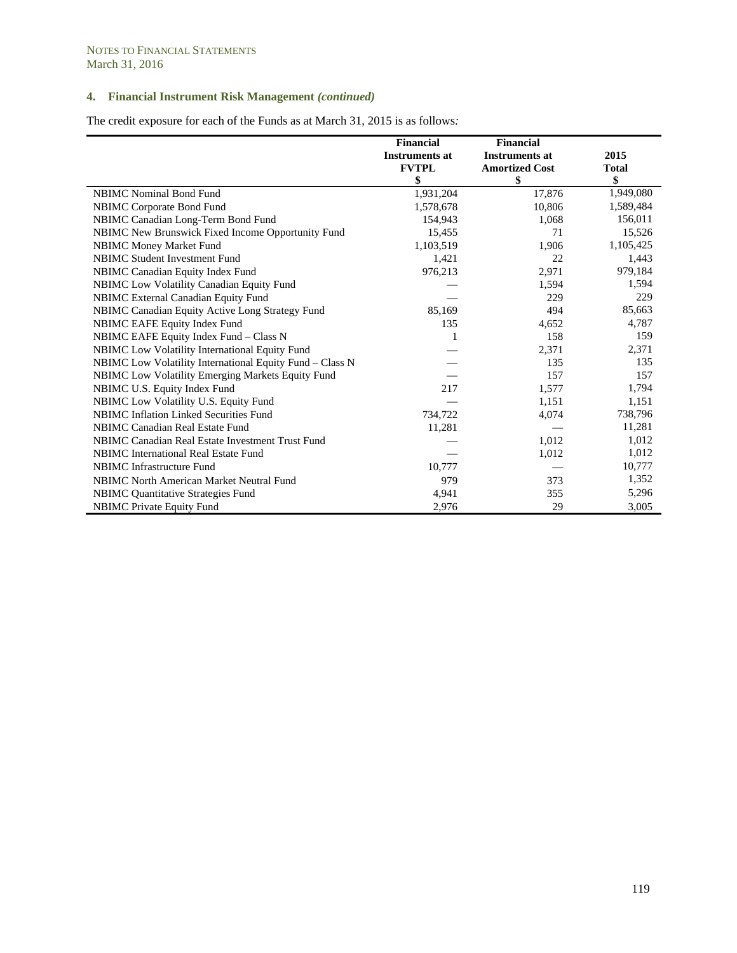The credit exposure for each of the Funds as at March 31, 2015 is as follows*:*

|                                                          | <b>Financial</b><br><b>Instruments at</b> | <b>Financial</b><br><b>Instruments at</b> | 2015         |
|----------------------------------------------------------|-------------------------------------------|-------------------------------------------|--------------|
|                                                          | <b>FVTPL</b>                              | <b>Amortized Cost</b>                     | <b>Total</b> |
|                                                          | \$                                        | \$                                        | \$           |
| <b>NBIMC</b> Nominal Bond Fund                           | 1,931,204                                 | 17,876                                    | 1,949,080    |
| <b>NBIMC</b> Corporate Bond Fund                         | 1,578,678                                 | 10,806                                    | 1,589,484    |
| NBIMC Canadian Long-Term Bond Fund                       | 154,943                                   | 1,068                                     | 156,011      |
| NBIMC New Brunswick Fixed Income Opportunity Fund        | 15,455                                    | 71                                        | 15,526       |
| <b>NBIMC Money Market Fund</b>                           | 1,103,519                                 | 1,906                                     | 1,105,425    |
| <b>NBIMC Student Investment Fund</b>                     | 1,421                                     | 22                                        | 1,443        |
| NBIMC Canadian Equity Index Fund                         | 976,213                                   | 2,971                                     | 979,184      |
| NBIMC Low Volatility Canadian Equity Fund                |                                           | 1,594                                     | 1,594        |
| NBIMC External Canadian Equity Fund                      |                                           | 229                                       | 229          |
| NBIMC Canadian Equity Active Long Strategy Fund          | 85,169                                    | 494                                       | 85,663       |
| NBIMC EAFE Equity Index Fund                             | 135                                       | 4,652                                     | 4,787        |
| NBIMC EAFE Equity Index Fund - Class N                   | 1                                         | 158                                       | 159          |
| NBIMC Low Volatility International Equity Fund           |                                           | 2,371                                     | 2,371        |
| NBIMC Low Volatility International Equity Fund - Class N |                                           | 135                                       | 135          |
| NBIMC Low Volatility Emerging Markets Equity Fund        |                                           | 157                                       | 157          |
| NBIMC U.S. Equity Index Fund                             | 217                                       | 1,577                                     | 1,794        |
| NBIMC Low Volatility U.S. Equity Fund                    |                                           | 1,151                                     | 1,151        |
| <b>NBIMC</b> Inflation Linked Securities Fund            | 734,722                                   | 4,074                                     | 738,796      |
| NBIMC Canadian Real Estate Fund                          | 11,281                                    |                                           | 11,281       |
| NBIMC Canadian Real Estate Investment Trust Fund         |                                           | 1,012                                     | 1,012        |
| <b>NBIMC</b> International Real Estate Fund              |                                           | 1,012                                     | 1,012        |
| <b>NBIMC</b> Infrastructure Fund                         | 10,777                                    |                                           | 10,777       |
| <b>NBIMC North American Market Neutral Fund</b>          | 979                                       | 373                                       | 1,352        |
| <b>NBIMC Quantitative Strategies Fund</b>                | 4.941                                     | 355                                       | 5,296        |
| <b>NBIMC Private Equity Fund</b>                         | 2,976                                     | 29                                        | 3,005        |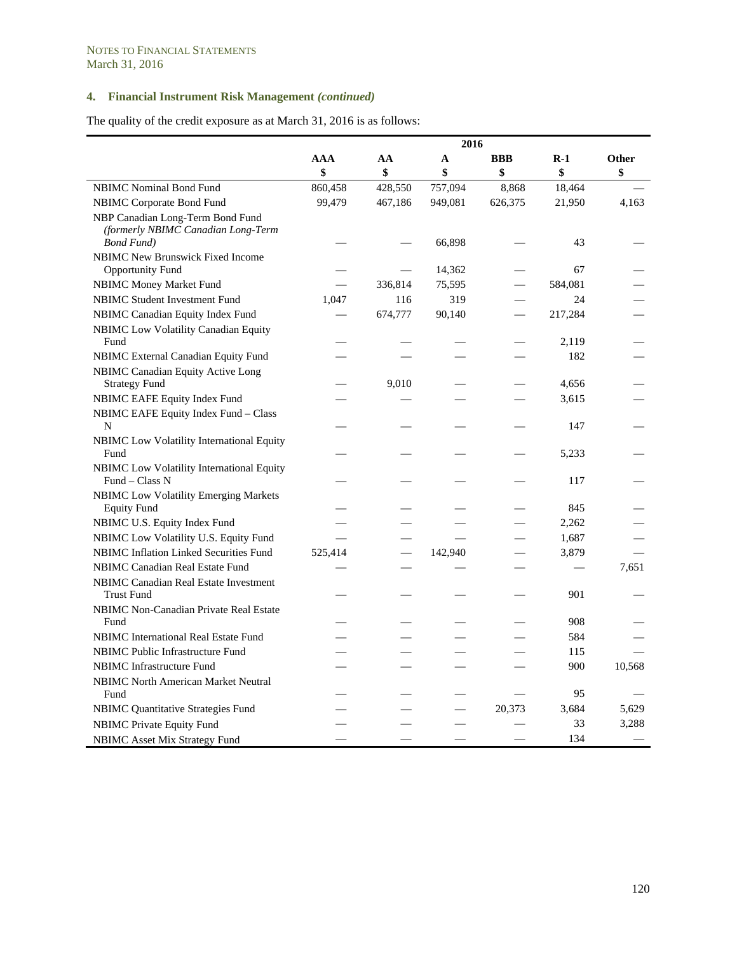The quality of the credit exposure as at March 31, 2016 is as follows:

|                                                                                              | 2016       |         |              |                          |         |        |
|----------------------------------------------------------------------------------------------|------------|---------|--------------|--------------------------|---------|--------|
|                                                                                              | <b>AAA</b> | AA      | $\mathbf{A}$ | <b>BBB</b>               | $R-1$   | Other  |
|                                                                                              | \$         | \$      | \$           | \$                       | \$      | \$     |
| <b>NBIMC</b> Nominal Bond Fund                                                               | 860,458    | 428,550 | 757,094      | 8,868                    | 18,464  |        |
| NBIMC Corporate Bond Fund                                                                    | 99,479     | 467,186 | 949,081      | 626,375                  | 21,950  | 4,163  |
| NBP Canadian Long-Term Bond Fund<br>(formerly NBIMC Canadian Long-Term<br><b>Bond Fund</b> ) |            |         | 66,898       |                          | 43      |        |
| NBIMC New Brunswick Fixed Income                                                             |            |         |              |                          |         |        |
| <b>Opportunity Fund</b>                                                                      |            |         | 14,362       |                          | 67      |        |
| NBIMC Money Market Fund                                                                      |            | 336,814 | 75,595       | $\overline{\phantom{0}}$ | 584,081 |        |
| <b>NBIMC Student Investment Fund</b>                                                         | 1,047      | 116     | 319          |                          | 24      |        |
| NBIMC Canadian Equity Index Fund                                                             |            | 674,777 | 90,140       |                          | 217,284 |        |
| <b>NBIMC</b> Low Volatility Canadian Equity<br>Fund                                          |            |         |              |                          | 2,119   |        |
| NBIMC External Canadian Equity Fund                                                          |            |         |              |                          | 182     |        |
| NBIMC Canadian Equity Active Long<br><b>Strategy Fund</b>                                    |            | 9,010   |              |                          | 4,656   |        |
| <b>NBIMC EAFE Equity Index Fund</b>                                                          |            |         |              |                          | 3,615   |        |
| NBIMC EAFE Equity Index Fund - Class                                                         |            |         |              |                          |         |        |
| N                                                                                            |            |         |              |                          | 147     |        |
| <b>NBIMC</b> Low Volatility International Equity<br>Fund                                     |            |         |              |                          | 5,233   |        |
| NBIMC Low Volatility International Equity<br>Fund – Class N                                  |            |         |              |                          | 117     |        |
| <b>NBIMC Low Volatility Emerging Markets</b><br><b>Equity Fund</b>                           |            |         |              |                          | 845     |        |
| NBIMC U.S. Equity Index Fund                                                                 |            |         |              |                          | 2,262   |        |
| NBIMC Low Volatility U.S. Equity Fund                                                        |            |         |              |                          | 1,687   |        |
| <b>NBIMC Inflation Linked Securities Fund</b>                                                | 525,414    |         | 142,940      |                          | 3,879   |        |
| <b>NBIMC Canadian Real Estate Fund</b>                                                       |            |         |              |                          |         | 7,651  |
| <b>NBIMC</b> Canadian Real Estate Investment<br><b>Trust Fund</b>                            |            |         |              |                          | 901     |        |
| <b>NBIMC Non-Canadian Private Real Estate</b><br>Fund                                        |            |         |              |                          | 908     |        |
| <b>NBIMC</b> International Real Estate Fund                                                  |            |         |              |                          | 584     |        |
| <b>NBIMC Public Infrastructure Fund</b>                                                      |            |         |              |                          | 115     |        |
| <b>NBIMC</b> Infrastructure Fund                                                             |            |         |              |                          | 900     | 10,568 |
| <b>NBIMC North American Market Neutral</b>                                                   |            |         |              |                          |         |        |
| Fund                                                                                         |            |         |              |                          | 95      |        |
| NBIMC Quantitative Strategies Fund                                                           |            |         |              | 20,373                   | 3,684   | 5,629  |
| <b>NBIMC Private Equity Fund</b>                                                             |            |         |              |                          | 33      | 3,288  |
| <b>NBIMC</b> Asset Mix Strategy Fund                                                         |            |         |              |                          | 134     |        |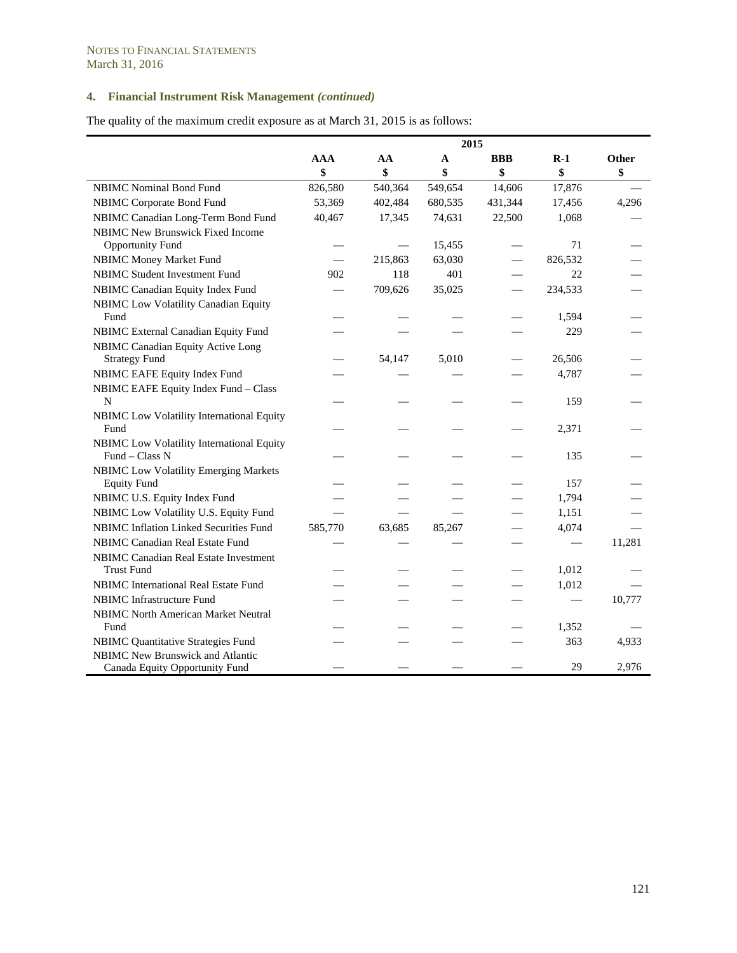The quality of the maximum credit exposure as at March 31, 2015 is as follows:

|                                                                    | 2015       |         |             |            |         |        |
|--------------------------------------------------------------------|------------|---------|-------------|------------|---------|--------|
|                                                                    | <b>AAA</b> | AA      | $\mathbf A$ | <b>BBB</b> | $R-1$   | Other  |
|                                                                    | \$         | \$      | \$          | \$         | \$      | \$     |
| <b>NBIMC</b> Nominal Bond Fund                                     | 826,580    | 540,364 | 549,654     | 14,606     | 17,876  |        |
| NBIMC Corporate Bond Fund                                          | 53,369     | 402,484 | 680,535     | 431,344    | 17,456  | 4,296  |
| NBIMC Canadian Long-Term Bond Fund                                 | 40,467     | 17,345  | 74,631      | 22,500     | 1,068   |        |
| <b>NBIMC</b> New Brunswick Fixed Income<br><b>Opportunity Fund</b> |            |         | 15,455      |            | 71      |        |
| NBIMC Money Market Fund                                            |            | 215,863 | 63,030      |            | 826,532 |        |
| <b>NBIMC Student Investment Fund</b>                               | 902        | 118     | 401         |            | 22      |        |
| NBIMC Canadian Equity Index Fund                                   |            | 709,626 | 35,025      |            | 234,533 |        |
| NBIMC Low Volatility Canadian Equity<br>Fund                       |            |         |             |            | 1,594   |        |
| NBIMC External Canadian Equity Fund                                |            |         |             |            | 229     |        |
| NBIMC Canadian Equity Active Long                                  |            |         |             |            |         |        |
| <b>Strategy Fund</b>                                               |            | 54,147  | 5,010       |            | 26,506  |        |
| NBIMC EAFE Equity Index Fund                                       |            |         |             |            | 4,787   |        |
| NBIMC EAFE Equity Index Fund - Class<br>${\bf N}$                  |            |         |             |            | 159     |        |
| NBIMC Low Volatility International Equity<br>Fund                  |            |         |             |            | 2,371   |        |
| NBIMC Low Volatility International Equity<br>Fund - Class N        |            |         |             |            | 135     |        |
| NBIMC Low Volatility Emerging Markets<br><b>Equity Fund</b>        |            |         |             |            | 157     |        |
| NBIMC U.S. Equity Index Fund                                       |            |         |             |            | 1,794   |        |
| NBIMC Low Volatility U.S. Equity Fund                              |            |         |             |            | 1,151   |        |
| NBIMC Inflation Linked Securities Fund                             | 585,770    | 63,685  | 85,267      |            | 4,074   |        |
| NBIMC Canadian Real Estate Fund                                    |            |         |             |            |         | 11,281 |
| NBIMC Canadian Real Estate Investment<br><b>Trust Fund</b>         |            |         |             |            | 1,012   |        |
| NBIMC International Real Estate Fund                               |            |         |             |            | 1,012   |        |
| NBIMC Infrastructure Fund                                          |            |         |             |            |         | 10,777 |
| <b>NBIMC North American Market Neutral</b>                         |            |         |             |            |         |        |
| Fund                                                               |            |         |             |            | 1,352   |        |
| <b>NBIMC Quantitative Strategies Fund</b>                          |            |         |             |            | 363     | 4,933  |
| NBIMC New Brunswick and Atlantic<br>Canada Equity Opportunity Fund |            |         |             |            | 29      | 2,976  |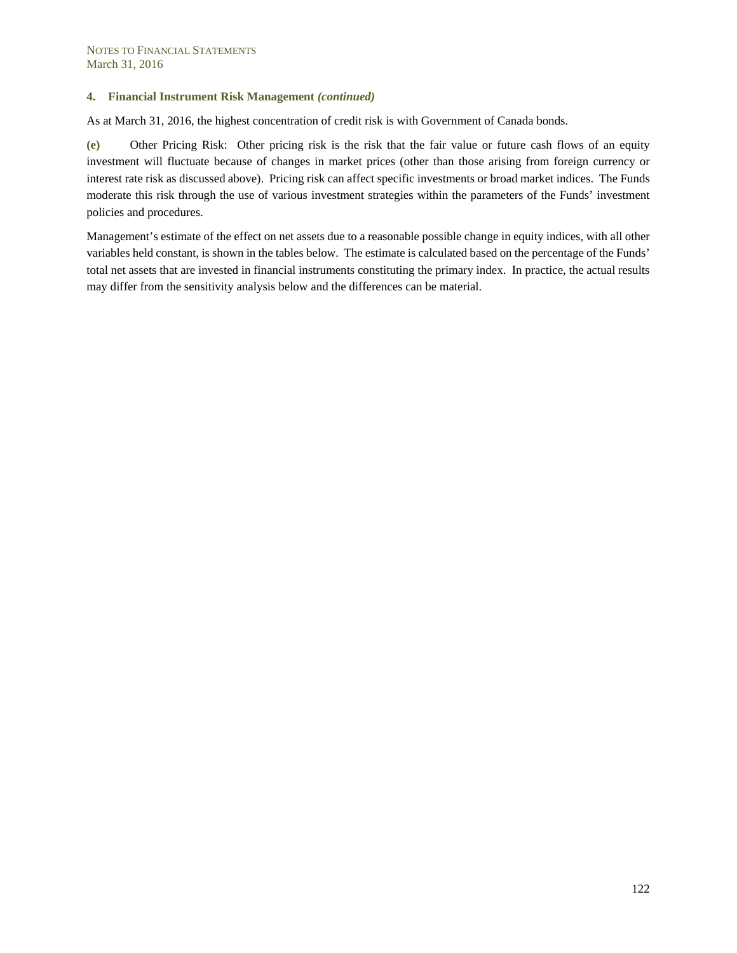As at March 31, 2016, the highest concentration of credit risk is with Government of Canada bonds.

**(e)** Other Pricing Risk: Other pricing risk is the risk that the fair value or future cash flows of an equity investment will fluctuate because of changes in market prices (other than those arising from foreign currency or interest rate risk as discussed above). Pricing risk can affect specific investments or broad market indices. The Funds moderate this risk through the use of various investment strategies within the parameters of the Funds' investment policies and procedures.

Management's estimate of the effect on net assets due to a reasonable possible change in equity indices, with all other variables held constant, is shown in the tables below. The estimate is calculated based on the percentage of the Funds' total net assets that are invested in financial instruments constituting the primary index. In practice, the actual results may differ from the sensitivity analysis below and the differences can be material.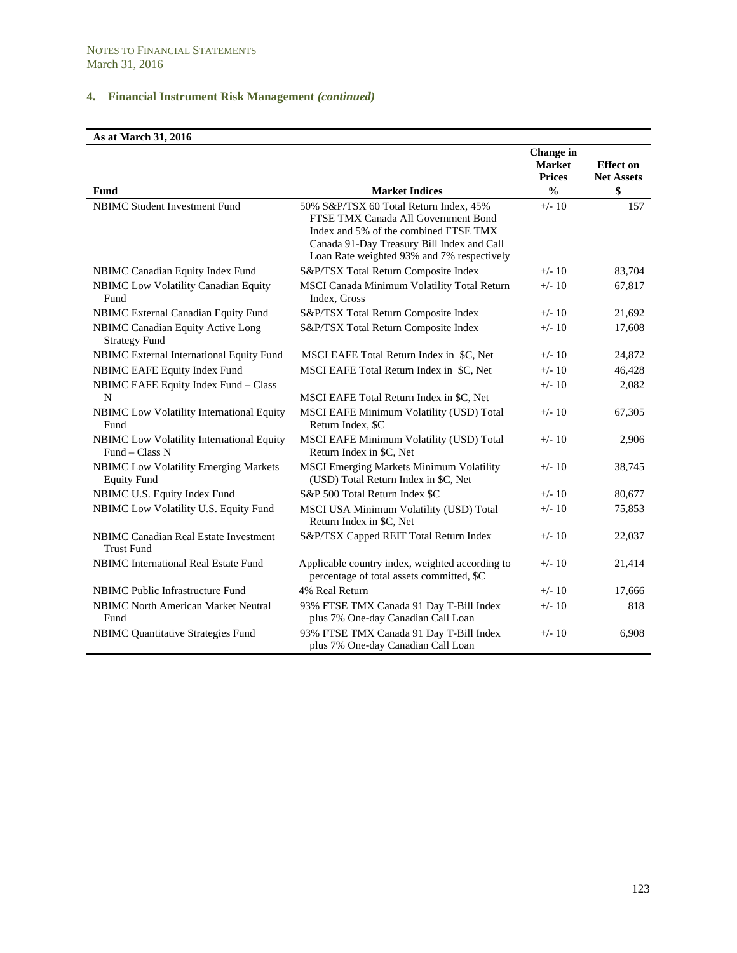# **As at March 31, 2016**

|                                                                   |                                                                                                                                                                                                                    | <b>Change</b> in<br><b>Market</b><br><b>Prices</b> | <b>Effect on</b><br><b>Net Assets</b> |
|-------------------------------------------------------------------|--------------------------------------------------------------------------------------------------------------------------------------------------------------------------------------------------------------------|----------------------------------------------------|---------------------------------------|
| <b>Fund</b>                                                       | <b>Market Indices</b>                                                                                                                                                                                              | $\frac{0}{0}$                                      | \$                                    |
| <b>NBIMC Student Investment Fund</b>                              | 50% S&P/TSX 60 Total Return Index, 45%<br>FTSE TMX Canada All Government Bond<br>Index and 5% of the combined FTSE TMX<br>Canada 91-Day Treasury Bill Index and Call<br>Loan Rate weighted 93% and 7% respectively | $+/- 10$                                           | 157                                   |
| NBIMC Canadian Equity Index Fund                                  | S&P/TSX Total Return Composite Index                                                                                                                                                                               | $+/- 10$                                           | 83,704                                |
| <b>NBIMC</b> Low Volatility Canadian Equity<br>Fund               | MSCI Canada Minimum Volatility Total Return<br>Index, Gross                                                                                                                                                        | $+/- 10$                                           | 67,817                                |
| NBIMC External Canadian Equity Fund                               | S&P/TSX Total Return Composite Index                                                                                                                                                                               | $+/- 10$                                           | 21,692                                |
| NBIMC Canadian Equity Active Long<br><b>Strategy Fund</b>         | S&P/TSX Total Return Composite Index                                                                                                                                                                               | $+/- 10$                                           | 17,608                                |
| NBIMC External International Equity Fund                          | MSCI EAFE Total Return Index in \$C, Net                                                                                                                                                                           | $+/- 10$                                           | 24,872                                |
| NBIMC EAFE Equity Index Fund                                      | MSCI EAFE Total Return Index in \$C, Net                                                                                                                                                                           | $+/- 10$                                           | 46,428                                |
| NBIMC EAFE Equity Index Fund - Class<br>$\mathbf N$               | MSCI EAFE Total Return Index in \$C, Net                                                                                                                                                                           | $+/- 10$                                           | 2,082                                 |
| NBIMC Low Volatility International Equity<br>Fund                 | MSCI EAFE Minimum Volatility (USD) Total<br>Return Index, \$C                                                                                                                                                      | $+/- 10$                                           | 67,305                                |
| NBIMC Low Volatility International Equity<br>Fund - Class N       | MSCI EAFE Minimum Volatility (USD) Total<br>Return Index in \$C, Net                                                                                                                                               | $+/- 10$                                           | 2,906                                 |
| NBIMC Low Volatility Emerging Markets<br><b>Equity Fund</b>       | MSCI Emerging Markets Minimum Volatility<br>(USD) Total Return Index in \$C, Net                                                                                                                                   | $+/- 10$                                           | 38,745                                |
| NBIMC U.S. Equity Index Fund                                      | S&P 500 Total Return Index \$C                                                                                                                                                                                     | $+/- 10$                                           | 80,677                                |
| NBIMC Low Volatility U.S. Equity Fund                             | MSCI USA Minimum Volatility (USD) Total<br>Return Index in \$C, Net                                                                                                                                                | $+/- 10$                                           | 75,853                                |
| <b>NBIMC</b> Canadian Real Estate Investment<br><b>Trust Fund</b> | S&P/TSX Capped REIT Total Return Index                                                                                                                                                                             | $+/- 10$                                           | 22,037                                |
| <b>NBIMC</b> International Real Estate Fund                       | Applicable country index, weighted according to<br>percentage of total assets committed, \$C                                                                                                                       | $+/- 10$                                           | 21,414                                |
| NBIMC Public Infrastructure Fund                                  | 4% Real Return                                                                                                                                                                                                     | $+/- 10$                                           | 17,666                                |
| <b>NBIMC North American Market Neutral</b><br>Fund                | 93% FTSE TMX Canada 91 Day T-Bill Index<br>plus 7% One-day Canadian Call Loan                                                                                                                                      | $+/- 10$                                           | 818                                   |
| <b>NBIMC Quantitative Strategies Fund</b>                         | 93% FTSE TMX Canada 91 Day T-Bill Index<br>plus 7% One-day Canadian Call Loan                                                                                                                                      | $+/- 10$                                           | 6,908                                 |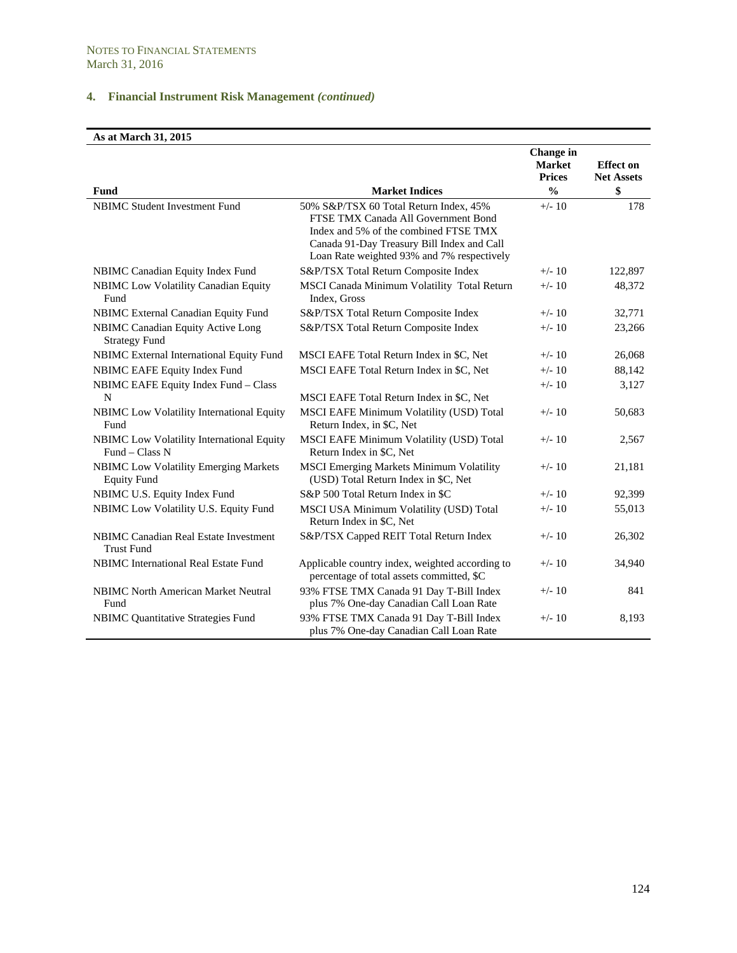## **As at March 31, 2015**

|                                                                   |                                                                                                                                                                                                                    | <b>Change</b> in<br><b>Market</b> | <b>Effect on</b>  |
|-------------------------------------------------------------------|--------------------------------------------------------------------------------------------------------------------------------------------------------------------------------------------------------------------|-----------------------------------|-------------------|
|                                                                   |                                                                                                                                                                                                                    | <b>Prices</b>                     | <b>Net Assets</b> |
| Fund                                                              | <b>Market Indices</b>                                                                                                                                                                                              | $\frac{0}{0}$                     | \$                |
| <b>NBIMC Student Investment Fund</b>                              | 50% S&P/TSX 60 Total Return Index, 45%<br>FTSE TMX Canada All Government Bond<br>Index and 5% of the combined FTSE TMX<br>Canada 91-Day Treasury Bill Index and Call<br>Loan Rate weighted 93% and 7% respectively | $+/- 10$                          | 178               |
| NBIMC Canadian Equity Index Fund                                  | S&P/TSX Total Return Composite Index                                                                                                                                                                               | $+/- 10$                          | 122,897           |
| <b>NBIMC</b> Low Volatility Canadian Equity<br>Fund               | MSCI Canada Minimum Volatility Total Return<br>Index, Gross                                                                                                                                                        | $+/- 10$                          | 48,372            |
| NBIMC External Canadian Equity Fund                               | S&P/TSX Total Return Composite Index                                                                                                                                                                               | $+/- 10$                          | 32,771            |
| <b>NBIMC Canadian Equity Active Long</b><br><b>Strategy Fund</b>  | S&P/TSX Total Return Composite Index                                                                                                                                                                               | $+/- 10$                          | 23,266            |
| NBIMC External International Equity Fund                          | MSCI EAFE Total Return Index in \$C, Net                                                                                                                                                                           | $+/- 10$                          | 26,068            |
| <b>NBIMC EAFE Equity Index Fund</b>                               | MSCI EAFE Total Return Index in \$C, Net                                                                                                                                                                           | $+/- 10$                          | 88,142            |
| NBIMC EAFE Equity Index Fund - Class<br>N                         | MSCI EAFE Total Return Index in \$C, Net                                                                                                                                                                           | $+/- 10$                          | 3,127             |
| NBIMC Low Volatility International Equity<br>Fund                 | MSCI EAFE Minimum Volatility (USD) Total<br>Return Index, in \$C, Net                                                                                                                                              | $+/- 10$                          | 50,683            |
| NBIMC Low Volatility International Equity<br>Fund - Class N       | MSCI EAFE Minimum Volatility (USD) Total<br>Return Index in \$C, Net                                                                                                                                               | $+/- 10$                          | 2,567             |
| NBIMC Low Volatility Emerging Markets<br><b>Equity Fund</b>       | <b>MSCI Emerging Markets Minimum Volatility</b><br>(USD) Total Return Index in \$C, Net                                                                                                                            | $+/- 10$                          | 21,181            |
| NBIMC U.S. Equity Index Fund                                      | S&P 500 Total Return Index in \$C                                                                                                                                                                                  | $+/- 10$                          | 92,399            |
| NBIMC Low Volatility U.S. Equity Fund                             | MSCI USA Minimum Volatility (USD) Total<br>Return Index in \$C, Net                                                                                                                                                | $+/- 10$                          | 55,013            |
| <b>NBIMC</b> Canadian Real Estate Investment<br><b>Trust Fund</b> | S&P/TSX Capped REIT Total Return Index                                                                                                                                                                             | $+/- 10$                          | 26,302            |
| <b>NBIMC</b> International Real Estate Fund                       | Applicable country index, weighted according to<br>percentage of total assets committed, \$C                                                                                                                       | $+/- 10$                          | 34,940            |
| <b>NBIMC North American Market Neutral</b><br>Fund                | 93% FTSE TMX Canada 91 Day T-Bill Index<br>plus 7% One-day Canadian Call Loan Rate                                                                                                                                 | $+/- 10$                          | 841               |
| <b>NBIMC Quantitative Strategies Fund</b>                         | 93% FTSE TMX Canada 91 Day T-Bill Index<br>plus 7% One-day Canadian Call Loan Rate                                                                                                                                 | $+/- 10$                          | 8,193             |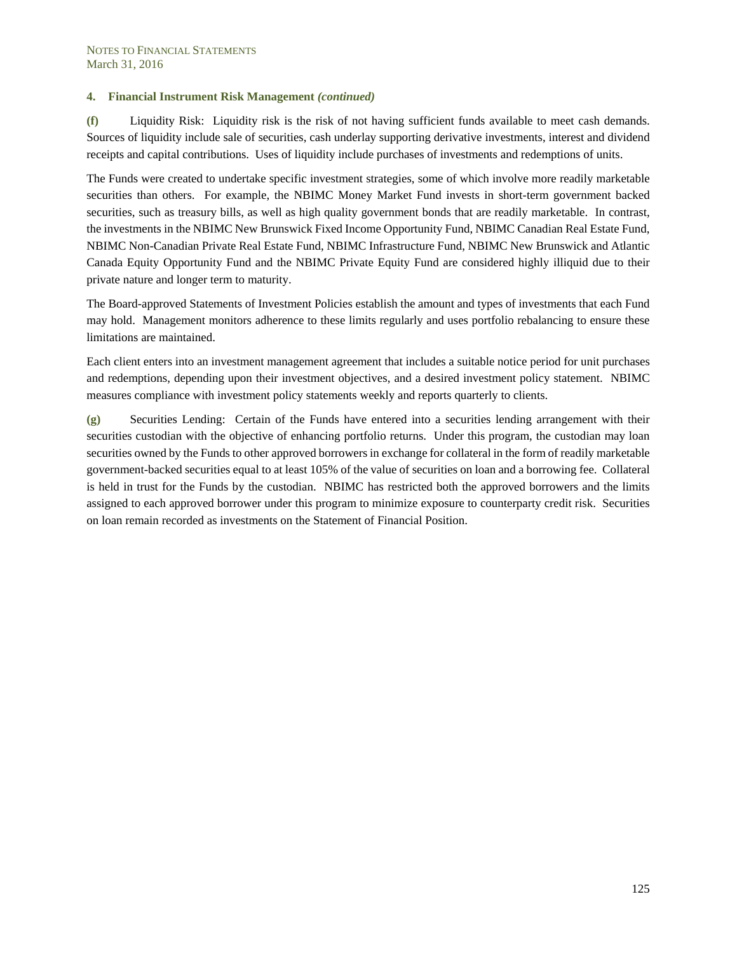**(f)** Liquidity Risk: Liquidity risk is the risk of not having sufficient funds available to meet cash demands. Sources of liquidity include sale of securities, cash underlay supporting derivative investments, interest and dividend receipts and capital contributions. Uses of liquidity include purchases of investments and redemptions of units.

The Funds were created to undertake specific investment strategies, some of which involve more readily marketable securities than others. For example, the NBIMC Money Market Fund invests in short-term government backed securities, such as treasury bills, as well as high quality government bonds that are readily marketable. In contrast, the investments in the NBIMC New Brunswick Fixed Income Opportunity Fund, NBIMC Canadian Real Estate Fund, NBIMC Non-Canadian Private Real Estate Fund, NBIMC Infrastructure Fund, NBIMC New Brunswick and Atlantic Canada Equity Opportunity Fund and the NBIMC Private Equity Fund are considered highly illiquid due to their private nature and longer term to maturity.

The Board-approved Statements of Investment Policies establish the amount and types of investments that each Fund may hold. Management monitors adherence to these limits regularly and uses portfolio rebalancing to ensure these limitations are maintained.

Each client enters into an investment management agreement that includes a suitable notice period for unit purchases and redemptions, depending upon their investment objectives, and a desired investment policy statement. NBIMC measures compliance with investment policy statements weekly and reports quarterly to clients.

**(g)** Securities Lending: Certain of the Funds have entered into a securities lending arrangement with their securities custodian with the objective of enhancing portfolio returns. Under this program, the custodian may loan securities owned by the Funds to other approved borrowers in exchange for collateral in the form of readily marketable government-backed securities equal to at least 105% of the value of securities on loan and a borrowing fee. Collateral is held in trust for the Funds by the custodian. NBIMC has restricted both the approved borrowers and the limits assigned to each approved borrower under this program to minimize exposure to counterparty credit risk. Securities on loan remain recorded as investments on the Statement of Financial Position.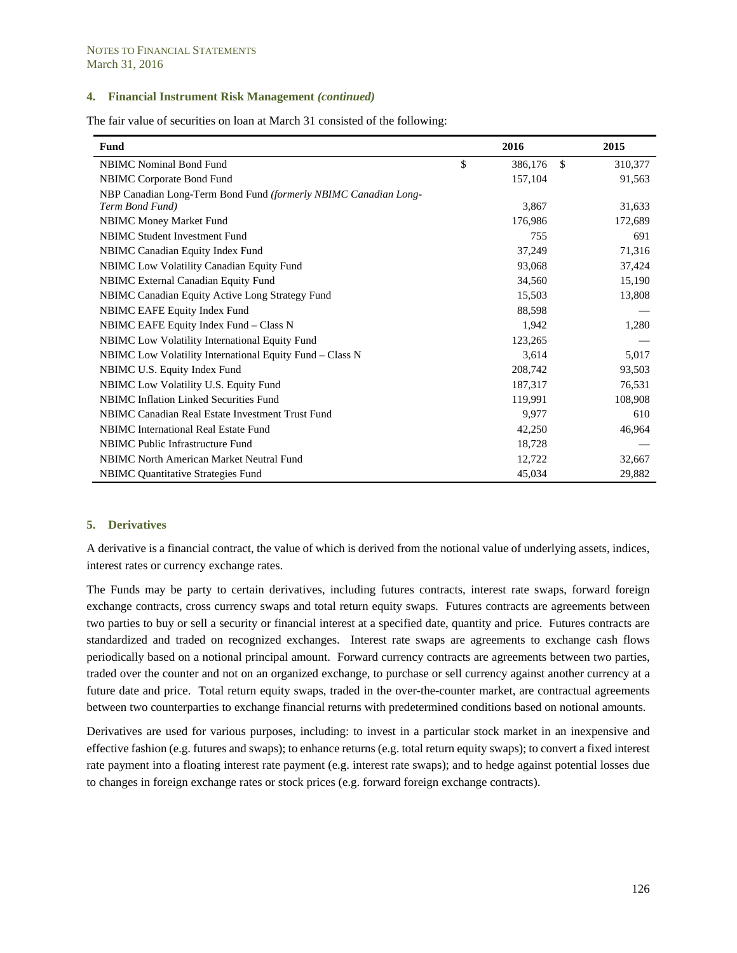The fair value of securities on loan at March 31 consisted of the following:

| Fund                                                                               | 2016          | 2015          |
|------------------------------------------------------------------------------------|---------------|---------------|
| <b>NBIMC</b> Nominal Bond Fund                                                     | \$<br>386,176 | \$<br>310,377 |
| <b>NBIMC</b> Corporate Bond Fund                                                   | 157,104       | 91,563        |
| NBP Canadian Long-Term Bond Fund (formerly NBIMC Canadian Long-<br>Term Bond Fund) | 3.867         | 31,633        |
| <b>NBIMC Money Market Fund</b>                                                     | 176,986       | 172,689       |
| NBIMC Student Investment Fund                                                      | 755           | 691           |
| NBIMC Canadian Equity Index Fund                                                   | 37,249        | 71,316        |
| <b>NBIMC</b> Low Volatility Canadian Equity Fund                                   | 93,068        | 37,424        |
| <b>NBIMC</b> External Canadian Equity Fund                                         | 34,560        | 15,190        |
| NBIMC Canadian Equity Active Long Strategy Fund                                    | 15,503        | 13,808        |
| NBIMC EAFE Equity Index Fund                                                       | 88,598        |               |
| NBIMC EAFE Equity Index Fund - Class N                                             | 1,942         | 1,280         |
| NBIMC Low Volatility International Equity Fund                                     | 123,265       |               |
| NBIMC Low Volatility International Equity Fund - Class N                           | 3,614         | 5,017         |
| NBIMC U.S. Equity Index Fund                                                       | 208,742       | 93,503        |
| NBIMC Low Volatility U.S. Equity Fund                                              | 187,317       | 76,531        |
| <b>NBIMC</b> Inflation Linked Securities Fund                                      | 119,991       | 108,908       |
| NBIMC Canadian Real Estate Investment Trust Fund                                   | 9,977         | 610           |
| <b>NBIMC</b> International Real Estate Fund                                        | 42,250        | 46,964        |
| NBIMC Public Infrastructure Fund                                                   | 18,728        |               |
| <b>NBIMC North American Market Neutral Fund</b>                                    | 12,722        | 32,667        |
| <b>NBIMC</b> Quantitative Strategies Fund                                          | 45,034        | 29,882        |

#### **5. Derivatives**

A derivative is a financial contract, the value of which is derived from the notional value of underlying assets, indices, interest rates or currency exchange rates.

The Funds may be party to certain derivatives, including futures contracts, interest rate swaps, forward foreign exchange contracts, cross currency swaps and total return equity swaps. Futures contracts are agreements between two parties to buy or sell a security or financial interest at a specified date, quantity and price. Futures contracts are standardized and traded on recognized exchanges. Interest rate swaps are agreements to exchange cash flows periodically based on a notional principal amount. Forward currency contracts are agreements between two parties, traded over the counter and not on an organized exchange, to purchase or sell currency against another currency at a future date and price. Total return equity swaps, traded in the over-the-counter market, are contractual agreements between two counterparties to exchange financial returns with predetermined conditions based on notional amounts.

Derivatives are used for various purposes, including: to invest in a particular stock market in an inexpensive and effective fashion (e.g. futures and swaps); to enhance returns (e.g. total return equity swaps); to convert a fixed interest rate payment into a floating interest rate payment (e.g. interest rate swaps); and to hedge against potential losses due to changes in foreign exchange rates or stock prices (e.g. forward foreign exchange contracts).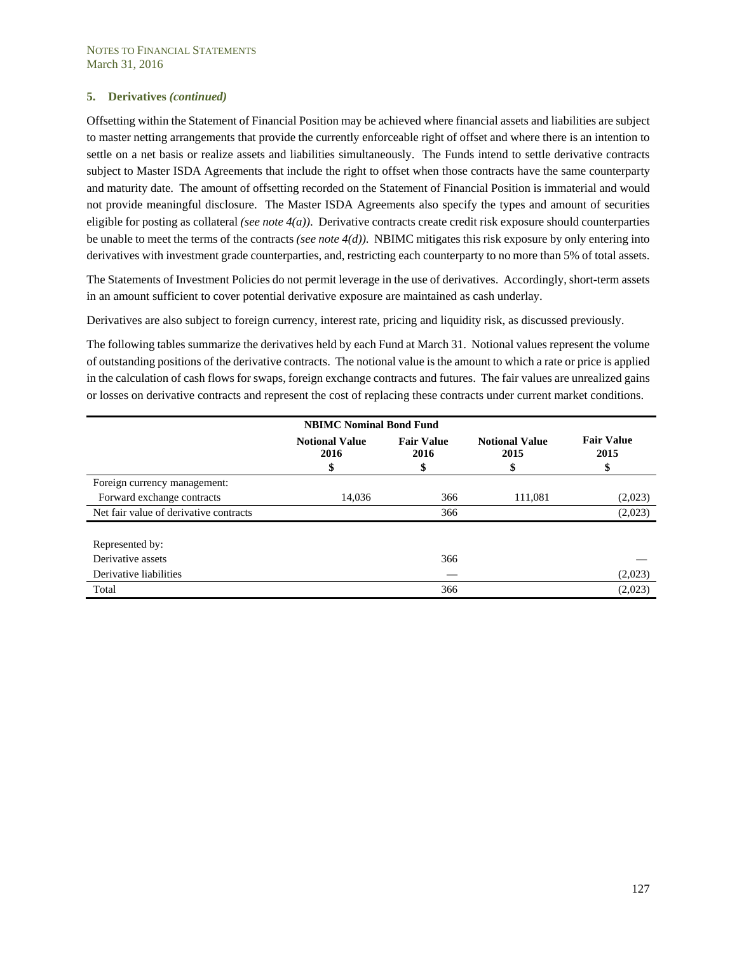Offsetting within the Statement of Financial Position may be achieved where financial assets and liabilities are subject to master netting arrangements that provide the currently enforceable right of offset and where there is an intention to settle on a net basis or realize assets and liabilities simultaneously. The Funds intend to settle derivative contracts subject to Master ISDA Agreements that include the right to offset when those contracts have the same counterparty and maturity date. The amount of offsetting recorded on the Statement of Financial Position is immaterial and would not provide meaningful disclosure. The Master ISDA Agreements also specify the types and amount of securities eligible for posting as collateral *(see note 4(a))*. Derivative contracts create credit risk exposure should counterparties be unable to meet the terms of the contracts *(see note 4(d))*. NBIMC mitigates this risk exposure by only entering into derivatives with investment grade counterparties, and, restricting each counterparty to no more than 5% of total assets.

The Statements of Investment Policies do not permit leverage in the use of derivatives. Accordingly, short-term assets in an amount sufficient to cover potential derivative exposure are maintained as cash underlay.

Derivatives are also subject to foreign currency, interest rate, pricing and liquidity risk, as discussed previously.

The following tables summarize the derivatives held by each Fund at March 31. Notional values represent the volume of outstanding positions of the derivative contracts. The notional value is the amount to which a rate or price is applied in the calculation of cash flows for swaps, foreign exchange contracts and futures. The fair values are unrealized gains or losses on derivative contracts and represent the cost of replacing these contracts under current market conditions.

| <b>NBIMC Nominal Bond Fund</b>         |                                                            |     |                               |                           |  |
|----------------------------------------|------------------------------------------------------------|-----|-------------------------------|---------------------------|--|
|                                        | <b>Fair Value</b><br><b>Notional Value</b><br>2016<br>2016 |     | <b>Notional Value</b><br>2015 | <b>Fair Value</b><br>2015 |  |
|                                        | \$                                                         | \$  | \$                            | \$                        |  |
| Foreign currency management:           |                                                            |     |                               |                           |  |
| Forward exchange contracts             | 14,036                                                     | 366 | 111,081                       | (2,023)                   |  |
| Net fair value of derivative contracts |                                                            | 366 |                               | (2,023)                   |  |
|                                        |                                                            |     |                               |                           |  |
| Represented by:                        |                                                            |     |                               |                           |  |
| Derivative assets                      |                                                            | 366 |                               |                           |  |
| Derivative liabilities                 |                                                            |     |                               | (2,023)                   |  |
| Total                                  |                                                            | 366 |                               | (2,023)                   |  |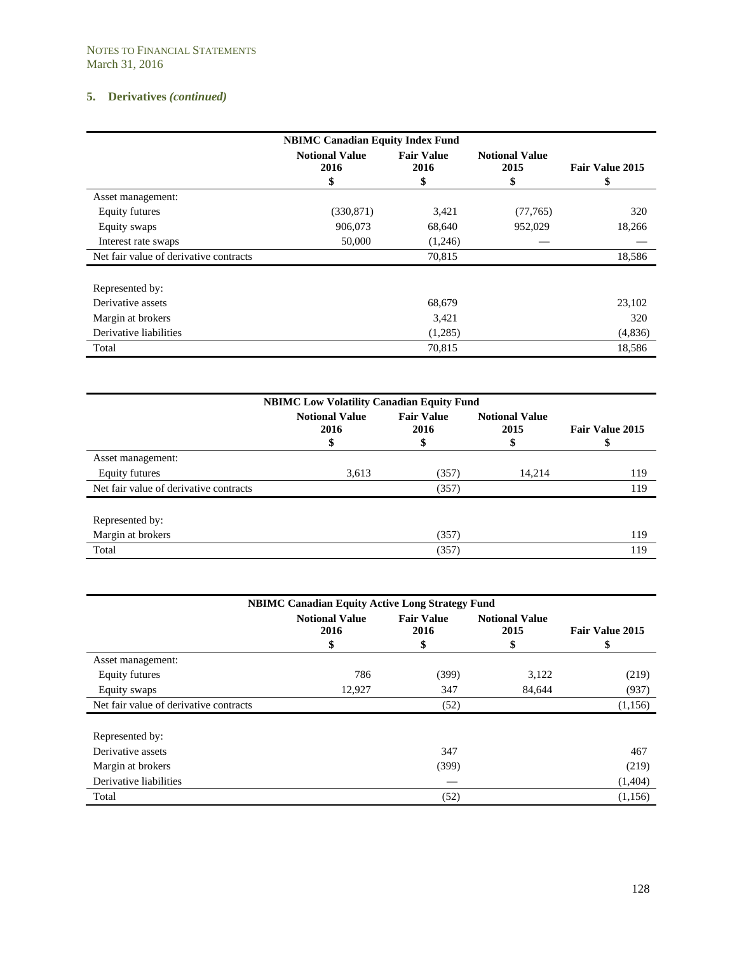|                                        | <b>Notional Value</b><br>2016<br>\$ | <b>Fair Value</b><br>2016<br>\$ | <b>Notional Value</b><br>2015<br>\$ | Fair Value 2015<br>\$ |
|----------------------------------------|-------------------------------------|---------------------------------|-------------------------------------|-----------------------|
| Asset management:                      |                                     |                                 |                                     |                       |
| Equity futures                         | (330, 871)                          | 3,421                           | (77,765)                            | 320                   |
| Equity swaps                           | 906,073                             | 68,640                          | 952,029                             | 18,266                |
| Interest rate swaps                    | 50,000                              | (1,246)                         |                                     |                       |
| Net fair value of derivative contracts |                                     | 70,815                          |                                     | 18,586                |
| Represented by:                        |                                     |                                 |                                     |                       |
| Derivative assets                      |                                     | 68,679                          |                                     | 23,102                |
| Margin at brokers                      |                                     | 3,421                           |                                     | 320                   |
| Derivative liabilities                 |                                     | (1,285)                         |                                     | (4,836)               |
| Total                                  |                                     | 70,815                          |                                     | 18,586                |

| <b>NBIMC Low Volatility Canadian Equity Fund</b> |                                     |                                 |                                     |                       |
|--------------------------------------------------|-------------------------------------|---------------------------------|-------------------------------------|-----------------------|
|                                                  | <b>Notional Value</b><br>2016<br>\$ | <b>Fair Value</b><br>2016<br>\$ | <b>Notional Value</b><br>2015<br>\$ | Fair Value 2015<br>\$ |
| Asset management:                                |                                     |                                 |                                     |                       |
| Equity futures                                   | 3,613                               | (357)                           | 14,214                              | 119                   |
| Net fair value of derivative contracts           |                                     | (357)                           |                                     | 119                   |
| Represented by:                                  |                                     |                                 |                                     |                       |
| Margin at brokers                                |                                     | (357)                           |                                     | 119                   |
| Total                                            |                                     | (357)                           |                                     | 119                   |

| <b>NBIMC Canadian Equity Active Long Strategy Fund</b> |                                     |                                 |                                     |                       |
|--------------------------------------------------------|-------------------------------------|---------------------------------|-------------------------------------|-----------------------|
|                                                        | <b>Notional Value</b><br>2016<br>\$ | <b>Fair Value</b><br>2016<br>\$ | <b>Notional Value</b><br>2015<br>\$ | Fair Value 2015<br>\$ |
| Asset management:                                      |                                     |                                 |                                     |                       |
| Equity futures                                         | 786                                 | (399)                           | 3,122                               | (219)                 |
| Equity swaps                                           | 12,927                              | 347                             | 84,644                              | (937)                 |
| Net fair value of derivative contracts                 |                                     | (52)                            |                                     | (1,156)               |
|                                                        |                                     |                                 |                                     |                       |
| Represented by:                                        |                                     |                                 |                                     |                       |
| Derivative assets                                      |                                     | 347                             |                                     | 467                   |
| Margin at brokers                                      |                                     | (399)                           |                                     | (219)                 |
| Derivative liabilities                                 |                                     |                                 |                                     | (1,404)               |
| Total                                                  |                                     | (52)                            |                                     | (1, 156)              |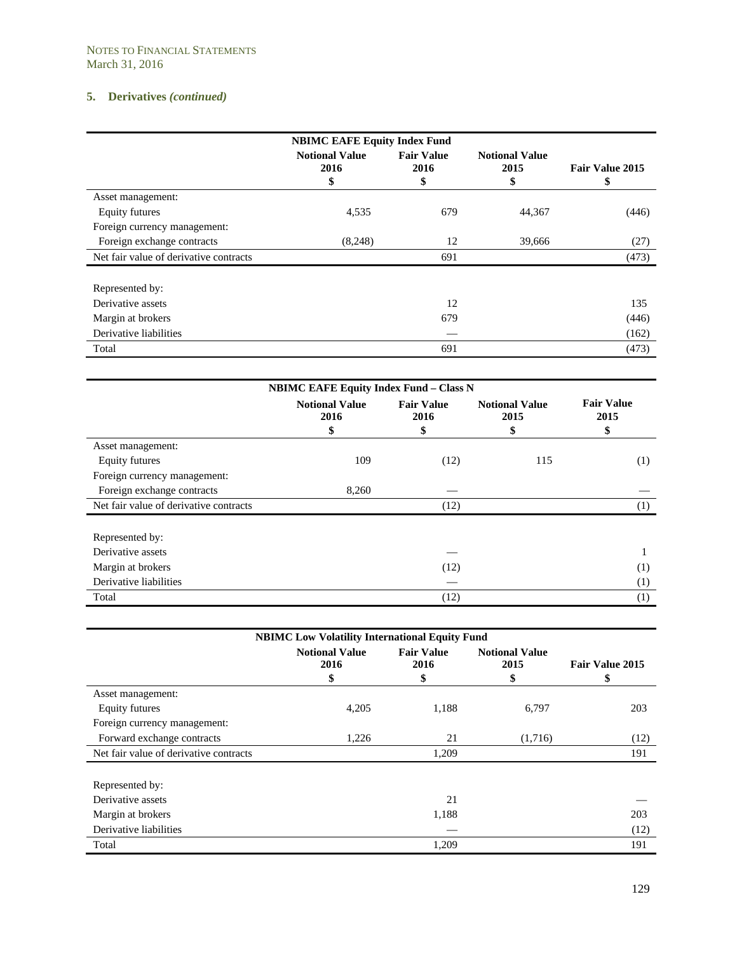|                                        | <b>NBIMC EAFE Equity Index Fund</b> |                                 |                                     |                              |
|----------------------------------------|-------------------------------------|---------------------------------|-------------------------------------|------------------------------|
|                                        | <b>Notional Value</b><br>2016<br>\$ | <b>Fair Value</b><br>2016<br>\$ | <b>Notional Value</b><br>2015<br>\$ | <b>Fair Value 2015</b><br>\$ |
| Asset management:                      |                                     |                                 |                                     |                              |
| Equity futures                         | 4,535                               | 679                             | 44,367                              | (446)                        |
| Foreign currency management:           |                                     |                                 |                                     |                              |
| Foreign exchange contracts             | (8,248)                             | 12                              | 39,666                              | (27)                         |
| Net fair value of derivative contracts |                                     | 691                             |                                     | (473)                        |
| Represented by:                        |                                     |                                 |                                     |                              |
| Derivative assets                      |                                     | 12                              |                                     | 135                          |
| Margin at brokers                      |                                     | 679                             |                                     | (446)                        |
| Derivative liabilities                 |                                     |                                 |                                     | (162)                        |
| Total                                  |                                     | 691                             |                                     | (473)                        |

|                                        |                                     | <b>NBIMC EAFE Equity Index Fund - Class N</b> |                                     |                                 |
|----------------------------------------|-------------------------------------|-----------------------------------------------|-------------------------------------|---------------------------------|
|                                        | <b>Notional Value</b><br>2016<br>\$ | <b>Fair Value</b><br>2016<br>\$               | <b>Notional Value</b><br>2015<br>\$ | <b>Fair Value</b><br>2015<br>\$ |
| Asset management:                      |                                     |                                               |                                     |                                 |
| <b>Equity futures</b>                  | 109                                 | (12)                                          | 115                                 | (1)                             |
| Foreign currency management:           |                                     |                                               |                                     |                                 |
| Foreign exchange contracts             | 8,260                               |                                               |                                     |                                 |
| Net fair value of derivative contracts |                                     | (12)                                          |                                     | (1)                             |
| Represented by:                        |                                     |                                               |                                     |                                 |
| Derivative assets                      |                                     |                                               |                                     |                                 |
| Margin at brokers                      |                                     | (12)                                          |                                     | (1)                             |
| Derivative liabilities                 |                                     |                                               |                                     | (1)                             |
| Total                                  |                                     | (12)                                          |                                     | (1)                             |

| <b>NBIMC Low Volatility International Equity Fund</b> |                                     |                                 |                                     |                       |
|-------------------------------------------------------|-------------------------------------|---------------------------------|-------------------------------------|-----------------------|
|                                                       | <b>Notional Value</b><br>2016<br>\$ | <b>Fair Value</b><br>2016<br>\$ | <b>Notional Value</b><br>2015<br>\$ | Fair Value 2015<br>\$ |
| Asset management:                                     |                                     |                                 |                                     |                       |
| Equity futures                                        | 4,205                               | 1,188                           | 6,797                               | 203                   |
| Foreign currency management:                          |                                     |                                 |                                     |                       |
| Forward exchange contracts                            | 1,226                               | 21                              | (1,716)                             | (12)                  |
| Net fair value of derivative contracts                |                                     | 1,209                           |                                     | 191                   |
| Represented by:                                       |                                     |                                 |                                     |                       |
| Derivative assets                                     |                                     | 21                              |                                     |                       |
| Margin at brokers                                     |                                     | 1,188                           |                                     | 203                   |
| Derivative liabilities                                |                                     |                                 |                                     | (12)                  |
| Total                                                 |                                     | 1,209                           |                                     | 191                   |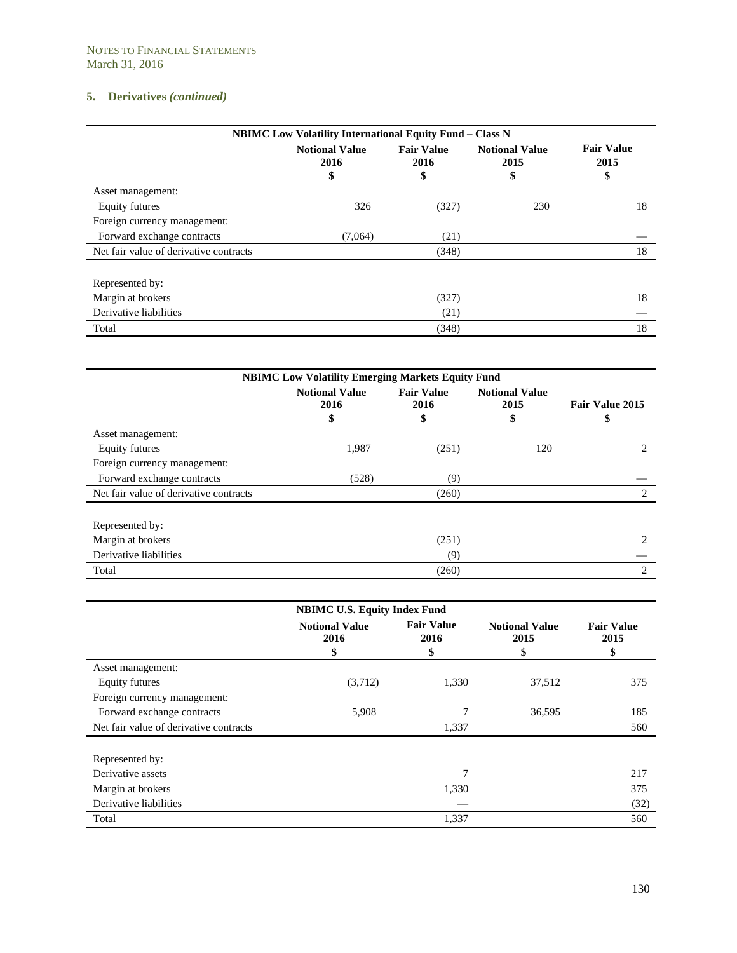| <b>NBIMC Low Volatility International Equity Fund - Class N</b> |                                     |                                 |                                     |                                 |
|-----------------------------------------------------------------|-------------------------------------|---------------------------------|-------------------------------------|---------------------------------|
|                                                                 | <b>Notional Value</b><br>2016<br>\$ | <b>Fair Value</b><br>2016<br>\$ | <b>Notional Value</b><br>2015<br>\$ | <b>Fair Value</b><br>2015<br>\$ |
| Asset management:                                               |                                     |                                 |                                     |                                 |
| Equity futures                                                  | 326                                 | (327)                           | 230                                 | 18                              |
| Foreign currency management:                                    |                                     |                                 |                                     |                                 |
| Forward exchange contracts                                      | (7,064)                             | (21)                            |                                     |                                 |
| Net fair value of derivative contracts                          |                                     | (348)                           |                                     | 18                              |
| Represented by:                                                 |                                     |                                 |                                     |                                 |
| Margin at brokers                                               |                                     | (327)                           |                                     | 18                              |
| Derivative liabilities                                          |                                     | (21)                            |                                     |                                 |
| Total                                                           |                                     | (348)                           |                                     | 18                              |

| <b>NBIMC Low Volatility Emerging Markets Equity Fund</b> |                                     |                                 |                                     |                              |
|----------------------------------------------------------|-------------------------------------|---------------------------------|-------------------------------------|------------------------------|
|                                                          | <b>Notional Value</b><br>2016<br>\$ | <b>Fair Value</b><br>2016<br>\$ | <b>Notional Value</b><br>2015<br>\$ | <b>Fair Value 2015</b><br>\$ |
| Asset management:                                        |                                     |                                 |                                     |                              |
| Equity futures                                           | 1,987                               | (251)                           | 120                                 |                              |
| Foreign currency management:                             |                                     |                                 |                                     |                              |
| Forward exchange contracts                               | (528)                               | (9)                             |                                     |                              |
| Net fair value of derivative contracts                   |                                     | (260)                           |                                     | 2                            |
| Represented by:                                          |                                     |                                 |                                     |                              |
| Margin at brokers                                        |                                     | (251)                           |                                     |                              |
| Derivative liabilities                                   |                                     | (9)                             |                                     |                              |
| Total                                                    |                                     | (260)                           |                                     | $\mathcal{D}_{\mathcal{L}}$  |

|                                        | <b>NBIMC U.S. Equity Index Fund</b> |                                 |                                     |                                 |
|----------------------------------------|-------------------------------------|---------------------------------|-------------------------------------|---------------------------------|
|                                        | <b>Notional Value</b><br>2016<br>\$ | <b>Fair Value</b><br>2016<br>\$ | <b>Notional Value</b><br>2015<br>\$ | <b>Fair Value</b><br>2015<br>\$ |
| Asset management:                      |                                     |                                 |                                     |                                 |
| Equity futures                         | (3,712)                             | 1,330                           | 37,512                              | 375                             |
| Foreign currency management:           |                                     |                                 |                                     |                                 |
| Forward exchange contracts             | 5,908                               | 7                               | 36,595                              | 185                             |
| Net fair value of derivative contracts |                                     | 1,337                           |                                     | 560                             |
| Represented by:                        |                                     |                                 |                                     |                                 |
| Derivative assets                      |                                     | 7                               |                                     | 217                             |
| Margin at brokers                      |                                     | 1,330                           |                                     | 375                             |
| Derivative liabilities                 |                                     |                                 |                                     | (32)                            |
| Total                                  |                                     | 1,337                           |                                     | 560                             |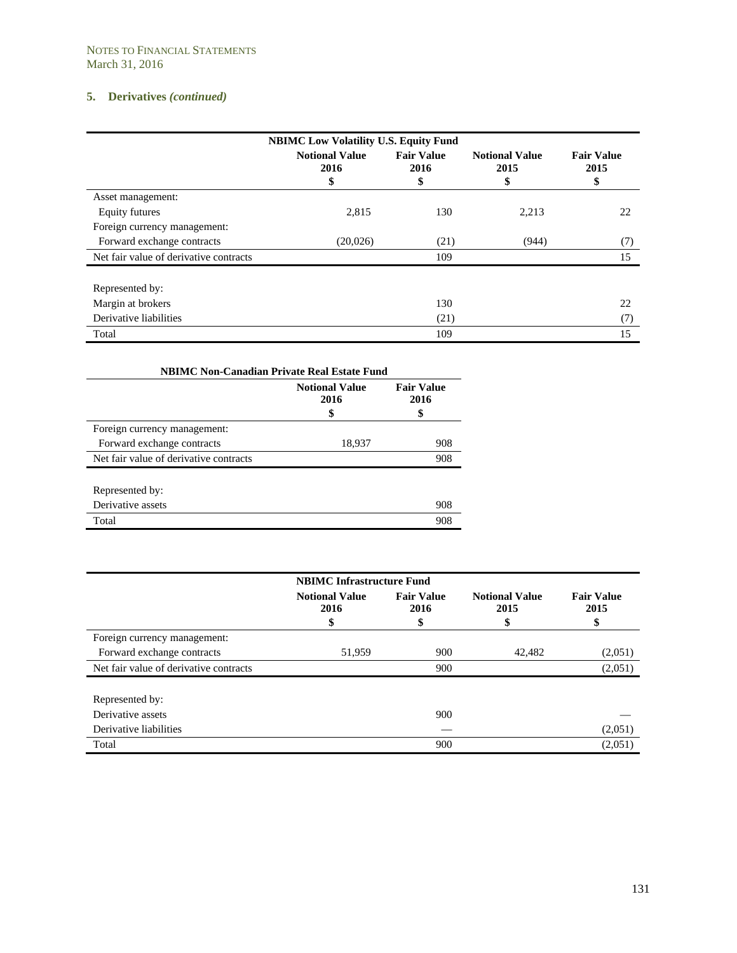| <b>NBIMC Low Volatility U.S. Equity Fund</b> |                                     |                                 |                                     |                                 |
|----------------------------------------------|-------------------------------------|---------------------------------|-------------------------------------|---------------------------------|
|                                              | <b>Notional Value</b><br>2016<br>\$ | <b>Fair Value</b><br>2016<br>\$ | <b>Notional Value</b><br>2015<br>\$ | <b>Fair Value</b><br>2015<br>\$ |
| Asset management:                            |                                     |                                 |                                     |                                 |
| Equity futures                               | 2,815                               | 130                             | 2,213                               | 22                              |
| Foreign currency management:                 |                                     |                                 |                                     |                                 |
| Forward exchange contracts                   | (20,026)                            | (21)                            | (944)                               | (7)                             |
| Net fair value of derivative contracts       |                                     | 109                             |                                     | 15                              |
| Represented by:                              |                                     |                                 |                                     |                                 |
| Margin at brokers                            |                                     | 130                             |                                     | 22                              |
| Derivative liabilities                       |                                     | (21)                            |                                     | (7)                             |
| Total                                        |                                     | 109                             |                                     | 15                              |

| <b>NBIMC Non-Canadian Private Real Estate Fund</b> |                                     |                                 |  |  |  |  |
|----------------------------------------------------|-------------------------------------|---------------------------------|--|--|--|--|
|                                                    | <b>Notional Value</b><br>2016<br>\$ | <b>Fair Value</b><br>2016<br>\$ |  |  |  |  |
| Foreign currency management:                       |                                     |                                 |  |  |  |  |
| Forward exchange contracts                         | 18,937                              | 908                             |  |  |  |  |
| Net fair value of derivative contracts             |                                     | 908                             |  |  |  |  |
| Represented by:                                    |                                     |                                 |  |  |  |  |
| Derivative assets                                  |                                     | 908                             |  |  |  |  |
| Total                                              |                                     | 908                             |  |  |  |  |

|                                        | <b>NBIMC Infrastructure Fund</b> |                           |                               |                           |
|----------------------------------------|----------------------------------|---------------------------|-------------------------------|---------------------------|
|                                        | <b>Notional Value</b><br>2016    | <b>Fair Value</b><br>2016 | <b>Notional Value</b><br>2015 | <b>Fair Value</b><br>2015 |
|                                        | \$                               |                           | \$                            | \$                        |
| Foreign currency management:           |                                  |                           |                               |                           |
| Forward exchange contracts             | 51,959                           | 900                       | 42,482                        | (2,051)                   |
| Net fair value of derivative contracts |                                  | 900                       |                               | (2,051)                   |
|                                        |                                  |                           |                               |                           |
| Represented by:                        |                                  |                           |                               |                           |
| Derivative assets                      |                                  | 900                       |                               |                           |
| Derivative liabilities                 |                                  |                           |                               | (2,051)                   |
| Total                                  |                                  | 900                       |                               | (2,051)                   |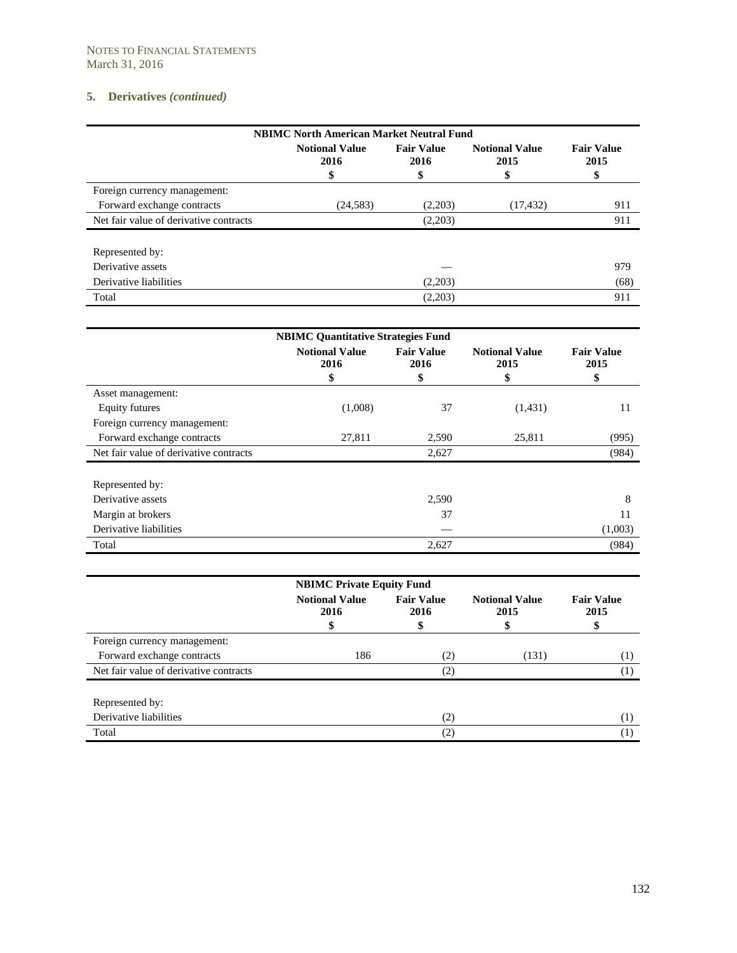|                                        | <b>NBIMC North American Market Neutral Fund</b> |                           |                               |                           |
|----------------------------------------|-------------------------------------------------|---------------------------|-------------------------------|---------------------------|
|                                        | <b>Notional Value</b><br>2016                   | <b>Fair Value</b><br>2016 | <b>Notional Value</b><br>2015 | <b>Fair Value</b><br>2015 |
|                                        | \$                                              | \$                        | \$                            | \$                        |
| Foreign currency management:           |                                                 |                           |                               |                           |
| Forward exchange contracts             | (24, 583)                                       | (2,203)                   | (17, 432)                     | 911                       |
| Net fair value of derivative contracts |                                                 | (2,203)                   |                               | 911                       |
| Represented by:                        |                                                 |                           |                               |                           |
| Derivative assets                      |                                                 |                           |                               | 979                       |
| Derivative liabilities                 |                                                 | (2,203)                   |                               | (68)                      |
| Total                                  |                                                 | (2,203)                   |                               | 911                       |
|                                        |                                                 |                           |                               |                           |
|                                        | <b>NBIMC Quantitative Strategies Fund</b>       |                           |                               |                           |
|                                        | <b>Notional Value</b><br>2016                   | <b>Fair Value</b><br>2016 | <b>Notional Value</b><br>2015 | <b>Fair Value</b><br>2015 |
|                                        | \$                                              | \$                        | \$                            | \$                        |
| Asset management:                      |                                                 |                           |                               |                           |
| <b>Equity futures</b>                  | (1,008)                                         | 37                        | (1,431)                       | 11                        |
| Foreign currency management:           |                                                 |                           |                               |                           |
| Forward exchange contracts             | 27,811                                          | 2,590                     | 25,811                        | (995)                     |
| Net fair value of derivative contracts |                                                 | 2.627                     |                               | (984)                     |
| Represented by:                        |                                                 |                           |                               |                           |
| Derivative assets                      |                                                 | 2,590                     |                               | $\,8\,$                   |
| Margin at brokers                      |                                                 | 37                        |                               | 11                        |
| Derivative liabilities                 |                                                 |                           |                               | (1,003)                   |
| Total                                  |                                                 | 2,627                     |                               | (984)                     |
|                                        |                                                 |                           |                               |                           |
|                                        | <b>NBIMC Private Equity Fund</b>                |                           |                               |                           |
|                                        | <b>Notional Value</b><br>2016                   | <b>Fair Value</b><br>2016 | <b>Notional Value</b><br>2015 | <b>Fair Value</b><br>2015 |
|                                        | \$                                              | \$                        | \$                            | \$                        |
| Foreign currency management:           |                                                 |                           |                               |                           |
| Forward exchange contracts             | 186                                             | (2)                       | (131)                         | (1)                       |
| Net fair value of derivative contracts |                                                 | (2)                       |                               | (1)                       |

| Represented by:        |       |              |
|------------------------|-------|--------------|
| Derivative liabilities | ∼     | $\mathbf{1}$ |
| Total                  | . ∠ ∖ | 11           |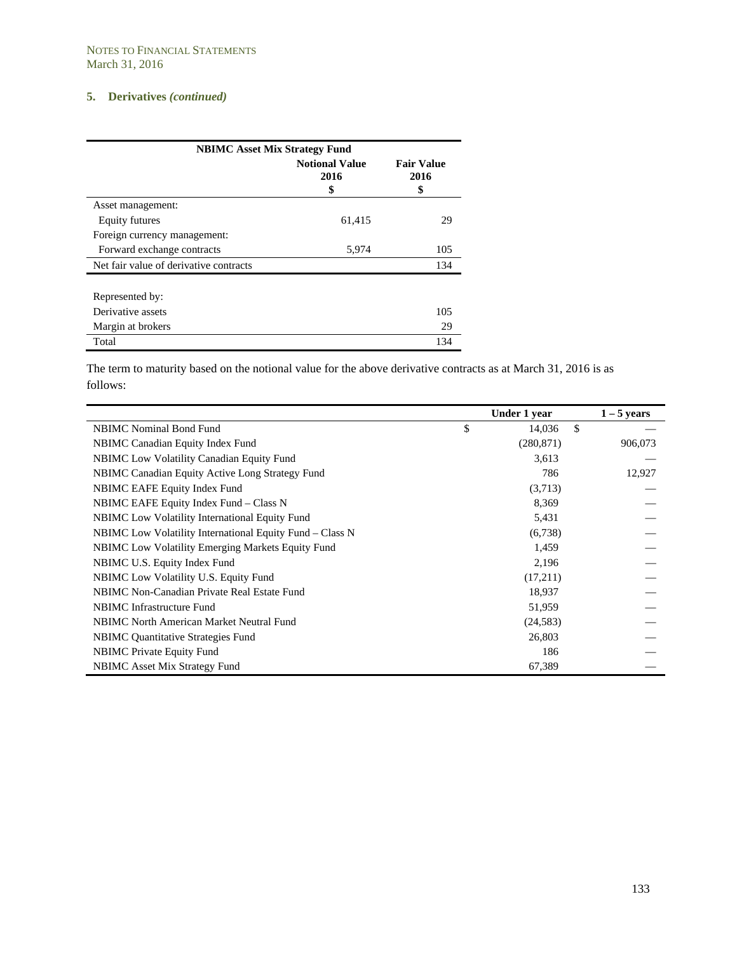| <b>NBIMC Asset Mix Strategy Fund</b>   |                                     |                                 |  |  |  |  |  |
|----------------------------------------|-------------------------------------|---------------------------------|--|--|--|--|--|
|                                        | <b>Notional Value</b><br>2016<br>\$ | <b>Fair Value</b><br>2016<br>\$ |  |  |  |  |  |
| Asset management:                      |                                     |                                 |  |  |  |  |  |
| Equity futures                         | 61,415                              | 29                              |  |  |  |  |  |
| Foreign currency management:           |                                     |                                 |  |  |  |  |  |
| Forward exchange contracts             | 5,974                               | 105                             |  |  |  |  |  |
| Net fair value of derivative contracts |                                     | 134                             |  |  |  |  |  |
|                                        |                                     |                                 |  |  |  |  |  |
| Represented by:                        |                                     |                                 |  |  |  |  |  |
| Derivative assets                      |                                     | 105                             |  |  |  |  |  |
| Margin at brokers                      |                                     | 29                              |  |  |  |  |  |
| Total                                  |                                     | 134                             |  |  |  |  |  |

The term to maturity based on the notional value for the above derivative contracts as at March 31, 2016 is as follows:

|                                                          | Under 1 year | $1 - 5$ vears |
|----------------------------------------------------------|--------------|---------------|
| <b>NBIMC</b> Nominal Bond Fund                           | \$<br>14,036 | \$            |
| NBIMC Canadian Equity Index Fund                         | (280, 871)   | 906,073       |
| <b>NBIMC</b> Low Volatility Canadian Equity Fund         | 3,613        |               |
| NBIMC Canadian Equity Active Long Strategy Fund          | 786          | 12,927        |
| NBIMC EAFE Equity Index Fund                             | (3,713)      |               |
| NBIMC EAFE Equity Index Fund – Class N                   | 8,369        |               |
| NBIMC Low Volatility International Equity Fund           | 5,431        |               |
| NBIMC Low Volatility International Equity Fund - Class N | (6,738)      |               |
| NBIMC Low Volatility Emerging Markets Equity Fund        | 1,459        |               |
| NBIMC U.S. Equity Index Fund                             | 2,196        |               |
| NBIMC Low Volatility U.S. Equity Fund                    | (17,211)     |               |
| NBIMC Non-Canadian Private Real Estate Fund              | 18,937       |               |
| NBIMC Infrastructure Fund                                | 51,959       |               |
| <b>NBIMC North American Market Neutral Fund</b>          | (24, 583)    |               |
| <b>NBIMC</b> Quantitative Strategies Fund                | 26,803       |               |
| <b>NBIMC</b> Private Equity Fund                         | 186          |               |
| <b>NBIMC</b> Asset Mix Strategy Fund                     | 67,389       |               |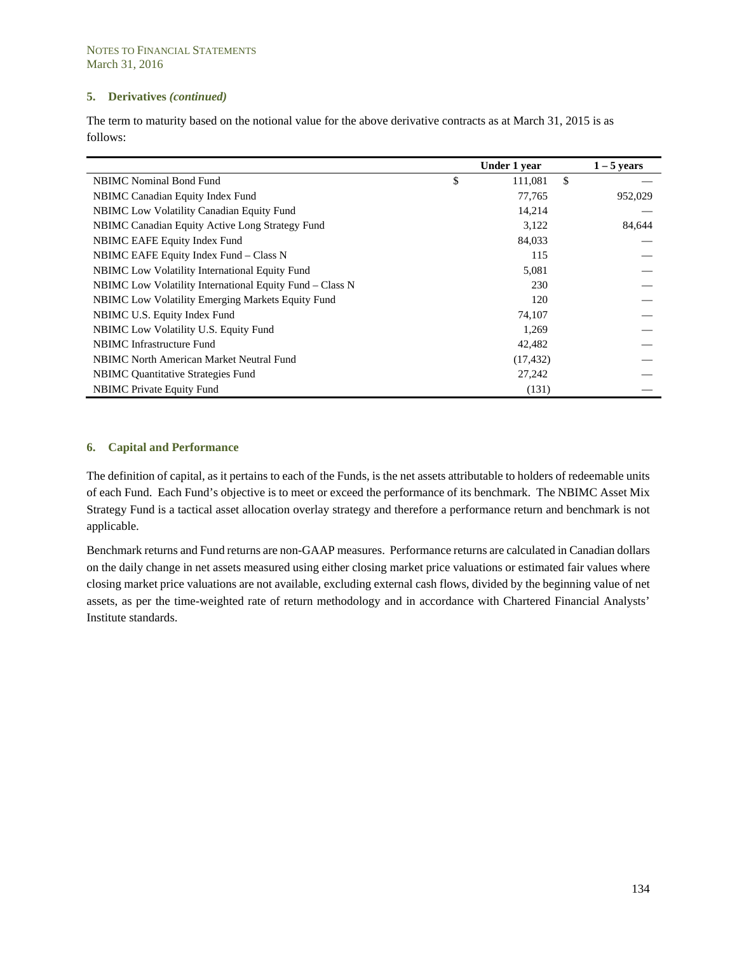The term to maturity based on the notional value for the above derivative contracts as at March 31, 2015 is as follows:

|                                                          | Under 1 year | $1 - 5$ years |
|----------------------------------------------------------|--------------|---------------|
| \$<br><b>NBIMC</b> Nominal Bond Fund                     | 111,081      | \$            |
| NBIMC Canadian Equity Index Fund                         | 77,765       | 952,029       |
| <b>NBIMC</b> Low Volatility Canadian Equity Fund         | 14,214       |               |
| NBIMC Canadian Equity Active Long Strategy Fund          | 3,122        | 84,644        |
| NBIMC EAFE Equity Index Fund                             | 84,033       |               |
| NBIMC EAFE Equity Index Fund – Class N                   | 115          |               |
| NBIMC Low Volatility International Equity Fund           | 5,081        |               |
| NBIMC Low Volatility International Equity Fund - Class N | 230          |               |
| <b>NBIMC</b> Low Volatility Emerging Markets Equity Fund | 120          |               |
| NBIMC U.S. Equity Index Fund                             | 74,107       |               |
| NBIMC Low Volatility U.S. Equity Fund                    | 1,269        |               |
| NBIMC Infrastructure Fund                                | 42,482       |               |
| <b>NBIMC</b> North American Market Neutral Fund          | (17, 432)    |               |
| <b>NBIMC</b> Quantitative Strategies Fund                | 27,242       |               |
| <b>NBIMC</b> Private Equity Fund                         | (131)        |               |

#### **6. Capital and Performance**

The definition of capital, as it pertains to each of the Funds, is the net assets attributable to holders of redeemable units of each Fund. Each Fund's objective is to meet or exceed the performance of its benchmark. The NBIMC Asset Mix Strategy Fund is a tactical asset allocation overlay strategy and therefore a performance return and benchmark is not applicable.

Benchmark returns and Fund returns are non-GAAP measures. Performance returns are calculated in Canadian dollars on the daily change in net assets measured using either closing market price valuations or estimated fair values where closing market price valuations are not available, excluding external cash flows, divided by the beginning value of net assets, as per the time-weighted rate of return methodology and in accordance with Chartered Financial Analysts' Institute standards.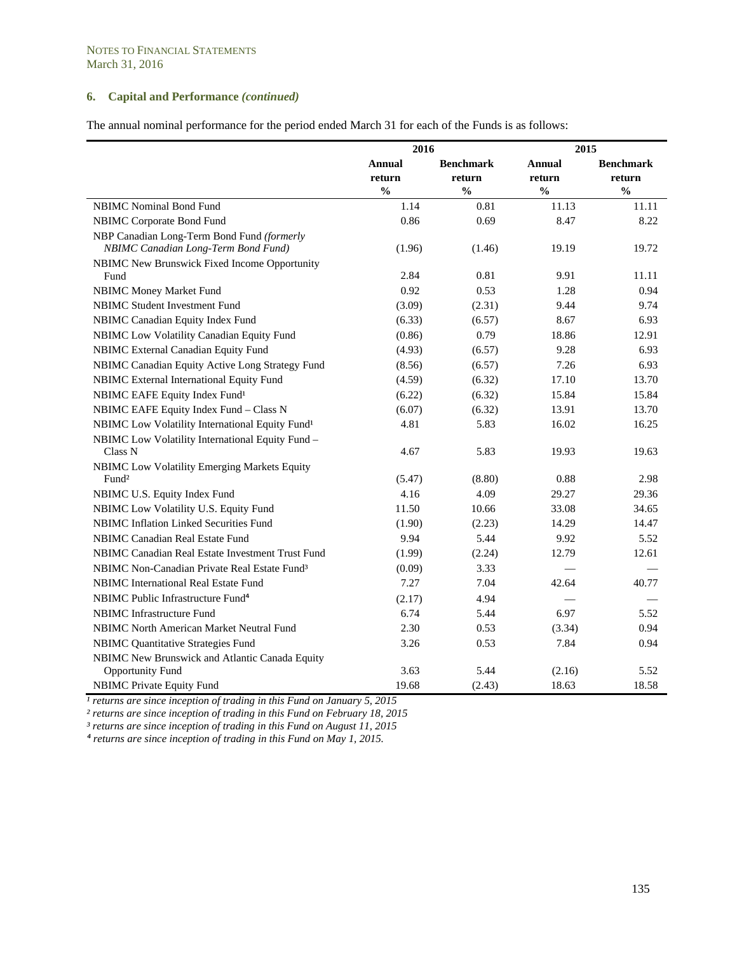## **6. Capital and Performance** *(continued)*

The annual nominal performance for the period ended March 31 for each of the Funds is as follows:

|                                                                                          | 2016                    |                            |                  | 2015                       |
|------------------------------------------------------------------------------------------|-------------------------|----------------------------|------------------|----------------------------|
|                                                                                          | <b>Annual</b><br>return | <b>Benchmark</b><br>return | Annual<br>return | <b>Benchmark</b><br>return |
|                                                                                          | $\frac{0}{0}$           | $\frac{0}{0}$              | $\frac{0}{0}$    | $\frac{0}{0}$              |
| NBIMC Nominal Bond Fund                                                                  | 1.14                    | 0.81                       | 11.13            | 11.11                      |
| NBIMC Corporate Bond Fund                                                                | 0.86                    | 0.69                       | 8.47             | 8.22                       |
| NBP Canadian Long-Term Bond Fund (formerly<br><b>NBIMC</b> Canadian Long-Term Bond Fund) | (1.96)                  | (1.46)                     | 19.19            | 19.72                      |
| NBIMC New Brunswick Fixed Income Opportunity                                             |                         |                            |                  |                            |
| Fund                                                                                     | 2.84                    | 0.81                       | 9.91             | 11.11                      |
| NBIMC Money Market Fund                                                                  | 0.92                    | 0.53                       | 1.28             | 0.94                       |
| NBIMC Student Investment Fund                                                            | (3.09)                  | (2.31)                     | 9.44             | 9.74                       |
| NBIMC Canadian Equity Index Fund                                                         | (6.33)                  | (6.57)                     | 8.67             | 6.93                       |
| NBIMC Low Volatility Canadian Equity Fund                                                | (0.86)                  | 0.79                       | 18.86            | 12.91                      |
| NBIMC External Canadian Equity Fund                                                      | (4.93)                  | (6.57)                     | 9.28             | 6.93                       |
| NBIMC Canadian Equity Active Long Strategy Fund                                          | (8.56)                  | (6.57)                     | 7.26             | 6.93                       |
| NBIMC External International Equity Fund                                                 | (4.59)                  | (6.32)                     | 17.10            | 13.70                      |
| NBIMC EAFE Equity Index Fund <sup>1</sup>                                                | (6.22)                  | (6.32)                     | 15.84            | 15.84                      |
| NBIMC EAFE Equity Index Fund - Class N                                                   | (6.07)                  | (6.32)                     | 13.91            | 13.70                      |
| NBIMC Low Volatility International Equity Fund <sup>1</sup>                              | 4.81                    | 5.83                       | 16.02            | 16.25                      |
| NBIMC Low Volatility International Equity Fund -<br>Class <sub>N</sub>                   | 4.67                    | 5.83                       | 19.93            | 19.63                      |
| NBIMC Low Volatility Emerging Markets Equity                                             |                         |                            |                  |                            |
| Fund <sup>2</sup>                                                                        | (5.47)                  | (8.80)                     | 0.88             | 2.98                       |
| NBIMC U.S. Equity Index Fund                                                             | 4.16                    | 4.09                       | 29.27            | 29.36                      |
| NBIMC Low Volatility U.S. Equity Fund                                                    | 11.50                   | 10.66                      | 33.08            | 34.65                      |
| <b>NBIMC</b> Inflation Linked Securities Fund                                            | (1.90)                  | (2.23)                     | 14.29            | 14.47                      |
| <b>NBIMC Canadian Real Estate Fund</b>                                                   | 9.94                    | 5.44                       | 9.92             | 5.52                       |
| NBIMC Canadian Real Estate Investment Trust Fund                                         | (1.99)                  | (2.24)                     | 12.79            | 12.61                      |
| NBIMC Non-Canadian Private Real Estate Fund <sup>3</sup>                                 | (0.09)                  | 3.33                       |                  |                            |
| NBIMC International Real Estate Fund                                                     | 7.27                    | 7.04                       | 42.64            | 40.77                      |
| NBIMC Public Infrastructure Fund <sup>4</sup>                                            | (2.17)                  | 4.94                       |                  |                            |
| <b>NBIMC</b> Infrastructure Fund                                                         | 6.74                    | 5.44                       | 6.97             | 5.52                       |
| NBIMC North American Market Neutral Fund                                                 | 2.30                    | 0.53                       | (3.34)           | 0.94                       |
| <b>NBIMC Quantitative Strategies Fund</b>                                                | 3.26                    | 0.53                       | 7.84             | 0.94                       |
| NBIMC New Brunswick and Atlantic Canada Equity<br><b>Opportunity Fund</b>                | 3.63                    | 5.44                       | (2.16)           | 5.52                       |
| <b>NBIMC Private Equity Fund</b>                                                         | 19.68                   | (2.43)                     | 18.63            | 18.58                      |

*¹ returns are since inception of trading in this Fund on January 5, 2015* 

*² returns are since inception of trading in this Fund on February 18, 2015* 

*³ returns are since inception of trading in this Fund on August 11, 2015* 

*⁴ returns are since inception of trading in this Fund on May 1, 2015.*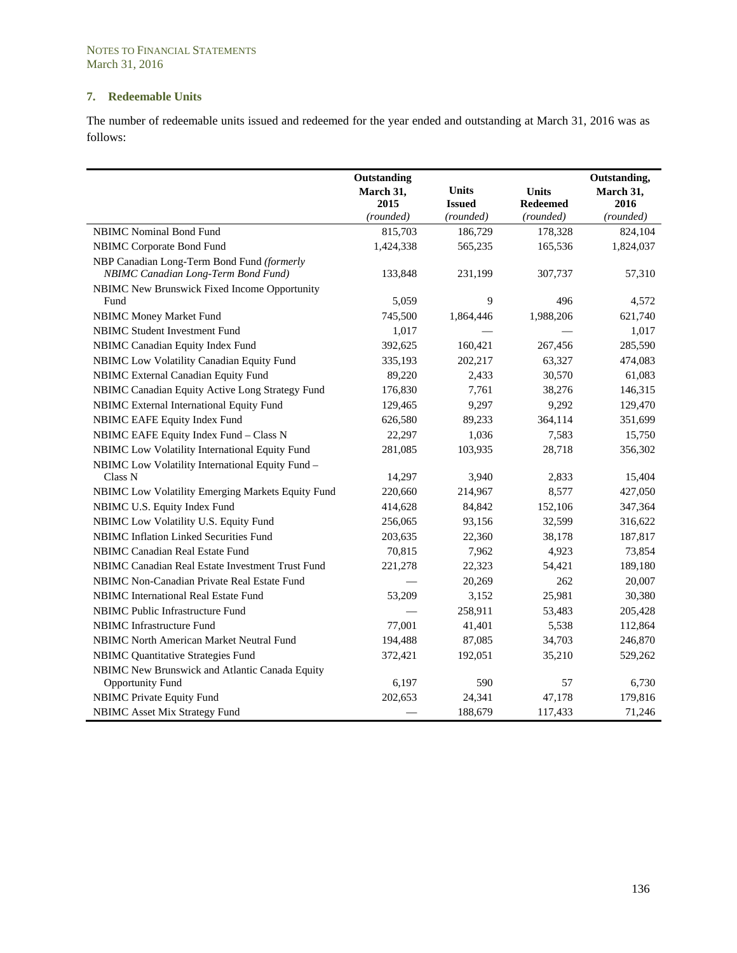## **7. Redeemable Units**

The number of redeemable units issued and redeemed for the year ended and outstanding at March 31, 2016 was as follows:

|                                                   | Outstanding<br>March 31,<br>2015 | <b>Units</b><br><b>Issued</b> | <b>Units</b><br><b>Redeemed</b> | Outstanding,<br>March 31,<br>2016 |
|---------------------------------------------------|----------------------------------|-------------------------------|---------------------------------|-----------------------------------|
|                                                   | (rounded)                        | (rounded)                     | (rounded)                       | (rounded)                         |
| NBIMC Nominal Bond Fund                           | 815,703                          | 186,729                       | 178,328                         | 824,104                           |
| NBIMC Corporate Bond Fund                         | 1,424,338                        | 565,235                       | 165,536                         | 1,824,037                         |
| NBP Canadian Long-Term Bond Fund (formerly        |                                  |                               |                                 |                                   |
| NBIMC Canadian Long-Term Bond Fund)               | 133,848                          | 231,199                       | 307,737                         | 57,310                            |
| NBIMC New Brunswick Fixed Income Opportunity      |                                  |                               |                                 |                                   |
| Fund                                              | 5,059                            | 9                             | 496                             | 4,572                             |
| NBIMC Money Market Fund                           | 745,500                          | 1,864,446                     | 1,988,206                       | 621,740                           |
| <b>NBIMC Student Investment Fund</b>              | 1,017                            |                               |                                 | 1,017                             |
| NBIMC Canadian Equity Index Fund                  | 392,625                          | 160,421                       | 267,456                         | 285,590                           |
| NBIMC Low Volatility Canadian Equity Fund         | 335,193                          | 202,217                       | 63,327                          | 474,083                           |
| NBIMC External Canadian Equity Fund               | 89,220                           | 2,433                         | 30,570                          | 61,083                            |
| NBIMC Canadian Equity Active Long Strategy Fund   | 176,830                          | 7,761                         | 38,276                          | 146,315                           |
| NBIMC External International Equity Fund          | 129,465                          | 9,297                         | 9,292                           | 129,470                           |
| NBIMC EAFE Equity Index Fund                      | 626,580                          | 89,233                        | 364,114                         | 351,699                           |
| NBIMC EAFE Equity Index Fund - Class N            | 22,297                           | 1,036                         | 7,583                           | 15,750                            |
| NBIMC Low Volatility International Equity Fund    | 281,085                          | 103,935                       | 28,718                          | 356,302                           |
| NBIMC Low Volatility International Equity Fund -  |                                  |                               |                                 |                                   |
| Class N                                           | 14,297                           | 3,940                         | 2,833                           | 15,404                            |
| NBIMC Low Volatility Emerging Markets Equity Fund | 220,660                          | 214,967                       | 8,577                           | 427,050                           |
| NBIMC U.S. Equity Index Fund                      | 414,628                          | 84,842                        | 152,106                         | 347,364                           |
| NBIMC Low Volatility U.S. Equity Fund             | 256,065                          | 93,156                        | 32,599                          | 316,622                           |
| NBIMC Inflation Linked Securities Fund            | 203,635                          | 22,360                        | 38,178                          | 187,817                           |
| <b>NBIMC Canadian Real Estate Fund</b>            | 70,815                           | 7,962                         | 4,923                           | 73,854                            |
| NBIMC Canadian Real Estate Investment Trust Fund  | 221,278                          | 22,323                        | 54,421                          | 189,180                           |
| NBIMC Non-Canadian Private Real Estate Fund       |                                  | 20,269                        | 262                             | 20,007                            |
| <b>NBIMC</b> International Real Estate Fund       | 53,209                           | 3,152                         | 25,981                          | 30,380                            |
| <b>NBIMC Public Infrastructure Fund</b>           |                                  | 258,911                       | 53,483                          | 205,428                           |
| <b>NBIMC</b> Infrastructure Fund                  | 77,001                           | 41,401                        | 5,538                           | 112,864                           |
| <b>NBIMC North American Market Neutral Fund</b>   | 194,488                          | 87,085                        | 34,703                          | 246,870                           |
| <b>NBIMC Quantitative Strategies Fund</b>         | 372,421                          | 192,051                       | 35,210                          | 529,262                           |
| NBIMC New Brunswick and Atlantic Canada Equity    |                                  |                               |                                 |                                   |
| <b>Opportunity Fund</b>                           | 6,197                            | 590                           | 57                              | 6,730                             |
| <b>NBIMC Private Equity Fund</b>                  | 202,653                          | 24,341                        | 47,178                          | 179,816                           |
| NBIMC Asset Mix Strategy Fund                     |                                  | 188,679                       | 117,433                         | 71,246                            |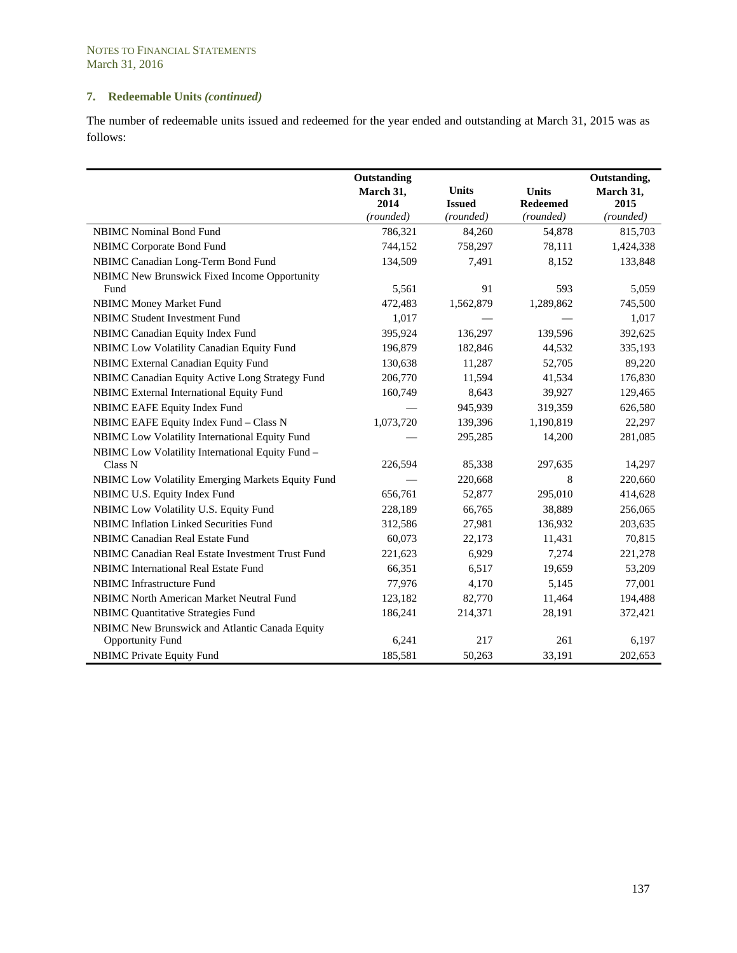## **7. Redeemable Units** *(continued)*

The number of redeemable units issued and redeemed for the year ended and outstanding at March 31, 2015 was as follows:

|                                                   | Outstanding |               |                 | Outstanding, |
|---------------------------------------------------|-------------|---------------|-----------------|--------------|
|                                                   | March 31,   | <b>Units</b>  | <b>Units</b>    | March 31,    |
|                                                   | 2014        | <b>Issued</b> | <b>Redeemed</b> | 2015         |
|                                                   | (rounded)   | (rounded)     | (rounded)       | (rounded)    |
| <b>NBIMC</b> Nominal Bond Fund                    | 786,321     | 84,260        | 54,878          | 815,703      |
| NBIMC Corporate Bond Fund                         | 744,152     | 758,297       | 78,111          | 1,424,338    |
| NBIMC Canadian Long-Term Bond Fund                | 134,509     | 7,491         | 8,152           | 133,848      |
| NBIMC New Brunswick Fixed Income Opportunity      |             |               |                 |              |
| Fund                                              | 5,561       | 91            | 593             | 5,059        |
| NBIMC Money Market Fund                           | 472,483     | 1,562,879     | 1,289,862       | 745,500      |
| <b>NBIMC Student Investment Fund</b>              | 1,017       |               |                 | 1,017        |
| NBIMC Canadian Equity Index Fund                  | 395,924     | 136,297       | 139,596         | 392,625      |
| NBIMC Low Volatility Canadian Equity Fund         | 196.879     | 182,846       | 44.532          | 335,193      |
| NBIMC External Canadian Equity Fund               | 130,638     | 11,287        | 52,705          | 89,220       |
| NBIMC Canadian Equity Active Long Strategy Fund   | 206,770     | 11,594        | 41,534          | 176,830      |
| NBIMC External International Equity Fund          | 160,749     | 8,643         | 39,927          | 129,465      |
| NBIMC EAFE Equity Index Fund                      |             | 945,939       | 319,359         | 626,580      |
| NBIMC EAFE Equity Index Fund - Class N            | 1,073,720   | 139,396       | 1,190,819       | 22,297       |
| NBIMC Low Volatility International Equity Fund    |             | 295,285       | 14,200          | 281,085      |
| NBIMC Low Volatility International Equity Fund -  |             |               |                 |              |
| Class N                                           | 226,594     | 85,338        | 297,635         | 14,297       |
| NBIMC Low Volatility Emerging Markets Equity Fund |             | 220,668       | 8               | 220,660      |
| NBIMC U.S. Equity Index Fund                      | 656.761     | 52,877        | 295,010         | 414,628      |
| NBIMC Low Volatility U.S. Equity Fund             | 228,189     | 66,765        | 38,889          | 256,065      |
| <b>NBIMC</b> Inflation Linked Securities Fund     | 312,586     | 27,981        | 136,932         | 203,635      |
| NBIMC Canadian Real Estate Fund                   | 60,073      | 22,173        | 11,431          | 70,815       |
| NBIMC Canadian Real Estate Investment Trust Fund  | 221,623     | 6,929         | 7,274           | 221,278      |
| NBIMC International Real Estate Fund              | 66,351      | 6,517         | 19,659          | 53,209       |
| <b>NBIMC</b> Infrastructure Fund                  | 77,976      | 4,170         | 5,145           | 77,001       |
| NBIMC North American Market Neutral Fund          | 123,182     | 82,770        | 11,464          | 194,488      |
| NBIMC Quantitative Strategies Fund                | 186,241     | 214,371       | 28,191          | 372,421      |
| NBIMC New Brunswick and Atlantic Canada Equity    |             |               |                 |              |
| <b>Opportunity Fund</b>                           | 6,241       | 217           | 261             | 6,197        |
| <b>NBIMC Private Equity Fund</b>                  | 185,581     | 50,263        | 33,191          | 202,653      |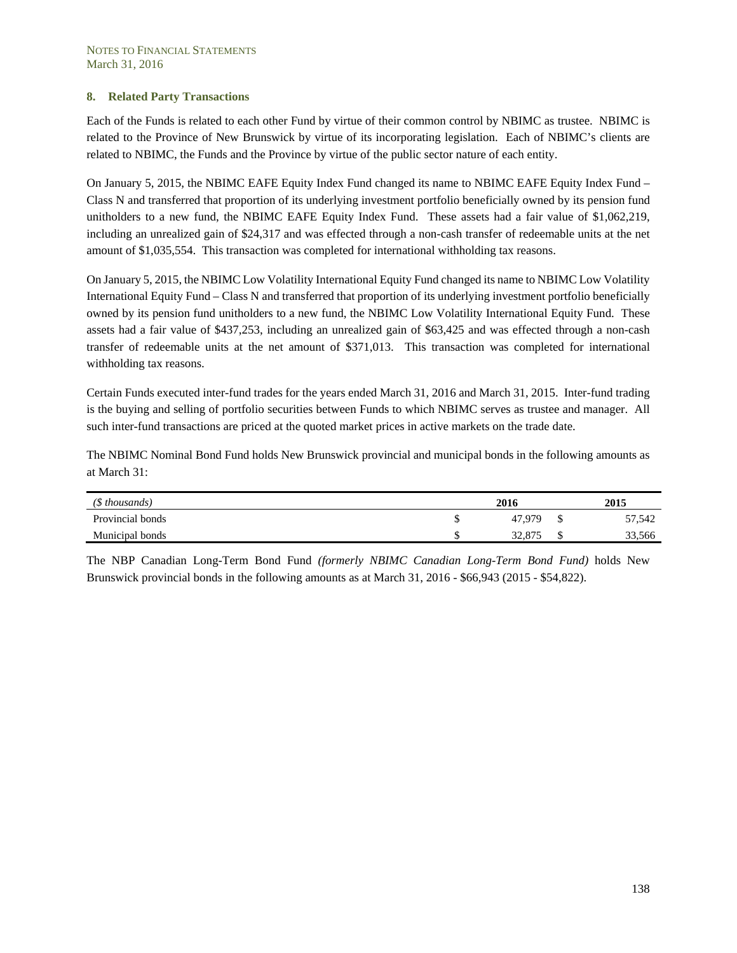#### **8. Related Party Transactions**

Each of the Funds is related to each other Fund by virtue of their common control by NBIMC as trustee. NBIMC is related to the Province of New Brunswick by virtue of its incorporating legislation. Each of NBIMC's clients are related to NBIMC, the Funds and the Province by virtue of the public sector nature of each entity.

On January 5, 2015, the NBIMC EAFE Equity Index Fund changed its name to NBIMC EAFE Equity Index Fund – Class N and transferred that proportion of its underlying investment portfolio beneficially owned by its pension fund unitholders to a new fund, the NBIMC EAFE Equity Index Fund. These assets had a fair value of \$1,062,219, including an unrealized gain of \$24,317 and was effected through a non-cash transfer of redeemable units at the net amount of \$1,035,554. This transaction was completed for international withholding tax reasons.

On January 5, 2015, the NBIMC Low Volatility International Equity Fund changed its name to NBIMC Low Volatility International Equity Fund – Class N and transferred that proportion of its underlying investment portfolio beneficially owned by its pension fund unitholders to a new fund, the NBIMC Low Volatility International Equity Fund. These assets had a fair value of \$437,253, including an unrealized gain of \$63,425 and was effected through a non-cash transfer of redeemable units at the net amount of \$371,013. This transaction was completed for international withholding tax reasons.

Certain Funds executed inter-fund trades for the years ended March 31, 2016 and March 31, 2015. Inter-fund trading is the buying and selling of portfolio securities between Funds to which NBIMC serves as trustee and manager. All such inter-fund transactions are priced at the quoted market prices in active markets on the trade date.

The NBIMC Nominal Bond Fund holds New Brunswick provincial and municipal bonds in the following amounts as at March 31:

| . S<br>thousands) |        | 2016   |   | 2015   |
|-------------------|--------|--------|---|--------|
| Provincial bonds  | w      | 47.979 | ◡ | 57,542 |
| Municipal bonds   | ∽<br>w | 32,875 | ◡ | 33.566 |

The NBP Canadian Long-Term Bond Fund *(formerly NBIMC Canadian Long-Term Bond Fund)* holds New Brunswick provincial bonds in the following amounts as at March 31, 2016 - \$66,943 (2015 - \$54,822).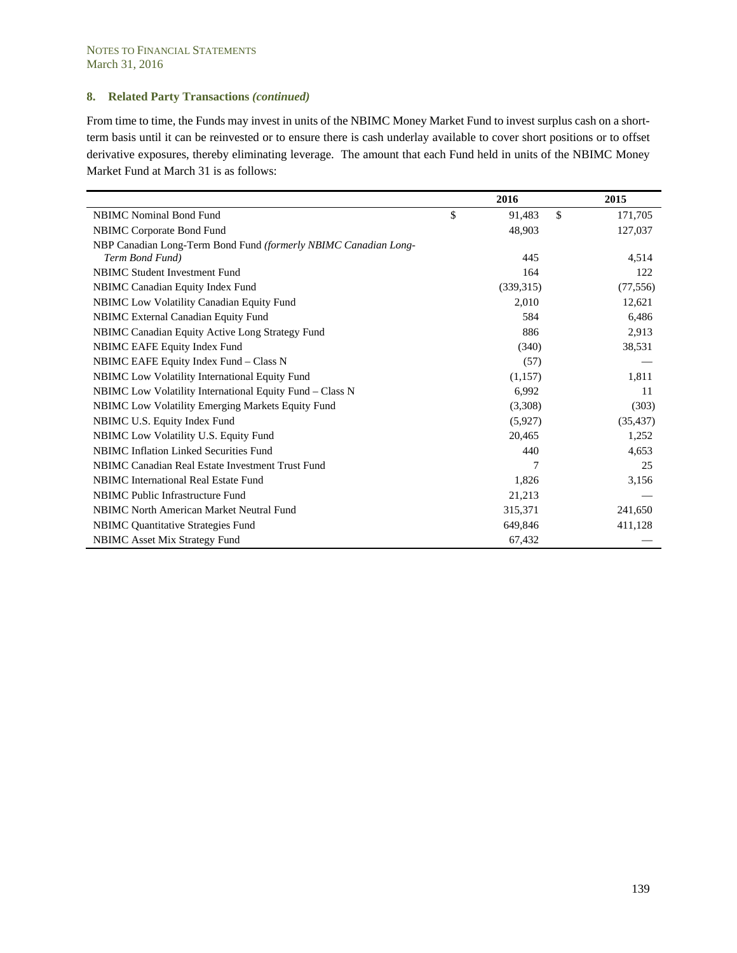From time to time, the Funds may invest in units of the NBIMC Money Market Fund to invest surplus cash on a shortterm basis until it can be reinvested or to ensure there is cash underlay available to cover short positions or to offset derivative exposures, thereby eliminating leverage. The amount that each Fund held in units of the NBIMC Money Market Fund at March 31 is as follows:

|                                                                                    | 2016         | 2015          |
|------------------------------------------------------------------------------------|--------------|---------------|
| <b>NBIMC</b> Nominal Bond Fund                                                     | \$<br>91,483 | \$<br>171,705 |
| <b>NBIMC</b> Corporate Bond Fund                                                   | 48,903       | 127,037       |
| NBP Canadian Long-Term Bond Fund (formerly NBIMC Canadian Long-<br>Term Bond Fund) | 445          | 4,514         |
| NBIMC Student Investment Fund                                                      | 164          | 122           |
| NBIMC Canadian Equity Index Fund                                                   | (339, 315)   | (77, 556)     |
|                                                                                    | 2,010        | 12,621        |
| NBIMC Low Volatility Canadian Equity Fund                                          | 584          |               |
| NBIMC External Canadian Equity Fund                                                |              | 6,486         |
| NBIMC Canadian Equity Active Long Strategy Fund                                    | 886          | 2,913         |
| NBIMC EAFE Equity Index Fund                                                       | (340)        | 38,531        |
| NBIMC EAFE Equity Index Fund – Class N                                             | (57)         |               |
| NBIMC Low Volatility International Equity Fund                                     | (1,157)      | 1,811         |
| NBIMC Low Volatility International Equity Fund - Class N                           | 6,992        | 11            |
| <b>NBIMC</b> Low Volatility Emerging Markets Equity Fund                           | (3,308)      | (303)         |
| NBIMC U.S. Equity Index Fund                                                       | (5,927)      | (35, 437)     |
| NBIMC Low Volatility U.S. Equity Fund                                              | 20,465       | 1,252         |
| <b>NBIMC</b> Inflation Linked Securities Fund                                      | 440          | 4,653         |
| NBIMC Canadian Real Estate Investment Trust Fund                                   | 7            | 25            |
| NBIMC International Real Estate Fund                                               | 1,826        | 3,156         |
| NBIMC Public Infrastructure Fund                                                   | 21,213       |               |
| <b>NBIMC North American Market Neutral Fund</b>                                    | 315,371      | 241,650       |
| <b>NBIMC</b> Quantitative Strategies Fund                                          | 649,846      | 411,128       |
| <b>NBIMC Asset Mix Strategy Fund</b>                                               | 67,432       |               |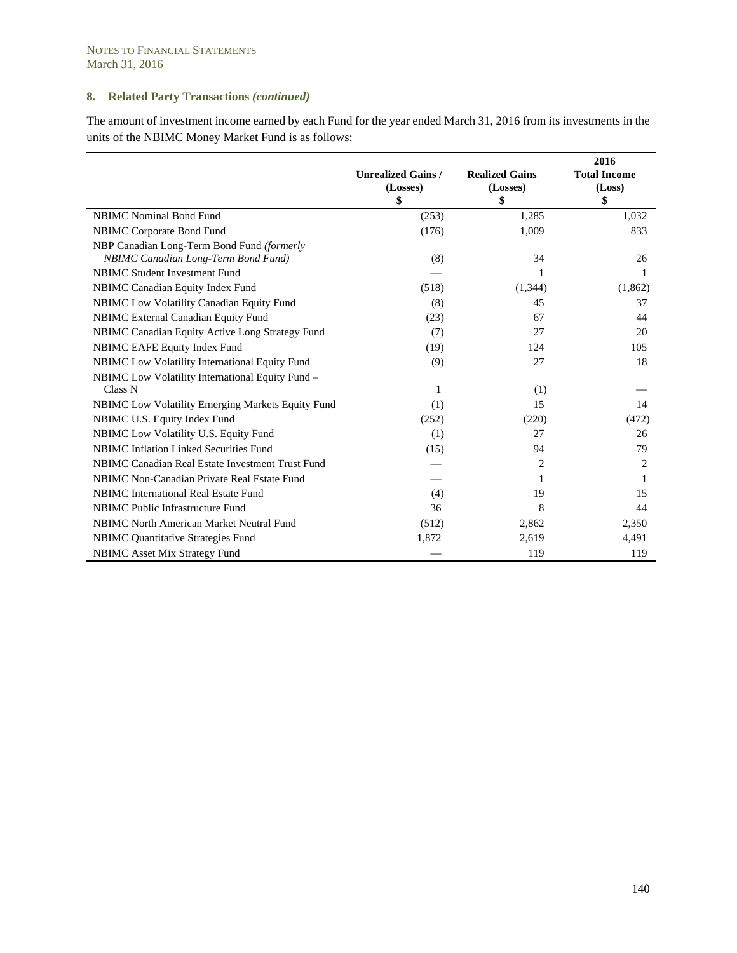The amount of investment income earned by each Fund for the year ended March 31, 2016 from its investments in the units of the NBIMC Money Market Fund is as follows:

|                                                   |                           |                       | 2016                |
|---------------------------------------------------|---------------------------|-----------------------|---------------------|
|                                                   | <b>Unrealized Gains /</b> | <b>Realized Gains</b> | <b>Total Income</b> |
|                                                   | (Losses)                  | (Losses)              | (Loss)              |
|                                                   | \$                        | \$                    | \$                  |
| <b>NBIMC</b> Nominal Bond Fund                    | (253)                     | 1,285                 | 1.032               |
| <b>NBIMC</b> Corporate Bond Fund                  | (176)                     | 1,009                 | 833                 |
| NBP Canadian Long-Term Bond Fund (formerly        |                           | 34                    | 26                  |
| <b>NBIMC</b> Canadian Long-Term Bond Fund)        | (8)                       |                       |                     |
| NBIMC Student Investment Fund                     |                           | 1                     | 1                   |
| NBIMC Canadian Equity Index Fund                  | (518)                     | (1,344)               | (1,862)             |
| <b>NBIMC</b> Low Volatility Canadian Equity Fund  | (8)                       | 45                    | 37                  |
| NBIMC External Canadian Equity Fund               | (23)                      | 67                    | 44                  |
| NBIMC Canadian Equity Active Long Strategy Fund   | (7)                       | 27                    | 20                  |
| NBIMC EAFE Equity Index Fund                      | (19)                      | 124                   | 105                 |
| NBIMC Low Volatility International Equity Fund    | (9)                       | 27                    | 18                  |
| NBIMC Low Volatility International Equity Fund -  |                           |                       |                     |
| Class <sub>N</sub>                                | 1                         | (1)                   |                     |
| NBIMC Low Volatility Emerging Markets Equity Fund | (1)                       | 15                    | 14                  |
| NBIMC U.S. Equity Index Fund                      | (252)                     | (220)                 | (472)               |
| NBIMC Low Volatility U.S. Equity Fund             | (1)                       | 27                    | 26                  |
| <b>NBIMC Inflation Linked Securities Fund</b>     | (15)                      | 94                    | 79                  |
| NBIMC Canadian Real Estate Investment Trust Fund  |                           | 2                     | 2                   |
| NBIMC Non-Canadian Private Real Estate Fund       |                           |                       | 1                   |
| <b>NBIMC</b> International Real Estate Fund       | (4)                       | 19                    | 15                  |
| NBIMC Public Infrastructure Fund                  | 36                        | 8                     | 44                  |
| NBIMC North American Market Neutral Fund          | (512)                     | 2,862                 | 2,350               |
| <b>NBIMC</b> Quantitative Strategies Fund         | 1,872                     | 2,619                 | 4,491               |
| <b>NBIMC</b> Asset Mix Strategy Fund              |                           | 119                   | 119                 |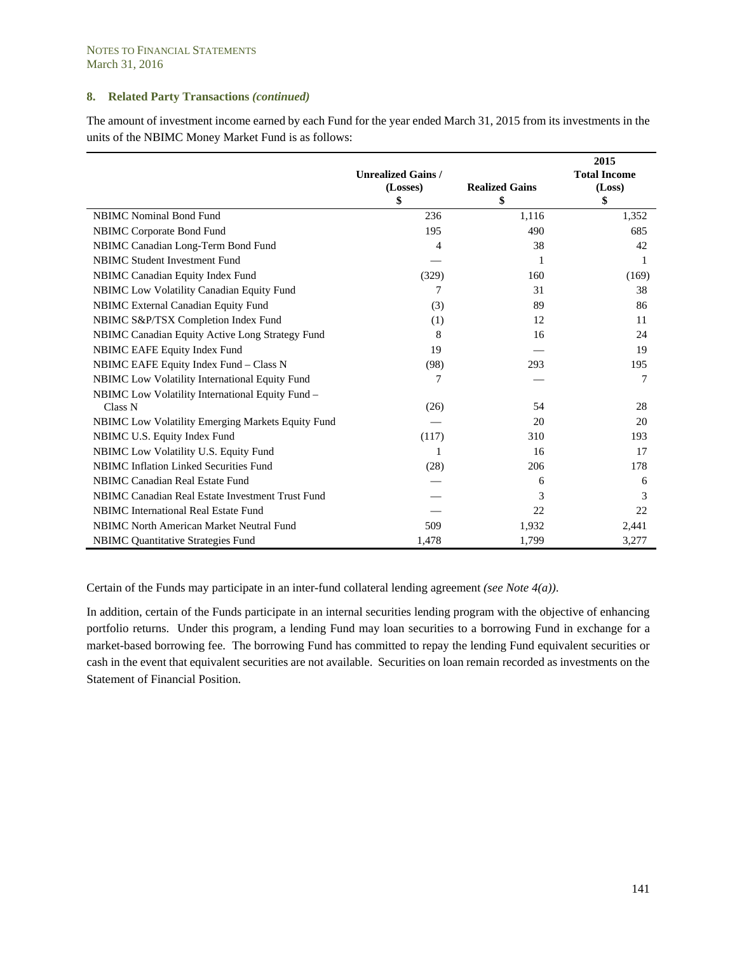The amount of investment income earned by each Fund for the year ended March 31, 2015 from its investments in the units of the NBIMC Money Market Fund is as follows:

|                                                   |                           |                       | 2015                |
|---------------------------------------------------|---------------------------|-----------------------|---------------------|
|                                                   | <b>Unrealized Gains /</b> |                       | <b>Total Income</b> |
|                                                   | (Losses)                  | <b>Realized Gains</b> | (Loss)              |
|                                                   | \$                        | \$                    | \$                  |
| <b>NBIMC</b> Nominal Bond Fund                    | 236                       | 1,116                 | 1,352               |
| NBIMC Corporate Bond Fund                         | 195                       | 490                   | 685                 |
| NBIMC Canadian Long-Term Bond Fund                | 4                         | 38                    | 42                  |
| NBIMC Student Investment Fund                     |                           | -1                    | 1                   |
| NBIMC Canadian Equity Index Fund                  | (329)                     | 160                   | (169)               |
| NBIMC Low Volatility Canadian Equity Fund         | 7                         | 31                    | 38                  |
| NBIMC External Canadian Equity Fund               | (3)                       | 89                    | 86                  |
| NBIMC S&P/TSX Completion Index Fund               | (1)                       | 12                    | 11                  |
| NBIMC Canadian Equity Active Long Strategy Fund   | 8                         | 16                    | 24                  |
| NBIMC EAFE Equity Index Fund                      | 19                        |                       | 19                  |
| NBIMC EAFE Equity Index Fund - Class N            | (98)                      | 293                   | 195                 |
| NBIMC Low Volatility International Equity Fund    | $\tau$                    |                       | 7                   |
| NBIMC Low Volatility International Equity Fund -  |                           |                       |                     |
| Class N                                           | (26)                      | 54                    | 28                  |
| NBIMC Low Volatility Emerging Markets Equity Fund |                           | 20                    | 20                  |
| NBIMC U.S. Equity Index Fund                      | (117)                     | 310                   | 193                 |
| NBIMC Low Volatility U.S. Equity Fund             | 1                         | 16                    | 17                  |
| <b>NBIMC</b> Inflation Linked Securities Fund     | (28)                      | 206                   | 178                 |
| NBIMC Canadian Real Estate Fund                   |                           | 6                     | 6                   |
| NBIMC Canadian Real Estate Investment Trust Fund  |                           | 3                     | 3                   |
| NBIMC International Real Estate Fund              |                           | 22                    | 22                  |
| <b>NBIMC North American Market Neutral Fund</b>   | 509                       | 1,932                 | 2,441               |
| <b>NBIMC</b> Quantitative Strategies Fund         | 1,478                     | 1,799                 | 3,277               |

Certain of the Funds may participate in an inter-fund collateral lending agreement *(see Note 4(a))*.

In addition, certain of the Funds participate in an internal securities lending program with the objective of enhancing portfolio returns. Under this program, a lending Fund may loan securities to a borrowing Fund in exchange for a market-based borrowing fee. The borrowing Fund has committed to repay the lending Fund equivalent securities or cash in the event that equivalent securities are not available. Securities on loan remain recorded as investments on the Statement of Financial Position.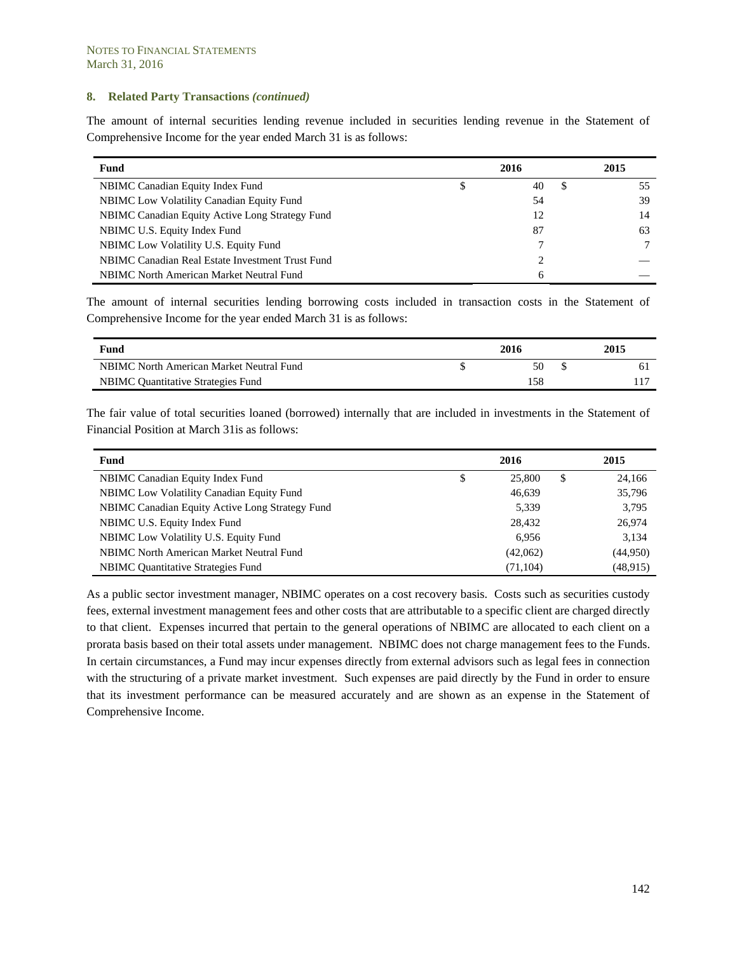The amount of internal securities lending revenue included in securities lending revenue in the Statement of Comprehensive Income for the year ended March 31 is as follows:

| Fund                                             | 2016 |   | 2015 |
|--------------------------------------------------|------|---|------|
| NBIMC Canadian Equity Index Fund                 | 40   | S | 55   |
| NBIMC Low Volatility Canadian Equity Fund        | .54  |   | 39   |
| NBIMC Canadian Equity Active Long Strategy Fund  | 12   |   | 14   |
| NBIMC U.S. Equity Index Fund                     | -87  |   | 63   |
| NBIMC Low Volatility U.S. Equity Fund            |      |   |      |
| NBIMC Canadian Real Estate Investment Trust Fund |      |   |      |
| NBIMC North American Market Neutral Fund         | 6    |   |      |

The amount of internal securities lending borrowing costs included in transaction costs in the Statement of Comprehensive Income for the year ended March 31 is as follows:

| Fund                                      | 2016 |    |  | 2015 |
|-------------------------------------------|------|----|--|------|
| NBIMC North American Market Neutral Fund  |      | 50 |  |      |
| <b>NBIMC</b> Quantitative Strategies Fund |      |    |  |      |

The fair value of total securities loaned (borrowed) internally that are included in investments in the Statement of Financial Position at March 31is as follows:

| Fund                                            | 2016 |           |    | 2015      |
|-------------------------------------------------|------|-----------|----|-----------|
| NBIMC Canadian Equity Index Fund                |      | 25,800    | \$ | 24,166    |
| NBIMC Low Volatility Canadian Equity Fund       |      | 46,639    |    | 35,796    |
| NBIMC Canadian Equity Active Long Strategy Fund |      | 5,339     |    | 3,795     |
| NBIMC U.S. Equity Index Fund                    |      | 28,432    |    | 26,974    |
| NBIMC Low Volatility U.S. Equity Fund           |      | 6.956     |    | 3,134     |
| <b>NBIMC North American Market Neutral Fund</b> |      | (42,062)  |    | (44,950)  |
| <b>NBIMC</b> Quantitative Strategies Fund       |      | (71, 104) |    | (48, 915) |

As a public sector investment manager, NBIMC operates on a cost recovery basis. Costs such as securities custody fees, external investment management fees and other costs that are attributable to a specific client are charged directly to that client. Expenses incurred that pertain to the general operations of NBIMC are allocated to each client on a prorata basis based on their total assets under management. NBIMC does not charge management fees to the Funds. In certain circumstances, a Fund may incur expenses directly from external advisors such as legal fees in connection with the structuring of a private market investment. Such expenses are paid directly by the Fund in order to ensure that its investment performance can be measured accurately and are shown as an expense in the Statement of Comprehensive Income.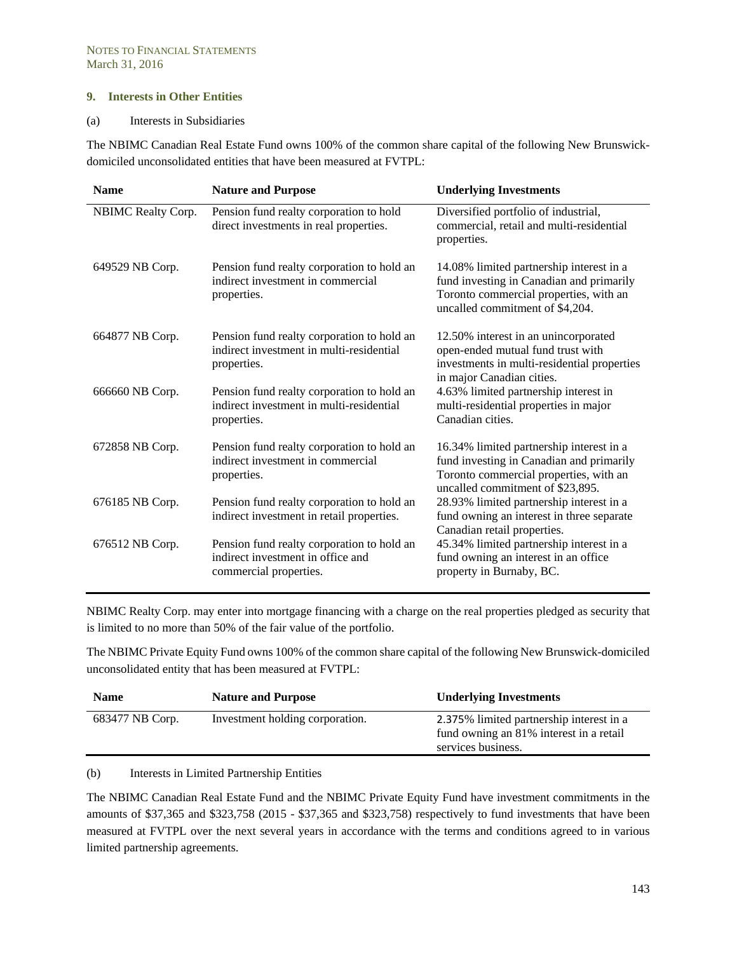## **9. Interests in Other Entities**

#### (a) Interests in Subsidiaries

The NBIMC Canadian Real Estate Fund owns 100% of the common share capital of the following New Brunswickdomiciled unconsolidated entities that have been measured at FVTPL:

| <b>Name</b>        | <b>Nature and Purpose</b>                                                                                 | <b>Underlying Investments</b>                                                                                                                                      |
|--------------------|-----------------------------------------------------------------------------------------------------------|--------------------------------------------------------------------------------------------------------------------------------------------------------------------|
| NBIMC Realty Corp. | Pension fund realty corporation to hold<br>direct investments in real properties.                         | Diversified portfolio of industrial,<br>commercial, retail and multi-residential<br>properties.                                                                    |
| 649529 NB Corp.    | Pension fund realty corporation to hold an<br>indirect investment in commercial<br>properties.            | 14.08% limited partnership interest in a<br>fund investing in Canadian and primarily<br>Toronto commercial properties, with an<br>uncalled commitment of \$4,204.  |
| 664877 NB Corp.    | Pension fund realty corporation to hold an<br>indirect investment in multi-residential<br>properties.     | 12.50% interest in an unincorporated<br>open-ended mutual fund trust with<br>investments in multi-residential properties<br>in major Canadian cities.              |
| 666660 NB Corp.    | Pension fund realty corporation to hold an<br>indirect investment in multi-residential<br>properties.     | 4.63% limited partnership interest in<br>multi-residential properties in major<br>Canadian cities.                                                                 |
| 672858 NB Corp.    | Pension fund realty corporation to hold an<br>indirect investment in commercial<br>properties.            | 16.34% limited partnership interest in a<br>fund investing in Canadian and primarily<br>Toronto commercial properties, with an<br>uncalled commitment of \$23,895. |
| 676185 NB Corp.    | Pension fund realty corporation to hold an<br>indirect investment in retail properties.                   | 28.93% limited partnership interest in a<br>fund owning an interest in three separate<br>Canadian retail properties.                                               |
| 676512 NB Corp.    | Pension fund realty corporation to hold an<br>indirect investment in office and<br>commercial properties. | 45.34% limited partnership interest in a<br>fund owning an interest in an office<br>property in Burnaby, BC.                                                       |

NBIMC Realty Corp. may enter into mortgage financing with a charge on the real properties pledged as security that is limited to no more than 50% of the fair value of the portfolio.

The NBIMC Private Equity Fund owns 100% of the common share capital of the following New Brunswick-domiciled unconsolidated entity that has been measured at FVTPL:

| <b>Name</b>     | <b>Nature and Purpose</b>       | <b>Underlying Investments</b>                                                                             |
|-----------------|---------------------------------|-----------------------------------------------------------------------------------------------------------|
| 683477 NB Corp. | Investment holding corporation. | 2.375% limited partnership interest in a<br>fund owning an 81% interest in a retail<br>services business. |
|                 |                                 |                                                                                                           |

# (b) Interests in Limited Partnership Entities

The NBIMC Canadian Real Estate Fund and the NBIMC Private Equity Fund have investment commitments in the amounts of \$37,365 and \$323,758 (2015 - \$37,365 and \$323,758) respectively to fund investments that have been measured at FVTPL over the next several years in accordance with the terms and conditions agreed to in various limited partnership agreements.